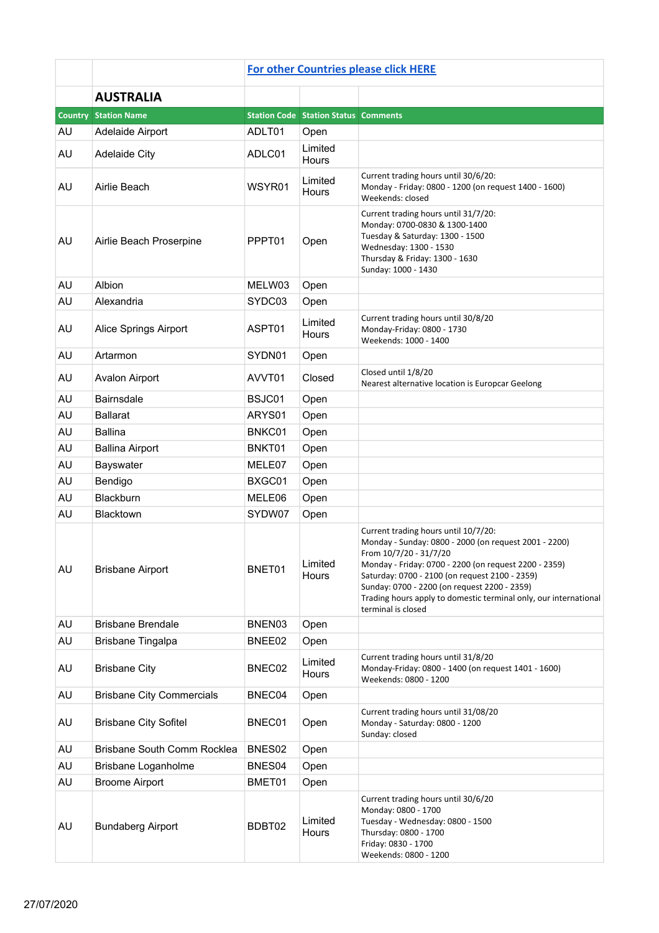|                |                                  | <b>For other Countries please click HERE</b> |                                             |                                                                                                                                                                                                                                                                                                                                                                              |  |  |
|----------------|----------------------------------|----------------------------------------------|---------------------------------------------|------------------------------------------------------------------------------------------------------------------------------------------------------------------------------------------------------------------------------------------------------------------------------------------------------------------------------------------------------------------------------|--|--|
|                | <b>AUSTRALIA</b>                 |                                              |                                             |                                                                                                                                                                                                                                                                                                                                                                              |  |  |
| <b>Country</b> | <b>Station Name</b>              |                                              | <b>Station Code Station Status Comments</b> |                                                                                                                                                                                                                                                                                                                                                                              |  |  |
| AU             | Adelaide Airport                 | ADLT01                                       | Open                                        |                                                                                                                                                                                                                                                                                                                                                                              |  |  |
| AU             | <b>Adelaide City</b>             | ADLC01                                       | Limited<br>Hours                            |                                                                                                                                                                                                                                                                                                                                                                              |  |  |
| AU             | Airlie Beach                     | WSYR01                                       | Limited<br>Hours                            | Current trading hours until 30/6/20:<br>Monday - Friday: 0800 - 1200 (on request 1400 - 1600)<br>Weekends: closed                                                                                                                                                                                                                                                            |  |  |
| AU             | Airlie Beach Proserpine          | PPPT01                                       | Open                                        | Current trading hours until 31/7/20:<br>Monday: 0700-0830 & 1300-1400<br>Tuesday & Saturday: 1300 - 1500<br>Wednesday: 1300 - 1530<br>Thursday & Friday: 1300 - 1630<br>Sunday: 1000 - 1430                                                                                                                                                                                  |  |  |
| AU             | Albion                           | MELW03                                       | Open                                        |                                                                                                                                                                                                                                                                                                                                                                              |  |  |
| AU             | Alexandria                       | SYDC03                                       | Open                                        |                                                                                                                                                                                                                                                                                                                                                                              |  |  |
| AU             | Alice Springs Airport            | ASPT01                                       | Limited<br>Hours                            | Current trading hours until 30/8/20<br>Monday-Friday: 0800 - 1730<br>Weekends: 1000 - 1400                                                                                                                                                                                                                                                                                   |  |  |
| AU             | Artarmon                         | SYDN01                                       | Open                                        |                                                                                                                                                                                                                                                                                                                                                                              |  |  |
| AU             | Avalon Airport                   | AVVT01                                       | Closed                                      | Closed until 1/8/20<br>Nearest alternative location is Europcar Geelong                                                                                                                                                                                                                                                                                                      |  |  |
| AU             | <b>Bairnsdale</b>                | BSJC01                                       | Open                                        |                                                                                                                                                                                                                                                                                                                                                                              |  |  |
| AU             | <b>Ballarat</b>                  | ARYS01                                       | Open                                        |                                                                                                                                                                                                                                                                                                                                                                              |  |  |
| AU             | <b>Ballina</b>                   | BNKC01                                       | Open                                        |                                                                                                                                                                                                                                                                                                                                                                              |  |  |
| AU             | <b>Ballina Airport</b>           | BNKT01                                       | Open                                        |                                                                                                                                                                                                                                                                                                                                                                              |  |  |
| AU             | Bayswater                        | MELE07                                       | Open                                        |                                                                                                                                                                                                                                                                                                                                                                              |  |  |
| AU             | Bendigo                          | BXGC01                                       | Open                                        |                                                                                                                                                                                                                                                                                                                                                                              |  |  |
| AU             | Blackburn                        | MELE06                                       | Open                                        |                                                                                                                                                                                                                                                                                                                                                                              |  |  |
| AU             | Blacktown                        | SYDW07                                       | Open                                        |                                                                                                                                                                                                                                                                                                                                                                              |  |  |
| AU             | <b>Brisbane Airport</b>          | BNET01                                       | Limited<br>Hours                            | Current trading hours until 10/7/20:<br>Monday - Sunday: 0800 - 2000 (on request 2001 - 2200)<br>From 10/7/20 - 31/7/20<br>Monday - Friday: 0700 - 2200 (on request 2200 - 2359)<br>Saturday: 0700 - 2100 (on request 2100 - 2359)<br>Sunday: 0700 - 2200 (on request 2200 - 2359)<br>Trading hours apply to domestic terminal only, our international<br>terminal is closed |  |  |
| AU             | <b>Brisbane Brendale</b>         | BNEN03                                       | Open                                        |                                                                                                                                                                                                                                                                                                                                                                              |  |  |
| AU             | Brisbane Tingalpa                | BNEE02                                       | Open                                        |                                                                                                                                                                                                                                                                                                                                                                              |  |  |
| AU             | <b>Brisbane City</b>             | BNEC02                                       | Limited<br>Hours                            | Current trading hours until 31/8/20<br>Monday-Friday: 0800 - 1400 (on request 1401 - 1600)<br>Weekends: 0800 - 1200                                                                                                                                                                                                                                                          |  |  |
| AU             | <b>Brisbane City Commercials</b> | BNEC04                                       | Open                                        |                                                                                                                                                                                                                                                                                                                                                                              |  |  |
| AU             | <b>Brisbane City Sofitel</b>     | BNEC01                                       | Open                                        | Current trading hours until 31/08/20<br>Monday - Saturday: 0800 - 1200<br>Sunday: closed                                                                                                                                                                                                                                                                                     |  |  |
| AU             | Brisbane South Comm Rocklea      | BNES <sub>02</sub>                           | Open                                        |                                                                                                                                                                                                                                                                                                                                                                              |  |  |
| AU             | Brisbane Loganholme              | BNES04                                       | Open                                        |                                                                                                                                                                                                                                                                                                                                                                              |  |  |
| AU             | <b>Broome Airport</b>            | BMET01                                       | Open                                        |                                                                                                                                                                                                                                                                                                                                                                              |  |  |
| AU             | <b>Bundaberg Airport</b>         | BDBT02                                       | Limited<br>Hours                            | Current trading hours until 30/6/20<br>Monday: 0800 - 1700<br>Tuesday - Wednesday: 0800 - 1500<br>Thursday: 0800 - 1700<br>Friday: 0830 - 1700<br>Weekends: 0800 - 1200                                                                                                                                                                                                      |  |  |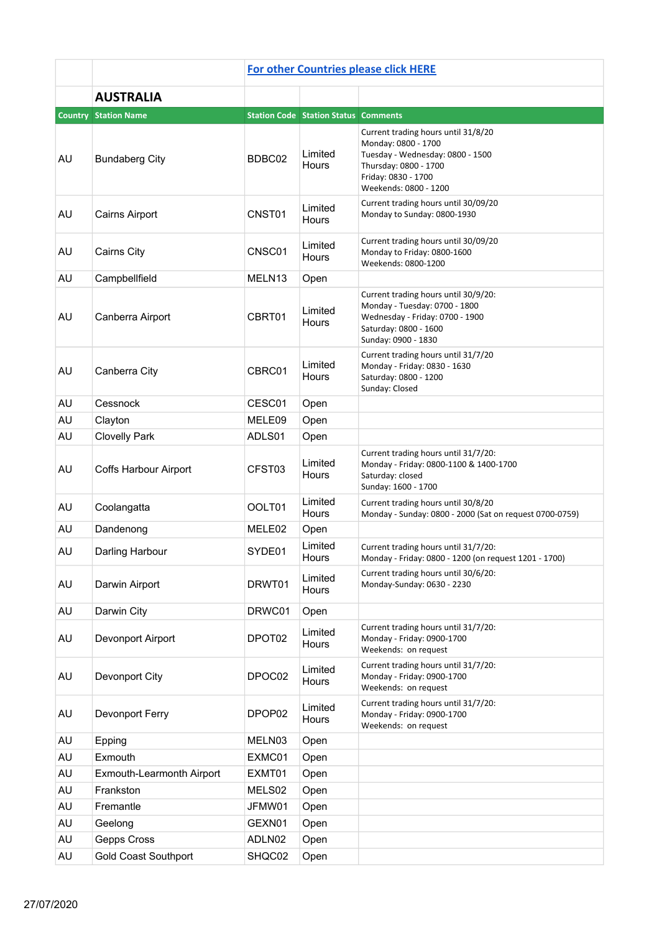|           |                             | <b>For other Countries please click HERE</b> |                                             |                                                                                                                                                                         |  |  |  |
|-----------|-----------------------------|----------------------------------------------|---------------------------------------------|-------------------------------------------------------------------------------------------------------------------------------------------------------------------------|--|--|--|
|           | <b>AUSTRALIA</b>            |                                              |                                             |                                                                                                                                                                         |  |  |  |
|           | <b>Country Station Name</b> |                                              | <b>Station Code Station Status Comments</b> |                                                                                                                                                                         |  |  |  |
| <b>AU</b> | <b>Bundaberg City</b>       | BDBC02                                       | Limited<br><b>Hours</b>                     | Current trading hours until 31/8/20<br>Monday: 0800 - 1700<br>Tuesday - Wednesday: 0800 - 1500<br>Thursday: 0800 - 1700<br>Friday: 0830 - 1700<br>Weekends: 0800 - 1200 |  |  |  |
| AU        | <b>Cairns Airport</b>       | CNST01                                       | Limited<br>Hours                            | Current trading hours until 30/09/20<br>Monday to Sunday: 0800-1930                                                                                                     |  |  |  |
| <b>AU</b> | Cairns City                 | CNSC01                                       | Limited<br><b>Hours</b>                     | Current trading hours until 30/09/20<br>Monday to Friday: 0800-1600<br>Weekends: 0800-1200                                                                              |  |  |  |
| <b>AU</b> | Campbellfield               | MELN <sub>13</sub>                           | Open                                        |                                                                                                                                                                         |  |  |  |
| AU        | Canberra Airport            | CBRT01                                       | Limited<br><b>Hours</b>                     | Current trading hours until 30/9/20:<br>Monday - Tuesday: 0700 - 1800<br>Wednesday - Friday: 0700 - 1900<br>Saturday: 0800 - 1600<br>Sunday: 0900 - 1830                |  |  |  |
| <b>AU</b> | Canberra City               | CBRC01                                       | Limited<br><b>Hours</b>                     | Current trading hours until 31/7/20<br>Monday - Friday: 0830 - 1630<br>Saturday: 0800 - 1200<br>Sunday: Closed                                                          |  |  |  |
| AU        | Cessnock                    | CESC01                                       | Open                                        |                                                                                                                                                                         |  |  |  |
| AU        | Clayton                     | MELE09                                       | Open                                        |                                                                                                                                                                         |  |  |  |
| AU        | <b>Clovelly Park</b>        | ADLS01                                       | Open                                        |                                                                                                                                                                         |  |  |  |
| AU        | Coffs Harbour Airport       | CFST03                                       | Limited<br>Hours                            | Current trading hours until 31/7/20:<br>Monday - Friday: 0800-1100 & 1400-1700<br>Saturday: closed<br>Sunday: 1600 - 1700                                               |  |  |  |
| AU        | Coolangatta                 | OOLT01                                       | Limited<br>Hours                            | Current trading hours until 30/8/20<br>Monday - Sunday: 0800 - 2000 (Sat on request 0700-0759)                                                                          |  |  |  |
| AU        | Dandenong                   | MELE02                                       | Open                                        |                                                                                                                                                                         |  |  |  |
| <b>AU</b> | Darling Harbour             | SYDE01                                       | Limited<br>Hours                            | Current trading hours until 31/7/20:<br>Monday - Friday: 0800 - 1200 (on request 1201 - 1700)                                                                           |  |  |  |
| AU        | Darwin Airport              | DRWT01                                       | Limited<br>Hours                            | Current trading hours until 30/6/20:<br>Monday-Sunday: 0630 - 2230                                                                                                      |  |  |  |
| AU        | Darwin City                 | DRWC01                                       | Open                                        |                                                                                                                                                                         |  |  |  |
| AU        | Devonport Airport           | DPOT02                                       | Limited<br>Hours                            | Current trading hours until 31/7/20:<br>Monday - Friday: 0900-1700<br>Weekends: on request                                                                              |  |  |  |
| AU        | Devonport City              | DPOC02                                       | Limited<br>Hours                            | Current trading hours until 31/7/20:<br>Monday - Friday: 0900-1700<br>Weekends: on request                                                                              |  |  |  |
| AU        | Devonport Ferry             | DPOP02                                       | Limited<br>Hours                            | Current trading hours until 31/7/20:<br>Monday - Friday: 0900-1700<br>Weekends: on request                                                                              |  |  |  |
| AU        | Epping                      | MELN03                                       | Open                                        |                                                                                                                                                                         |  |  |  |
| AU        | Exmouth                     | EXMC01                                       | Open                                        |                                                                                                                                                                         |  |  |  |
| AU        | Exmouth-Learmonth Airport   | EXMT01                                       | Open                                        |                                                                                                                                                                         |  |  |  |
| AU        | Frankston                   | MELS02                                       | Open                                        |                                                                                                                                                                         |  |  |  |
| AU        | Fremantle                   | JFMW01                                       | Open                                        |                                                                                                                                                                         |  |  |  |
| AU        | Geelong                     | GEXN01                                       | Open                                        |                                                                                                                                                                         |  |  |  |
| AU        | Gepps Cross                 | ADLN02                                       | Open                                        |                                                                                                                                                                         |  |  |  |
| AU        | <b>Gold Coast Southport</b> | SHQC02                                       | Open                                        |                                                                                                                                                                         |  |  |  |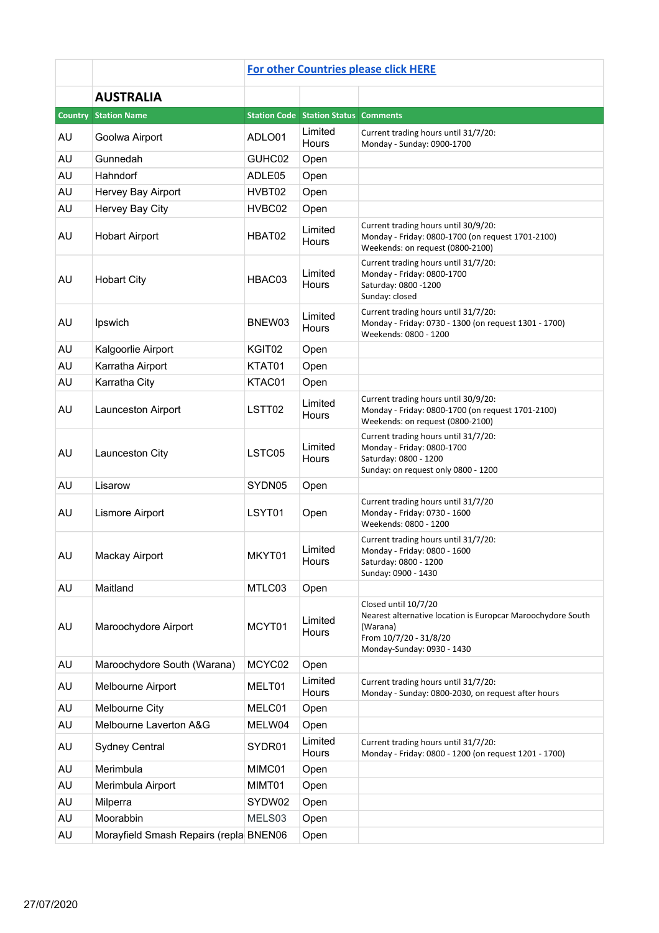|    |                                        | <b>For other Countries please click HERE</b> |                                             |                                                                                                                                                         |  |  |
|----|----------------------------------------|----------------------------------------------|---------------------------------------------|---------------------------------------------------------------------------------------------------------------------------------------------------------|--|--|
|    | <b>AUSTRALIA</b>                       |                                              |                                             |                                                                                                                                                         |  |  |
|    | <b>Country Station Name</b>            |                                              | <b>Station Code Station Status Comments</b> |                                                                                                                                                         |  |  |
| AU | Goolwa Airport                         | ADLO01                                       | Limited<br>Hours                            | Current trading hours until 31/7/20:<br>Monday - Sunday: 0900-1700                                                                                      |  |  |
| AU | Gunnedah                               | GUHC02                                       | Open                                        |                                                                                                                                                         |  |  |
| AU | Hahndorf                               | ADLE05                                       | Open                                        |                                                                                                                                                         |  |  |
| AU | Hervey Bay Airport                     | HVBT02                                       | Open                                        |                                                                                                                                                         |  |  |
| AU | Hervey Bay City                        | HVBC02                                       | Open                                        |                                                                                                                                                         |  |  |
| AU | <b>Hobart Airport</b>                  | HBAT02                                       | Limited<br>Hours                            | Current trading hours until 30/9/20:<br>Monday - Friday: 0800-1700 (on request 1701-2100)<br>Weekends: on request (0800-2100)                           |  |  |
| AU | <b>Hobart City</b>                     | HBAC03                                       | Limited<br>Hours                            | Current trading hours until 31/7/20:<br>Monday - Friday: 0800-1700<br>Saturday: 0800 -1200<br>Sunday: closed                                            |  |  |
| AU | Ipswich                                | BNEW03                                       | Limited<br>Hours                            | Current trading hours until 31/7/20:<br>Monday - Friday: 0730 - 1300 (on request 1301 - 1700)<br>Weekends: 0800 - 1200                                  |  |  |
| AU | Kalgoorlie Airport                     | KGIT02                                       | Open                                        |                                                                                                                                                         |  |  |
| AU | Karratha Airport                       | KTAT01                                       | Open                                        |                                                                                                                                                         |  |  |
| AU | Karratha City                          | KTAC01                                       | Open                                        |                                                                                                                                                         |  |  |
| AU | Launceston Airport                     | LSTT02                                       | Limited<br>Hours                            | Current trading hours until 30/9/20:<br>Monday - Friday: 0800-1700 (on request 1701-2100)<br>Weekends: on request (0800-2100)                           |  |  |
| AU | Launceston City                        | LSTC05                                       | Limited<br>Hours                            | Current trading hours until 31/7/20:<br>Monday - Friday: 0800-1700<br>Saturday: 0800 - 1200<br>Sunday: on request only 0800 - 1200                      |  |  |
| AU | Lisarow                                | SYDN05                                       | Open                                        |                                                                                                                                                         |  |  |
| AU | Lismore Airport                        | LSYT01                                       | Open                                        | Current trading hours until 31/7/20<br>Monday - Friday: 0730 - 1600<br>Weekends: 0800 - 1200                                                            |  |  |
| AU | <b>Mackay Airport</b>                  | MKYT01                                       | Limited<br>Hours                            | Current trading hours until 31/7/20:<br>Monday - Friday: 0800 - 1600<br>Saturday: 0800 - 1200<br>Sunday: 0900 - 1430                                    |  |  |
| AU | Maitland                               | MTLC03                                       | Open                                        |                                                                                                                                                         |  |  |
| AU | Maroochydore Airport                   | MCYT01                                       | Limited<br>Hours                            | Closed until 10/7/20<br>Nearest alternative location is Europcar Maroochydore South<br>(Warana)<br>From 10/7/20 - 31/8/20<br>Monday-Sunday: 0930 - 1430 |  |  |
| AU | Maroochydore South (Warana)            | MCYC02                                       | Open                                        |                                                                                                                                                         |  |  |
| AU | Melbourne Airport                      | MELT01                                       | Limited<br><b>Hours</b>                     | Current trading hours until 31/7/20:<br>Monday - Sunday: 0800-2030, on request after hours                                                              |  |  |
| AU | Melbourne City                         | MELC01                                       | Open                                        |                                                                                                                                                         |  |  |
| AU | Melbourne Laverton A&G                 | MELW04                                       | Open                                        |                                                                                                                                                         |  |  |
| AU | <b>Sydney Central</b>                  | SYDR01                                       | Limited<br>Hours                            | Current trading hours until 31/7/20:<br>Monday - Friday: 0800 - 1200 (on request 1201 - 1700)                                                           |  |  |
| AU | Merimbula                              | MIMC01                                       | Open                                        |                                                                                                                                                         |  |  |
| AU | Merimbula Airport                      | MIMT01                                       | Open                                        |                                                                                                                                                         |  |  |
| AU | Milperra                               | SYDW02                                       | Open                                        |                                                                                                                                                         |  |  |
| AU | Moorabbin                              | MELS03                                       | Open                                        |                                                                                                                                                         |  |  |
| AU | Morayfield Smash Repairs (repla BNEN06 |                                              | Open                                        |                                                                                                                                                         |  |  |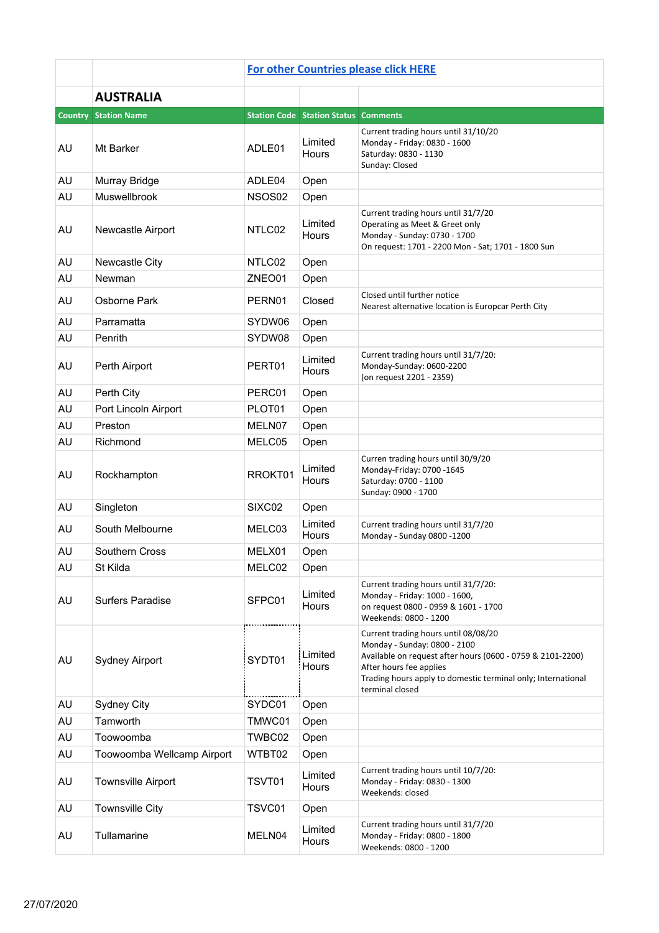|           |                             | <b>For other Countries please click HERE</b> |                                             |                                                                                                                                                                                                                                                  |  |  |
|-----------|-----------------------------|----------------------------------------------|---------------------------------------------|--------------------------------------------------------------------------------------------------------------------------------------------------------------------------------------------------------------------------------------------------|--|--|
|           | <b>AUSTRALIA</b>            |                                              |                                             |                                                                                                                                                                                                                                                  |  |  |
|           | <b>Country Station Name</b> |                                              | <b>Station Code Station Status Comments</b> |                                                                                                                                                                                                                                                  |  |  |
| AU        | Mt Barker                   | ADLE01                                       | Limited<br>Hours                            | Current trading hours until 31/10/20<br>Monday - Friday: 0830 - 1600<br>Saturday: 0830 - 1130<br>Sunday: Closed                                                                                                                                  |  |  |
| AU        | Murray Bridge               | ADLE04                                       | Open                                        |                                                                                                                                                                                                                                                  |  |  |
| AU        | Muswellbrook                | NSOS02                                       | Open                                        |                                                                                                                                                                                                                                                  |  |  |
| AU        | Newcastle Airport           | NTLC02                                       | Limited<br>Hours                            | Current trading hours until 31/7/20<br>Operating as Meet & Greet only<br>Monday - Sunday: 0730 - 1700<br>On request: 1701 - 2200 Mon - Sat; 1701 - 1800 Sun                                                                                      |  |  |
| AU        | Newcastle City              | NTLC02                                       | Open                                        |                                                                                                                                                                                                                                                  |  |  |
| AU        | Newman                      | ZNEO01                                       | Open                                        |                                                                                                                                                                                                                                                  |  |  |
| AU        | Osborne Park                | PERN01                                       | Closed                                      | Closed until further notice<br>Nearest alternative location is Europcar Perth City                                                                                                                                                               |  |  |
| AU        | Parramatta                  | SYDW06                                       | Open                                        |                                                                                                                                                                                                                                                  |  |  |
| AU        | Penrith                     | SYDW08                                       | Open                                        |                                                                                                                                                                                                                                                  |  |  |
| AU        | Perth Airport               | PERT01                                       | Limited<br>Hours                            | Current trading hours until 31/7/20:<br>Monday-Sunday: 0600-2200<br>(on request 2201 - 2359)                                                                                                                                                     |  |  |
| AU        | Perth City                  | PERC01                                       | Open                                        |                                                                                                                                                                                                                                                  |  |  |
| <b>AU</b> | Port Lincoln Airport        | PLOT01                                       | Open                                        |                                                                                                                                                                                                                                                  |  |  |
| AU        | Preston                     | MELN07                                       | Open                                        |                                                                                                                                                                                                                                                  |  |  |
| AU        | Richmond                    | MELC05                                       | Open                                        |                                                                                                                                                                                                                                                  |  |  |
| AU        | Rockhampton                 | RROKT01                                      | Limited<br>Hours                            | Curren trading hours until 30/9/20<br>Monday-Friday: 0700 -1645<br>Saturday: 0700 - 1100<br>Sunday: 0900 - 1700                                                                                                                                  |  |  |
| AU        | Singleton                   | SIXC02                                       | Open                                        |                                                                                                                                                                                                                                                  |  |  |
| AU        | South Melbourne             | MELC03                                       | Limited<br>Hours                            | Current trading hours until 31/7/20<br>Monday - Sunday 0800 -1200                                                                                                                                                                                |  |  |
| AU        | Southern Cross              | MELX01                                       | Open                                        |                                                                                                                                                                                                                                                  |  |  |
| AU        | St Kilda                    | MELC02                                       | Open                                        |                                                                                                                                                                                                                                                  |  |  |
| AU        | Surfers Paradise            | SFPC01                                       | Limited<br>Hours                            | Current trading hours until 31/7/20:<br>Monday - Friday: 1000 - 1600,<br>on request 0800 - 0959 & 1601 - 1700<br>Weekends: 0800 - 1200                                                                                                           |  |  |
| AU        | <b>Sydney Airport</b>       | SYDT01                                       | Limited<br>Hours                            | Current trading hours until 08/08/20<br>Monday - Sunday: 0800 - 2100<br>Available on request after hours (0600 - 0759 & 2101-2200)<br>After hours fee applies<br>Trading hours apply to domestic terminal only; International<br>terminal closed |  |  |
| AU        | <b>Sydney City</b>          | SYDC01                                       | Open                                        |                                                                                                                                                                                                                                                  |  |  |
| AU        | Tamworth                    | TMWC01                                       | Open                                        |                                                                                                                                                                                                                                                  |  |  |
| AU        | Toowoomba                   | TWBC02                                       | Open                                        |                                                                                                                                                                                                                                                  |  |  |
| AU        | Toowoomba Wellcamp Airport  | WTBT02                                       | Open                                        |                                                                                                                                                                                                                                                  |  |  |
| AU        | <b>Townsville Airport</b>   | TSVT01                                       | Limited<br>Hours                            | Current trading hours until 10/7/20:<br>Monday - Friday: 0830 - 1300<br>Weekends: closed                                                                                                                                                         |  |  |
| AU        | <b>Townsville City</b>      | TSVC01                                       | Open                                        |                                                                                                                                                                                                                                                  |  |  |
| AU        | Tullamarine                 | MELN04                                       | Limited<br>Hours                            | Current trading hours until 31/7/20<br>Monday - Friday: 0800 - 1800<br>Weekends: 0800 - 1200                                                                                                                                                     |  |  |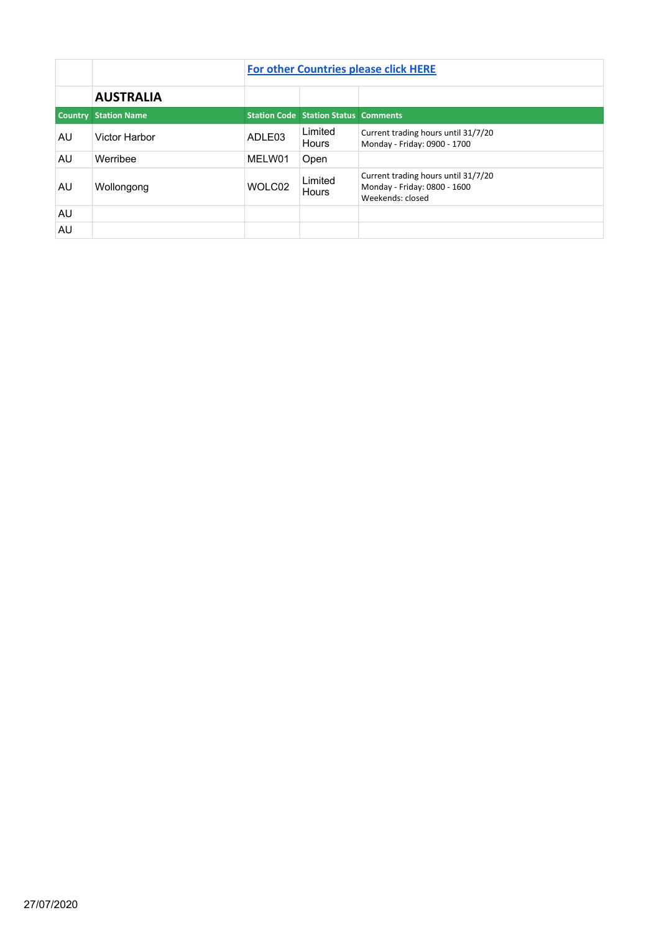|    |                             | <b>For other Countries please click HERE</b> |                                             |                                                                                         |  |  |
|----|-----------------------------|----------------------------------------------|---------------------------------------------|-----------------------------------------------------------------------------------------|--|--|
|    | <b>AUSTRALIA</b>            |                                              |                                             |                                                                                         |  |  |
|    | <b>Country Station Name</b> |                                              | <b>Station Code Station Status Comments</b> |                                                                                         |  |  |
| AU | Victor Harbor               | ADLE03                                       | Limited<br>Hours                            | Current trading hours until 31/7/20<br>Monday - Friday: 0900 - 1700                     |  |  |
| AU | Werribee                    | MELW01                                       | Open                                        |                                                                                         |  |  |
| AU | Wollongong                  | WOLC02                                       | Limited<br>Hours                            | Current trading hours until 31/7/20<br>Monday - Friday: 0800 - 1600<br>Weekends: closed |  |  |
| AU |                             |                                              |                                             |                                                                                         |  |  |
| AU |                             |                                              |                                             |                                                                                         |  |  |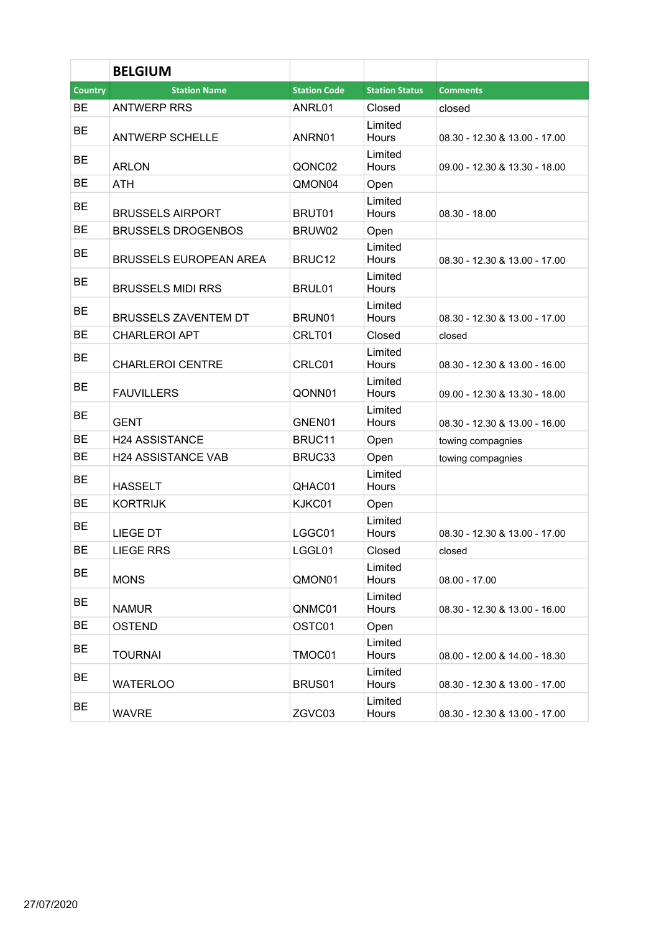|                | <b>BELGIUM</b>                |                     |                         |                               |
|----------------|-------------------------------|---------------------|-------------------------|-------------------------------|
| <b>Country</b> | <b>Station Name</b>           | <b>Station Code</b> | <b>Station Status</b>   | <b>Comments</b>               |
| BE             | <b>ANTWERP RRS</b>            | ANRL01              | Closed                  | closed                        |
| <b>BE</b>      | <b>ANTWERP SCHELLE</b>        | ANRN01              | Limited<br>Hours        | 08.30 - 12.30 & 13.00 - 17.00 |
| <b>BE</b>      | <b>ARLON</b>                  | QONC02              | Limited<br><b>Hours</b> | 09.00 - 12.30 & 13.30 - 18.00 |
| <b>BE</b>      | ATH                           | QMON04              | Open                    |                               |
| <b>BE</b>      | <b>BRUSSELS AIRPORT</b>       | BRUT01              | Limited<br>Hours        | $08.30 - 18.00$               |
| <b>BE</b>      | <b>BRUSSELS DROGENBOS</b>     | BRUW02              | Open                    |                               |
| <b>BE</b>      | <b>BRUSSELS EUROPEAN AREA</b> | BRUC12              | Limited<br><b>Hours</b> | 08.30 - 12.30 & 13.00 - 17.00 |
| BE             | <b>BRUSSELS MIDI RRS</b>      | BRUL01              | Limited<br>Hours        |                               |
| <b>BE</b>      | <b>BRUSSELS ZAVENTEM DT</b>   | BRUN01              | Limited<br><b>Hours</b> | 08.30 - 12.30 & 13.00 - 17.00 |
| <b>BE</b>      | <b>CHARLEROI APT</b>          | CRLT01              | Closed                  | closed                        |
| <b>BE</b>      | <b>CHARLEROI CENTRE</b>       | CRLC01              | Limited<br>Hours        | 08.30 - 12.30 & 13.00 - 16.00 |
| BЕ             | <b>FAUVILLERS</b>             | QONN01              | Limited<br><b>Hours</b> | 09.00 - 12.30 & 13.30 - 18.00 |
| <b>BE</b>      | <b>GENT</b>                   | GNEN01              | Limited<br>Hours        | 08.30 - 12.30 & 13.00 - 16.00 |
| BE             | <b>H24 ASSISTANCE</b>         | BRUC11              | Open                    | towing compagnies             |
| BЕ             | <b>H24 ASSISTANCE VAB</b>     | BRUC33              | Open                    | towing compagnies             |
| BЕ             | <b>HASSELT</b>                | QHAC01              | Limited<br>Hours        |                               |
| ВE             | <b>KORTRIJK</b>               | KJKC01              | Open                    |                               |
| BЕ             | <b>LIEGE DT</b>               | LGGC01              | Limited<br>Hours        | 08.30 - 12.30 & 13.00 - 17.00 |
| ВE             | <b>LIEGE RRS</b>              | LGGL01              | Closed                  | closed                        |
| BE             | <b>MONS</b>                   | QMON01              | Limited<br>Hours        | $08.00 - 17.00$               |
| BE             | <b>NAMUR</b>                  | QNMC01              | Limited<br>Hours        | 08.30 - 12.30 & 13.00 - 16.00 |
| BE             | <b>OSTEND</b>                 | OSTC01              | Open                    |                               |
| BE             | <b>TOURNAI</b>                | TMOC01              | Limited<br>Hours        | 08.00 - 12.00 & 14.00 - 18.30 |
| BE             | <b>WATERLOO</b>               | BRUS01              | Limited<br>Hours        | 08.30 - 12.30 & 13.00 - 17.00 |
| BE             | <b>WAVRE</b>                  | ZGVC03              | Limited<br>Hours        | 08.30 - 12.30 & 13.00 - 17.00 |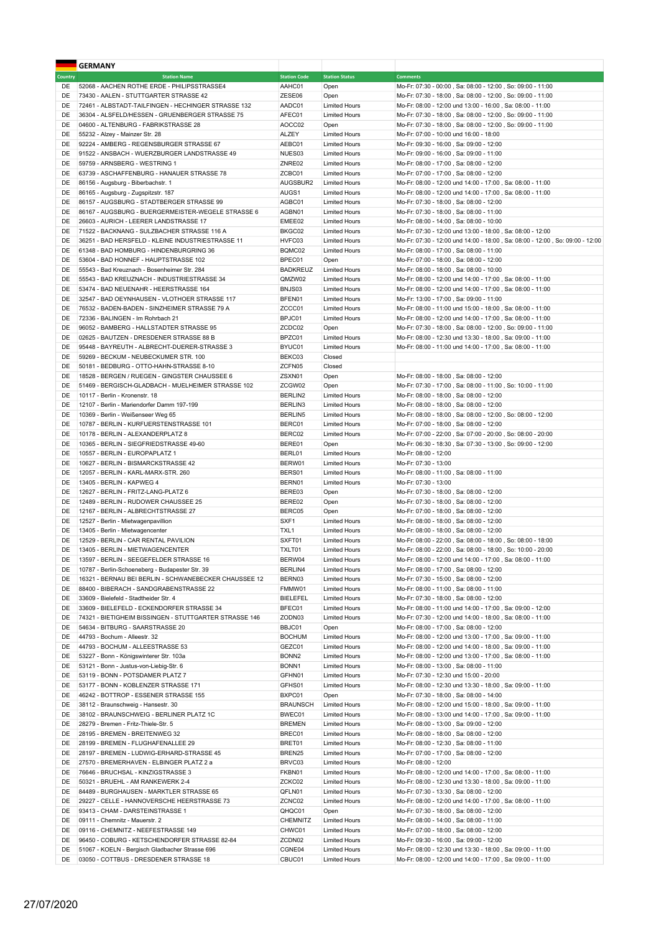|                | <b>GERMANY</b>                                                                                           |                           |                                              |                                                                                                      |
|----------------|----------------------------------------------------------------------------------------------------------|---------------------------|----------------------------------------------|------------------------------------------------------------------------------------------------------|
| <b>Country</b> | <b>Station Name</b>                                                                                      | <b>Station Code</b>       | <b>Station Status</b>                        | <b>Comments</b>                                                                                      |
| DE             | 52068 - AACHEN ROTHE ERDE - PHILIPSSTRASSE4                                                              | AAHC01                    | Open                                         | Mo-Fr: 07:30 - 00:00, Sa: 08:00 - 12:00, So: 09:00 - 11:00                                           |
| DE             | 73430 - AALEN - STUTTGARTER STRASSE 42                                                                   | ZESE06                    | Open                                         | Mo-Fr: 07:30 - 18:00, Sa: 08:00 - 12:00, So: 09:00 - 11:00                                           |
| DE             | 72461 - ALBSTADT-TAILFINGEN - HECHINGER STRASSE 132                                                      | AADC01                    | <b>Limited Hours</b>                         | Mo-Fr: 08:00 - 12:00 und 13:00 - 16:00, Sa: 08:00 - 11:00                                            |
| DE             | 36304 - ALSFELD/HESSEN - GRUENBERGER STRASSE 75                                                          | AFEC01                    | <b>Limited Hours</b>                         | Mo-Fr: 07:30 - 18:00, Sa: 08:00 - 12:00, So: 09:00 - 11:00                                           |
| DE             | 04600 - ALTENBURG - FABRIKSTRASSE 28                                                                     | AOCC02                    | Open                                         | Mo-Fr: 07:30 - 18:00, Sa: 08:00 - 12:00, So: 09:00 - 11:00                                           |
| DE             | 55232 - Alzey - Mainzer Str. 28                                                                          | <b>ALZEY</b>              | <b>Limited Hours</b>                         | Mo-Fr: 07:00 - 10:00 und 16:00 - 18:00                                                               |
| DE             | 92224 - AMBERG - REGENSBURGER STRASSE 67                                                                 | AEBC01                    | <b>Limited Hours</b>                         | Mo-Fr: 09:30 - 16:00, Sa: 09:00 - 12:00                                                              |
| DE             | 91522 - ANSBACH - WUERZBURGER LANDSTRASSE 49                                                             | NUES03                    | <b>Limited Hours</b>                         | Mo-Fr: 09:00 - 16:00, Sa: 09:00 - 11:00                                                              |
| DE<br>DE       | 59759 - ARNSBERG - WESTRING 1                                                                            | ZNRE02<br>ZCBC01          | <b>Limited Hours</b>                         | Mo-Fr: 08:00 - 17:00, Sa: 08:00 - 12:00                                                              |
| DE             | 63739 - ASCHAFFENBURG - HANAUER STRASSE 78<br>86156 - Augsburg - Biberbachstr. 1                         | AUGSBUR2                  | <b>Limited Hours</b><br><b>Limited Hours</b> | Mo-Fr: 07:00 - 17:00, Sa: 08:00 - 12:00<br>Mo-Fr: 08:00 - 12:00 und 14:00 - 17:00, Sa: 08:00 - 11:00 |
| DE             | 86165 - Augsburg - Zugspitzstr. 187                                                                      | AUGS1                     | <b>Limited Hours</b>                         | Mo-Fr: 08:00 - 12:00 und 14:00 - 17:00, Sa: 08:00 - 11:00                                            |
| DE             | 86157 - AUGSBURG - STADTBERGER STRASSE 99                                                                | AGBC01                    | <b>Limited Hours</b>                         | Mo-Fr: 07:30 - 18:00, Sa: 08:00 - 12:00                                                              |
| DE             | 86167 - AUGSBURG - BUERGERMEISTER-WEGELE STRASSE 6                                                       | AGBN01                    | <b>Limited Hours</b>                         | Mo-Fr: 07:30 - 18:00, Sa: 08:00 - 11:00                                                              |
| DE             | 26603 - AURICH - LEERER LANDSTRASSE 17                                                                   | EMEE02                    | <b>Limited Hours</b>                         | Mo-Fr: 08:00 - 14:00, Sa: 08:00 - 10:00                                                              |
| DE             | 71522 - BACKNANG - SULZBACHER STRASSE 116 A                                                              | BKGC02                    | <b>Limited Hours</b>                         | Mo-Fr: 07:30 - 12:00 und 13:00 - 18:00, Sa: 08:00 - 12:00                                            |
| DE             | 36251 - BAD HERSFELD - KLEINE INDUSTRIESTRASSE 11                                                        | HVFC03                    | <b>Limited Hours</b>                         | Mo-Fr: 07:30 - 12:00 und 14:00 - 18:00, Sa: 08:00 - 12:00, So: 09:00 - 12:00                         |
| DE             | 61348 - BAD HOMBURG - HINDENBURGRING 36                                                                  | BQMC02                    | <b>Limited Hours</b>                         | Mo-Fr: 08:00 - 17:00, Sa: 08:00 - 11:00                                                              |
| DE             | 53604 - BAD HONNEF - HAUPTSTRASSE 102                                                                    | BPEC01                    | Open                                         | Mo-Fr: 07:00 - 18:00, Sa: 08:00 - 12:00                                                              |
| DE             | 55543 - Bad Kreuznach - Bosenheimer Str. 284                                                             | <b>BADKREUZ</b>           | <b>Limited Hours</b>                         | Mo-Fr: 08:00 - 18:00, Sa: 08:00 - 10:00                                                              |
| DE             | 55543 - BAD KREUZNACH - INDUSTRIESTRASSE 34                                                              | QMZW02                    | <b>Limited Hours</b>                         | Mo-Fr: 08:00 - 12:00 und 14:00 - 17:00, Sa: 08:00 - 11:00                                            |
| DE             | 53474 - BAD NEUENAHR - HEERSTRASSE 164                                                                   | BNJS03                    | <b>Limited Hours</b>                         | Mo-Fr: 08:00 - 12:00 und 14:00 - 17:00, Sa: 08:00 - 11:00                                            |
| DE             | 32547 - BAD OEYNHAUSEN - VLOTHOER STRASSE 117                                                            | BFEN01                    | <b>Limited Hours</b>                         | Mo-Fr: 13:00 - 17:00, Sa: 09:00 - 11:00                                                              |
| DE             | 76532 - BADEN-BADEN - SINZHEIMER STRASSE 79 A                                                            | ZCCC01                    | <b>Limited Hours</b>                         | Mo-Fr: 08:00 - 11:00 und 15:00 - 18:00, Sa: 08:00 - 11:00                                            |
| DE             | 72336 - BALINGEN - Im Rohrbach 21                                                                        | BPJC01                    | <b>Limited Hours</b>                         | Mo-Fr: 08:00 - 12:00 und 14:00 - 17:00, Sa: 08:00 - 11:00                                            |
| DE             | 96052 - BAMBERG - HALLSTADTER STRASSE 95                                                                 | ZCDC02                    | Open                                         | Mo-Fr: 07:30 - 18:00, Sa: 08:00 - 12:00, So: 09:00 - 11:00                                           |
| DE             | 02625 - BAUTZEN - DRESDENER STRASSE 88 B                                                                 | BPZC01                    | <b>Limited Hours</b>                         | Mo-Fr: 08:00 - 12:30 und 13:30 - 18:00, Sa: 09:00 - 11:00                                            |
| DE             | 95448 - BAYREUTH - ALBRECHT-DUERER-STRASSE 3                                                             | BYUC01                    | <b>Limited Hours</b>                         | Mo-Fr: 08:00 - 11:00 und 14:00 - 17:00, Sa: 08:00 - 11:00                                            |
| DE             | 59269 - BECKUM - NEUBECKUMER STR. 100                                                                    | BEKC03                    | Closed                                       |                                                                                                      |
| DE             | 50181 - BEDBURG - OTTO-HAHN-STRASSE 8-10                                                                 | ZCFN05                    | Closed                                       |                                                                                                      |
| DE             | 18528 - BERGEN / RUEGEN - GINGSTER CHAUSSEE 6                                                            | ZSXN01                    | Open                                         | Mo-Fr: 08:00 - 18:00, Sa: 08:00 - 12:00                                                              |
| DE             | 51469 - BERGISCH-GLADBACH - MUELHEIMER STRASSE 102                                                       | ZCGW02                    | Open                                         | Mo-Fr: 07:30 - 17:00, Sa: 08:00 - 11:00, So: 10:00 - 11:00                                           |
| DE             | 10117 - Berlin - Kronenstr. 18                                                                           | BERLIN2                   | <b>Limited Hours</b>                         | Mo-Fr: 08:00 - 18:00, Sa: 08:00 - 12:00                                                              |
| DE             | 12107 - Berlin - Mariendorfer Damm 197-199                                                               | BERLIN3                   | <b>Limited Hours</b>                         | Mo-Fr: 08:00 - 18:00, Sa: 08:00 - 12:00                                                              |
| DE             | 10369 - Berlin - Weißenseer Weg 65                                                                       | BERLIN5                   | <b>Limited Hours</b>                         | Mo-Fr: 08:00 - 18:00, Sa: 08:00 - 12:00, So: 08:00 - 12:00                                           |
| DE             | 10787 - BERLIN - KURFUERSTENSTRASSE 101                                                                  | BERC01                    | <b>Limited Hours</b>                         | Mo-Fr: 07:00 - 18:00, Sa: 08:00 - 12:00                                                              |
| DE             | 10178 - BERLIN - ALEXANDERPLATZ 8                                                                        | BERC02                    | <b>Limited Hours</b>                         | Mo-Fr: 07:00 - 22:00, Sa: 07:00 - 20:00, So: 08:00 - 20:00                                           |
| DE             | 10365 - BERLIN - SIEGFRIEDSTRASSE 49-60                                                                  | BERE01                    | Open                                         | Mo-Fr: 06:30 - 18:30, Sa: 07:30 - 13:00, So: 09:00 - 12:00                                           |
| DE             | 10557 - BERLIN - EUROPAPLATZ 1                                                                           | BERL01                    | <b>Limited Hours</b>                         | Mo-Fr: 08:00 - 12:00                                                                                 |
| DE             | 10627 - BERLIN - BISMARCKSTRASSE 42                                                                      | BERW01                    | <b>Limited Hours</b>                         | Mo-Fr: 07:30 - 13:00                                                                                 |
| DE             | 12057 - BERLIN - KARL-MARX-STR. 260                                                                      | BERS01                    | <b>Limited Hours</b>                         | Mo-Fr: 08:00 - 11:00, Sa: 08:00 - 11:00                                                              |
| DE             | 13405 - BERLIN - KAPWEG 4                                                                                | BERN01                    | <b>Limited Hours</b>                         | Mo-Fr: 07:30 - 13:00                                                                                 |
| DE             | 12627 - BERLIN - FRITZ-LANG-PLATZ 6                                                                      | BERE03                    | Open                                         | Mo-Fr: 07:30 - 18:00, Sa: 08:00 - 12:00                                                              |
| DE             | 12489 - BERLIN - RUDOWER CHAUSSEE 25                                                                     | BERE02                    | Open                                         | Mo-Fr: 07:30 - 18:00, Sa: 08:00 - 12:00                                                              |
| DE             | 12167 - BERLIN - ALBRECHTSTRASSE 27                                                                      | BERC05                    | Open                                         | Mo-Fr: 07:00 - 18:00, Sa: 08:00 - 12:00                                                              |
| DE             | 12527 - Berlin - Mietwagenpavillion                                                                      | SXF1                      | <b>Limited Hours</b>                         | Mo-Fr: 08:00 - 18:00, Sa: 08:00 - 12:00                                                              |
| DE             | 13405 - Berlin - Mietwagencenter                                                                         | TXL1                      | <b>Limited Hours</b>                         | Mo-Fr: 08:00 - 18:00, Sa: 08:00 - 12:00                                                              |
| DE             | 12529 - BERLIN - CAR RENTAL PAVILION                                                                     | SXFT01                    | <b>Limited Hours</b>                         | Mo-Fr: 08:00 - 22:00, Sa: 08:00 - 18:00, So: 08:00 - 18:00                                           |
| DE             | 13405 - BERLIN - MIETWAGENCENTER                                                                         | TXLT01                    | <b>Limited Hours</b>                         | Mo-Fr: 08:00 - 22:00, Sa: 08:00 - 18:00, So: 10:00 - 20:00                                           |
| DE             | 13597 - BERLIN - SEEGEFELDER STRASSE 16                                                                  | BERW04                    | <b>Limited Hours</b>                         | Mo-Fr: 08:00 - 12:00 und 14:00 - 17:00, Sa: 08:00 - 11:00                                            |
| DE             | 10787 - Berlin-Schoeneberg - Budapester Str. 39<br>16321 - BERNAU BEI BERLIN - SCHWANEBECKER CHAUSSEE 12 | BERLIN4                   | <b>Limited Hours</b>                         | Mo-Fr: 08:00 - 17:00, Sa: 08:00 - 12:00                                                              |
| DE             |                                                                                                          | BERN03                    | <b>Limited Hours</b>                         | Mo-Fr: 07:30 - 15:00, Sa: 08:00 - 12:00<br>Mo-Fr: 08:00 - 11:00, Sa: 08:00 - 11:00                   |
| DE<br>DE       | 88400 - BIBERACH - SANDGRABENSTRASSE 22<br>33609 - Bielefeld - Stadtheider Str. 4                        | FMMW01<br><b>BIELEFEL</b> | <b>Limited Hours</b><br><b>Limited Hours</b> | Mo-Fr: 07:30 - 18:00, Sa: 08:00 - 12:00                                                              |
| DE             | 33609 - BIELEFELD - ECKENDORFER STRASSE 34                                                               | BFEC01                    | <b>Limited Hours</b>                         | Mo-Fr: 08:00 - 11:00 und 14:00 - 17:00, Sa: 09:00 - 12:00                                            |
| DE             | 74321 - BIETIGHEIM BISSINGEN - STUTTGARTER STRASSE 146                                                   | ZODN03                    | <b>Limited Hours</b>                         | Mo-Fr: 07:30 - 12:00 und 14:00 - 18:00, Sa: 08:00 - 11:00                                            |
| DE             | 54634 - BITBURG - SAARSTRASSE 20                                                                         | BBJC01                    | Open                                         | Mo-Fr: 08:00 - 17:00, Sa: 08:00 - 12:00                                                              |
| DE             | 44793 - Bochum - Alleestr. 32                                                                            | <b>BOCHUM</b>             | <b>Limited Hours</b>                         | Mo-Fr: 08:00 - 12:00 und 13:00 - 17:00, Sa: 09:00 - 11:00                                            |
| DE             | 44793 - BOCHUM - ALLEESTRASSE 53                                                                         | GEZC01                    | <b>Limited Hours</b>                         | Mo-Fr: 08:00 - 12:00 und 14:00 - 18:00, Sa: 09:00 - 11:00                                            |
| DE             | 53227 - Bonn - Königswinterer Str. 103a                                                                  | BONN <sub>2</sub>         | <b>Limited Hours</b>                         | Mo-Fr: 08:00 - 12:00 und 13:00 - 17:00, Sa: 08:00 - 11:00                                            |
| DE             | 53121 - Bonn - Justus-von-Liebig-Str. 6                                                                  | BONN <sub>1</sub>         | <b>Limited Hours</b>                         | Mo-Fr: 08:00 - 13:00, Sa: 08:00 - 11:00                                                              |
| DE             | 53119 - BONN - POTSDAMER PLATZ 7                                                                         | GFHN01                    | <b>Limited Hours</b>                         | Mo-Fr: 07:30 - 12:30 und 15:00 - 20:00                                                               |
| DE             | 53177 - BONN - KOBLENZER STRASSE 171                                                                     | GFHS01                    | <b>Limited Hours</b>                         | Mo-Fr: 08:00 - 12:30 und 13:30 - 18:00, Sa: 09:00 - 11:00                                            |
| DE             | 46242 - BOTTROP - ESSENER STRASSE 155                                                                    | BXPC01                    | Open                                         | Mo-Fr: 07:30 - 18:00, Sa: 08:00 - 14:00                                                              |
| DE             | 38112 - Braunschweig - Hansestr. 30                                                                      | <b>BRAUNSCH</b>           | <b>Limited Hours</b>                         | Mo-Fr: 08:00 - 12:00 und 15:00 - 18:00, Sa: 09:00 - 11:00                                            |
| DE             | 38102 - BRAUNSCHWEIG - BERLINER PLATZ 1C                                                                 | BWEC01                    | <b>Limited Hours</b>                         | Mo-Fr: 08:00 - 13:00 und 14:00 - 17:00, Sa: 09:00 - 11:00                                            |
| DE             | 28279 - Bremen - Fritz-Thiele-Str. 5                                                                     | <b>BREMEN</b>             | <b>Limited Hours</b>                         | Mo-Fr: 08:00 - 13:00, Sa: 09:00 - 12:00                                                              |
| DE             | 28195 - BREMEN - BREITENWEG 32                                                                           | BREC01                    | <b>Limited Hours</b>                         | Mo-Fr: 08:00 - 18:00, Sa: 08:00 - 12:00                                                              |
| DE             | 28199 - BREMEN - FLUGHAFENALLEE 29                                                                       | BRET01                    | <b>Limited Hours</b>                         | Mo-Fr: 08:00 - 12:30, Sa: 08:00 - 11:00                                                              |
| DE             | 28197 - BREMEN - LUDWIG-ERHARD-STRASSE 45                                                                | BREN25                    | <b>Limited Hours</b>                         | Mo-Fr: 07:00 - 17:00, Sa: 08:00 - 12:00                                                              |
| DE             | 27570 - BREMERHAVEN - ELBINGER PLATZ 2 a                                                                 | BRVC03                    | <b>Limited Hours</b>                         | Mo-Fr: 08:00 - 12:00                                                                                 |
| DE             | 76646 - BRUCHSAL - KINZIGSTRASSE 3                                                                       | FKBN01                    | <b>Limited Hours</b>                         | Mo-Fr: 08:00 - 12:00 und 14:00 - 17:00, Sa: 08:00 - 11:00                                            |
| DE             | 50321 - BRUEHL - AM RANKEWERK 2-4                                                                        | ZCKC02                    | <b>Limited Hours</b>                         | Mo-Fr: 08:00 - 12:30 und 13:30 - 18:00, Sa: 09:00 - 11:00                                            |
| DE             | 84489 - BURGHAUSEN - MARKTLER STRASSE 65                                                                 | QFLN01                    | <b>Limited Hours</b>                         | Mo-Fr: 07:30 - 13:30, Sa: 08:00 - 12:00                                                              |
| DE             | 29227 - CELLE - HANNOVERSCHE HEERSTRASSE 73                                                              | ZCNC02                    | <b>Limited Hours</b>                         | Mo-Fr: 08:00 - 12:00 und 14:00 - 17:00, Sa: 08:00 - 11:00                                            |
| DE             | 93413 - CHAM - DARSTEINSTRASSE 1                                                                         | QHQC01                    | Open                                         | Mo-Fr: 07:30 - 18:00, Sa: 08:00 - 12:00                                                              |
| DE             | 09111 - Chemnitz - Mauerstr. 2                                                                           | CHEMNITZ                  | <b>Limited Hours</b>                         | Mo-Fr: 08:00 - 14:00, Sa: 08:00 - 11:00                                                              |
| DE             | 09116 - CHEMNITZ - NEEFESTRASSE 149                                                                      | CHWC01                    | <b>Limited Hours</b>                         | Mo-Fr: 07:00 - 18:00, Sa: 08:00 - 12:00                                                              |
| DE             | 96450 - COBURG - KETSCHENDORFER STRASSE 82-84                                                            | ZCDN02                    | <b>Limited Hours</b>                         | Mo-Fr: 09:30 - 16:00, Sa: 09:00 - 12:00                                                              |
| DE             | 51067 - KOELN - Bergisch Gladbacher Strasse 696                                                          | CGNE04                    | <b>Limited Hours</b>                         | Mo-Fr: 08:00 - 12:30 und 13:30 - 18:00, Sa: 09:00 - 11:00                                            |
| DE             | 03050 - COTTBUS - DRESDENER STRASSE 18                                                                   | CBUC01                    | <b>Limited Hours</b>                         | Mo-Fr: 08:00 - 12:00 und 14:00 - 17:00, Sa: 09:00 - 11:00                                            |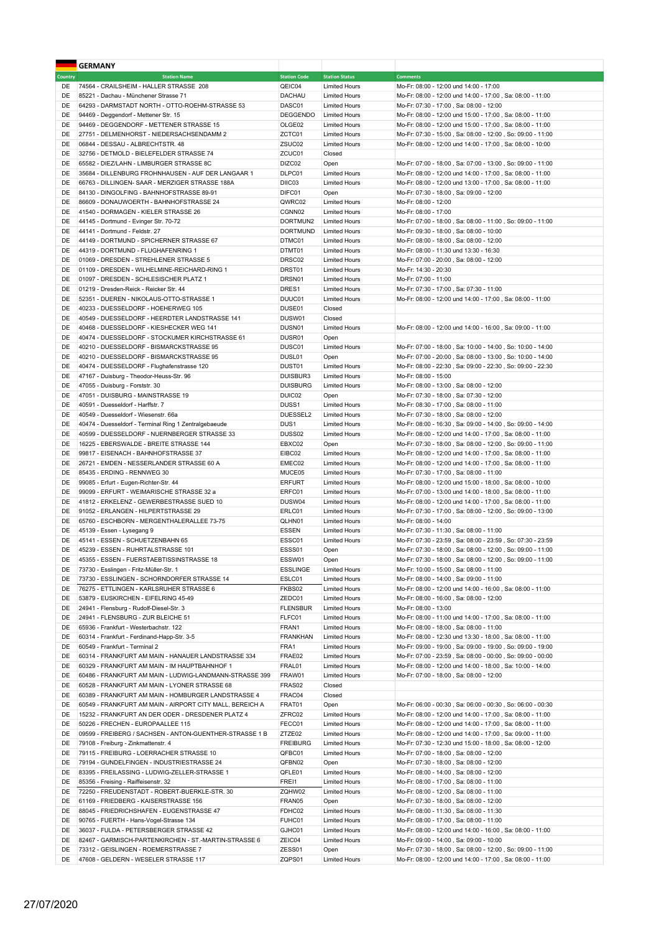|                | <b>GERMANY</b>                                                                      |                         |                                              |                                                                                                                        |
|----------------|-------------------------------------------------------------------------------------|-------------------------|----------------------------------------------|------------------------------------------------------------------------------------------------------------------------|
| <b>Country</b> | <b>Station Name</b>                                                                 | <b>Station Code</b>     | <b>Station Status</b>                        | <b>Comments</b>                                                                                                        |
| DE             | 74564 - CRAILSHEIM - HALLER STRASSE 208                                             | QEIC04                  | <b>Limited Hours</b>                         | Mo-Fr: 08:00 - 12:00 und 14:00 - 17:00                                                                                 |
| DE             | 85221 - Dachau - Münchener Strasse 71                                               | DACHAU                  | <b>Limited Hours</b>                         | Mo-Fr: 08:00 - 12:00 und 14:00 - 17:00, Sa: 08:00 - 11:00                                                              |
| DE             | 64293 - DARMSTADT NORTH - OTTO-ROEHM-STRASSE 53                                     | DASC01                  | <b>Limited Hours</b>                         | Mo-Fr: 07:30 - 17:00, Sa: 08:00 - 12:00                                                                                |
| DE             | 94469 - Deggendorf - Mettener Str. 15                                               | <b>DEGGENDO</b>         | <b>Limited Hours</b>                         | Mo-Fr: 08:00 - 12:00 und 15:00 - 17:00, Sa: 08:00 - 11:00                                                              |
| DE             | 94469 - DEGGENDORF - METTENER STRASSE 15                                            | OLGE02                  | <b>Limited Hours</b>                         | Mo-Fr: 08:00 - 12:00 und 15:00 - 17:00, Sa: 08:00 - 11:00                                                              |
| DE             | 27751 - DELMENHORST - NIEDERSACHSENDAMM 2                                           | ZCTC01                  | <b>Limited Hours</b>                         | Mo-Fr: 07:30 - 15:00, Sa: 08:00 - 12:00, So: 09:00 - 11:00                                                             |
| DE             | 06844 - DESSAU - ALBRECHTSTR. 48                                                    | ZSUC02                  | <b>Limited Hours</b>                         | Mo-Fr: 08:00 - 12:00 und 14:00 - 17:00, Sa: 08:00 - 10:00                                                              |
| DE             | 32756 - DETMOLD - BIELEFELDER STRASSE 74                                            | ZCUC01                  | Closed                                       |                                                                                                                        |
| DE             | 65582 - DIEZ/LAHN - LIMBURGER STRASSE 8C                                            | DIZC02                  | Open                                         | Mo-Fr: 07:00 - 18:00, Sa: 07:00 - 13:00, So: 09:00 - 11:00                                                             |
| DE             | 35684 - DILLENBURG FROHNHAUSEN - AUF DER LANGAAR 1                                  | DLPC01                  | <b>Limited Hours</b>                         | Mo-Fr: 08:00 - 12:00 und 14:00 - 17:00, Sa: 08:00 - 11:00                                                              |
| DE             | 66763 - DILLINGEN- SAAR - MERZIGER STRASSE 188A                                     | DIIC03<br>DIFC01        | <b>Limited Hours</b>                         | Mo-Fr: 08:00 - 12:00 und 13:00 - 17:00, Sa: 08:00 - 11:00                                                              |
| DE<br>DE       | 84130 - DINGOLFING - BAHNHOFSTRASSE 89-91                                           | QWRC02                  | Open                                         | Mo-Fr: 07:30 - 18:00, Sa: 09:00 - 12:00                                                                                |
| DE             | 86609 - DONAUWOERTH - BAHNHOFSTRASSE 24<br>41540 - DORMAGEN - KIELER STRASSE 26     | CGNN02                  | <b>Limited Hours</b><br><b>Limited Hours</b> | Mo-Fr: 08:00 - 12:00<br>Mo-Fr: 08:00 - 17:00                                                                           |
| DE             | 44145 - Dortmund - Evinger Str. 70-72                                               | DORTMUN2                | <b>Limited Hours</b>                         | Mo-Fr: 07:00 - 18:00, Sa: 08:00 - 11:00, So: 09:00 - 11:00                                                             |
| DE             | 44141 - Dortmund - Feldstr. 27                                                      | <b>DORTMUND</b>         | <b>Limited Hours</b>                         | Mo-Fr: 09:30 - 18:00, Sa: 08:00 - 10:00                                                                                |
| DE             | 44149 - DORTMUND - SPICHERNER STRASSE 67                                            | DTMC01                  | <b>Limited Hours</b>                         | Mo-Fr: 08:00 - 18:00, Sa: 08:00 - 12:00                                                                                |
| DE             | 44319 - DORTMUND - FLUGHAFENRING 1                                                  | DTMT01                  | <b>Limited Hours</b>                         | Mo-Fr: 08:00 - 11:30 und 13:30 - 16:30                                                                                 |
| DE             | 01069 - DRESDEN - STREHLENER STRASSE 5                                              | DRSC02                  | <b>Limited Hours</b>                         | Mo-Fr: 07:00 - 20:00, Sa: 08:00 - 12:00                                                                                |
| DE             | 01109 - DRESDEN - WILHELMINE-REICHARD-RING 1                                        | DRST01                  | <b>Limited Hours</b>                         | Mo-Fr: 14:30 - 20:30                                                                                                   |
| DE             | 01097 - DRESDEN - SCHLESISCHER PLATZ 1                                              | DRSN01                  | <b>Limited Hours</b>                         | Mo-Fr: 07:00 - 11:00                                                                                                   |
| DE             | 01219 - Dresden-Reick - Reicker Str. 44                                             | DRES1                   | <b>Limited Hours</b>                         | Mo-Fr: 07:30 - 17:00, Sa: 07:30 - 11:00                                                                                |
| DE             | 52351 - DUEREN - NIKOLAUS-OTTO-STRASSE 1                                            | DUUC01                  | <b>Limited Hours</b>                         | Mo-Fr: 08:00 - 12:00 und 14:00 - 17:00, Sa: 08:00 - 11:00                                                              |
| DE             | 40233 - DUESSELDORF - HOEHERWEG 105                                                 | DUSE01                  | Closed                                       |                                                                                                                        |
| DE             | 40549 - DUESSELDORF - HEERDTER LANDSTRASSE 141                                      | DUSW01                  | Closed                                       |                                                                                                                        |
| DE             | 40468 - DUESSELDORF - KIESHECKER WEG 141                                            | DUSN01                  | <b>Limited Hours</b>                         | Mo-Fr: 08:00 - 12:00 und 14:00 - 16:00, Sa: 09:00 - 11:00                                                              |
| DE             | 40474 - DUESSELDORF - STOCKUMER KIRCHSTRASSE 61                                     | DUSR01                  | Open                                         |                                                                                                                        |
| DE             | 40210 - DUESSELDORF - BISMARCKSTRASSE 95                                            | DUSC01                  | <b>Limited Hours</b>                         | Mo-Fr: 07:00 - 18:00, Sa: 10:00 - 14:00, So: 10:00 - 14:00                                                             |
| DE             | 40210 - DUESSELDORF - BISMARCKSTRASSE 95                                            | DUSL01                  | Open                                         | Mo-Fr: 07:00 - 20:00, Sa: 08:00 - 13:00, So: 10:00 - 14:00                                                             |
| DE             | 40474 - DUESSELDORF - Flughafenstrasse 120                                          | DUST01                  | <b>Limited Hours</b>                         | Mo-Fr: 08:00 - 22:30, Sa: 09:00 - 22:30, So: 09:00 - 22:30                                                             |
| DE             | 47167 - Duisburg - Theodor-Heuss-Str. 96                                            | DUISBUR3                | <b>Limited Hours</b>                         | Mo-Fr: 08:00 - 15:00                                                                                                   |
| DE             | 47055 - Duisburg - Forststr. 30                                                     | <b>DUISBURG</b>         | <b>Limited Hours</b>                         | Mo-Fr: 08:00 - 13:00, Sa: 08:00 - 12:00                                                                                |
| DE             | 47051 - DUISBURG - MAINSTRASSE 19                                                   | DUIC02                  | Open                                         | Mo-Fr: 07:30 - 18:00, Sa: 07:30 - 12:00                                                                                |
| DE             | 40591 - Duesseldorf - Harffstr. 7                                                   | DUSS <sub>1</sub>       | <b>Limited Hours</b>                         | Mo-Fr: 08:30 - 17:00, Sa: 08:00 - 11:00                                                                                |
| DE             | 40549 - Duesseldorf - Wiesenstr. 66a                                                | DUESSEL2                | <b>Limited Hours</b>                         | Mo-Fr: 07:30 - 18:00, Sa: 08:00 - 12:00                                                                                |
| DE             | 40474 - Duesseldorf - Terminal Ring 1 Zentralgebaeude                               | DUS1                    | <b>Limited Hours</b>                         | Mo-Fr: 08:00 - 16:30, Sa: 09:00 - 14:00, So: 09:00 - 14:00                                                             |
| DE             | 40599 - DUESSELDORF - NUERNBERGER STRASSE 33                                        | DUSS <sub>02</sub>      | <b>Limited Hours</b>                         | Mo-Fr: 08:00 - 12:00 und 14:00 - 17:00, Sa: 08:00 - 11:00                                                              |
| DE             | 16225 - EBERSWALDE - BREITE STRASSE 144                                             | EBXC02                  | Open                                         | Mo-Fr: 07:30 - 18:00, Sa: 08:00 - 12:00, So: 09:00 - 11:00                                                             |
| DE             | 99817 - EISENACH - BAHNHOFSTRASSE 37                                                | EIBC02                  | <b>Limited Hours</b>                         | Mo-Fr: 08:00 - 12:00 und 14:00 - 17:00, Sa: 08:00 - 11:00                                                              |
| DE             | 26721 - EMDEN - NESSERLANDER STRASSE 60 A                                           | EMEC02                  | <b>Limited Hours</b>                         | Mo-Fr: 08:00 - 12:00 und 14:00 - 17:00, Sa: 08:00 - 11:00                                                              |
| DE             | 85435 - ERDING - RENNWEG 30                                                         | MUCE05                  | <b>Limited Hours</b>                         | Mo-Fr: 07:30 - 17:00, Sa: 08:00 - 11:00                                                                                |
| DE<br>DE       | 99085 - Erfurt - Eugen-Richter-Str. 44<br>99099 - ERFURT - WEIMARISCHE STRASSE 32 a | <b>ERFURT</b><br>ERFC01 | <b>Limited Hours</b><br><b>Limited Hours</b> | Mo-Fr: 08:00 - 12:00 und 15:00 - 18:00, Sa: 08:00 - 10:00<br>Mo-Fr: 07:00 - 13:00 und 14:00 - 18:00, Sa: 08:00 - 11:00 |
| DE             | 41812 - ERKELENZ - GEWERBESTRASSE SUED 10                                           | DUSW04                  | <b>Limited Hours</b>                         | Mo-Fr: 08:00 - 12:00 und 14:00 - 17:00, Sa: 08:00 - 11:00                                                              |
| DE             | 91052 - ERLANGEN - HILPERTSTRASSE 29                                                | ERLC01                  | <b>Limited Hours</b>                         | Mo-Fr: 07:30 - 17:00, Sa: 08:00 - 12:00, So: 09:00 - 13:00                                                             |
| DE             | 65760 - ESCHBORN - MERGENTHALERALLEE 73-75                                          | QLHN01                  | <b>Limited Hours</b>                         | Mo-Fr: 08:00 - 14:00                                                                                                   |
| DE             | 45139 - Essen - Lysegang 9                                                          | <b>ESSEN</b>            | <b>Limited Hours</b>                         | Mo-Fr: 07:30 - 11:30, Sa: 08:00 - 11:00                                                                                |
| DE             | 45141 - ESSEN - SCHUETZENBAHN 65                                                    | ESSC01                  | <b>Limited Hours</b>                         | Mo-Fr: 07:30 - 23:59, Sa: 08:00 - 23:59, So: 07:30 - 23:59                                                             |
| DE             | 45239 - ESSEN - RUHRTALSTRASSE 101                                                  | ESSS01                  | Open                                         | Mo-Fr: 07:30 - 18:00, Sa: 08:00 - 12:00, So: 09:00 - 11:00                                                             |
| DE             | 45355 - ESSEN - FUERSTAEBTISSINSTRASSE 18                                           | ESSW01                  | Open                                         | Mo-Fr: 07:30 - 18:00, Sa: 08:00 - 12:00, So: 09:00 - 11:00                                                             |
| DE             | 73730 - Esslingen - Fritz-Müller-Str. 1                                             | <b>ESSLINGE</b>         | <b>Limited Hours</b>                         | Mo-Fr: 10:00 - 15:00, Sa: 08:00 - 11:00                                                                                |
| DE             | 73730 - ESSLINGEN - SCHORNDORFER STRASSE 14                                         | ESLC01                  | <b>Limited Hours</b>                         | Mo-Fr: 08:00 - 14:00, Sa: 09:00 - 11:00                                                                                |
| DE             | 76275 - ETTLINGEN - KARLSRUHER STRASSE 6                                            | FKBS02                  | <b>Limited Hours</b>                         | Mo-Fr: 08:00 - 12:00 und 14:00 - 16:00, Sa: 08:00 - 11:00                                                              |
| DE             | 53879 - EUSKIRCHEN - EIFELRING 45-49                                                | ZEDC01                  | <b>Limited Hours</b>                         | Mo-Fr: 08:00 - 16:00, Sa: 08:00 - 12:00                                                                                |
| DE             | 24941 - Flensburg - Rudolf-Diesel-Str. 3                                            | <b>FLENSBUR</b>         | <b>Limited Hours</b>                         | Mo-Fr: 08:00 - 13:00                                                                                                   |
| DE             | 24941 - FLENSBURG - ZUR BLEICHE 51                                                  | FLFC01                  | <b>Limited Hours</b>                         | Mo-Fr: 08:00 - 11:00 und 14:00 - 17:00, Sa: 08:00 - 11:00                                                              |
| DE             | 65936 - Frankfurt - Westerbachstr. 122                                              | FRAN1                   | <b>Limited Hours</b>                         | Mo-Fr: 08:00 - 18:00, Sa: 08:00 - 11:00                                                                                |
| DE             | 60314 - Frankfurt - Ferdinand-Happ-Str. 3-5                                         | FRANKHAN                | <b>Limited Hours</b>                         | Mo-Fr: 08:00 - 12:30 und 13:30 - 18:00, Sa: 08:00 - 11:00                                                              |
| DE             | 60549 - Frankfurt - Terminal 2                                                      | FRA1                    | <b>Limited Hours</b>                         | Mo-Fr: 09:00 - 19:00, Sa: 09:00 - 19:00, So: 09:00 - 19:00                                                             |
| DE             | 60314 - FRANKFURT AM MAIN - HANAUER LANDSTRASSE 334                                 | FRAE02                  | <b>Limited Hours</b>                         | Mo-Fr: 07:00 - 23:59, Sa: 08:00 - 00:00, So: 09:00 - 00:00                                                             |
| DE             | 60329 - FRANKFURT AM MAIN - IM HAUPTBAHNHOF 1                                       | FRAL01                  | <b>Limited Hours</b>                         | Mo-Fr: 08:00 - 12:00 und 14:00 - 18:00, Sa: 10:00 - 14:00                                                              |
| DE             | 60486 - FRANKFURT AM MAIN - LUDWIG-LANDMANN-STRASSE 399                             | FRAW01                  | <b>Limited Hours</b>                         | Mo-Fr: 07:00 - 18:00, Sa: 08:00 - 12:00                                                                                |
| DE             | 60528 - FRANKFURT AM MAIN - LYONER STRASSE 68                                       | FRAS02                  | Closed                                       |                                                                                                                        |
| DE             | 60389 - FRANKFURT AM MAIN - HOMBURGER LANDSTRASSE 4                                 | FRAC04                  | Closed                                       |                                                                                                                        |
| DE             | 60549 - FRANKFURT AM MAIN - AIRPORT CITY MALL, BEREICH A                            | FRAT01                  | Open                                         | Mo-Fr: 06:00 - 00:30, Sa: 06:00 - 00:30, So: 06:00 - 00:30                                                             |
| DE             | 15232 - FRANKFURT AN DER ODER - DRESDENER PLATZ 4                                   | ZFRC02                  | <b>Limited Hours</b>                         | Mo-Fr: 08:00 - 12:00 und 14:00 - 17:00, Sa: 08:00 - 11:00                                                              |
| DE             | 50226 - FRECHEN - EUROPAALLEE 115                                                   | FECC01                  | <b>Limited Hours</b>                         | Mo-Fr: 08:00 - 12:00 und 14:00 - 17:00, Sa: 08:00 - 11:00                                                              |
| DE             | 09599 - FREIBERG / SACHSEN - ANTON-GUENTHER-STRASSE 1 B                             | ZTZE02                  | <b>Limited Hours</b>                         | Mo-Fr: 08:00 - 12:00 und 14:00 - 17:00, Sa: 09:00 - 11:00                                                              |
| DE<br>DE       | 79108 - Freiburg - Zinkmattenstr. 4<br>79115 - FREIBURG - LOERRACHER STRASSE 10     | <b>FREIBURG</b>         | <b>Limited Hours</b><br><b>Limited Hours</b> | Mo-Fr: 07:30 - 12:30 und 15:00 - 18:00, Sa: 08:00 - 12:00<br>Mo-Fr: 07:00 - 18:00, Sa: 08:00 - 12:00                   |
| DE             | 79194 - GUNDELFINGEN - INDUSTRIESTRASSE 24                                          | QFBC01<br>QFBN02        | Open                                         | Mo-Fr: 07:30 - 18:00, Sa: 08:00 - 12:00                                                                                |
| DE             | 83395 - FREILASSING - LUDWIG-ZELLER-STRASSE 1                                       | QFLE01                  | <b>Limited Hours</b>                         | Mo-Fr: 08:00 - 14:00, Sa: 08:00 - 12:00                                                                                |
| DE             | 85356 - Freising - Raiffeisenstr. 32                                                | FREI1                   | <b>Limited Hours</b>                         | Mo-Fr: 08:00 - 17:00, Sa: 08:00 - 11:00                                                                                |
| DE             | 72250 - FREUDENSTADT - ROBERT-BUERKLE-STR. 30                                       | ZQHW02                  | <b>Limited Hours</b>                         | Mo-Fr: 08:00 - 12:00, Sa: 08:00 - 11:00                                                                                |
| DE             | 61169 - FRIEDBERG - KAISERSTRASSE 156                                               | FRAN05                  | Open                                         | Mo-Fr: 07:30 - 18:00, Sa: 08:00 - 12:00                                                                                |
| DE             | 88045 - FRIEDRICHSHAFEN - EUGENSTRASSE 47                                           | FDHC02                  | <b>Limited Hours</b>                         | Mo-Fr: 08:00 - 11:30, Sa: 08:00 - 11:30                                                                                |
| DE             | 90765 - FUERTH - Hans-Vogel-Strasse 134                                             | FUHC01                  | <b>Limited Hours</b>                         | Mo-Fr: 08:00 - 17:00, Sa: 08:00 - 11:00                                                                                |
| DE             | 36037 - FULDA - PETERSBERGER STRASSE 42                                             | GJHC01                  | <b>Limited Hours</b>                         | Mo-Fr: 08:00 - 12:00 und 14:00 - 16:00, Sa: 08:00 - 11:00                                                              |
| DE             | 82467 - GARMISCH-PARTENKIRCHEN - ST.-MARTIN-STRASSE 6                               | ZEIC04                  | <b>Limited Hours</b>                         | Mo-Fr: 09:00 - 14:00, Sa: 09:00 - 10:00                                                                                |
| DE             | 73312 - GEISLINGEN - ROEMERSTRASSE 7                                                | ZESS01                  | Open                                         | Mo-Fr: 07:30 - 18:00, Sa: 08:00 - 12:00, So: 09:00 - 11:00                                                             |
| DE             | 47608 - GELDERN - WESELER STRASSE 117                                               | ZQPS01                  | <b>Limited Hours</b>                         | Mo-Fr: 08:00 - 12:00 und 14:00 - 17:00, Sa: 08:00 - 11:00                                                              |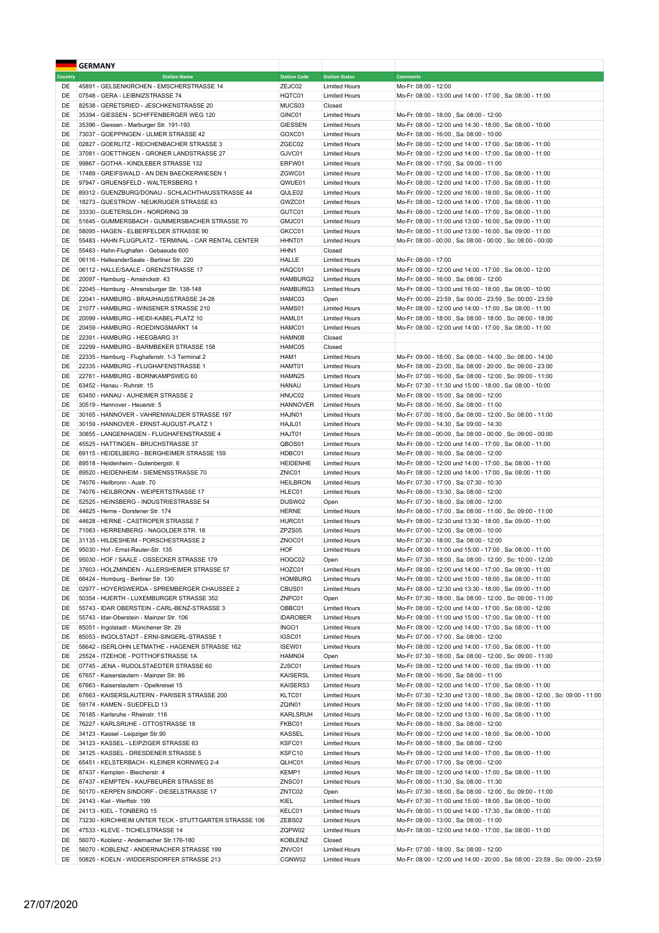|                | <b>GERMANY</b>                                         |                     |                       |                                                                              |
|----------------|--------------------------------------------------------|---------------------|-----------------------|------------------------------------------------------------------------------|
| <b>Country</b> | <b>Station Name</b>                                    | <b>Station Code</b> | <b>Station Status</b> | <b>Comments</b>                                                              |
| DE             | 45891 - GELSENKIRCHEN - EMSCHERSTRASSE 14              | ZEJC02              | <b>Limited Hours</b>  | Mo-Fr: 08:00 - 12:00                                                         |
| DE             | 07548 - GERA - LEIBNIZSTRASSE 74                       | HQTC01              | <b>Limited Hours</b>  | Mo-Fr: 08:00 - 13:00 und 14:00 - 17:00, Sa: 08:00 - 11:00                    |
| DE             | 82538 - GERETSRIED - JESCHKENSTRASSE 20                | MUCS03              | Closed                |                                                                              |
| DE             | 35394 - GIESSEN - SCHIFFENBERGER WEG 120               | GINC01              | <b>Limited Hours</b>  | Mo-Fr: 08:00 - 18:00, Sa: 08:00 - 12:00                                      |
| DE             | 35396 - Giessen - Marburger Str. 191-193               | <b>GIESSEN</b>      | <b>Limited Hours</b>  | Mo-Fr: 08:00 - 12:00 und 14:30 - 18:00, Sa: 08:00 - 10:00                    |
| DE             | 73037 - GOEPPINGEN - ULMER STRASSE 42                  | GOXC01              | <b>Limited Hours</b>  | Mo-Fr: 08:00 - 16:00, Sa: 08:00 - 10:00                                      |
| DE             | 02827 - GOERLITZ - REICHENBACHER STRASSE 3             | ZGEC02              | <b>Limited Hours</b>  | Mo-Fr: 08:00 - 12:00 und 14:00 - 17:00, Sa: 08:00 - 11:00                    |
| DE             | 37081 - GOETTINGEN - GRONER LANDSTRASSE 27             | GJVC01              | <b>Limited Hours</b>  | Mo-Fr: 08:00 - 12:00 und 14:00 - 17:00, Sa: 08:00 - 11:00                    |
| DE             | 99867 - GOTHA - KINDLEBER STRASSE 132                  | ERFW01              | <b>Limited Hours</b>  | Mo-Fr: 08:00 - 17:00, Sa: 09:00 - 11:00                                      |
| DE             | 17489 - GREIFSWALD - AN DEN BAECKERWIESEN 1            | ZGWC01              | <b>Limited Hours</b>  | Mo-Fr: 08:00 - 12:00 und 14:00 - 17:00, Sa: 08:00 - 11:00                    |
| DE             | 97947 - GRUENSFELD - WALTERSBERG 1                     | QWUE01              | <b>Limited Hours</b>  | Mo-Fr: 08:00 - 12:00 und 14:00 - 17:00, Sa: 08:00 - 11:00                    |
| DE             | 89312 - GUENZBURG/DONAU - SCHLACHTHAUSSTRASSE 44       | QULE02              | <b>Limited Hours</b>  | Mo-Fr: 09:00 - 12:00 und 16:00 - 18:00, Sa: 08:00 - 11:00                    |
| DE             | 18273 - GUESTROW - NEUKRUGER STRASSE 63                | GWZC01              | <b>Limited Hours</b>  | Mo-Fr: 08:00 - 12:00 und 14:00 - 17:00, Sa: 08:00 - 11:00                    |
| DE             | 33330 - GUETERSLOH - NORDRING 39                       | GUTC01              | <b>Limited Hours</b>  | Mo-Fr: 08:00 - 12:00 und 14:00 - 17:00, Sa: 08:00 - 11:00                    |
| DE             | 51645 - GUMMERSBACH - GUMMERSBACHER STRASSE 70         | GMJC01              | <b>Limited Hours</b>  | Mo-Fr: 08:00 - 11:00 und 13:00 - 16:00, Sa: 09:00 - 11:00                    |
| DE             | 58095 - HAGEN - ELBERFELDER STRASSE 90                 | GKCC01              | <b>Limited Hours</b>  | Mo-Fr: 08:00 - 11:00 und 13:00 - 16:00, Sa: 09:00 - 11:00                    |
| DE             | 55483 - HAHN FLUGPLATZ - TERMINAL - CAR RENTAL CENTER  | HHNT01              | <b>Limited Hours</b>  | Mo-Fr: 08:00 - 00:00, Sa: 08:00 - 00:00, So: 08:00 - 00:00                   |
| DE             | 55483 - Hahn-Flughafen - Gebaeude 600                  | HHN1                | Closed                |                                                                              |
| DE             | 06116 - HalleanderSaale - Berliner Str. 220            | HALLE               | <b>Limited Hours</b>  | Mo-Fr: 08:00 - 17:00                                                         |
| DE             | 06112 - HALLE/SAALE - GRENZSTRASSE 17                  | HAQC01              | <b>Limited Hours</b>  | Mo-Fr: 08:00 - 12:00 und 14:00 - 17:00, Sa: 08:00 - 12:00                    |
| DE             | 20097 - Hamburg - Amsinckstr. 43                       | HAMBURG2            | <b>Limited Hours</b>  | Mo-Fr: 08:00 - 16:00, Sa: 08:00 - 12:00                                      |
| DE             | 22045 - Hamburg - Ahrensburger Str. 138-148            | HAMBURG3            | <b>Limited Hours</b>  | Mo-Fr: 08:00 - 13:00 und 16:00 - 18:00, Sa: 08:00 - 10:00                    |
| DE             | 22041 - HAMBURG - BRAUHAUSSTRASSE 24-28                | HAMC03              | Open                  | Mo-Fr: 00:00 - 23:59, Sa: 00:00 - 23:59, So: 00:00 - 23:59                   |
| DE             | 21077 - HAMBURG - WINSENER STRASSE 210                 | HAMS01              | <b>Limited Hours</b>  | Mo-Fr: 08:00 - 12:00 und 14:00 - 17:00, Sa: 08:00 - 11:00                    |
| DE             | 20099 - HAMBURG - HEIDI-KABEL-PLATZ 10                 | HAML01              | <b>Limited Hours</b>  | Mo-Fr: 08:00 - 18:00, Sa: 08:00 - 18:00, So: 08:00 - 18:00                   |
| DE             | 20459 - HAMBURG - ROEDINGSMARKT 14                     | HAMC01              | <b>Limited Hours</b>  | Mo-Fr: 08:00 - 12:00 und 14:00 - 17:00, Sa: 08:00 - 11:00                    |
| DE             | 22391 - HAMBURG - HEEGBARG 31                          | HAMN08              | Closed                |                                                                              |
| DE             | 22299 - HAMBURG - BARMBEKER STRASSE 158                | HAMC05              | Closed                |                                                                              |
| DE             | 22335 - Hamburg - Flughafenstr. 1-3 Terminal 2         | HAM1                | <b>Limited Hours</b>  | Mo-Fr: 09:00 - 18:00, Sa: 08:00 - 14:00, So: 08:00 - 14:00                   |
| DE             | 22335 - HAMBURG - FLUGHAFENSTRASSE 1                   | HAMT01              | <b>Limited Hours</b>  | Mo-Fr: 08:00 - 23:00, Sa: 08:00 - 20:00, So: 09:00 - 23:00                   |
| DE             | 22761 - HAMBURG - BORNKAMPSWEG 60                      | HAMN25              | <b>Limited Hours</b>  | Mo-Fr: 07:00 - 16:00, Sa: 08:00 - 12:00, So: 09:00 - 11:00                   |
| DE             | 63452 - Hanau - Ruhrstr. 15                            | <b>HANAU</b>        | <b>Limited Hours</b>  | Mo-Fr: 07:30 - 11:30 und 15:00 - 18:00, Sa: 08:00 - 10:00                    |
| DE             | 63450 - HANAU - AUHEIMER STRASSE 2                     | HNUC02              | <b>Limited Hours</b>  | Mo-Fr: 08:00 - 15:00, Sa: 08:00 - 12:00                                      |
| DE             | 30519 - Hannover - Heuerstr. 5                         | <b>HANNOVER</b>     | <b>Limited Hours</b>  | Mo-Fr: 08:00 - 16:00, Sa: 08:00 - 11:00                                      |
| DE             | 30165 - HANNOVER - VAHRENWALDER STRASSE 197            | HAJN01              | <b>Limited Hours</b>  | Mo-Fr: 07:00 - 18:00, Sa: 08:00 - 12:00, So: 08:00 - 11:00                   |
| DE             | 30159 - HANNOVER - ERNST-AUGUST-PLATZ 1                | HAJL01              | <b>Limited Hours</b>  | Mo-Fr: 09:00 - 14:30, Sa: 09:00 - 14:30                                      |
| DE             | 30855 - LANGENHAGEN - FLUGHAFENSTRASSE 4               | HAJT01              | <b>Limited Hours</b>  | Mo-Fr: 08:00 - 00:00, Sa: 08:00 - 00:00, So: 09:00 - 00:00                   |
| DE             | 45525 - HATTINGEN - BRUCHSTRASSE 37                    | QBOS01              | <b>Limited Hours</b>  | Mo-Fr: 08:00 - 12:00 und 14:00 - 17:00, Sa: 08:00 - 11:00                    |
| DE             | 69115 - HEIDELBERG - BERGHEIMER STRASSE 159            | HDBC01              | <b>Limited Hours</b>  | Mo-Fr: 08:00 - 16:00, Sa: 08:00 - 12:00                                      |
| DE             | 89518 - Heidenheim - Gutenbergstr. 6                   | <b>HEIDENHE</b>     | <b>Limited Hours</b>  | Mo-Fr: 08:00 - 12:00 und 14:00 - 17:00, Sa: 08:00 - 11:00                    |
| DE             | 89520 - HEIDENHEIM - SIEMENSSTRASSE 70                 | ZNIC01              | <b>Limited Hours</b>  | Mo-Fr: 08:00 - 12:00 und 14:00 - 17:00, Sa: 08:00 - 11:00                    |
| DE             | 74076 - Heilbronn - Austr. 70                          | <b>HEILBRON</b>     | <b>Limited Hours</b>  | Mo-Fr: 07:30 - 17:00, Sa: 07:30 - 10:30                                      |
| DE             | 74076 - HEILBRONN - WEIPERTSTRASSE 17                  | HLEC01              | <b>Limited Hours</b>  | Mo-Fr: 08:00 - 13:30, Sa: 08:00 - 12:00                                      |
| DE             | 52525 - HEINSBERG - INDUSTRIESTRASSE 54                | DUSW02              | Open                  | Mo-Fr: 07:30 - 18:00, Sa: 08:00 - 12:00                                      |
| DE             | 44625 - Herne - Dorstener Str. 174                     | <b>HERNE</b>        | <b>Limited Hours</b>  | Mo-Fr: 08:00 - 17:00, Sa: 08:00 - 11:00, So: 09:00 - 11:00                   |
| DE             | 44628 - HERNE - CASTROPER STRASSE 7                    | HURC01              | <b>Limited Hours</b>  | Mo-Fr: 08:00 - 12:30 und 13:30 - 18:00, Sa: 09:00 - 11:00                    |
| DE             | 71083 - HERRENBERG - NAGOLDER STR. 18                  | ZPZS05              | <b>Limited Hours</b>  | Mo-Fr: 07:00 - 12:00, Sa: 08:00 - 10:00                                      |
| DE             | 31135 - HILDESHEIM - PORSCHESTRASSE 2                  | ZNOC01              | <b>Limited Hours</b>  | Mo-Fr: 07:30 - 18:00, Sa: 08:00 - 12:00                                      |
| DE             | 95030 - Hof - Ernst-Reuter-Str. 135                    | HOF                 | <b>Limited Hours</b>  | Mo-Fr: 08:00 - 11:00 und 15:00 - 17:00, Sa: 08:00 - 11:00                    |
| DE             | 95030 - HOF / SAALE - OSSECKER STRASSE 179             | HOQC02              | Open                  | Mo-Fr: 07:30 - 18:00, Sa: 08:00 - 12:00, So: 10:00 - 12:00                   |
| DE             | 37603 - HOLZMINDEN - ALLERSHEIMER STRASSE 57           | HOZC01              | <b>Limited Hours</b>  | Mo-Fr: 08:00 - 12:00 und 14:00 - 17:00, Sa: 08:00 - 11:00                    |
| DE             | 66424 - Homburg - Berliner Str. 130                    | <b>HOMBURG</b>      | <b>Limited Hours</b>  | Mo-Fr: 08:00 - 12:00 und 15:00 - 18:00, Sa: 08:00 - 11:00                    |
| DE             | 02977 - HOYERSWERDA - SPREMBERGER CHAUSSEE 2           | CBUS01              | <b>Limited Hours</b>  | Mo-Fr: 08:00 - 12:30 und 13:30 - 18:00, Sa: 09:00 - 11:00                    |
| DE             | 50354 - HUERTH - LUXEMBURGER STRASSE 352               | ZNPC01              | Open                  | Mo-Fr: 07:30 - 18:00, Sa: 08:00 - 12:00, So: 09:00 - 11:00                   |
| DE             | 55743 - IDAR OBERSTEIN - CARL-BENZ-STRASSE 3           | OBBC01              | <b>Limited Hours</b>  | Mo-Fr: 08:00 - 12:00 und 14:00 - 17:00, Sa: 08:00 - 12:00                    |
| DE             | 55743 - Idar-Oberstein - Mainzer Str. 106              | <b>IDAROBER</b>     | <b>Limited Hours</b>  | Mo-Fr: 08:00 - 11:00 und 15:00 - 17:00, Sa: 08:00 - 11:00                    |
| DE             | 85051 - Ingolstadt - Münchener Str. 29                 | INGO1               | <b>Limited Hours</b>  | Mo-Fr: 08:00 - 12:00 und 14:00 - 17:00, Sa: 08:00 - 11:00                    |
| DE             | 85053 - INGOLSTADT - ERNI-SINGERL-STRASSE 1            | IGSC01              | <b>Limited Hours</b>  | Mo-Fr: 07:00 - 17:00, Sa: 08:00 - 12:00                                      |
| DE             | 58642 - ISERLOHN LETMATHE - HAGENER STRASSE 162        | ISEW01              | <b>Limited Hours</b>  | Mo-Fr: 08:00 - 12:00 und 14:00 - 17:00, Sa: 08:00 - 11:00                    |
| DE             | 25524 - ITZEHOE - POTTHOFSTRASSE 1A                    | HAMN04              | Open                  | Mo-Fr: 07:30 - 18:00, Sa: 08:00 - 12:00, So: 09:00 - 11:00                   |
| DE             | 07745 - JENA - RUDOLSTAEDTER STRASSE 60                | ZJSC01              | <b>Limited Hours</b>  | Mo-Fr: 08:00 - 12:00 und 14:00 - 16:00, Sa: 09:00 - 11:00                    |
| DE             | 67657 - Kaiserslautern - Mainzer Str. 86               | <b>KAISERSL</b>     | <b>Limited Hours</b>  | Mo-Fr: 08:00 - 16:00, Sa: 08:00 - 11:00                                      |
| DE             | 67663 - Kaiserslautern - Opelkreisel 15                | KAISERS3            | <b>Limited Hours</b>  | Mo-Fr: 08:00 - 12:00 und 14:00 - 17:00, Sa: 08:00 - 11:00                    |
| DE             | 67663 - KAISERSLAUTERN - PARISER STRASSE 200           | KLTC01              | <b>Limited Hours</b>  | Mo-Fr: 07:30 - 12:30 und 13:00 - 18:00, Sa: 08:00 - 12:00, So: 09:00 - 11:00 |
| DE             | 59174 - KAMEN - SUEDFELD 13                            | ZQIN01              | <b>Limited Hours</b>  | Mo-Fr: 08:00 - 12:00 und 14:00 - 17:00, Sa: 08:00 - 11:00                    |
| DE             | 76185 - Karlsruhe - Rheinstr. 116                      | <b>KARLSRUH</b>     | <b>Limited Hours</b>  | Mo-Fr: 08:00 - 12:00 und 13:00 - 16:00, Sa: 08:00 - 11:00                    |
| DE             | 76227 - KARLSRUHE - OTTOSTRASSE 18                     | FKBC01              | <b>Limited Hours</b>  | Mo-Fr: 08:00 - 18:00, Sa: 08:00 - 12:00                                      |
| DE             | 34123 - Kassel - Leipziger Str.90                      | <b>KASSEL</b>       | <b>Limited Hours</b>  | Mo-Fr: 08:00 - 12:00 und 14:00 - 18:00, Sa: 08:00 - 10:00                    |
| DE             | 34123 - KASSEL - LEIPZIGER STRASSE 63                  | KSFC01              | <b>Limited Hours</b>  | Mo-Fr: 08:00 - 18:00, Sa: 08:00 - 12:00                                      |
| DE             | 34125 - KASSEL - DRESDENER STRASSE 5                   | KSFC10              | <b>Limited Hours</b>  | Mo-Fr: 08:00 - 12:00 und 14:00 - 17:00, Sa: 08:00 - 11:00                    |
| DE             | 65451 - KELSTERBACH - KLEINER KORNWEG 2-4              | QLHC01              | <b>Limited Hours</b>  | Mo-Fr: 07:00 - 17:00, Sa: 08:00 - 12:00                                      |
| DE             | 87437 - Kempten - Bleicherstr. 4                       | KEMP1               | <b>Limited Hours</b>  | Mo-Fr: 08:00 - 12:00 und 14:00 - 17:00, Sa: 08:00 - 11:00                    |
| DE             | 87437 - KEMPTEN - KAUFBEURER STRASSE 85                | ZNSC01              | <b>Limited Hours</b>  | Mo-Fr: 08:00 - 11:30, Sa: 08:00 - 11:30                                      |
| DE             | 50170 - KERPEN SINDORF - DIESELSTRASSE 17              | ZNTC02              | Open                  | Mo-Fr: 07:30 - 18:00, Sa: 08:00 - 12:00, So: 09:00 - 11:00                   |
| DE             | 24143 - Kiel - Werftstr. 199                           | KIEL                | <b>Limited Hours</b>  | Mo-Fr: 07:30 - 11:00 und 15:00 - 18:00, Sa: 08:00 - 10:00                    |
| DE             | 24113 - KIEL - TONBERG 15                              | KELC01              | <b>Limited Hours</b>  | Mo-Fr: 08:00 - 11:00 und 14:00 - 17:30, Sa: 08:00 - 11:00                    |
| DE             | 73230 - KIRCHHEIM UNTER TECK - STUTTGARTER STRASSE 106 | ZEBS02              | <b>Limited Hours</b>  | Mo-Fr: 08:00 - 13:00, Sa: 08:00 - 11:00                                      |
| DE             | 47533 - KLEVE - TICHELSTRASSE 14                       | ZQPW02              | <b>Limited Hours</b>  | Mo-Fr: 08:00 - 12:00 und 14:00 - 17:00, Sa: 08:00 - 11:00                    |
| DE             | 56070 - Koblenz - Andernacher Str.176-180              | <b>KOBLENZ</b>      | Closed                |                                                                              |
| DE             | 56070 - KOBLENZ - ANDERNACHER STRASSE 199              | ZNVC01              | <b>Limited Hours</b>  | Mo-Fr: 07:00 - 18:00, Sa: 08:00 - 12:00                                      |
| DE             | 50825 - KOELN - WIDDERSDORFER STRASSE 213              | CGNW02              | <b>Limited Hours</b>  | Mo-Fr: 08:00 - 12:00 und 14:00 - 20:00, Sa: 08:00 - 23:59, So: 09:00 - 23:59 |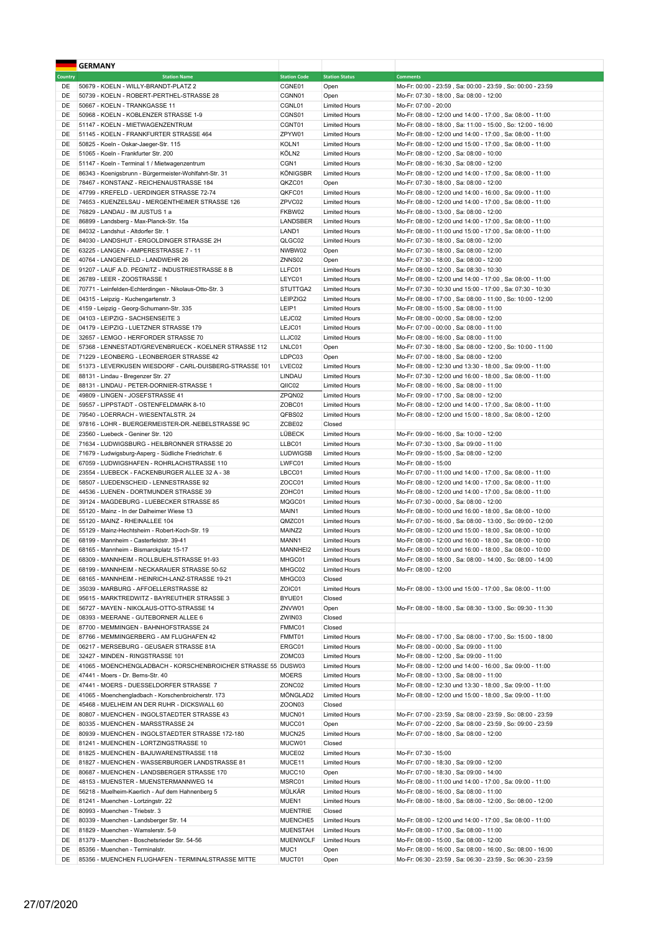|          | <b>GERMANY</b>                                                                                          |                                       |                                              |                                                                                                       |
|----------|---------------------------------------------------------------------------------------------------------|---------------------------------------|----------------------------------------------|-------------------------------------------------------------------------------------------------------|
| Country  | <b>Station Name</b>                                                                                     | <b>Station Code</b>                   | <b>Station Status</b>                        | <b>Comments</b>                                                                                       |
| DE       | 50679 - KOELN - WILLY-BRANDT-PLATZ 2                                                                    | CGNE01                                | Open                                         | Mo-Fr: 00:00 - 23:59, Sa: 00:00 - 23:59, So: 00:00 - 23:59                                            |
| DE       | 50739 - KOELN - ROBERT-PERTHEL-STRASSE 28                                                               | CGNN01                                | Open                                         | Mo-Fr: 07:30 - 18:00, Sa: 08:00 - 12:00                                                               |
| DE       | 50667 - KOELN - TRANKGASSE 11                                                                           | CGNL01                                | <b>Limited Hours</b>                         | Mo-Fr: 07:00 - 20:00                                                                                  |
| DE       | 50968 - KOELN - KOBLENZER STRASSE 1-9                                                                   | CGNS01                                | <b>Limited Hours</b>                         | Mo-Fr: 08:00 - 12:00 und 14:00 - 17:00, Sa: 08:00 - 11:00                                             |
| DE       | 51147 - KOELN - MIETWAGENZENTRUM                                                                        | CGNT01                                | <b>Limited Hours</b>                         | Mo-Fr: 08:00 - 18:00, Sa: 11:00 - 15:00, So: 12:00 - 16:00                                            |
| DE       | 51145 - KOELN - FRANKFURTER STRASSE 464                                                                 | ZPYW01                                | <b>Limited Hours</b>                         | Mo-Fr: 08:00 - 12:00 und 14:00 - 17:00, Sa: 08:00 - 11:00                                             |
| DE       | 50825 - Koeln - Oskar-Jaeger-Str. 115                                                                   | KOLN1                                 | <b>Limited Hours</b>                         | Mo-Fr: 08:00 - 12:00 und 15:00 - 17:00, Sa: 08:00 - 11:00                                             |
| DE<br>DE | 51065 - Koeln - Frankfurter Str. 200                                                                    | KÖLN <sub>2</sub><br>CGN <sub>1</sub> | <b>Limited Hours</b><br><b>Limited Hours</b> | Mo-Fr: 08:00 - 12:00, Sa: 08:00 - 10:00                                                               |
| DE       | 51147 - Koeln - Terminal 1 / Mietwagenzentrum<br>86343 - Koenigsbrunn - Bürgermeister-Wohlfahrt-Str. 31 | <b>KÖNIGSBR</b>                       | <b>Limited Hours</b>                         | Mo-Fr: 08:00 - 16:30, Sa: 08:00 - 12:00<br>Mo-Fr: 08:00 - 12:00 und 14:00 - 17:00, Sa: 08:00 - 11:00  |
| DE       | 78467 - KONSTANZ - REICHENAUSTRASSE 184                                                                 | QKZC01                                | Open                                         | Mo-Fr: 07:30 - 18:00, Sa: 08:00 - 12:00                                                               |
| DE       | 47799 - KREFELD - UERDINGER STRASSE 72-74                                                               | QKFC01                                | <b>Limited Hours</b>                         | Mo-Fr: 08:00 - 12:00 und 14:00 - 16:00, Sa: 09:00 - 11:00                                             |
| DE       | 74653 - KUENZELSAU - MERGENTHEIMER STRASSE 126                                                          | ZPVC02                                | <b>Limited Hours</b>                         | Mo-Fr: 08:00 - 12:00 und 14:00 - 17:00, Sa: 08:00 - 11:00                                             |
| DE       | 76829 - LANDAU - IM JUSTUS 1 a                                                                          | FKBW02                                | <b>Limited Hours</b>                         | Mo-Fr: 08:00 - 13:00, Sa: 08:00 - 12:00                                                               |
| DE       | 86899 - Landsberg - Max-Planck-Str. 15a                                                                 | LANDSBER                              | <b>Limited Hours</b>                         | Mo-Fr: 08:00 - 12:00 und 14:00 - 17:00, Sa: 08:00 - 11:00                                             |
| DE       | 84032 - Landshut - Altdorfer Str. 1                                                                     | LAND1                                 | <b>Limited Hours</b>                         | Mo-Fr: 08:00 - 11:00 und 15:00 - 17:00, Sa: 08:00 - 11:00                                             |
| DE       | 84030 - LANDSHUT - ERGOLDINGER STRASSE 2H                                                               | QLGC02                                | <b>Limited Hours</b>                         | Mo-Fr: 07:30 - 18:00, Sa: 08:00 - 12:00                                                               |
| DE       | 63225 - LANGEN - AMPERESTRASSE 7 - 11                                                                   | NWBW02                                | Open                                         | Mo-Fr: 07:30 - 18:00, Sa: 08:00 - 12:00                                                               |
| DE       | 40764 - LANGENFELD - LANDWEHR 26                                                                        | ZNNS02                                | Open                                         | Mo-Fr: 07:30 - 18:00, Sa: 08:00 - 12:00                                                               |
| DE       | 91207 - LAUF A.D. PEGNITZ - INDUSTRIESTRASSE 8 B                                                        | LLFC01                                | <b>Limited Hours</b>                         | Mo-Fr: 08:00 - 12:00, Sa: 08:30 - 10:30                                                               |
| DE       | 26789 - LEER - ZOOSTRASSE 1                                                                             | LEYC01                                | <b>Limited Hours</b>                         | Mo-Fr: 08:00 - 12:00 und 14:00 - 17:00, Sa: 08:00 - 11:00                                             |
| DE       | 70771 - Leinfelden-Echterdingen - Nikolaus-Otto-Str. 3                                                  | STUTTGA2                              | <b>Limited Hours</b>                         | Mo-Fr: 07:30 - 10:30 und 15:00 - 17:00, Sa: 07:30 - 10:30                                             |
| DE       | 04315 - Leipzig - Kuchengartenstr. 3                                                                    | LEIPZIG2                              | <b>Limited Hours</b><br><b>Limited Hours</b> | Mo-Fr: 08:00 - 17:00, Sa: 08:00 - 11:00, So: 10:00 - 12:00<br>Mo-Fr: 08:00 - 15:00, Sa: 08:00 - 11:00 |
| DE<br>DE | 4159 - Leipzig - Georg-Schumann-Str. 335<br>04103 - LEIPZIG - SACHSENSEITE 3                            | LEIP1<br>LEJC02                       | <b>Limited Hours</b>                         | Mo-Fr: 08:00 - 00:00, Sa: 08:00 - 12:00                                                               |
| DE       | 04179 - LEIPZIG - LUETZNER STRASSE 179                                                                  | LEJC01                                | <b>Limited Hours</b>                         | Mo-Fr: 07:00 - 00:00, Sa: 08:00 - 11:00                                                               |
| DE       | 32657 - LEMGO - HERFORDER STRASSE 70                                                                    | LLJC02                                | <b>Limited Hours</b>                         | Mo-Fr: 08:00 - 16:00, Sa: 08:00 - 11:00                                                               |
| DE       | 57368 - LENNESTADT/GREVENBRUECK - KOELNER STRASSE 112                                                   | LNLC01                                | Open                                         | Mo-Fr: 07:30 - 18:00, Sa: 08:00 - 12:00, So: 10:00 - 11:00                                            |
| DE       | 71229 - LEONBERG - LEONBERGER STRASSE 42                                                                | LDPC03                                | Open                                         | Mo-Fr: 07:00 - 18:00, Sa: 08:00 - 12:00                                                               |
| DE       | 51373 - LEVERKUSEN WIESDORF - CARL-DUISBERG-STRASSE 101                                                 | LVEC02                                | <b>Limited Hours</b>                         | Mo-Fr: 08:00 - 12:30 und 13:30 - 18:00, Sa: 09:00 - 11:00                                             |
| DE       | 88131 - Lindau - Bregenzer Str. 27                                                                      | LINDAU                                | <b>Limited Hours</b>                         | Mo-Fr: 07:30 - 12:00 und 16:00 - 18:00, Sa: 08:00 - 11:00                                             |
| DE       | 88131 - LINDAU - PETER-DORNIER-STRASSE 1                                                                | QIIC02                                | <b>Limited Hours</b>                         | Mo-Fr: 08:00 - 16:00, Sa: 08:00 - 11:00                                                               |
| DE       | 49809 - LINGEN - JOSEFSTRASSE 41                                                                        | ZPQN02                                | <b>Limited Hours</b>                         | Mo-Fr: 09:00 - 17:00, Sa: 08:00 - 12:00                                                               |
| DE       | 59557 - LIPPSTADT - OSTENFELDMARK 8-10                                                                  | ZOBC01                                | <b>Limited Hours</b>                         | Mo-Fr: 08:00 - 12:00 und 14:00 - 17:00, Sa: 08:00 - 11:00                                             |
| DE       | 79540 - LOERRACH - WIESENTALSTR. 24                                                                     | QFBS02                                | <b>Limited Hours</b>                         | Mo-Fr: 08:00 - 12:00 und 15:00 - 18:00, Sa: 08:00 - 12:00                                             |
| DE       | 97816 - LOHR - BUERGERMEISTER-DR.-NEBELSTRASSE 9C                                                       | ZCBE02                                | Closed                                       |                                                                                                       |
| DE       | 23560 - Luebeck - Geniner Str. 120                                                                      | LÜBECK                                | <b>Limited Hours</b>                         | Mo-Fr: 09:00 - 16:00, Sa: 10:00 - 12:00                                                               |
| DE       | 71634 - LUDWIGSBURG - HEILBRONNER STRASSE 20                                                            | LLBC01                                | <b>Limited Hours</b>                         | Mo-Fr: 07:30 - 13:00, Sa: 09:00 - 11:00                                                               |
| DE       | 71679 - Ludwigsburg-Asperg - Südliche Friedrichstr. 6                                                   | <b>LUDWIGSB</b>                       | <b>Limited Hours</b>                         | Mo-Fr: 09:00 - 15:00, Sa: 08:00 - 12:00                                                               |
| DE<br>DE | 67059 - LUDWIGSHAFEN - ROHRLACHSTRASSE 110<br>23554 - LUEBECK - FACKENBURGER ALLEE 32 A - 38            | LWFC01<br>LBCC01                      | <b>Limited Hours</b><br><b>Limited Hours</b> | Mo-Fr: 08:00 - 15:00<br>Mo-Fr: 07:00 - 11:00 und 14:00 - 17:00, Sa: 08:00 - 11:00                     |
| DE       | 58507 - LUEDENSCHEID - LENNESTRASSE 92                                                                  | ZOCC01                                | <b>Limited Hours</b>                         | Mo-Fr: 08:00 - 12:00 und 14:00 - 17:00, Sa: 08:00 - 11:00                                             |
| DE       | 44536 - LUENEN - DORTMUNDER STRASSE 39                                                                  | ZOHC01                                | <b>Limited Hours</b>                         | Mo-Fr: 08:00 - 12:00 und 14:00 - 17:00, Sa: 08:00 - 11:00                                             |
| DE       | 39124 - MAGDEBURG - LUEBECKER STRASSE 85                                                                | MQGC01                                | <b>Limited Hours</b>                         | Mo-Fr: 07:30 - 00:00, Sa: 08:00 - 12:00                                                               |
| DE       | 55120 - Mainz - In der Dalheimer Wiese 13                                                               | MAIN1                                 | <b>Limited Hours</b>                         | Mo-Fr: 08:00 - 10:00 und 16:00 - 18:00, Sa: 08:00 - 10:00                                             |
| DE       | 55120 - MAINZ - RHEINALLEE 104                                                                          | QMZC01                                | <b>Limited Hours</b>                         | Mo-Fr: 07:00 - 16:00, Sa: 08:00 - 13:00, So: 09:00 - 12:00                                            |
| DE       | 55129 - Mainz-Hechtsheim - Robert-Koch-Str. 19                                                          | MAINZ2                                | <b>Limited Hours</b>                         | Mo-Fr: 08:00 - 12:00 und 15:00 - 18:00, Sa: 08:00 - 10:00                                             |
| DE       | 68199 - Mannheim - Casterfeldstr. 39-41                                                                 | MANN1                                 | <b>Limited Hours</b>                         | Mo-Fr: 08:00 - 12:00 und 16:00 - 18:00, Sa: 08:00 - 10:00                                             |
| DE       | 68165 - Mannheim - Bismarckplatz 15-17                                                                  | MANNHEI2                              | <b>Limited Hours</b>                         | Mo-Fr: 08:00 - 10:00 und 16:00 - 18:00 . Sa: 08:00 - 10:00                                            |
| DE       | 68309 - MANNHEIM - ROLLBUEHLSTRASSE 91-93                                                               | MHGC01                                | <b>Limited Hours</b>                         | Mo-Fr: 08:00 - 18:00, Sa: 08:00 - 14:00, So: 08:00 - 14:00                                            |
| DE       | 68199 - MANNHEIM - NECKARAUER STRASSE 50-52                                                             | MHGC02                                | <b>Limited Hours</b>                         | Mo-Fr: 08:00 - 12:00                                                                                  |
| DE       | 68165 - MANNHEIM - HEINRICH-LANZ-STRASSE 19-21                                                          | MHGC03                                | Closed                                       |                                                                                                       |
| DE       | 35039 - MARBURG - AFFOELLERSTRASSE 82                                                                   | ZOIC01                                | <b>Limited Hours</b>                         | Mo-Fr: 08:00 - 13:00 und 15:00 - 17:00, Sa: 08:00 - 11:00                                             |
| DE       | 95615 - MARKTREDWITZ - BAYREUTHER STRASSE 3                                                             | BYUE01                                | Closed                                       |                                                                                                       |
| DE<br>DE | 56727 - MAYEN - NIKOLAUS-OTTO-STRASSE 14<br>08393 - MEERANE - GUTEBORNER ALLEE 6                        | ZNVW01<br>ZWIN03                      | Open<br>Closed                               | Mo-Fr: 08:00 - 18:00, Sa: 08:30 - 13:00, So: 09:30 - 11:30                                            |
| DE       | 87700 - MEMMINGEN - BAHNHOFSTRASSE 24                                                                   | FMMC01                                | Closed                                       |                                                                                                       |
| DE       | 87766 - MEMMINGERBERG - AM FLUGHAFEN 42                                                                 | FMMT01                                | <b>Limited Hours</b>                         | Mo-Fr: 08:00 - 17:00, Sa: 08:00 - 17:00, So: 15:00 - 18:00                                            |
| DE       | 06217 - MERSEBURG - GEUSAER STRASSE 81A                                                                 | ERGC01                                | <b>Limited Hours</b>                         | Mo-Fr: 08:00 - 00:00, Sa: 09:00 - 11:00                                                               |
| DE       | 32427 - MINDEN - RINGSTRASSE 101                                                                        | ZOMC03                                | <b>Limited Hours</b>                         | Mo-Fr: 08:00 - 12:00, Sa: 09:00 - 11:00                                                               |
| DE       | 41065 - MOENCHENGLADBACH - KORSCHENBROICHER STRASSE 55                                                  | DUSW03                                | <b>Limited Hours</b>                         | Mo-Fr: 08:00 - 12:00 und 14:00 - 16:00, Sa: 09:00 - 11:00                                             |
| DE       | 47441 - Moers - Dr. Berns-Str. 40                                                                       | <b>MOERS</b>                          | <b>Limited Hours</b>                         | Mo-Fr: 08:00 - 13:00, Sa: 08:00 - 11:00                                                               |
| DE       | 47441 - MOERS - DUESSELDORFER STRASSE 7                                                                 | ZONC02                                | <b>Limited Hours</b>                         | Mo-Fr: 08:00 - 12:30 und 13:30 - 18:00, Sa: 09:00 - 11:00                                             |
| DE       | 41065 - Moenchengladbach - Korschenbroicherstr. 173                                                     | MÖNGLAD2                              | <b>Limited Hours</b>                         | Mo-Fr: 08:00 - 12:00 und 15:00 - 18:00, Sa: 09:00 - 11:00                                             |
| DE       | 45468 - MUELHEIM AN DER RUHR - DICKSWALL 60                                                             | ZOON03                                | Closed                                       |                                                                                                       |
| DE       | 80807 - MUENCHEN - INGOLSTAEDTER STRASSE 43                                                             | MUCN01                                | <b>Limited Hours</b>                         | Mo-Fr: 07:00 - 23:59, Sa: 08:00 - 23:59, So: 08:00 - 23:59                                            |
| DE       | 80335 - MUENCHEN - MARSSTRASSE 24                                                                       | MUCC01                                | Open                                         | Mo-Fr: 07:00 - 22:00, Sa: 08:00 - 23:59, So: 09:00 - 23:59                                            |
| DE       | 80939 - MUENCHEN - INGOLSTAEDTER STRASSE 172-180                                                        | MUCN25                                | <b>Limited Hours</b>                         | Mo-Fr: 07:00 - 18:00, Sa: 08:00 - 12:00                                                               |
| DE       | 81241 - MUENCHEN - LORTZINGSTRASSE 10                                                                   | MUCW01                                | Closed                                       |                                                                                                       |
| DE       | 81825 - MUENCHEN - BAJUWARENSTRASSE 118                                                                 | MUCE02                                | <b>Limited Hours</b>                         | Mo-Fr: 07:30 - 15:00                                                                                  |
| DE       | 81827 - MUENCHEN - WASSERBURGER LANDSTRASSE 81                                                          | MUCE11                                | <b>Limited Hours</b>                         | Mo-Fr: 07:00 - 18:30, Sa: 09:00 - 12:00                                                               |
| DE<br>DE | 80687 - MUENCHEN - LANDSBERGER STRASSE 170<br>48153 - MUENSTER - MUENSTERMANNWEG 14                     | MUCC10<br>MSRC01                      | Open<br><b>Limited Hours</b>                 | Mo-Fr: 07:00 - 18:30, Sa: 09:00 - 14:00<br>Mo-Fr: 08:00 - 11:00 und 14:00 - 17:00, Sa: 09:00 - 11:00  |
| DE       | 56218 - Muelheim-Kaerlich - Auf dem Hahnenberg 5                                                        | MÜLKÄR                                | <b>Limited Hours</b>                         | Mo-Fr: 08:00 - 16:00, Sa: 08:00 - 11:00                                                               |
| DE       | 81241 - Muenchen - Lortzingstr. 22                                                                      | MUEN1                                 | <b>Limited Hours</b>                         | Mo-Fr: 08:00 - 18:00, Sa: 08:00 - 12:00, So: 08:00 - 12:00                                            |
| DE       | 80993 - Muenchen - Triebstr. 3                                                                          | <b>MUENTRIE</b>                       | Closed                                       |                                                                                                       |
| DE       | 80339 - Muenchen - Landsberger Str. 14                                                                  | MUENCHE5                              | <b>Limited Hours</b>                         | Mo-Fr: 08:00 - 12:00 und 14:00 - 17:00, Sa: 08:00 - 11:00                                             |
| DE       | 81829 - Muenchen - Wamslerstr. 5-9                                                                      | <b>MUENSTAH</b>                       | <b>Limited Hours</b>                         | Mo-Fr: 08:00 - 17:00, Sa: 08:00 - 11:00                                                               |
| DE       | 81379 - Muenchen - Boschetsrieder Str. 54-56                                                            | <b>MUENWOLF</b>                       | <b>Limited Hours</b>                         | Mo-Fr: 08:00 - 15:00, Sa: 08:00 - 12:00                                                               |
| DE       | 85356 - Muenchen - Terminalstr.                                                                         | MUC1                                  | Open                                         | Mo-Fr: 08:00 - 16:00, Sa: 08:00 - 16:00, So: 08:00 - 16:00                                            |
| DE       | 85356 - MUENCHEN FLUGHAFEN - TERMINALSTRASSE MITTE                                                      | MUCT01                                | Open                                         | Mo-Fr: 06:30 - 23:59, Sa: 06:30 - 23:59, So: 06:30 - 23:59                                            |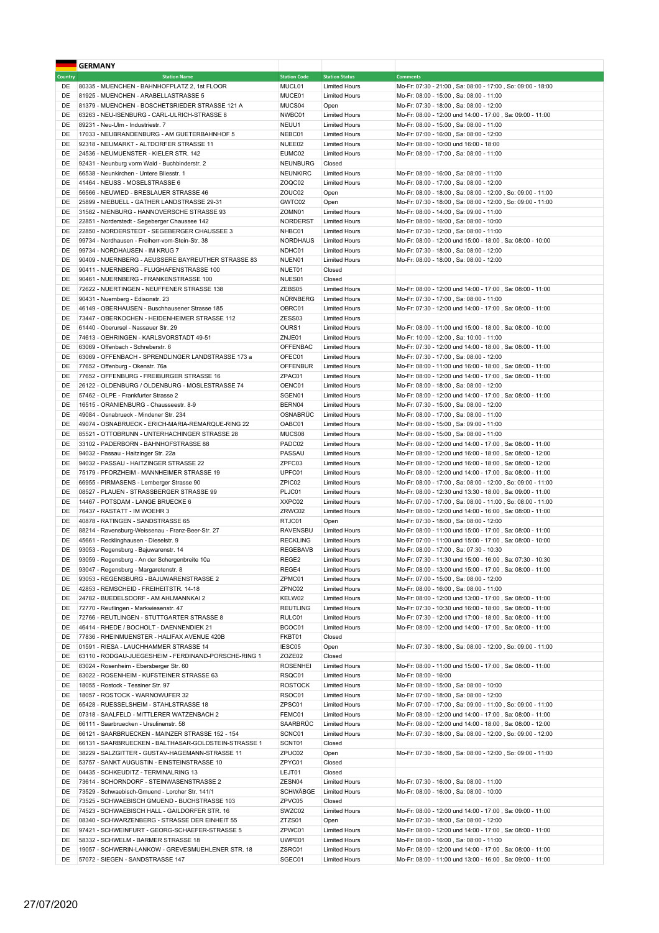|                | <b>GERMANY</b>                                       |                     |                       |                                                                                                      |
|----------------|------------------------------------------------------|---------------------|-----------------------|------------------------------------------------------------------------------------------------------|
| <b>Country</b> | <b>Station Name</b>                                  | <b>Station Code</b> | <b>Station Status</b> | <b>Comments</b>                                                                                      |
| DE             | 80335 - MUENCHEN - BAHNHOFPLATZ 2, 1st FLOOR         | MUCL01              | <b>Limited Hours</b>  | Mo-Fr: 07:30 - 21:00, Sa: 08:00 - 17:00, So: 09:00 - 18:00                                           |
| DE             | 81925 - MUENCHEN - ARABELLASTRASSE 5                 | MUCE01              | <b>Limited Hours</b>  | Mo-Fr: 08:00 - 15:00, Sa: 08:00 - 11:00                                                              |
| DE             | 81379 - MUENCHEN - BOSCHETSRIEDER STRASSE 121 A      | MUCS04              | Open                  | Mo-Fr: 07:30 - 18:00, Sa: 08:00 - 12:00                                                              |
| DE             | 63263 - NEU-ISENBURG - CARL-ULRICH-STRASSE 8         | NWBC01              | <b>Limited Hours</b>  | Mo-Fr: 08:00 - 12:00 und 14:00 - 17:00, Sa: 09:00 - 11:00                                            |
| DE             | 89231 - Neu-Ulm - Industriestr. 7                    | NEUU1               | <b>Limited Hours</b>  | Mo-Fr: 08:00 - 15:00, Sa: 08:00 - 11:00                                                              |
| DE             | 17033 - NEUBRANDENBURG - AM GUETERBAHNHOF 5          | NEBC01              | <b>Limited Hours</b>  | Mo-Fr: 07:00 - 16:00, Sa: 08:00 - 12:00                                                              |
| DE             | 92318 - NEUMARKT - ALTDORFER STRASSE 11              | NUEE02              | <b>Limited Hours</b>  | Mo-Fr: 08:00 - 10:00 und 16:00 - 18:00                                                               |
| DE             | 24536 - NEUMUENSTER - KIELER STR. 142                | EUMC02              | <b>Limited Hours</b>  | Mo-Fr: 08:00 - 17:00, Sa: 08:00 - 11:00                                                              |
| DE             | 92431 - Neunburg vorm Wald - Buchbinderstr. 2        | <b>NEUNBURG</b>     | Closed                |                                                                                                      |
| DE             | 66538 - Neunkirchen - Untere Bliesstr. 1             | <b>NEUNKIRC</b>     | <b>Limited Hours</b>  | Mo-Fr: 08:00 - 16:00, Sa: 08:00 - 11:00                                                              |
| DE             | 41464 - NEUSS - MOSELSTRASSE 6                       | ZOQC02              | <b>Limited Hours</b>  | Mo-Fr: 08:00 - 17:00, Sa: 08:00 - 12:00                                                              |
| DE             | 56566 - NEUWIED - BRESLAUER STRASSE 46               | ZOUC02              | Open                  | Mo-Fr: 08:00 - 18:00, Sa: 08:00 - 12:00, So: 09:00 - 11:00                                           |
| DE             | 25899 - NIEBUELL - GATHER LANDSTRASSE 29-31          | GWTC02              | Open                  | Mo-Fr: 07:30 - 18:00, Sa: 08:00 - 12:00, So: 09:00 - 11:00                                           |
| DE             | 31582 - NIENBURG - HANNOVERSCHE STRASSE 93           | ZOMN01              | <b>Limited Hours</b>  | Mo-Fr: 08:00 - 14:00, Sa: 09:00 - 11:00                                                              |
| DE             | 22851 - Norderstedt - Segeberger Chaussee 142        | NORDERST            | <b>Limited Hours</b>  | Mo-Fr: 08:00 - 16:00, Sa: 08:00 - 10:00                                                              |
| DE             | 22850 - NORDERSTEDT - SEGEBERGER CHAUSSEE 3          | NHBC01              | <b>Limited Hours</b>  | Mo-Fr: 07:30 - 12:00, Sa: 08:00 - 11:00                                                              |
| DE             | 99734 - Nordhausen - Freiherr-vom-Stein-Str. 38      | <b>NORDHAUS</b>     | <b>Limited Hours</b>  | Mo-Fr: 08:00 - 12:00 und 15:00 - 18:00, Sa: 08:00 - 10:00                                            |
| DE             | 99734 - NORDHAUSEN - IM KRUG 7                       | NDHC01              | <b>Limited Hours</b>  | Mo-Fr: 07:30 - 18:00, Sa: 08:00 - 12:00                                                              |
| DE             | 90409 - NUERNBERG - AEUSSERE BAYREUTHER STRASSE 83   | NUEN01              | <b>Limited Hours</b>  | Mo-Fr: 08:00 - 18:00, Sa: 08:00 - 12:00                                                              |
| DE             | 90411 - NUERNBERG - FLUGHAFENSTRASSE 100             | NUET01              | Closed                |                                                                                                      |
| DE             | 90461 - NUERNBERG - FRANKENSTRASSE 100               | NUES01              | Closed                |                                                                                                      |
| DE             | 72622 - NUERTINGEN - NEUFFENER STRASSE 138           | ZEBS05              | <b>Limited Hours</b>  | Mo-Fr: 08:00 - 12:00 und 14:00 - 17:00, Sa: 08:00 - 11:00                                            |
| DE             | 90431 - Nuernberg - Edisonstr. 23                    | NÜRNBERG            | <b>Limited Hours</b>  | Mo-Fr: 07:30 - 17:00, Sa: 08:00 - 11:00                                                              |
| DE             | 46149 - OBERHAUSEN - Buschhausener Strasse 185       | OBRC01              | <b>Limited Hours</b>  | Mo-Fr: 07:30 - 12:00 und 14:00 - 17:00, Sa: 08:00 - 11:00                                            |
| DE             | 73447 - OBERKOCHEN - HEIDENHEIMER STRASSE 112        | ZESS03              | <b>Limited Hours</b>  |                                                                                                      |
| DE             | 61440 - Oberursel - Nassauer Str. 29                 | OURS1               | <b>Limited Hours</b>  | Mo-Fr: 08:00 - 11:00 und 15:00 - 18:00, Sa: 08:00 - 10:00                                            |
| DE             | 74613 - OEHRINGEN - KARLSVORSTADT 49-51              | ZNJE01              | <b>Limited Hours</b>  | Mo-Fr: 10:00 - 12:00, Sa: 10:00 - 11:00                                                              |
| DE             | 63069 - Offenbach - Schreberstr. 6                   | <b>OFFENBAC</b>     | <b>Limited Hours</b>  | Mo-Fr: 07:30 - 12:00 und 14:00 - 18:00, Sa: 08:00 - 11:00                                            |
| DE             | 63069 - OFFENBACH - SPRENDLINGER LANDSTRASSE 173 a   | OFEC01              | <b>Limited Hours</b>  |                                                                                                      |
|                |                                                      |                     |                       | Mo-Fr: 07:30 - 17:00, Sa: 08:00 - 12:00<br>Mo-Fr: 08:00 - 11:00 und 16:00 - 18:00, Sa: 08:00 - 11:00 |
| DE             | 77652 - Offenburg - Okenstr. 76a                     | <b>OFFENBUR</b>     | <b>Limited Hours</b>  |                                                                                                      |
| DE             | 77652 - OFFENBURG - FREIBURGER STRASSE 16            | ZPAC01              | <b>Limited Hours</b>  | Mo-Fr: 08:00 - 12:00 und 14:00 - 17:00, Sa: 08:00 - 11:00                                            |
| DE             | 26122 - OLDENBURG / OLDENBURG - MOSLESTRASSE 74      | OENC01              | <b>Limited Hours</b>  | Mo-Fr: 08:00 - 18:00, Sa: 08:00 - 12:00                                                              |
| DE             | 57462 - OLPE - Frankfurter Strasse 2                 | SGEN01              | <b>Limited Hours</b>  | Mo-Fr: 08:00 - 12:00 und 14:00 - 17:00, Sa: 08:00 - 11:00                                            |
| DE             | 16515 - ORANIENBURG - Chausseestr. 8-9               | BERN04              | <b>Limited Hours</b>  | Mo-Fr: 07:30 - 15:00, Sa: 08:00 - 12:00                                                              |
| DE             | 49084 - Osnabrueck - Mindener Str. 234               | OSNABRÜC            | <b>Limited Hours</b>  | Mo-Fr: 08:00 - 17:00, Sa: 08:00 - 11:00                                                              |
| DE             | 49074 - OSNABRUECK - ERICH-MARIA-REMARQUE-RING 22    | OABC01              | <b>Limited Hours</b>  | Mo-Fr: 08:00 - 15:00, Sa: 09:00 - 11:00                                                              |
| DE             | 85521 - OTTOBRUNN - UNTERHACHINGER STRASSE 28        | MUCS08              | <b>Limited Hours</b>  | Mo-Fr: 08:00 - 15:00, Sa: 08:00 - 11:00                                                              |
| DE             | 33102 - PADERBORN - BAHNHOFSTRASSE 88                | PADC02              | <b>Limited Hours</b>  | Mo-Fr: 08:00 - 12:00 und 14:00 - 17:00, Sa: 08:00 - 11:00                                            |
| DE             | 94032 - Passau - Haitzinger Str. 22a                 | PASSAU              | <b>Limited Hours</b>  | Mo-Fr: 08:00 - 12:00 und 16:00 - 18:00, Sa: 08:00 - 12:00                                            |
| DE             | 94032 - PASSAU - HAITZINGER STRASSE 22               | ZPFC03              | <b>Limited Hours</b>  | Mo-Fr: 08:00 - 12:00 und 16:00 - 18:00, Sa: 08:00 - 12:00                                            |
| DE             | 75179 - PFORZHEIM - MANNHEIMER STRASSE 19            | UPFC01              | <b>Limited Hours</b>  | Mo-Fr: 08:00 - 12:00 und 14:00 - 17:00, Sa: 08:00 - 11:00                                            |
| DE             | 66955 - PIRMASENS - Lemberger Strasse 90             | ZPIC02              | <b>Limited Hours</b>  | Mo-Fr: 08:00 - 17:00, Sa: 08:00 - 12:00, So: 09:00 - 11:00                                           |
| DE             | 08527 - PLAUEN - STRASSBERGER STRASSE 99             | PLJC01              | <b>Limited Hours</b>  | Mo-Fr: 08:00 - 12:30 und 13:30 - 18:00, Sa: 09:00 - 11:00                                            |
| DE             | 14467 - POTSDAM - LANGE BRUECKE 6                    | XXPC02              | <b>Limited Hours</b>  | Mo-Fr: 07:00 - 17:00, Sa: 08:00 - 11:00, So: 08:00 - 11:00                                           |
| DE             | 76437 - RASTATT - IM WOEHR 3                         | ZRWC02              | <b>Limited Hours</b>  | Mo-Fr: 08:00 - 12:00 und 14:00 - 16:00, Sa: 08:00 - 11:00                                            |
| DE             | 40878 - RATINGEN - SANDSTRASSE 65                    | RTJC01              | Open                  | Mo-Fr: 07:30 - 18:00, Sa: 08:00 - 12:00                                                              |
| DE             | 88214 - Ravensburg-Weissenau - Franz-Beer-Str. 27    | RAVENSBU            | <b>Limited Hours</b>  | Mo-Fr: 08:00 - 11:00 und 15:00 - 17:00, Sa: 08:00 - 11:00                                            |
| DE             | 45661 - Recklinghausen - Dieselstr. 9                | <b>RECKLING</b>     | <b>Limited Hours</b>  | Mo-Fr: 07:00 - 11:00 und 15:00 - 17:00, Sa: 08:00 - 10:00                                            |
| DE             | 93053 - Regensburg - Bajuwarenstr. 14                | <b>REGEBAVB</b>     | <b>Limited Hours</b>  | Mo-Fr: 08:00 - 17:00, Sa: 07:30 - 10:30                                                              |
| DE             | 93059 - Regensburg - An der Schergenbreite 10a       | REGE2               | <b>Limited Hours</b>  | Mo-Fr: 07:30 - 11:30 und 15:00 - 16:00, Sa: 07:30 - 10:30                                            |
| DE             | 93047 - Regensburg - Margaretenstr. 8                | REGE4               | Limited Hours         | Mo-Fr: 08:00 - 13:00 und 15:00 - 17:00, Sa: 08:00 - 11:00                                            |
| DE             | 93053 - REGENSBURG - BAJUWARENSTRASSE 2              | ZPMC01              | <b>Limited Hours</b>  | Mo-Fr: 07:00 - 15:00, Sa: 08:00 - 12:00                                                              |
| DE             | 42853 - REMSCHEID - FREIHEITSTR. 14-18               | ZPNC02              | <b>Limited Hours</b>  | Mo-Fr: 08:00 - 16:00, Sa: 08:00 - 11:00                                                              |
| DE             | 24782 - BUEDELSDORF - AM AHLMANNKAI 2                | KELW02              | <b>Limited Hours</b>  | Mo-Fr: 08:00 - 12:00 und 13:00 - 17:00, Sa: 08:00 - 11:00                                            |
| DE             | 72770 - Reutlingen - Markwiesenstr. 47               | <b>REUTLING</b>     | <b>Limited Hours</b>  | Mo-Fr: 07:30 - 10:30 und 16:00 - 18:00, Sa: 08:00 - 11:00                                            |
| DE             | 72766 - REUTLINGEN - STUTTGARTER STRASSE 8           | RULC01              | <b>Limited Hours</b>  | Mo-Fr: 07:30 - 12:00 und 17:00 - 18:00, Sa: 08:00 - 11:00                                            |
| DE             | 46414 - RHEDE / BOCHOLT - DAENNENDIEK 21             | BCOC01              | <b>Limited Hours</b>  | Mo-Fr: 08:00 - 12:00 und 14:00 - 17:00, Sa: 08:00 - 11:00                                            |
| DE             | 77836 - RHEINMUENSTER - HALIFAX AVENUE 420B          | FKBT01              | Closed                |                                                                                                      |
| DE             | 01591 - RIESA - LAUCHHAMMER STRASSE 14               | IESC05              | Open                  | Mo-Fr: 07:30 - 18:00, Sa: 08:00 - 12:00, So: 09:00 - 11:00                                           |
| DE             | 63110 - RODGAU-JUEGESHEIM - FERDINAND-PORSCHE-RING 1 | ZOZE02              | Closed                |                                                                                                      |
| DE             | 83024 - Rosenheim - Ebersberger Str. 60              | <b>ROSENHEI</b>     | <b>Limited Hours</b>  | Mo-Fr: 08:00 - 11:00 und 15:00 - 17:00, Sa: 08:00 - 11:00                                            |
| DE             | 83022 - ROSENHEIM - KUFSTEINER STRASSE 63            | RSQC01              | <b>Limited Hours</b>  | Mo-Fr: 08:00 - 16:00                                                                                 |
| DE             | 18055 - Rostock - Tessiner Str. 97                   | <b>ROSTOCK</b>      | <b>Limited Hours</b>  | Mo-Fr: 08:00 - 15:00, Sa: 08:00 - 10:00                                                              |
| DE             | 18057 - ROSTOCK - WARNOWUFER 32                      | RSOC01              | <b>Limited Hours</b>  | Mo-Fr: 07:00 - 18:00, Sa: 08:00 - 12:00                                                              |
| DE             | 65428 - RUESSELSHEIM - STAHLSTRASSE 18               | ZPSC01              | <b>Limited Hours</b>  | Mo-Fr: 07:00 - 17:00, Sa: 09:00 - 11:00, So: 09:00 - 11:00                                           |
| DE             | 07318 - SAALFELD - MITTLERER WATZENBACH 2            | FEMC01              | <b>Limited Hours</b>  | Mo-Fr: 08:00 - 12:00 und 14:00 - 17:00, Sa: 08:00 - 11:00                                            |
| DE             | 66111 - Saarbruecken - Ursulinenstr. 58              | SAARBRÜC            | <b>Limited Hours</b>  | Mo-Fr: 08:00 - 12:00 und 14:00 - 18:00, Sa: 08:00 - 12:00                                            |
| DE             | 66121 - SAARBRUECKEN - MAINZER STRASSE 152 - 154     | SCNC01              | <b>Limited Hours</b>  | Mo-Fr: 07:30 - 18:00, Sa: 08:00 - 12:00, So: 09:00 - 12:00                                           |
| DE             | 66131 - SAARBRUECKEN - BALTHASAR-GOLDSTEIN-STRASSE 1 | SCNT01              | Closed                |                                                                                                      |
| DE             | 38229 - SALZGITTER - GUSTAV-HAGEMANN-STRASSE 11      | ZPUC02              | Open                  | Mo-Fr: 07:30 - 18:00, Sa: 08:00 - 12:00, So: 09:00 - 11:00                                           |
| DE             | 53757 - SANKT AUGUSTIN - EINSTEINSTRASSE 10          | ZPYC01              | Closed                |                                                                                                      |
| DE             | 04435 - SCHKEUDITZ - TERMINALRING 13                 | LEJT01              | Closed                |                                                                                                      |
| DE             | 73614 - SCHORNDORF - STEINWASENSTRASSE 2             | ZESN04              | <b>Limited Hours</b>  | Mo-Fr: 07:30 - 16:00, Sa: 08:00 - 11:00                                                              |
| DE             | 73529 - Schwaebisch-Gmuend - Lorcher Str. 141/1      | SCHWÄBGE            | <b>Limited Hours</b>  | Mo-Fr: 08:00 - 16:00, Sa: 08:00 - 10:00                                                              |
| DE             | 73525 - SCHWAEBISCH GMUEND - BUCHSTRASSE 103         | ZPVC05              | Closed                |                                                                                                      |
| DE             | 74523 - SCHWAEBISCH HALL - GAILDORFER STR. 16        | SWZC02              | <b>Limited Hours</b>  | Mo-Fr: 08:00 - 12:00 und 14:00 - 17:00, Sa: 09:00 - 11:00                                            |
| DE             | 08340 - SCHWARZENBERG - STRASSE DER EINHEIT 55       | ZTZS01              | Open                  | Mo-Fr: 07:30 - 18:00, Sa: 08:00 - 12:00                                                              |
| DE             | 97421 - SCHWEINFURT - GEORG-SCHAEFER-STRASSE 5       | ZPWC01              | <b>Limited Hours</b>  | Mo-Fr: 08:00 - 12:00 und 14:00 - 17:00, Sa: 08:00 - 11:00                                            |
| DE             | 58332 - SCHWELM - BARMER STRASSE 18                  | UWPE01              | <b>Limited Hours</b>  | Mo-Fr: 08:00 - 16:00, Sa: 08:00 - 11:00                                                              |
| DE             | 19057 - SCHWERIN-LANKOW - GREVESMUEHLENER STR. 18    | ZSRC01              | <b>Limited Hours</b>  | Mo-Fr: 08:00 - 12:00 und 14:00 - 17:00, Sa: 08:00 - 11:00                                            |
| DE             | 57072 - SIEGEN - SANDSTRASSE 147                     | SGEC01              | <b>Limited Hours</b>  | Mo-Fr: 08:00 - 11:00 und 13:00 - 16:00, Sa: 09:00 - 11:00                                            |
|                |                                                      |                     |                       |                                                                                                      |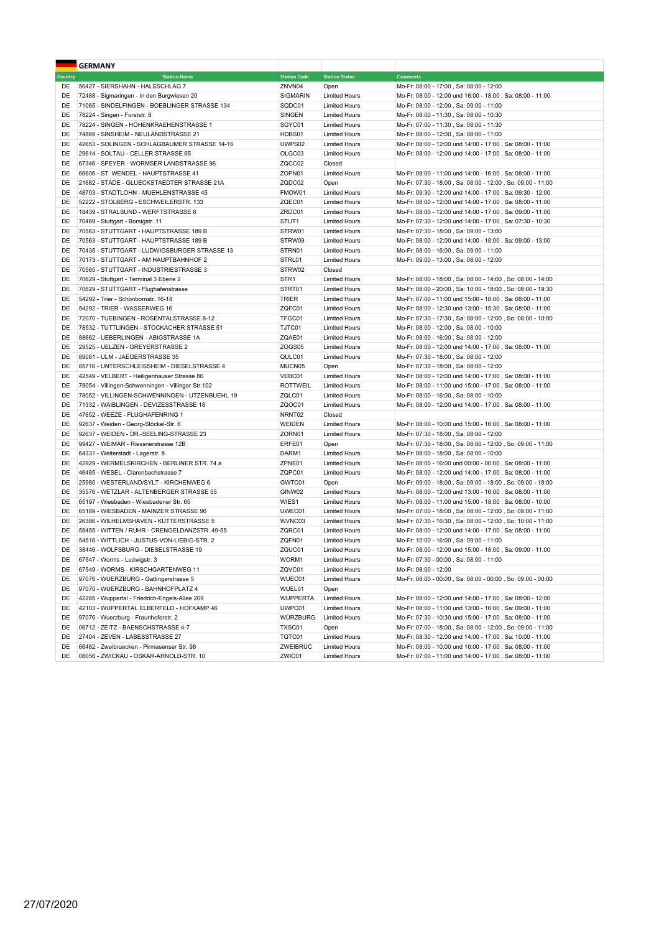|                | <b>GERMANY</b>                                     |                     |                       |                                                            |
|----------------|----------------------------------------------------|---------------------|-----------------------|------------------------------------------------------------|
| <b>Country</b> | <b>Station Name</b>                                | <b>Station Code</b> | <b>Station Status</b> | <b>Comments</b>                                            |
| DE             | 56427 - SIERSHAHN - HALSSCHLAG 7                   | ZNVN04              | Open                  | Mo-Fr: 08:00 - 17:00, Sa: 08:00 - 12:00                    |
| DE             | 72488 - Sigmaringen - In den Burgwiesen 20         | SIGMARIN            | <b>Limited Hours</b>  | Mo-Fr: 08:00 - 12:00 und 16:00 - 18:00, Sa: 08:00 - 11:00  |
| DE             | 71065 - SINDELFINGEN - BOEBLINGER STRASSE 134      | SQDC01              | <b>Limited Hours</b>  | Mo-Fr: 08:00 - 12:00, Sa: 09:00 - 11:00                    |
| DE             | 78224 - Singen - Forststr. 8                       | SINGEN              | <b>Limited Hours</b>  | Mo-Fr: 08:00 - 11:30, Sa: 08:00 - 10:30                    |
| DE             | 78224 - SINGEN - HOHENKRAEHENSTRASSE 1             | SGYC01              | <b>Limited Hours</b>  | Mo-Fr: 07:00 - 11:30, Sa: 08:00 - 11:30                    |
| DE             | 74889 - SINSHEIM - NEULANDSTRASSE 21               | HDBS01              | <b>Limited Hours</b>  | Mo-Fr: 08:00 - 12:00, Sa: 08:00 - 11:00                    |
| DE             | 42653 - SOLINGEN - SCHLAGBAUMER STRASSE 14-16      | UWPS02              | <b>Limited Hours</b>  | Mo-Fr: 08:00 - 12:00 und 14:00 - 17:00, Sa: 08:00 - 11:00  |
| DE             | 29614 - SOLTAU - CELLER STRASSE 65                 | OLGC03              | <b>Limited Hours</b>  | Mo-Fr: 08:00 - 12:00 und 14:00 - 17:00, Sa: 08:00 - 11:00  |
| DE             | 67346 - SPEYER - WORMSER LANDSTRASSE 96            | ZQCC02              | Closed                |                                                            |
| DE             | 66606 - ST. WENDEL - HAUPTSTRASSE 41               | ZOPN01              | <b>Limited Hours</b>  | Mo-Fr: 08:00 - 11:00 und 14:00 - 16:00, Sa: 08:00 - 11:00  |
| DE             | 21682 - STADE - GLUECKSTAEDTER STRASSE 21A         | ZQDC02              | Open                  | Mo-Fr: 07:30 - 18:00, Sa: 08:00 - 12:00, So: 09:00 - 11:00 |
| DE             | 48703 - STADTLOHN - MUEHLENSTRASSE 45              | FMOW01              | <b>Limited Hours</b>  | Mo-Fr: 09:30 - 12:00 und 14:00 - 17:00, Sa: 09:30 - 12:00  |
| DE             | 52222 - STOLBERG - ESCHWEILERSTR, 133              | ZQEC01              | <b>Limited Hours</b>  | Mo-Fr: 08:00 - 12:00 und 14:00 - 17:00, Sa: 08:00 - 11:00  |
| DE             | 18439 - STRALSUND - WERFTSTRASSE 6                 | ZRDC01              | <b>Limited Hours</b>  | Mo-Fr: 08:00 - 12:00 und 14:00 - 17:00, Sa: 09:00 - 11:00  |
| DE             | 70469 - Stuttgart - Borsigstr. 11                  | STUT <sub>1</sub>   | <b>Limited Hours</b>  | Mo-Fr: 07:30 - 12:00 und 14:00 - 17:00, Sa: 07:30 - 10:30  |
| DE             | 70563 - STUTTGART - HAUPTSTRASSE 189 B             | STRW01              | <b>Limited Hours</b>  | Mo-Fr: 07:30 - 18:00, Sa: 09:00 - 13:00                    |
| DE             | 70563 - STUTTGART - HAUPTSTRASSE 189 B             | STRW09              | <b>Limited Hours</b>  | Mo-Fr: 08:00 - 12:00 und 14:00 - 18:00, Sa: 09:00 - 13:00  |
| DE             | 70435 - STUTTGART - LUDWIGSBURGER STRASSE 13       | STRN01              | <b>Limited Hours</b>  | Mo-Fr: 08:00 - 16:00, Sa: 09:00 - 11:00                    |
| DE             | 70173 - STUTTGART - AM HAUPTBAHNHOF 2              | STRL01              | <b>Limited Hours</b>  | Mo-Fr: 09:00 - 13:00, Sa: 08:00 - 12:00                    |
| DE             | 70565 - STUTTGART - INDUSTRIESTRASSE 3             | STRW02              | Closed                |                                                            |
| DE             | 70629 - Stuttgart - Terminal 3 Ebene 2             | STR <sub>1</sub>    | <b>Limited Hours</b>  | Mo-Fr: 08:00 - 18:00, Sa: 08:00 - 14:00, So: 08:00 - 14:00 |
| DE             | 70629 - STUTTGART - Flughafenstrasse               | STRT01              | <b>Limited Hours</b>  | Mo-Fr: 08:00 - 20:00, Sa: 10:00 - 18:00, So: 08:00 - 19:30 |
| DE             | 54292 - Trier - Schönbornstr. 16-18                | TRIER               | <b>Limited Hours</b>  | Mo-Fr: 07:00 - 11:00 und 15:00 - 18:00, Sa: 08:00 - 11:00  |
| DE             | 54292 - TRIER - WASSERWEG 16                       | ZQFC01              | <b>Limited Hours</b>  | Mo-Fr: 08:00 - 12:30 und 13:00 - 15:30, Sa: 08:00 - 11:00  |
| DE             | 72070 - TUEBINGEN - ROSENTALSTRASSE 8-12           | TFGC01              | <b>Limited Hours</b>  | Mo-Fr: 07:30 - 17:30, Sa: 08:00 - 12:00, So: 08:00 - 10:00 |
| DE             | 78532 - TUTTLINGEN - STOCKACHER STRASSE 51         | TJTC01              | <b>Limited Hours</b>  | Mo-Fr: 08:00 - 12:00, Sa: 08:00 - 10:00                    |
| DE             | 88662 - UEBERLINGEN - ABIGSTRASSE 1A               | ZQAE01              | <b>Limited Hours</b>  | Mo-Fr: 08:00 - 16:00, Sa: 08:00 - 12:00                    |
| DE             | 29525 - UELZEN - GREYERSTRASSE 2                   | ZOGS05              | <b>Limited Hours</b>  | Mo-Fr: 08:00 - 12:00 und 14:00 - 17:00, Sa: 08:00 - 11:00  |
| DE             | 89081 - ULM - JAEGERSTRASSE 35                     | QULC01              | <b>Limited Hours</b>  | Mo-Fr: 07:30 - 18:00, Sa: 08:00 - 12:00                    |
| DE             | 85716 - UNTERSCHLEISSHEIM - DIESELSTRASSE 4        | MUCN05              | Open                  | Mo-Fr: 07:30 - 18:00, Sa: 08:00 - 12:00                    |
| DE             | 42549 - VELBERT - Heiligenhauser Strasse 80        | VEBC01              | <b>Limited Hours</b>  | Mo-Fr: 08:00 - 12:00 und 14:00 - 17:00, Sa: 08:00 - 11:00  |
| DE             | 78054 - Villingen-Schwenningen - Villinger Str.102 | <b>ROTTWEIL</b>     | <b>Limited Hours</b>  | Mo-Fr: 08:00 - 11:00 und 15:00 - 17:00, Sa: 08:00 - 11:00  |
| DE             | 78052 - VILLINGEN-SCHWENNINGEN - UTZENBUEHL 19     | ZQLC01              | <b>Limited Hours</b>  | Mo-Fr: 08:00 - 16:00, Sa: 08:00 - 10:00                    |
| DE             | 71332 - WAIBLINGEN - DEVIZESSTRASSE 18             | ZQOC01              | <b>Limited Hours</b>  | Mo-Fr: 08:00 - 12:00 und 14:00 - 17:00, Sa: 08:00 - 11:00  |
| DE             | 47652 - WEEZE - FLUGHAFENRING 1                    | NRNT02              | Closed                |                                                            |
| DE             | 92637 - Weiden - Georg-Stöckel-Str. 6              | WEIDEN              | <b>Limited Hours</b>  | Mo-Fr: 08:00 - 10:00 und 15:00 - 16:00, Sa: 08:00 - 11:00  |
| DE             | 92637 - WEIDEN - DR.-SEELING-STRASSE 23            | ZORN01              | <b>Limited Hours</b>  | Mo-Fr: 07:30 - 18:00, Sa: 08:00 - 12:00                    |
| DE             | 99427 - WEIMAR - Riessnerstrasse 12B               | ERFE01              | Open                  | Mo-Fr: 07:30 - 18:00, Sa: 08:00 - 12:00, So: 09:00 - 11:00 |
| DE             | 64331 - Weiterstadt - Lagerstr. 8                  | DARM1               | <b>Limited Hours</b>  | Mo-Fr: 08:00 - 18:00, Sa: 08:00 - 10:00                    |
| DE             | 42929 - WERMELSKIRCHEN - BERLINER STR. 74 a        | ZPNE01              | <b>Limited Hours</b>  | Mo-Fr: 08:00 - 16:00 und 00:00 - 00:00, Sa: 08:00 - 11:00  |
| DE             | 46485 - WESEL - Clarenbachstrasse 7                | ZQPC01              | <b>Limited Hours</b>  | Mo-Fr: 08:00 - 12:00 und 14:00 - 17:00, Sa: 08:00 - 11:00  |
| DE             | 25980 - WESTERLAND/SYLT - KIRCHENWEG 6             | GWTC01              | Open                  | Mo-Fr: 09:00 - 18:00, Sa: 09:00 - 18:00, So: 09:00 - 18:00 |
| DE             | 35576 - WETZLAR - ALTENBERGER STRASSE 55           | GINW02              | <b>Limited Hours</b>  | Mo-Fr: 08:00 - 12:00 und 13:00 - 16:00, Sa: 08:00 - 11:00  |
| DE             | 65197 - Wiesbaden - Wiesbadener Str. 65            | WIES1               | <b>Limited Hours</b>  | Mo-Fr: 08:00 - 11:00 und 15:00 - 18:00, Sa: 08:00 - 10:00  |
| DE             | 65189 - WIESBADEN - MAINZER STRASSE 96             | UWEC01              | <b>Limited Hours</b>  | Mo-Fr: 07:00 - 18:00, Sa: 08:00 - 12:00, So: 09:00 - 11:00 |
| DE             | 26386 - WILHELMSHAVEN - KUTTERSTRASSE 5            | WVNC03              | <b>Limited Hours</b>  | Mo-Fr: 07:30 - 16:30, Sa: 08:00 - 12:00, So: 10:00 - 11:00 |
| DE             | 58455 - WITTEN / RUHR - CRENGELDANZSTR. 49-55      | ZQRC01              | <b>Limited Hours</b>  | Mo-Fr: 08:00 - 12:00 und 14:00 - 17:00, Sa: 08:00 - 11:00  |
| DE             | 54516 - WITTLICH - JUSTUS-VON-LIEBIG-STR. 2        | ZQFN01              | <b>Limited Hours</b>  | Mo-Fr: 10:00 - 16:00, Sa: 09:00 - 11:00                    |
| DE             | 38446 - WOLFSBURG - DIESELSTRASSE 19               | ZQUC01              | <b>Limited Hours</b>  | Mo-Fr: 08:00 - 12:00 und 15:00 - 18:00, Sa: 09:00 - 11:00  |
| DE             | 67547 - Worms - Ludwigstr. 3                       | WORM1               | <b>Limited Hours</b>  | Mo-Fr: 07:30 - 00:00, Sa: 08:00 - 11:00                    |
| DE             | 67549 - WORMS - KIRSCHGARTENWEG 11                 | ZQVC01              | <b>Limited Hours</b>  | Mo-Fr: 08:00 - 12:00                                       |
| DE             | 97076 - WUERZBURG - Gattingerstrasse 5             | WUEC01              | <b>Limited Hours</b>  | Mo-Fr: 08:00 - 00:00, Sa: 08:00 - 00:00, So: 09:00 - 00:00 |
| DE             | 97070 - WUERZBURG - BAHNHOFPLATZ 4                 | WUEL01              | Open                  |                                                            |
| DE             | 42285 - Wuppertal - Friedrich-Engels-Allee 209     | <b>WUPPERTA</b>     | <b>Limited Hours</b>  | Mo-Fr: 08:00 - 12:00 und 14:00 - 17:00, Sa: 08:00 - 12:00  |
| DE             | 42103 - WUPPERTAL ELBERFELD - HOFKAMP 46           | UWPC01              | <b>Limited Hours</b>  | Mo-Fr: 08:00 - 11:00 und 13:00 - 16:00, Sa: 09:00 - 11:00  |
| DE             | 97076 - Wuerzburg - Fraunhoferstr. 2               | WÜRZBURG            | <b>Limited Hours</b>  | Mo-Fr: 07:30 - 10:30 und 15:00 - 17:00, Sa: 08:00 - 11:00  |
| DE             | 06712 - ZEITZ - BAENSCHSTRASSE 4-7                 | TXSC01              | Open                  | Mo-Fr: 07:00 - 18:00, Sa: 08:00 - 12:00, So: 09:00 - 11:00 |
| DE             | 27404 - ZEVEN - LABESSTRASSE 27                    | TQTC01              | <b>Limited Hours</b>  | Mo-Fr: 08:30 - 12:00 und 14:00 - 17:00, Sa: 10:00 - 11:00  |
| DE             | 66482 - Zweibruecken - Pirmasenser Str. 98         | ZWEIBRÜC            | <b>Limited Hours</b>  | Mo-Fr: 08:00 - 10:00 und 16:00 - 17:00, Sa: 08:00 - 11:00  |
| DE             | 08056 - ZWICKAU - OSKAR-ARNOLD-STR. 10             | ZWIC01              | <b>Limited Hours</b>  | Mo-Fr: 07:00 - 11:00 und 14:00 - 17:00, Sa: 08:00 - 11:00  |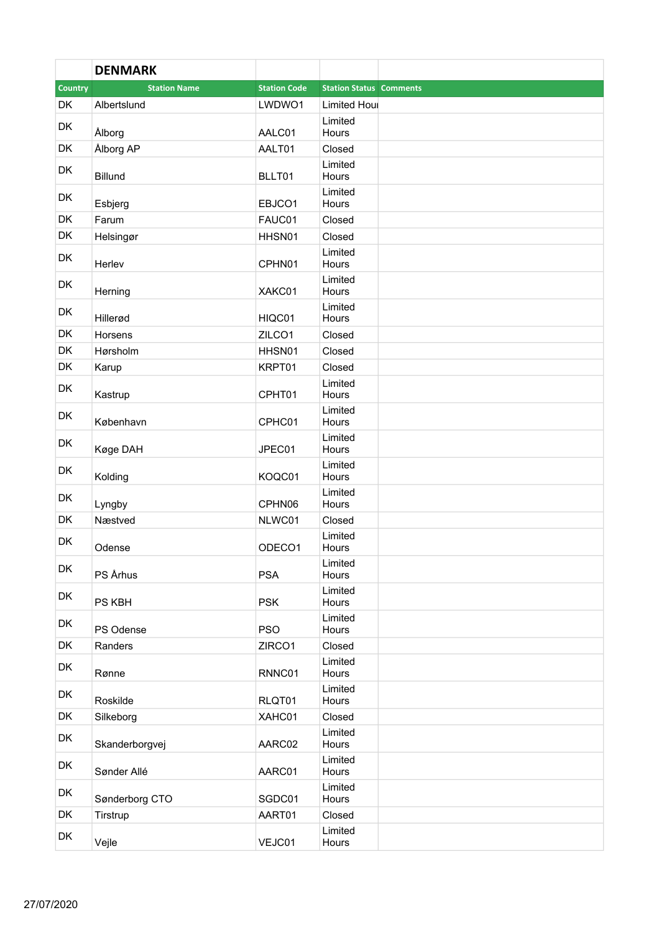|                | <b>DENMARK</b>      |                     |                                |  |
|----------------|---------------------|---------------------|--------------------------------|--|
| <b>Country</b> | <b>Station Name</b> | <b>Station Code</b> | <b>Station Status Comments</b> |  |
| <b>DK</b>      | Albertslund         | LWDWO1              | <b>Limited Houl</b>            |  |
| <b>DK</b>      | Ålborg              | AALC01              | Limited<br>Hours               |  |
| <b>DK</b>      | Ålborg AP           | AALT01              | Closed                         |  |
| DK             | <b>Billund</b>      | BLLT01              | Limited<br>Hours               |  |
| <b>DK</b>      | Esbjerg             | EBJCO1              | Limited<br>Hours               |  |
| DK             | Farum               | FAUC01              | Closed                         |  |
| <b>DK</b>      | Helsingør           | HHSN01              | Closed                         |  |
| <b>DK</b>      | Herlev              | CPHN01              | Limited<br>Hours               |  |
| <b>DK</b>      | Herning             | XAKC01              | Limited<br>Hours               |  |
| <b>DK</b>      | Hillerød            | HIQC01              | Limited<br>Hours               |  |
| DK             | Horsens             | ZILCO1              | Closed                         |  |
| DK             | Hørsholm            | HHSN01              | Closed                         |  |
| <b>DK</b>      | Karup               | KRPT01              | Closed                         |  |
| <b>DK</b>      | Kastrup             | CPHT01              | Limited<br>Hours               |  |
| <b>DK</b>      | København           | CPHC01              | Limited<br>Hours               |  |
| <b>DK</b>      | Køge DAH            | JPEC01              | Limited<br>Hours               |  |
| <b>DK</b>      | Kolding             | KOQC01              | Limited<br>Hours               |  |
| DK             | Lyngby              | CPHN06              | Limited<br>Hours               |  |
| <b>DK</b>      | Næstved             | NLWC01              | Closed                         |  |
| <b>DK</b>      | Odense              | ODECO1              | Limited<br>Hours               |  |
| DK             | PS Århus            | <b>PSA</b>          | Limited<br>Hours               |  |
| DK             | PS KBH              | <b>PSK</b>          | Limited<br>Hours               |  |
| DK             | PS Odense           | <b>PSO</b>          | Limited<br>Hours               |  |
| DK             | Randers             | ZIRCO1              | Closed                         |  |
| DK             | Rønne               | RNNC01              | Limited<br>Hours               |  |
| DK             | Roskilde            | RLQT01              | Limited<br>Hours               |  |
| DK             | Silkeborg           | XAHC01              | Closed                         |  |
| DK             | Skanderborgvej      | AARC02              | Limited<br>Hours               |  |
| DK             | Sønder Allé         | AARC01              | Limited<br>Hours               |  |
| DK             | Sønderborg CTO      | SGDC01              | Limited<br>Hours               |  |
| DK             | Tirstrup            | AART01              | Closed                         |  |
| DK             | Vejle               | VEJC01              | Limited<br>Hours               |  |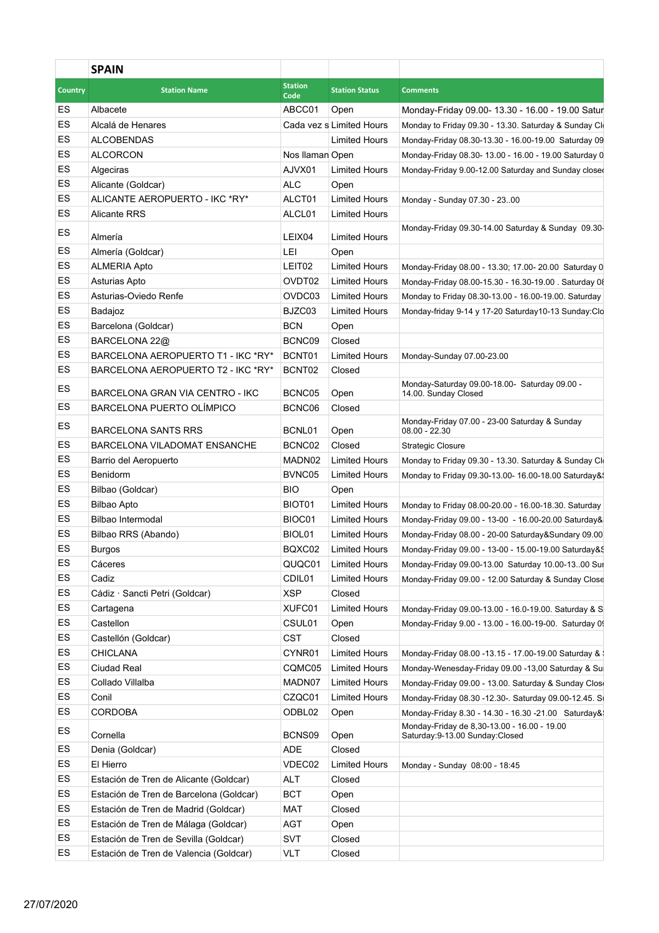|                | <b>SPAIN</b>                            |                    |                          |                                                                                 |
|----------------|-----------------------------------------|--------------------|--------------------------|---------------------------------------------------------------------------------|
| <b>Country</b> | <b>Station Name</b>                     | <b>Station</b>     | <b>Station Status</b>    | <b>Comments</b>                                                                 |
| ES             | Albacete                                | Code<br>ABCC01     | Open                     | Monday-Friday 09.00- 13.30 - 16.00 - 19.00 Satur                                |
| ES             | Alcalá de Henares                       |                    | Cada vez s Limited Hours | Monday to Friday 09.30 - 13.30. Saturday & Sunday Cl                            |
| ES             | <b>ALCOBENDAS</b>                       |                    | <b>Limited Hours</b>     | Monday-Friday 08.30-13.30 - 16.00-19.00 Saturday 09                             |
| ES             | ALCORCON                                | Nos Ilaman Open    |                          | Monday-Friday 08.30- 13.00 - 16.00 - 19.00 Saturday 0                           |
| ES             | Algeciras                               | AJVX01             | Limited Hours            | Monday-Friday 9.00-12.00 Saturday and Sunday close                              |
| ES             | Alicante (Goldcar)                      | <b>ALC</b>         | Open                     |                                                                                 |
| ES             | ALICANTE AEROPUERTO - IKC *RY*          | ALCT01             | Limited Hours            | Monday - Sunday 07.30 - 2300                                                    |
| ES             | <b>Alicante RRS</b>                     | ALCL01             | Limited Hours            |                                                                                 |
| ES             |                                         |                    |                          | Monday-Friday 09.30-14.00 Saturday & Sunday 09.30                               |
|                | Almería                                 | LEIX04             | Limited Hours            |                                                                                 |
| ES             | Almería (Goldcar)                       | LEI                | Open                     |                                                                                 |
| ES             | <b>ALMERIA Apto</b>                     | LEIT02             | <b>Limited Hours</b>     | Monday-Friday 08.00 - 13.30; 17.00- 20.00 Saturday 0                            |
| ES             | Asturias Apto                           | OVDT02             | Limited Hours            | Monday-Friday 08.00-15.30 - 16.30-19.00 . Saturday 08                           |
| ES             | Asturias-Oviedo Renfe                   | OVDC03             | Limited Hours            | Monday to Friday 08.30-13.00 - 16.00-19.00. Saturday                            |
| ES             | Badajoz                                 | BJZC03             | Limited Hours            | Monday-friday 9-14 y 17-20 Saturday10-13 Sunday:Clo                             |
| ES             | Barcelona (Goldcar)                     | BCN                | Open                     |                                                                                 |
| ES             | BARCELONA 22@                           | BCNC09             | Closed                   |                                                                                 |
| ES             | BARCELONA AEROPUERTO T1 - IKC *RY*      | BCNT01             | Limited Hours            | Monday-Sunday 07.00-23.00                                                       |
| ES             | BARCELONA AEROPUERTO T2 - IKC *RY*      | BCNT02             | Closed                   |                                                                                 |
| ES             | BARCELONA GRAN VIA CENTRO - IKC         | BCNC05             | Open                     | Monday-Saturday 09.00-18.00- Saturday 09.00 -<br>14.00. Sunday Closed           |
| ES             | BARCELONA PUERTO OLÍMPICO               | BCNC06             | Closed                   |                                                                                 |
| ES             | <b>BARCELONA SANTS RRS</b>              | BCNL01             | Open                     | Monday-Friday 07.00 - 23-00 Saturday & Sunday<br>$08.00 - 22.30$                |
| ES             | BARCELONA VILADOMAT ENSANCHE            | BCNC02             | Closed                   | <b>Strategic Closure</b>                                                        |
| ES             | Barrio del Aeropuerto                   | MADN02             | Limited Hours            | Monday to Friday 09.30 - 13.30. Saturday & Sunday Clo                           |
| ES             | Benidorm                                | BVNC05             | Limited Hours            | Monday to Friday 09.30-13.00- 16.00-18.00 Saturday&                             |
| ES             | Bilbao (Goldcar)                        | <b>BIO</b>         | Open                     |                                                                                 |
| ES             | <b>Bilbao Apto</b>                      | <b>BIOT01</b>      | <b>Limited Hours</b>     | Monday to Friday 08.00-20.00 - 16.00-18.30. Saturday                            |
| ES             | Bilbao Intermodal                       | BIOC01             | <b>Limited Hours</b>     | Monday-Friday 09.00 - 13-00 - 16.00-20.00 Saturday&                             |
| ES             | Bilbao RRS (Abando)                     | BIOL <sub>01</sub> | <b>Limited Hours</b>     | Monday-Friday 08.00 - 20-00 Saturday&Sundary 09.00                              |
| ES             | Burgos                                  | BQXC02             | Limited Hours            | Monday-Friday 09.00 - 13-00 - 15.00-19.00 Saturday&                             |
| ES             | Cáceres                                 | QUQC01             | Limited Hours            | Monday-Friday 09.00-13.00 Saturday 10.00-1300 Sur                               |
| ES             | Cadiz                                   |                    |                          |                                                                                 |
| ES             |                                         | CDIL01             | Limited Hours            | Monday-Friday 09.00 - 12.00 Saturday & Sunday Close                             |
|                | Cádiz · Sancti Petri (Goldcar)          | <b>XSP</b>         | Closed                   |                                                                                 |
| ES             | Cartagena                               | XUFC01             | Limited Hours            | Monday-Friday 09.00-13.00 - 16.0-19.00. Saturday & S                            |
| ES             | Castellon                               | CSUL01             | Open                     | Monday-Friday 9.00 - 13.00 - 16.00-19-00. Saturday 0                            |
| ES             | Castellón (Goldcar)                     | <b>CST</b>         | Closed                   |                                                                                 |
| ES             | <b>CHICLANA</b>                         | CYNR01             | Limited Hours            | Monday-Friday 08.00 -13.15 - 17.00-19.00 Saturday &                             |
| ES             | Ciudad Real                             |                    | CQMC05 Limited Hours     | Monday-Wenesday-Friday 09.00 -13,00 Saturday & Su                               |
| ES             | Collado Villalba                        |                    | MADN07 Limited Hours     | Monday-Friday 09.00 - 13.00. Saturday & Sunday Close                            |
| ES             | Conil                                   | CZQC01             | Limited Hours            | Monday-Friday 08.30 -12.30-. Saturday 09.00-12.45. S                            |
| ES             | CORDOBA                                 | ODBL02 Open        |                          | Monday-Friday 8.30 - 14.30 - 16.30 - 21.00 Saturday&                            |
| ES             | Cornella                                | BCNS09 Open        |                          | Monday-Friday de 8,30-13.00 - 16.00 - 19.00<br>Saturday: 9-13.00 Sunday: Closed |
| ES             | Denia (Goldcar)                         | ADE                | Closed                   |                                                                                 |
| ES             | El Hierro                               | VDEC02             |                          |                                                                                 |
|                |                                         |                    | Limited Hours            | Monday - Sunday 08:00 - 18:45                                                   |
| ES             | Estación de Tren de Alicante (Goldcar)  | <b>ALT</b>         | Closed                   |                                                                                 |
| ES             | Estación de Tren de Barcelona (Goldcar) | BCT                | Open                     |                                                                                 |
| ES             | Estación de Tren de Madrid (Goldcar)    | <b>MAT</b>         | Closed                   |                                                                                 |
| ES             | Estación de Tren de Málaga (Goldcar)    | AGT                | Open                     |                                                                                 |
| ES             | Estación de Tren de Sevilla (Goldcar)   | <b>SVT</b>         | Closed                   |                                                                                 |
| ES             | Estación de Tren de Valencia (Goldcar)  | <b>VLT</b>         | Closed                   |                                                                                 |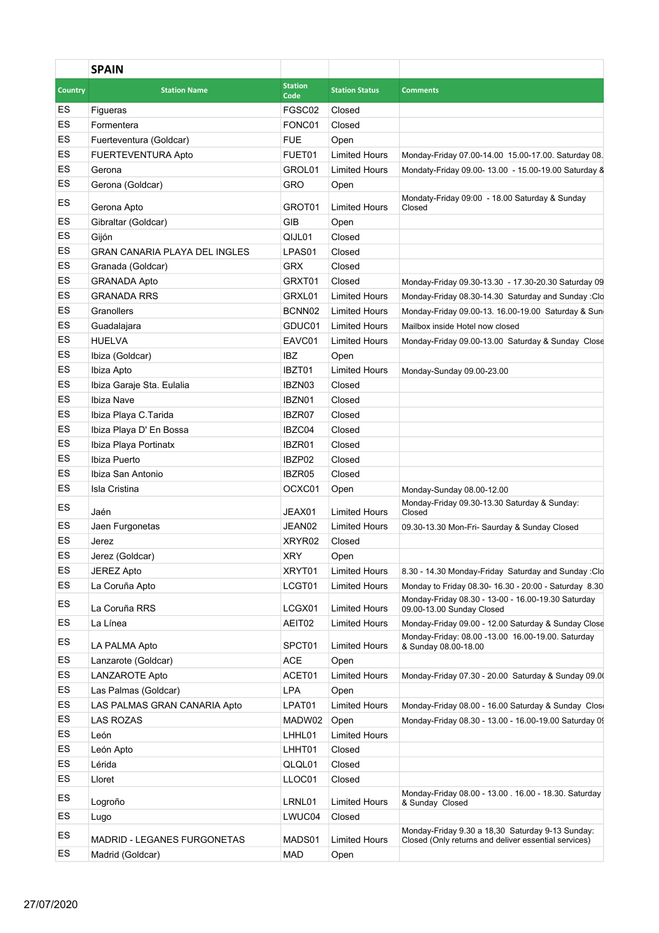|                | <b>SPAIN</b>                         |                        |                       |                                                                                                             |
|----------------|--------------------------------------|------------------------|-----------------------|-------------------------------------------------------------------------------------------------------------|
| <b>Country</b> | <b>Station Name</b>                  | <b>Station</b><br>Code | <b>Station Status</b> | <b>Comments</b>                                                                                             |
| ES             | Figueras                             | FGSC02                 | Closed                |                                                                                                             |
| ES             | Formentera                           | FONC01                 | Closed                |                                                                                                             |
| ES             | Fuerteventura (Goldcar)              | <b>FUE</b>             | Open                  |                                                                                                             |
| ES             | FUERTEVENTURA Apto                   | FUET01                 | <b>Limited Hours</b>  | Monday-Friday 07.00-14.00 15.00-17.00. Saturday 08.                                                         |
| ES             | Gerona                               | GROL01                 | <b>Limited Hours</b>  | Mondaty-Friday 09.00- 13.00 - 15.00-19.00 Saturday 8                                                        |
| ES             | Gerona (Goldcar)                     | <b>GRO</b>             | Open                  |                                                                                                             |
| ES             | Gerona Apto                          | GROT01                 | <b>Limited Hours</b>  | Mondaty-Friday 09:00 - 18.00 Saturday & Sunday<br>Closed                                                    |
| ES             | Gibraltar (Goldcar)                  | <b>GIB</b>             | Open                  |                                                                                                             |
| ES             | Gijón                                | QIJL01                 | Closed                |                                                                                                             |
| ES             | <b>GRAN CANARIA PLAYA DEL INGLES</b> | LPAS01                 | Closed                |                                                                                                             |
| ES             | Granada (Goldcar)                    | <b>GRX</b>             | Closed                |                                                                                                             |
| ES             | <b>GRANADA Apto</b>                  | GRXT01                 | Closed                | Monday-Friday 09.30-13.30 - 17.30-20.30 Saturday 09                                                         |
| ES             | <b>GRANADA RRS</b>                   | GRXL01                 | <b>Limited Hours</b>  | Monday-Friday 08.30-14.30 Saturday and Sunday :Clo                                                          |
| ES             | Granollers                           | BCNN02                 | <b>Limited Hours</b>  | Monday-Friday 09.00-13. 16.00-19.00 Saturday & Sun                                                          |
| ES             | Guadalajara                          | GDUC01                 | <b>Limited Hours</b>  | Mailbox inside Hotel now closed                                                                             |
| ES             | <b>HUELVA</b>                        | EAVC01                 | <b>Limited Hours</b>  | Monday-Friday 09.00-13.00 Saturday & Sunday Close                                                           |
| ES             | Ibiza (Goldcar)                      | <b>IBZ</b>             | Open                  |                                                                                                             |
| ES             | Ibiza Apto                           | IBZT01                 | <b>Limited Hours</b>  | Monday-Sunday 09.00-23.00                                                                                   |
| ES             | Ibiza Garaje Sta. Eulalia            | IBZN03                 | Closed                |                                                                                                             |
| ES             | Ibiza Nave                           | IBZN01                 | Closed                |                                                                                                             |
| ES             | Ibiza Playa C. Tarida                | IBZR07                 | Closed                |                                                                                                             |
| ES             | Ibiza Playa D' En Bossa              | IBZC04                 | Closed                |                                                                                                             |
| ES             | Ibiza Playa Portinatx                | IBZR01                 | Closed                |                                                                                                             |
| ES             | Ibiza Puerto                         | IBZP02                 | Closed                |                                                                                                             |
| ES             | Ibiza San Antonio                    | IBZR05                 | Closed                |                                                                                                             |
| ES             | Isla Cristina                        | OCXC01                 | Open                  | Monday-Sunday 08.00-12.00                                                                                   |
| ES             | Jaén                                 | JEAX01                 | <b>Limited Hours</b>  | Monday-Friday 09.30-13.30 Saturday & Sunday:<br>Closed                                                      |
| ES             | Jaen Furgonetas                      | JEAN02                 | <b>Limited Hours</b>  | 09.30-13.30 Mon-Fri- Saurday & Sunday Closed                                                                |
| ES             | Jerez                                | XRYR02                 | Closed                |                                                                                                             |
| ES             |                                      | <b>XRY</b>             | Open                  |                                                                                                             |
| ES             | Jerez (Goldcar)                      |                        |                       |                                                                                                             |
|                | JEREZ Apto                           | XRYT01                 | <b>Limited Hours</b>  | 8.30 - 14.30 Monday-Friday Saturday and Sunday : Clo                                                        |
| ES<br>ES       | La Coruña Apto                       | LCGT01                 | <b>Limited Hours</b>  | Monday to Friday 08.30- 16.30 - 20:00 - Saturday 8.30<br>Monday-Friday 08.30 - 13-00 - 16.00-19.30 Saturday |
|                | La Coruña RRS                        | LCGX01                 | <b>Limited Hours</b>  | 09.00-13.00 Sunday Closed                                                                                   |
| ES             | La Línea                             | AEIT02                 | <b>Limited Hours</b>  | Monday-Friday 09.00 - 12.00 Saturday & Sunday Close                                                         |
| ES             | <b>LA PALMA Apto</b>                 | SPCT01                 | <b>Limited Hours</b>  | Monday-Friday: 08.00 -13.00 16.00-19.00. Saturday<br>& Sunday 08.00-18.00                                   |
| ES             | Lanzarote (Goldcar)                  | <b>ACE</b>             | Open                  |                                                                                                             |
| ES             | LANZAROTE Apto                       | ACET01                 | <b>Limited Hours</b>  | Monday-Friday 07.30 - 20.00 Saturday & Sunday 09.00                                                         |
| ES             | Las Palmas (Goldcar)                 | <b>LPA</b>             | Open                  |                                                                                                             |
| ES             | LAS PALMAS GRAN CANARIA Apto         | LPAT01                 | <b>Limited Hours</b>  | Monday-Friday 08.00 - 16.00 Saturday & Sunday Close                                                         |
| ES             | LAS ROZAS                            | MADW02                 | Open                  | Monday-Friday 08.30 - 13.00 - 16.00-19.00 Saturday 09                                                       |
| ES             | León                                 | LHHL01                 | <b>Limited Hours</b>  |                                                                                                             |
| ES             | León Apto                            | LHHT01                 | Closed                |                                                                                                             |
| ES             | Lérida                               | QLQL01                 | Closed                |                                                                                                             |
| ES             | Lloret                               | LLOC01                 | Closed                |                                                                                                             |
| ES             | Logroño                              | LRNL01                 | <b>Limited Hours</b>  | Monday-Friday 08.00 - 13.00 . 16.00 - 18.30. Saturday<br>& Sunday Closed                                    |
| ES             | Lugo                                 | LWUC04                 | Closed                |                                                                                                             |
| ES             |                                      |                        |                       | Monday-Friday 9.30 a 18,30 Saturday 9-13 Sunday:                                                            |
|                | MADRID - LEGANES FURGONETAS          | MADS01                 | <b>Limited Hours</b>  | Closed (Only returns and deliver essential services)                                                        |
| ES             | Madrid (Goldcar)                     | <b>MAD</b>             | Open                  |                                                                                                             |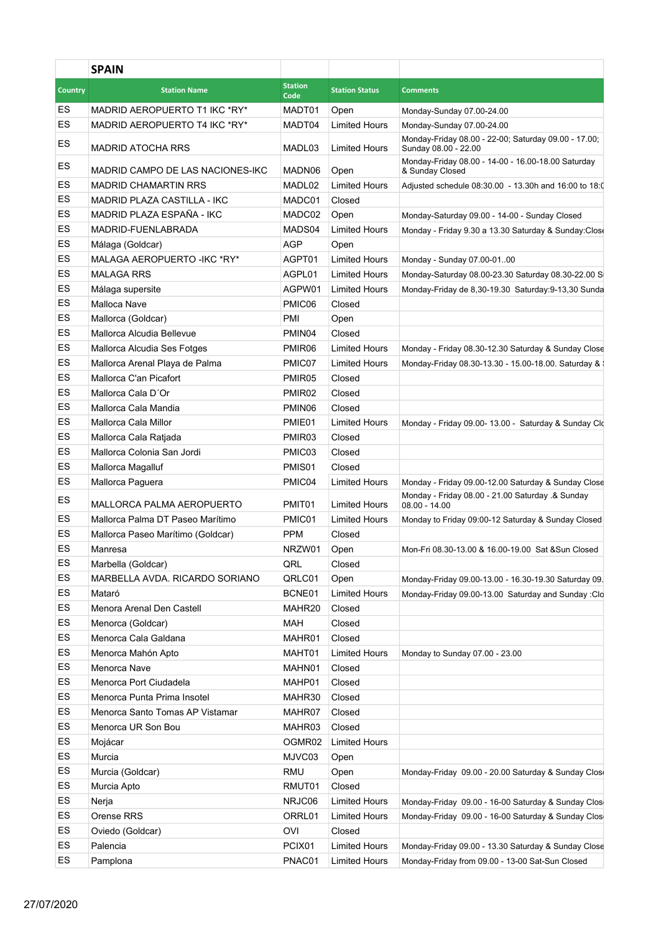|                | <b>SPAIN</b>                       |                    |                              |                                                                                   |
|----------------|------------------------------------|--------------------|------------------------------|-----------------------------------------------------------------------------------|
| <b>Country</b> | <b>Station Name</b>                | <b>Station</b>     | <b>Station Status</b>        | <b>Comments</b>                                                                   |
|                |                                    | Code               |                              |                                                                                   |
| ES<br>ES       | MADRID AEROPUERTO T1 IKC *RY*      | MADT01             | Open<br><b>Limited Hours</b> | Monday-Sunday 07.00-24.00                                                         |
|                | MADRID AEROPUERTO T4 IKC *RY*      | MADT04             |                              | Monday-Sunday 07.00-24.00<br>Monday-Friday 08.00 - 22-00; Saturday 09.00 - 17.00; |
| ES             | <b>MADRID ATOCHA RRS</b>           | MADL03             | <b>Limited Hours</b>         | Sunday 08.00 - 22.00                                                              |
| ES             | MADRID CAMPO DE LAS NACIONES-IKC   | MADN06             | Open                         | Monday-Friday 08.00 - 14-00 - 16.00-18.00 Saturday<br>& Sunday Closed             |
| ES             | <b>MADRID CHAMARTIN RRS</b>        | MADL02             | <b>Limited Hours</b>         | Adjusted schedule 08:30.00 - 13.30h and 16:00 to 18:0                             |
| ES             | <b>MADRID PLAZA CASTILLA - IKC</b> | MADC01             | Closed                       |                                                                                   |
| ES             | MADRID PLAZA ESPAÑA - IKC          | MADC02             | Open                         | Monday-Saturday 09.00 - 14-00 - Sunday Closed                                     |
| ES             | MADRID-FUENLABRADA                 | MADS04             | <b>Limited Hours</b>         | Monday - Friday 9.30 a 13.30 Saturday & Sunday:Close                              |
| ES             | Málaga (Goldcar)                   | AGP                | Open                         |                                                                                   |
| ES             | MALAGA AEROPUERTO - IKC * RY*      | AGPT01             | <b>Limited Hours</b>         | Monday - Sunday 07.00-0100                                                        |
| ES             | <b>MALAGA RRS</b>                  | AGPL01             | <b>Limited Hours</b>         | Monday-Saturday 08.00-23.30 Saturday 08.30-22.00 S                                |
| ES             | Málaga supersite                   | AGPW01             | <b>Limited Hours</b>         | Monday-Friday de 8,30-19.30 Saturday:9-13,30 Sunda                                |
| ES             | Malloca Nave                       | PMIC06             | Closed                       |                                                                                   |
| ES             | Mallorca (Goldcar)                 | PMI                | Open                         |                                                                                   |
| ES             | Mallorca Alcudia Bellevue          | PMIN04             | Closed                       |                                                                                   |
| ES             | Mallorca Alcudia Ses Fotges        | PMIR06             | <b>Limited Hours</b>         | Monday - Friday 08.30-12.30 Saturday & Sunday Close                               |
| ES             | Mallorca Arenal Playa de Palma     | PMIC07             | <b>Limited Hours</b>         | Monday-Friday 08.30-13.30 - 15.00-18.00. Saturday &                               |
| ES             | Mallorca C'an Picafort             | PMIR05             | Closed                       |                                                                                   |
| ES             | Mallorca Cala D'Or                 | PMIR <sub>02</sub> | Closed                       |                                                                                   |
| ES             | Mallorca Cala Mandia               | PMIN06             | Closed                       |                                                                                   |
| ES             | Mallorca Cala Millor               | PMIE01             | <b>Limited Hours</b>         | Monday - Friday 09.00- 13.00 - Saturday & Sunday Clo                              |
| ES             | Mallorca Cala Ratjada              | PMIR03             | Closed                       |                                                                                   |
| ES             | Mallorca Colonia San Jordi         | PMIC03             | Closed                       |                                                                                   |
| ES             | Mallorca Magalluf                  | PMIS01             | Closed                       |                                                                                   |
| ES             | Mallorca Paguera                   | PMIC04             | <b>Limited Hours</b>         | Monday - Friday 09.00-12.00 Saturday & Sunday Close                               |
| ES             | MALLORCA PALMA AEROPUERTO          | PMIT <sub>01</sub> | <b>Limited Hours</b>         | Monday - Friday 08.00 - 21.00 Saturday .& Sunday<br>$08.00 - 14.00$               |
| ES             | Mallorca Palma DT Paseo Marítimo   | PMIC01             | <b>Limited Hours</b>         | Monday to Friday 09:00-12 Saturday & Sunday Closed                                |
| ES             | Mallorca Paseo Marítimo (Goldcar)  | <b>PPM</b>         | Closed                       |                                                                                   |
| ES             | Manresa                            | NRZW01             | Open                         | Mon-Fri 08.30-13.00 & 16.00-19.00 Sat & Sun Closed                                |
| ES             | Marbella (Goldcar)                 | QRL                | Closed                       |                                                                                   |
| ES             | MARBELLA AVDA. RICARDO SORIANO     | QRLC01             | Open                         | Monday-Friday 09.00-13.00 - 16.30-19.30 Saturday 09.                              |
| ES             | Mataró                             | BCNE01             | <b>Limited Hours</b>         | Monday-Friday 09.00-13.00 Saturday and Sunday : Clo                               |
| ES             | Menora Arenal Den Castell          | MAHR20             | Closed                       |                                                                                   |
| ES             | Menorca (Goldcar)                  | MAH                | Closed                       |                                                                                   |
| ES             | Menorca Cala Galdana               | MAHR01             | Closed                       |                                                                                   |
| ES             | Menorca Mahón Apto                 | MAHT01             | <b>Limited Hours</b>         | Monday to Sunday 07.00 - 23.00                                                    |
| ES             | Menorca Nave                       | MAHN01             | Closed                       |                                                                                   |
| ES             | Menorca Port Ciudadela             | MAHP01             | Closed                       |                                                                                   |
| ES             | Menorca Punta Prima Insotel        | MAHR30             | Closed                       |                                                                                   |
| ES             | Menorca Santo Tomas AP Vistamar    | MAHR07             | Closed                       |                                                                                   |
| ES             | Menorca UR Son Bou                 | MAHR03             | Closed                       |                                                                                   |
| ES             | Mojácar                            | OGMR02             | <b>Limited Hours</b>         |                                                                                   |
| ES             | Murcia                             | MJVC03             | Open                         |                                                                                   |
| ES             | Murcia (Goldcar)                   | RMU                | Open                         | Monday-Friday 09.00 - 20.00 Saturday & Sunday Close                               |
| ES             | Murcia Apto                        | RMUT01             | Closed                       |                                                                                   |
| ES             | Nerja                              | NRJC06             | <b>Limited Hours</b>         | Monday-Friday 09.00 - 16-00 Saturday & Sunday Clos                                |
| ES             | Orense RRS                         | ORRL01             | <b>Limited Hours</b>         | Monday-Friday 09.00 - 16-00 Saturday & Sunday Clos                                |
| ES             | Oviedo (Goldcar)                   | <b>OVI</b>         | Closed                       |                                                                                   |
| ES             | Palencia                           | PCIX01             | <b>Limited Hours</b>         | Monday-Friday 09.00 - 13.30 Saturday & Sunday Close                               |
| ES             | Pamplona                           | PNAC01             | <b>Limited Hours</b>         | Monday-Friday from 09.00 - 13-00 Sat-Sun Closed                                   |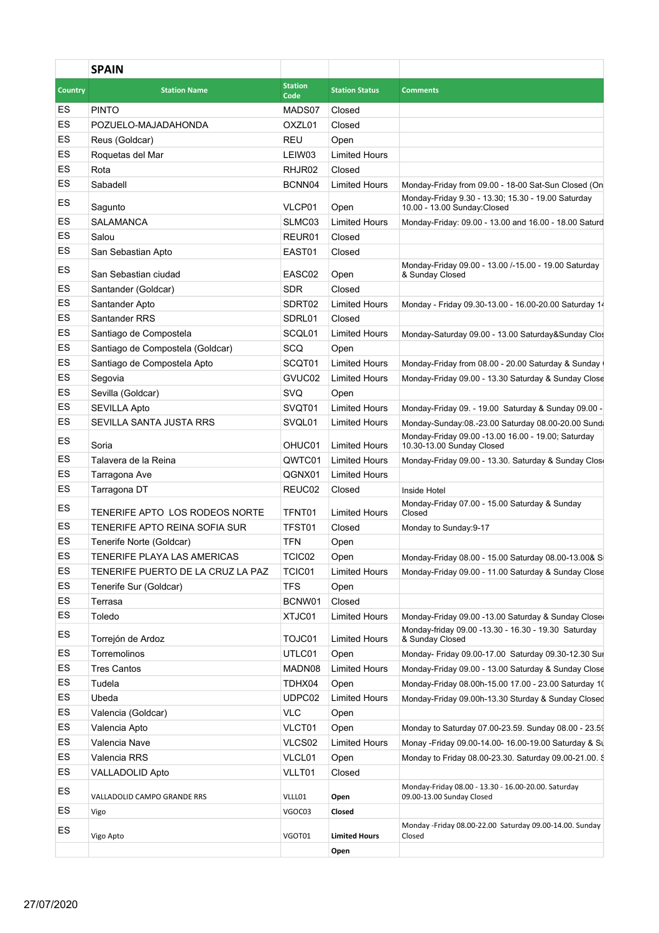|                | <b>SPAIN</b>                      |                        |                       |                                                                                    |
|----------------|-----------------------------------|------------------------|-----------------------|------------------------------------------------------------------------------------|
| <b>Country</b> | <b>Station Name</b>               | <b>Station</b><br>Code | <b>Station Status</b> | <b>Comments</b>                                                                    |
| ES             | <b>PINTO</b>                      | MADS07                 | Closed                |                                                                                    |
| ES             | POZUELO-MAJADAHONDA               | OXZL01                 | Closed                |                                                                                    |
| ES             | Reus (Goldcar)                    | <b>REU</b>             | Open                  |                                                                                    |
| ES             | Roquetas del Mar                  | LEIW03                 | <b>Limited Hours</b>  |                                                                                    |
| ES             | Rota                              | RHJR02                 | Closed                |                                                                                    |
| ES             | Sabadell                          | BCNN04                 | <b>Limited Hours</b>  | Monday-Friday from 09.00 - 18-00 Sat-Sun Closed (On                                |
| ES             | Sagunto                           | VLCP01                 | Open                  | Monday-Friday 9.30 - 13.30; 15.30 - 19.00 Saturday<br>10.00 - 13.00 Sunday: Closed |
| ES             | <b>SALAMANCA</b>                  | SLMC03                 | <b>Limited Hours</b>  | Monday-Friday: 09.00 - 13.00 and 16.00 - 18.00 Saturd                              |
| ES             | Salou                             | REUR01                 | Closed                |                                                                                    |
| ES             | San Sebastian Apto                | EAST01                 | Closed                |                                                                                    |
| ES             | San Sebastian ciudad              | EASC02                 | Open                  | Monday-Friday 09.00 - 13.00 /-15.00 - 19.00 Saturday<br>& Sunday Closed            |
| ES             | Santander (Goldcar)               | <b>SDR</b>             | Closed                |                                                                                    |
| ES             | Santander Apto                    | SDRT02                 | <b>Limited Hours</b>  | Monday - Friday 09.30-13.00 - 16.00-20.00 Saturday 14                              |
| ES             | Santander RRS                     | SDRL01                 | Closed                |                                                                                    |
| ES             | Santiago de Compostela            | SCQL01                 | <b>Limited Hours</b>  | Monday-Saturday 09.00 - 13.00 Saturday&Sunday Clos                                 |
| ES             | Santiago de Compostela (Goldcar)  | SCQ                    | Open                  |                                                                                    |
| ES             | Santiago de Compostela Apto       | SCQT01                 | <b>Limited Hours</b>  | Monday-Friday from 08.00 - 20.00 Saturday & Sunday                                 |
| ES             | Segovia                           | GVUC02                 | <b>Limited Hours</b>  | Monday-Friday 09.00 - 13.30 Saturday & Sunday Close                                |
| ES             | Sevilla (Goldcar)                 | SVQ                    | Open                  |                                                                                    |
| ES             | <b>SEVILLA Apto</b>               | SVQT01                 | <b>Limited Hours</b>  | Monday-Friday 09. - 19.00 Saturday & Sunday 09.00 -                                |
| ES             | SEVILLA SANTA JUSTA RRS           | SVQL01                 | <b>Limited Hours</b>  | Monday-Sunday:08.-23.00 Saturday 08.00-20.00 Sund                                  |
| ES             | Soria                             | OHUC01                 | <b>Limited Hours</b>  | Monday-Friday 09.00 -13.00 16.00 - 19.00; Saturday<br>10.30-13.00 Sunday Closed    |
| ES             | Talavera de la Reina              | QWTC01                 | <b>Limited Hours</b>  | Monday-Friday 09.00 - 13.30. Saturday & Sunday Close                               |
| ES             | Tarragona Ave                     | QGNX01                 | <b>Limited Hours</b>  |                                                                                    |
| ES             | Tarragona DT                      | REUC02                 | Closed                | Inside Hotel                                                                       |
| ES             | TENERIFE APTO LOS RODEOS NORTE    | TFNT01                 | <b>Limited Hours</b>  | Monday-Friday 07.00 - 15.00 Saturday & Sunday<br>Closed                            |
| ES             | TENERIFE APTO REINA SOFIA SUR     | TFST01                 | Closed                | Monday to Sunday:9-17                                                              |
| ES             | Tenerife Norte (Goldcar)          | <b>TFN</b>             | Open                  |                                                                                    |
| ES             | TENERIFE PLAYA LAS AMERICAS       | TCIC02                 | Open                  | Monday-Friday 08.00 - 15.00 Saturday 08.00-13.00& S                                |
| ES             | TENERIFE PUERTO DE LA CRUZ LA PAZ | TCIC01                 | <b>Limited Hours</b>  | Monday-Friday 09.00 - 11.00 Saturday & Sunday Close                                |
| ES             | Tenerife Sur (Goldcar)            | <b>TFS</b>             | Open                  |                                                                                    |
| ES             | Terrasa                           | BCNW01                 | Closed                |                                                                                    |
| ES             | Toledo                            | XTJC01                 | <b>Limited Hours</b>  | Monday-Friday 09.00 -13.00 Saturday & Sunday Close                                 |
| ES             | Torrejón de Ardoz                 | TOJC01                 | <b>Limited Hours</b>  | Monday-friday 09.00 -13.30 - 16.30 - 19.30 Saturday<br>& Sunday Closed             |
| ES             | Torremolinos                      | UTLC01                 | Open                  | Monday- Friday 09.00-17.00 Saturday 09.30-12.30 Sui                                |
| ES             | <b>Tres Cantos</b>                | MADN08                 | <b>Limited Hours</b>  | Monday-Friday 09.00 - 13.00 Saturday & Sunday Close                                |
| ES             | Tudela                            | TDHX04                 | Open                  | Monday-Friday 08.00h-15.00 17.00 - 23.00 Saturday 10                               |
| ES             | Ubeda                             | UDPC02                 | <b>Limited Hours</b>  | Monday-Friday 09.00h-13.30 Sturday & Sunday Closed                                 |
| ES             | Valencia (Goldcar)                | <b>VLC</b>             | Open                  |                                                                                    |
| ES             | Valencia Apto                     | VLCT01                 | Open                  | Monday to Saturday 07.00-23.59. Sunday 08.00 - 23.59                               |
| ES             | Valencia Nave                     | VLCS02                 | <b>Limited Hours</b>  | Monay -Friday 09.00-14.00- 16.00-19.00 Saturday & Su                               |
| ES             | Valencia RRS                      | VLCL01                 | Open                  | Monday to Friday 08.00-23.30. Saturday 09.00-21.00. \$                             |
| ES             | <b>VALLADOLID Apto</b>            | VLLT01                 | Closed                |                                                                                    |
| ES             | VALLADOLID CAMPO GRANDE RRS       | VLLL01                 | Open                  | Monday-Friday 08.00 - 13.30 - 16.00-20.00. Saturday<br>09.00-13.00 Sunday Closed   |
| ES             | Vigo                              | VGOC03                 | Closed                |                                                                                    |
| ES             | Vigo Apto                         | VGOT01                 | <b>Limited Hours</b>  | Monday -Friday 08.00-22.00 Saturday 09.00-14.00. Sunday<br>Closed                  |
|                |                                   |                        | Open                  |                                                                                    |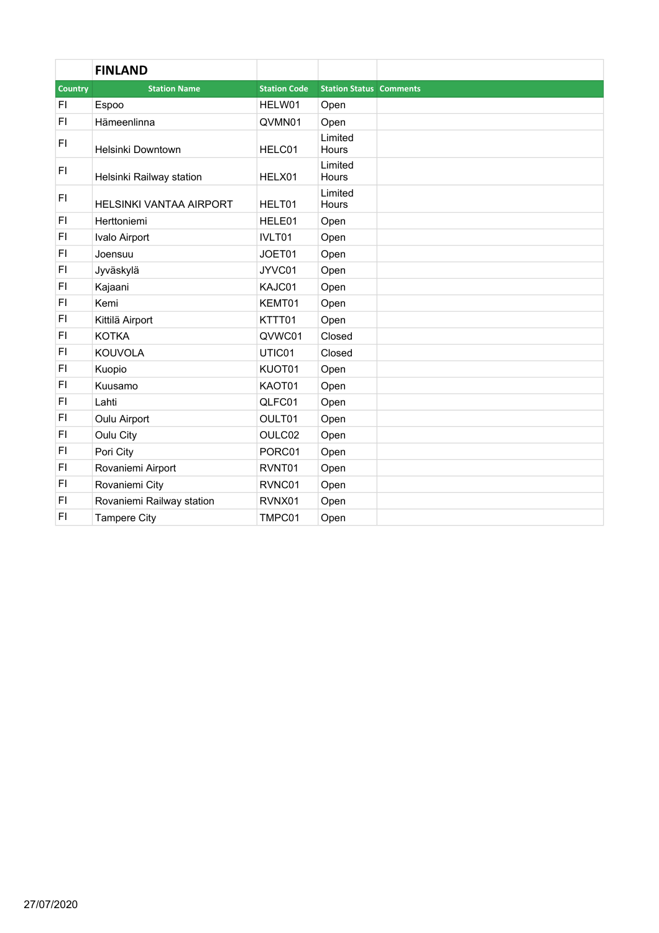|                | <b>FINLAND</b>                 |                     |                                |  |
|----------------|--------------------------------|---------------------|--------------------------------|--|
| <b>Country</b> | <b>Station Name</b>            | <b>Station Code</b> | <b>Station Status Comments</b> |  |
| FI             | Espoo                          | HELW01              | Open                           |  |
| F1             | Hämeenlinna                    | QVMN01              | Open                           |  |
| F1             | Helsinki Downtown              | HELC01              | Limited<br><b>Hours</b>        |  |
| F1             | Helsinki Railway station       | HELX01              | Limited<br>Hours               |  |
| F1             | <b>HELSINKI VANTAA AIRPORT</b> | HELT01              | Limited<br>Hours               |  |
| F1             | Herttoniemi                    | HELE01              | Open                           |  |
| F1             | Ivalo Airport                  | IVLT01              | Open                           |  |
| FI             | Joensuu                        | JOET01              | Open                           |  |
| F1             | Jyväskylä                      | JYVC01              | Open                           |  |
| F1             | Kajaani                        | KAJC01              | Open                           |  |
| F1             | Kemi                           | KEMT01              | Open                           |  |
| F1             | Kittilä Airport                | KTTT01              | Open                           |  |
| F1             | <b>KOTKA</b>                   | QVWC01              | Closed                         |  |
| F1             | <b>KOUVOLA</b>                 | UTIC01              | Closed                         |  |
| F1             | Kuopio                         | KUOT01              | Open                           |  |
| F1             | Kuusamo                        | KAOT01              | Open                           |  |
| F1             | Lahti                          | QLFC01              | Open                           |  |
| <b>FI</b>      | Oulu Airport                   | OULT01              | Open                           |  |
| F <sub>1</sub> | Oulu City                      | OULC02              | Open                           |  |
| F1             | Pori City                      | PORC01              | Open                           |  |
| F1             | Rovaniemi Airport              | RVNT01              | Open                           |  |
| F1             | Rovaniemi City                 | RVNC01              | Open                           |  |
| F1             | Rovaniemi Railway station      | RVNX01              | Open                           |  |
| <b>FI</b>      | <b>Tampere City</b>            | TMPC01              | Open                           |  |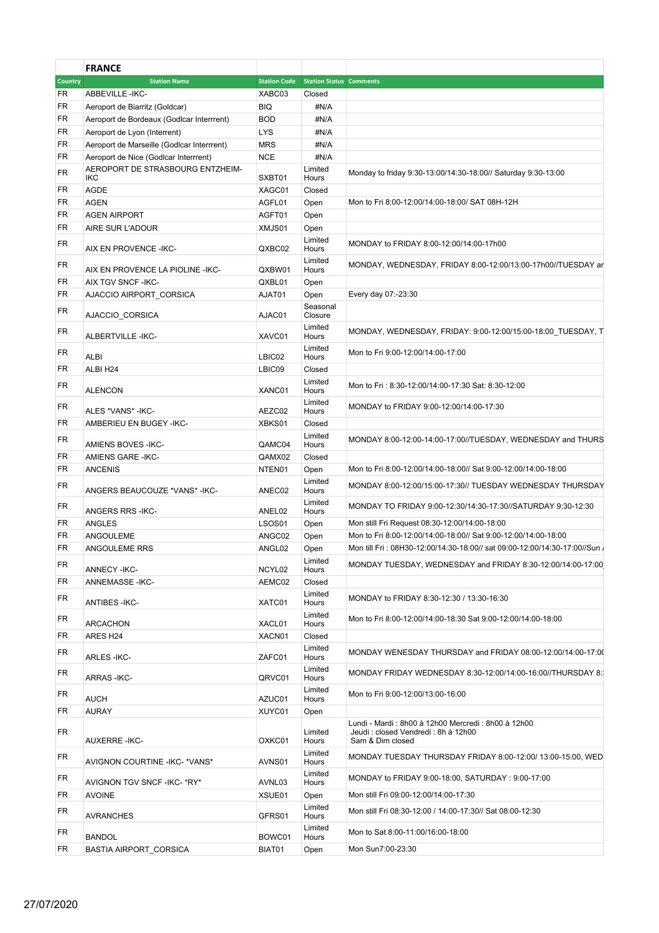|                | <b>FRANCE</b>                              |                     |                                |                                                                                                                |
|----------------|--------------------------------------------|---------------------|--------------------------------|----------------------------------------------------------------------------------------------------------------|
| <b>Country</b> | <b>Station Name</b>                        | <b>Station Code</b> | <b>Station Status Comments</b> |                                                                                                                |
| FR             | ABBEVILLE-IKC-                             | XABC03              | Closed                         |                                                                                                                |
| FR             | Aeroport de Biarritz (Goldcar)             | <b>BIQ</b>          | #N/A                           |                                                                                                                |
| FR             | Aeroport de Bordeaux (Godicar Interrrent)  | <b>BOD</b>          | #N/A                           |                                                                                                                |
| FR             | Aeroport de Lyon (Interrent)               | <b>LYS</b>          | #N/A                           |                                                                                                                |
| FR             | Aeroport de Marseille (Godicar Interrrent) | <b>MRS</b>          | #N/A                           |                                                                                                                |
| FR             | Aeroport de Nice (Godlcar Interrrent)      | <b>NCE</b>          | #N/A                           |                                                                                                                |
| FR             | AEROPORT DE STRASBOURG ENTZHEIM-           |                     | Limited                        | Monday to friday 9:30-13:00/14:30-18:00// Saturday 9:30-13:00                                                  |
|                | IKC                                        | SXBT01              | Hours                          |                                                                                                                |
| FR             | <b>AGDE</b>                                | XAGC01              | Closed                         |                                                                                                                |
| FR             | <b>AGEN</b>                                | AGFL01              | Open                           | Mon to Fri 8:00-12:00/14:00-18:00/ SAT 08H-12H                                                                 |
| FR             | <b>AGEN AIRPORT</b>                        | AGFT01              | Open                           |                                                                                                                |
| FR             | AIRE SUR L'ADOUR                           | XMJS01              | Open                           |                                                                                                                |
| <b>FR</b>      | AIX EN PROVENCE - IKC-                     | QXBC02              | Limited<br>Hours               | MONDAY to FRIDAY 8:00-12:00/14:00-17h00                                                                        |
| FR             |                                            |                     | Limited                        | MONDAY, WEDNESDAY, FRIDAY 8:00-12:00/13:00-17h00//TUESDAY ar                                                   |
|                | AIX EN PROVENCE LA PIOLINE - IKC-          | QXBW01              | Hours                          |                                                                                                                |
| FR.            | AIX TGV SNCF - IKC-                        | QXBL01              | Open                           |                                                                                                                |
| FR             | AJACCIO AIRPORT_CORSICA                    | AJAT01              | Open                           | Every day 07:-23:30                                                                                            |
| FR             | AJACCIO_CORSICA                            | AJAC01              | Seasonal<br>Closure            |                                                                                                                |
| FR             | ALBERTVILLE-IKC-                           | XAVC01              | Limited<br>Hours               | MONDAY, WEDNESDAY, FRIDAY: 9:00-12:00/15:00-18:00 TUESDAY, T                                                   |
| FR             | ALBI                                       | LBIC02              | Limited<br>Hours               | Mon to Fri 9:00-12:00/14:00-17:00                                                                              |
| FR             | ALBI H24                                   | LBIC09              | Closed                         |                                                                                                                |
| FR             | <b>ALENCON</b>                             | XANC01              | Limited<br>Hours               | Mon to Fri: 8:30-12:00/14:00-17:30 Sat: 8:30-12:00                                                             |
| FR             | ALES *VANS* - IKC-                         | AEZC02              | Limited<br>Hours               | MONDAY to FRIDAY 9:00-12:00/14:00-17:30                                                                        |
| FR             | AMBERIEU EN BUGEY - IKC-                   | XBKS01              | Closed                         |                                                                                                                |
| FR             |                                            |                     | Limited                        | MONDAY 8:00-12:00-14:00-17:00//TUESDAY, WEDNESDAY and THURS                                                    |
|                | AMIENS BOVES - IKC-                        | QAMC04              | Hours                          |                                                                                                                |
| FR             | AMIENS GARE - IKC-                         | QAMX02              | Closed                         |                                                                                                                |
| <b>FR</b>      | <b>ANCENIS</b>                             | NTEN01              | Open                           | Mon to Fri 8:00-12:00/14:00-18:00// Sat 9:00-12:00/14:00-18:00                                                 |
| FR             | ANGERS BEAUCOUZE *VANS* - IKC-             | ANEC02              | Limited<br>Hours               | MONDAY 8:00-12:00/15:00-17:30// TUESDAY WEDNESDAY THURSDAY                                                     |
| FR             | <b>ANGERS RRS - IKC-</b>                   | ANEL02              | Limited<br>Hours               | MONDAY TO FRIDAY 9:00-12:30/14:30-17:30//SATURDAY 9:30-12:30                                                   |
| FR             | ANGLES                                     | <b>LSOS01</b>       | Open                           | Mon still Fri Request 08:30-12:00/14:00-18:00                                                                  |
| FR             | ANGOULEME                                  | ANGC02              | Open                           | Mon to Fri 8:00-12:00/14:00-18:00// Sat 9:00-12:00/14:00-18:00                                                 |
| FR             | ANGOULEME RRS                              | ANGL02              | Open                           | Mon till Fri: 08H30-12:00/14:30-18:00// sat 09:00-12:00/14:30-17:00//Sun.                                      |
| FR             | ANNECY-IKC-                                | NCYL02              | Limited<br>Hours               | MONDAY TUESDAY, WEDNESDAY and FRIDAY 8:30-12:00/14:00-17:00                                                    |
| FR             | ANNEMASSE-IKC-                             | AEMC02              | Closed                         |                                                                                                                |
| FR             | <b>ANTIBES - IKC-</b>                      | XATC01              | Limited<br>Hours               | MONDAY to FRIDAY 8:30-12:30 / 13:30-16:30                                                                      |
| FR             | <b>ARCACHON</b>                            | XACL01              | Limited<br>Hours               | Mon to Fri 8:00-12:00/14:00-18:30 Sat 9:00-12:00/14:00-18:00                                                   |
| FR             | ARES H24                                   | XACN01              | Closed                         |                                                                                                                |
| FR             | <b>ARLES-IKC-</b>                          | ZAFC01              | Limited<br>Hours               | MONDAY WENESDAY THURSDAY and FRIDAY 08:00-12:00/14:00-17:00                                                    |
| FR             | <b>ARRAS-IKC-</b>                          | QRVC01              | Limited<br>Hours               | MONDAY FRIDAY WEDNESDAY 8:30-12:00/14:00-16:00//THURSDAY 8:                                                    |
| FR             |                                            |                     | Limited                        | Mon to Fri 9:00-12:00/13:00-16:00                                                                              |
|                | <b>AUCH</b>                                | AZUC01              | Hours                          |                                                                                                                |
| FR             | AURAY                                      | XUYC01              | Open                           |                                                                                                                |
| FR.            | AUXERRE-IKC-                               | OXKC01              | Limited<br>Hours               | Lundi - Mardi : 8h00 à 12h00 Mercredi : 8h00 à 12h00<br>Jeudi: closed Vendredi: 8h à 12h00<br>Sam & Dim closed |
| FR             | AVIGNON COURTINE - IKC- * VANS*            | AVNS01              | Limited<br>Hours               | MONDAY TUESDAY THURSDAY FRIDAY 8:00-12:00/ 13:00-15:00, WED                                                    |
| FR             | AVIGNON TGV SNCF - IKC- * RY*              | AVNL03              | Limited<br>Hours               | MONDAY to FRIDAY 9:00-18:00, SATURDAY : 9:00-17:00                                                             |
| FR             | AVOINE                                     | XSUE01              | Open                           | Mon still Fri 09:00-12:00/14:00-17:30                                                                          |
| FR             | <b>AVRANCHES</b>                           | GFRS01              | Limited<br>Hours               | Mon still Fri 08:30-12:00 / 14:00-17:30// Sat 08:00-12:30                                                      |
| FR             | <b>BANDOL</b>                              | BOWC01              | Limited<br>Hours               | Mon to Sat 8:00-11:00/16:00-18:00                                                                              |
| FR             | BASTIA AIRPORT_CORSICA                     | BIAT01              | Open                           | Mon Sun7:00-23:30                                                                                              |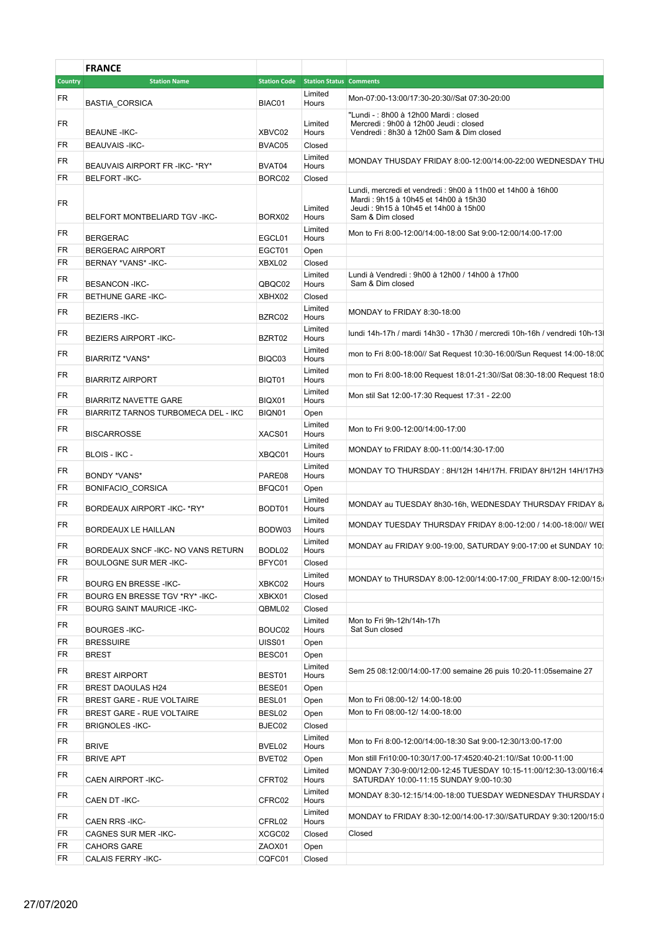|                | <b>FRANCE</b>                               |                  |                                             |                                                                                                                                                                  |
|----------------|---------------------------------------------|------------------|---------------------------------------------|------------------------------------------------------------------------------------------------------------------------------------------------------------------|
| <b>Country</b> | <b>Station Name</b>                         |                  | <b>Station Code</b> Station Status Comments |                                                                                                                                                                  |
| FR             |                                             |                  | Limited                                     | Mon-07:00-13:00/17:30-20:30//Sat 07:30-20:00                                                                                                                     |
|                | BASTIA_CORSICA                              | BIAC01           | Hours                                       | "Lundi - : 8h00 à 12h00 Mardi : closed                                                                                                                           |
| FR             |                                             |                  | Limited                                     | Mercredi : 9h00 à 12h00 Jeudi : closed                                                                                                                           |
| FR             | <b>BEAUNE -IKC-</b><br><b>BEAUVAIS-IKC-</b> | XBVC02<br>BVAC05 | Hours<br>Closed                             | Vendredi: 8h30 à 12h00 Sam & Dim closed                                                                                                                          |
|                |                                             |                  | Limited                                     |                                                                                                                                                                  |
| <b>FR</b>      | BEAUVAIS AIRPORT FR - IKC- * RY*            | BVAT04           | Hours                                       | MONDAY THUSDAY FRIDAY 8:00-12:00/14:00-22:00 WEDNESDAY THU                                                                                                       |
| <b>FR</b>      | <b>BELFORT-IKC-</b>                         | BORC02           | Closed                                      |                                                                                                                                                                  |
| FR             | BELFORT MONTBELIARD TGV -IKC-               | BORX02           | Limited<br>Hours                            | Lundi, mercredi et vendredi : 9h00 à 11h00 et 14h00 à 16h00<br>Mardi: 9h15 à 10h45 et 14h00 à 15h30<br>Jeudi : 9h15 à 10h45 et 14h00 à 15h00<br>Sam & Dim closed |
| <b>FR</b>      | <b>BERGERAC</b>                             | EGCL01           | Limited<br>Hours                            | Mon to Fri 8:00-12:00/14:00-18:00 Sat 9:00-12:00/14:00-17:00                                                                                                     |
| FR             | <b>BERGERAC AIRPORT</b>                     | EGCT01           | Open                                        |                                                                                                                                                                  |
| <b>FR</b>      | BERNAY *VANS* - IKC-                        | XBXL02           | Closed                                      |                                                                                                                                                                  |
| <b>FR</b>      |                                             |                  | Limited                                     | Lundi à Vendredi : 9h00 à 12h00 / 14h00 à 17h00                                                                                                                  |
|                | <b>BESANCON-IKC-</b>                        | QBQC02           | Hours                                       | Sam & Dim closed                                                                                                                                                 |
| <b>FR</b>      | <b>BETHUNE GARE -IKC-</b>                   | XBHX02           | Closed<br>Limited                           |                                                                                                                                                                  |
| <b>FR</b>      | <b>BEZIERS - IKC-</b>                       | BZRC02           | Hours                                       | MONDAY to FRIDAY 8:30-18:00                                                                                                                                      |
| FR             |                                             |                  | Limited                                     | lundi 14h-17h / mardi 14h30 - 17h30 / mercredi 10h-16h / vendredi 10h-13                                                                                         |
|                | <b>BEZIERS AIRPORT -IKC-</b>                | BZRT02           | Hours<br>Limited                            |                                                                                                                                                                  |
| <b>FR</b>      | BIARRITZ *VANS*                             | BIQC03           | Hours                                       | mon to Fri 8:00-18:00// Sat Request 10:30-16:00/Sun Request 14:00-18:00                                                                                          |
| FR             | <b>BIARRITZ AIRPORT</b>                     | BIQT01           | Limited<br>Hours                            | mon to Fri 8:00-18:00 Request 18:01-21:30//Sat 08:30-18:00 Request 18:0                                                                                          |
| <b>FR</b>      | <b>BIARRITZ NAVETTE GARE</b>                | BIQX01           | Limited<br>Hours                            | Mon stil Sat 12:00-17:30 Request 17:31 - 22:00                                                                                                                   |
| <b>FR</b>      | BIARRITZ TARNOS TURBOMECA DEL - IKC         | BIQN01           | Open                                        |                                                                                                                                                                  |
|                |                                             |                  | Limited                                     |                                                                                                                                                                  |
| <b>FR</b>      | <b>BISCARROSSE</b>                          | XACS01           | Hours                                       | Mon to Fri 9:00-12:00/14:00-17:00                                                                                                                                |
| FR             | BLOIS - IKC -                               | XBQC01           | Limited<br>Hours                            | MONDAY to FRIDAY 8:00-11:00/14:30-17:00                                                                                                                          |
|                |                                             |                  | Limited                                     |                                                                                                                                                                  |
| <b>FR</b>      | BONDY *VANS*                                | PARE08           | Hours                                       | MONDAY TO THURSDAY: 8H/12H 14H/17H. FRIDAY 8H/12H 14H/17H3                                                                                                       |
| <b>FR</b>      | BONIFACIO_CORSICA                           | BFQC01           | Open                                        |                                                                                                                                                                  |
| FR             | BORDEAUX AIRPORT - IKC- * RY*               | BODT01           | Limited<br>Hours                            | MONDAY au TUESDAY 8h30-16h, WEDNESDAY THURSDAY FRIDAY 8.                                                                                                         |
| <b>FR</b>      | BORDEAUX LE HAILLAN                         | BODW03           | Limited<br>Hours                            | MONDAY TUESDAY THURSDAY FRIDAY 8:00-12:00 / 14:00-18:00// WEI                                                                                                    |
|                |                                             |                  | Limited                                     |                                                                                                                                                                  |
| FR             | BORDEAUX SNCF - IKC- NO VANS RETURN         | BODL02           | Hours                                       | MONDAY au FRIDAY 9:00-19:00, SATURDAY 9:00-17:00 et SUNDAY 10:                                                                                                   |
| FR             | <b>BOULOGNE SUR MER-IKC-</b>                | BFYC01           | Closed                                      |                                                                                                                                                                  |
| FR             | <b>BOURG EN BRESSE -IKC-</b>                | XBKC02           | Limited<br>Hours                            | MONDAY to THURSDAY 8:00-12:00/14:00-17:00 FRIDAY 8:00-12:00/15:                                                                                                  |
| FR             | BOURG EN BRESSE TGV *RY* - IKC-             | XBKX01           | Closed                                      |                                                                                                                                                                  |
| FR             | <b>BOURG SAINT MAURICE -IKC-</b>            | QBML02           | Closed                                      |                                                                                                                                                                  |
| <b>FR</b>      |                                             |                  | Limited                                     | Mon to Fri 9h-12h/14h-17h                                                                                                                                        |
|                | <b>BOURGES-IKC-</b>                         | BOUC02           | Hours                                       | Sat Sun closed                                                                                                                                                   |
| <b>FR</b>      | <b>BRESSUIRE</b>                            | <b>UISS01</b>    | Open                                        |                                                                                                                                                                  |
| <b>FR</b>      | <b>BREST</b>                                | BESC01           | Open                                        |                                                                                                                                                                  |
| FR             | <b>BREST AIRPORT</b>                        | BEST01           | Limited<br>Hours                            | Sem 25 08:12:00/14:00-17:00 semaine 26 puis 10:20-11:05 semaine 27                                                                                               |
| FR             | <b>BREST DAOULAS H24</b>                    | BESE01           | Open                                        |                                                                                                                                                                  |
| FR             | <b>BREST GARE - RUE VOLTAIRE</b>            | BESL01           | Open                                        | Mon to Fri 08:00-12/ 14:00-18:00                                                                                                                                 |
| FR             | BREST GARE - RUE VOLTAIRE                   | BESL02           | Open                                        | Mon to Fri 08:00-12/ 14:00-18:00                                                                                                                                 |
| FR             | <b>BRIGNOLES-IKC-</b>                       | BJEC02           | Closed                                      |                                                                                                                                                                  |
| <b>FR</b>      |                                             |                  | Limited                                     | Mon to Fri 8:00-12:00/14:00-18:30 Sat 9:00-12:30/13:00-17:00                                                                                                     |
| FR             | <b>BRIVE</b><br><b>BRIVE APT</b>            | BVEL02<br>BVET02 | Hours<br>Open                               | Mon still Fri10:00-10:30/17:00-17:4520:40-21:10//Sat 10:00-11:00                                                                                                 |
|                |                                             |                  | Limited                                     | MONDAY 7:30-9:00/12:00-12:45 TUESDAY 10:15-11:00/12:30-13:00/16:4                                                                                                |
| <b>FR</b>      | <b>CAEN AIRPORT -IKC-</b>                   | CFRT02           | Hours                                       | SATURDAY 10:00-11:15 SUNDAY 9:00-10:30                                                                                                                           |
| FR             | CAEN DT - IKC-                              | CFRC02           | Limited<br>Hours                            | MONDAY 8:30-12:15/14:00-18:00 TUESDAY WEDNESDAY THURSDAY (                                                                                                       |
| FR             | <b>CAEN RRS-IKC-</b>                        | CFRL02           | Limited<br>Hours                            | MONDAY to FRIDAY 8:30-12:00/14:00-17:30//SATURDAY 9:30:1200/15:0                                                                                                 |
| FR             | <b>CAGNES SUR MER-IKC-</b>                  | XCGC02           | Closed                                      | Closed                                                                                                                                                           |
| FR             | <b>CAHORS GARE</b>                          | ZAOX01           | Open                                        |                                                                                                                                                                  |
| FR.            | CALAIS FERRY - IKC-                         | CQFC01           | Closed                                      |                                                                                                                                                                  |
|                |                                             |                  |                                             |                                                                                                                                                                  |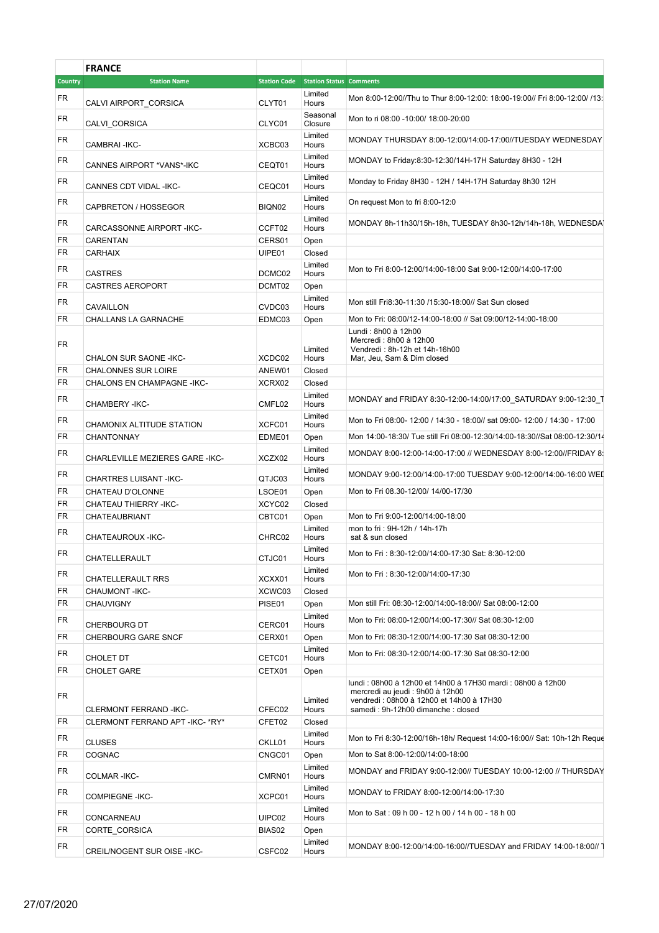|                        | <b>FRANCE</b>                          |                  |                                             |                                                                                                                                                                                    |
|------------------------|----------------------------------------|------------------|---------------------------------------------|------------------------------------------------------------------------------------------------------------------------------------------------------------------------------------|
| <b>Country</b>         | <b>Station Name</b>                    |                  | <b>Station Code</b> Station Status Comments |                                                                                                                                                                                    |
| FR                     |                                        |                  | Limited                                     | Mon 8:00-12:00//Thu to Thur 8:00-12:00: 18:00-19:00// Fri 8:00-12:00/ /13:                                                                                                         |
| <b>FR</b>              | CALVI AIRPORT CORSICA<br>CALVI_CORSICA | CLYT01<br>CLYC01 | Hours<br>Seasonal<br>Closure                | Mon to ri 08:00 -10:00/ 18:00-20:00                                                                                                                                                |
| <b>FR</b>              | CAMBRAI-IKC-                           | XCBC03           | Limited<br>Hours                            | MONDAY THURSDAY 8:00-12:00/14:00-17:00//TUESDAY WEDNESDAY                                                                                                                          |
| <b>FR</b>              | CANNES AIRPORT *VANS*-IKC              | CEQT01           | Limited<br>Hours                            | MONDAY to Friday:8:30-12:30/14H-17H Saturday 8H30 - 12H                                                                                                                            |
| <b>FR</b>              | CANNES CDT VIDAL -IKC-                 | CEQC01           | Limited<br>Hours                            | Monday to Friday 8H30 - 12H / 14H-17H Saturday 8h30 12H                                                                                                                            |
| <b>FR</b>              | CAPBRETON / HOSSEGOR                   | BIQN02           | Limited<br>Hours                            | On request Mon to fri 8:00-12:0                                                                                                                                                    |
| <b>FR</b>              | CARCASSONNE AIRPORT-IKC-               | CCFT02           | Limited<br>Hours                            | MONDAY 8h-11h30/15h-18h, TUESDAY 8h30-12h/14h-18h, WEDNESDA                                                                                                                        |
| <b>FR</b>              | CARENTAN                               | CERS01           | Open                                        |                                                                                                                                                                                    |
| <b>FR</b>              | <b>CARHAIX</b>                         | UIPE01           | Closed                                      |                                                                                                                                                                                    |
| <b>FR</b>              | <b>CASTRES</b>                         | DCMC02           | Limited<br>Hours                            | Mon to Fri 8:00-12:00/14:00-18:00 Sat 9:00-12:00/14:00-17:00                                                                                                                       |
| <b>FR</b>              | <b>CASTRES AEROPORT</b>                | DCMT02           | Open                                        |                                                                                                                                                                                    |
| <b>FR</b>              | CAVAILLON                              | CVDC03           | Limited<br>Hours                            | Mon still Fri8:30-11:30 /15:30-18:00// Sat Sun closed                                                                                                                              |
| FR                     | CHALLANS LA GARNACHE                   | EDMC03           | Open                                        | Mon to Fri: 08:00/12-14:00-18:00 // Sat 09:00/12-14:00-18:00                                                                                                                       |
| FR                     | CHALON SUR SAONE - IKC-                | XCDC02           | Limited<br>Hours                            | Lundi: 8h00 à 12h00<br>Mercredi: 8h00 à 12h00<br>Vendredi: 8h-12h et 14h-16h00<br>Mar, Jeu, Sam & Dim closed                                                                       |
| <b>FR</b>              | <b>CHALONNES SUR LOIRE</b>             | ANEW01           | Closed                                      |                                                                                                                                                                                    |
| <b>FR</b>              | CHALONS EN CHAMPAGNE - IKC-            | XCRX02           | Closed                                      |                                                                                                                                                                                    |
| <b>FR</b>              | CHAMBERY - IKC-                        | CMFL02           | Limited<br>Hours                            | MONDAY and FRIDAY 8:30-12:00-14:00/17:00_SATURDAY 9:00-12:30_1                                                                                                                     |
| <b>FR</b>              | CHAMONIX ALTITUDE STATION              | XCFC01           | Limited<br>Hours                            | Mon to Fri 08:00- 12:00 / 14:30 - 18:00// sat 09:00- 12:00 / 14:30 - 17:00                                                                                                         |
| FR                     | <b>CHANTONNAY</b>                      | EDME01           | Open                                        | Mon 14:00-18:30/ Tue still Fri 08:00-12:30/14:00-18:30//Sat 08:00-12:30/14                                                                                                         |
| <b>FR</b>              | CHARLEVILLE MEZIERES GARE -IKC-        | XCZX02           | Limited<br>Hours                            | MONDAY 8:00-12:00-14:00-17:00 // WEDNESDAY 8:00-12:00//FRIDAY 8:                                                                                                                   |
| <b>FR</b>              | CHARTRES LUISANT -IKC-                 | QTJC03           | Limited<br>Hours                            | MONDAY 9:00-12:00/14:00-17:00 TUESDAY 9:00-12:00/14:00-16:00 WEI                                                                                                                   |
| <b>FR</b>              | CHATEAU D'OLONNE                       | LSOE01           | Open                                        | Mon to Fri 08.30-12/00/ 14/00-17/30                                                                                                                                                |
| <b>FR</b>              | <b>CHATEAU THIERRY -IKC-</b>           | XCYC02           | Closed                                      |                                                                                                                                                                                    |
| <b>FR</b>              | CHATEAUBRIANT                          | CBTC01           | Open                                        | Mon to Fri 9:00-12:00/14:00-18:00                                                                                                                                                  |
| <b>FR</b>              |                                        |                  | Limited                                     | mon to fri: 9H-12h / 14h-17h                                                                                                                                                       |
| FR                     | CHATEAUROUX - IKC-                     | CHRC02           | Hours<br>Limited                            | sat & sun closed<br>Mon to Fri: 8:30-12:00/14:00-17:30 Sat: 8:30-12:00                                                                                                             |
| <b>FR</b>              | CHATELLERAULT                          | CTJC01           | Hours<br>Limited                            | Mon to Fri: 8:30-12:00/14:00-17:30                                                                                                                                                 |
| <b>FR</b>              | <b>CHATELLERAULT RRS</b>               | XCXX01           | Hours                                       |                                                                                                                                                                                    |
| FR                     | CHAUMONT-IKC-                          | XCWC03           | Closed                                      |                                                                                                                                                                                    |
| <b>FR</b>              | <b>CHAUVIGNY</b>                       | PISE01           | Open<br>Limited                             | Mon still Fri: 08:30-12:00/14:00-18:00// Sat 08:00-12:00<br>Mon to Fri: 08:00-12:00/14:00-17:30// Sat 08:30-12:00                                                                  |
|                        | <b>CHERBOURG DT</b>                    | CERC01           | Hours                                       |                                                                                                                                                                                    |
| <b>FR</b><br><b>FR</b> | CHERBOURG GARE SNCF                    | CERX01           | Open<br>Limited                             | Mon to Fri: 08:30-12:00/14:00-17:30 Sat 08:30-12:00<br>Mon to Fri: 08:30-12:00/14:00-17:30 Sat 08:30-12:00                                                                         |
|                        | <b>CHOLET DT</b>                       | CETC01           | Hours                                       |                                                                                                                                                                                    |
| FR                     | <b>CHOLET GARE</b>                     | CETX01           | Open                                        |                                                                                                                                                                                    |
| <b>FR</b>              | <b>CLERMONT FERRAND -IKC-</b>          | CFEC02           | Limited<br>Hours                            | lundi : 08h00 à 12h00 et 14h00 à 17H30 mardi : 08h00 à 12h00<br>mercredi au jeudi : 9h00 à 12h00<br>vendredi : 08h00 à 12h00 et 14h00 à 17H30<br>samedi: 9h-12h00 dimanche: closed |
| FR                     | CLERMONT FERRAND APT -IKC- *RY*        | CFET02           | Closed                                      |                                                                                                                                                                                    |
| <b>FR</b>              | <b>CLUSES</b>                          | CKLL01           | Limited<br>Hours                            | Mon to Fri 8:30-12:00/16h-18h/ Request 14:00-16:00// Sat: 10h-12h Reque                                                                                                            |
| <b>FR</b>              | COGNAC                                 | CNGC01           | Open                                        | Mon to Sat 8:00-12:00/14:00-18:00                                                                                                                                                  |
| <b>FR</b>              | COLMAR-IKC-                            | CMRN01           | Limited<br>Hours                            | MONDAY and FRIDAY 9:00-12:00// TUESDAY 10:00-12:00 // THURSDAY                                                                                                                     |
| <b>FR</b>              |                                        |                  | Limited                                     | MONDAY to FRIDAY 8:00-12:00/14:00-17:30                                                                                                                                            |
| <b>FR</b>              | <b>COMPIEGNE - IKC-</b>                | XCPC01           | Hours<br>Limited                            | Mon to Sat: 09 h 00 - 12 h 00 / 14 h 00 - 18 h 00                                                                                                                                  |
|                        | CONCARNEAU                             | UIPC02           | Hours                                       |                                                                                                                                                                                    |
| <b>FR</b>              | CORTE_CORSICA                          | BIAS02           | Open                                        |                                                                                                                                                                                    |
| <b>FR</b>              | CREIL/NOGENT SUR OISE - IKC-           | CSFC02           | Limited<br>Hours                            | MONDAY 8:00-12:00/14:00-16:00//TUESDAY and FRIDAY 14:00-18:00// 1                                                                                                                  |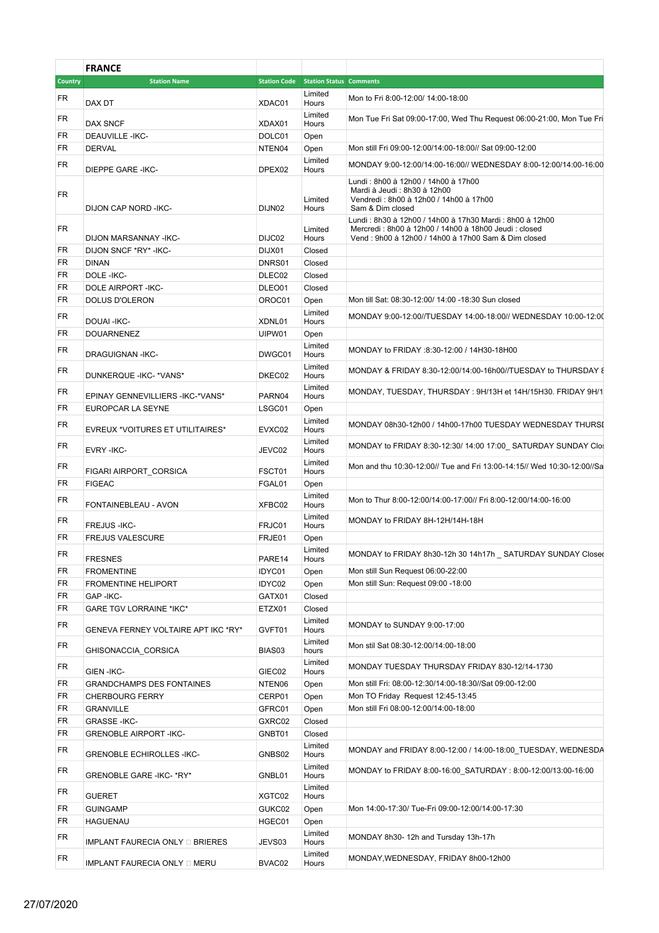|                | <b>FRANCE</b>                       |        |                                             |                                                                                                                                                                        |
|----------------|-------------------------------------|--------|---------------------------------------------|------------------------------------------------------------------------------------------------------------------------------------------------------------------------|
| <b>Country</b> | <b>Station Name</b>                 |        | <b>Station Code Station Status Comments</b> |                                                                                                                                                                        |
| FR             | DAX DT                              | XDAC01 | Limited<br>Hours                            | Mon to Fri 8:00-12:00/ 14:00-18:00                                                                                                                                     |
|                |                                     |        | Limited                                     |                                                                                                                                                                        |
| FR             | <b>DAX SNCF</b>                     | XDAX01 | Hours                                       | Mon Tue Fri Sat 09:00-17:00, Wed Thu Request 06:00-21:00, Mon Tue Fri                                                                                                  |
| <b>FR</b>      | <b>DEAUVILLE-IKC-</b>               | DOLC01 | Open                                        |                                                                                                                                                                        |
| <b>FR</b>      | <b>DERVAL</b>                       | NTEN04 | Open                                        | Mon still Fri 09:00-12:00/14:00-18:00// Sat 09:00-12:00                                                                                                                |
| <b>FR</b>      | <b>DIEPPE GARE -IKC-</b>            | DPEX02 | Limited<br>Hours                            | MONDAY 9:00-12:00/14:00-16:00// WEDNESDAY 8:00-12:00/14:00-16:00                                                                                                       |
|                |                                     |        |                                             | Lundi: 8h00 à 12h00 / 14h00 à 17h00                                                                                                                                    |
| FR             | DIJON CAP NORD - IKC-               | DIJN02 | Limited<br>Hours                            | Mardi à Jeudi : 8h30 à 12h00<br>Vendredi: 8h00 à 12h00 / 14h00 à 17h00<br>Sam & Dim closed                                                                             |
| <b>FR</b>      | DIJON MARSANNAY - IKC-              | DIJC02 | Limited                                     | Lundi: 8h30 à 12h00 / 14h00 à 17h30 Mardi: 8h00 à 12h00<br>Mercredi: 8h00 à 12h00 / 14h00 à 18h00 Jeudi: closed<br>Vend: 9h00 à 12h00 / 14h00 à 17h00 Sam & Dim closed |
| FR             | DIJON SNCF *RY* - IKC-              | DIJX01 | Hours<br>Closed                             |                                                                                                                                                                        |
| <b>FR</b>      | <b>DINAN</b>                        | DNRS01 | Closed                                      |                                                                                                                                                                        |
| FR             | DOLE-IKC-                           | DLEC02 | Closed                                      |                                                                                                                                                                        |
| <b>FR</b>      | <b>DOLE AIRPORT -IKC-</b>           | DLEO01 | Closed                                      |                                                                                                                                                                        |
| <b>FR</b>      | DOLUS D'OLERON                      | OROC01 | Open                                        | Mon till Sat: 08:30-12:00/ 14:00 -18:30 Sun closed                                                                                                                     |
| <b>FR</b>      | DOUAI-IKC-                          | XDNL01 | Limited<br>Hours                            | MONDAY 9:00-12:00//TUESDAY 14:00-18:00// WEDNESDAY 10:00-12:00                                                                                                         |
| <b>FR</b>      | <b>DOUARNENEZ</b>                   | UIPW01 | Open                                        |                                                                                                                                                                        |
| <b>FR</b>      | <b>DRAGUIGNAN-IKC-</b>              | DWGC01 | Limited<br>Hours                            | MONDAY to FRIDAY :8:30-12:00 / 14H30-18H00                                                                                                                             |
| <b>FR</b>      | DUNKERQUE - IKC- * VANS*            | DKEC02 | Limited<br>Hours                            | MONDAY & FRIDAY 8:30-12:00/14:00-16h00//TUESDAY to THURSDAY 8                                                                                                          |
| FR             | EPINAY GENNEVILLIERS - IKC-* VANS*  | PARN04 | Limited<br>Hours                            | MONDAY, TUESDAY, THURSDAY: 9H/13H et 14H/15H30. FRIDAY 9H/1                                                                                                            |
| FR             | EUROPCAR LA SEYNE                   | LSGC01 | Open                                        |                                                                                                                                                                        |
| FR             | EVREUX *VOITURES ET UTILITAIRES*    | EVXC02 | Limited<br>Hours                            | MONDAY 08h30-12h00 / 14h00-17h00 TUESDAY WEDNESDAY THURSI                                                                                                              |
| <b>FR</b>      | EVRY - IKC-                         | JEVC02 | Limited<br>Hours                            | MONDAY to FRIDAY 8:30-12:30/ 14:00 17:00_ SATURDAY SUNDAY Clos                                                                                                         |
| <b>FR</b>      |                                     |        | Limited                                     | Mon and thu 10:30-12:00// Tue and Fri 13:00-14:15// Wed 10:30-12:00//Sa                                                                                                |
|                | FIGARI AIRPORT_CORSICA              | FSCT01 | Hours                                       |                                                                                                                                                                        |
| <b>FR</b>      | <b>FIGEAC</b>                       | FGAL01 | Open                                        |                                                                                                                                                                        |
| <b>FR</b>      | FONTAINEBLEAU - AVON                | XFBC02 | Limited<br>Hours                            | Mon to Thur 8:00-12:00/14:00-17:00// Fri 8:00-12:00/14:00-16:00                                                                                                        |
| FR             | FREJUS-IKC-                         | FRJC01 | Limited<br>Hours                            | MONDAY to FRIDAY 8H-12H/14H-18H                                                                                                                                        |
| <b>FR</b>      | <b>FREJUS VALESCURE</b>             | FRJE01 | Open                                        |                                                                                                                                                                        |
| FR             | <b>FRESNES</b>                      | PARE14 | Limited<br>Hours                            | MONDAY to FRIDAY 8h30-12h 30 14h17h SATURDAY SUNDAY Close                                                                                                              |
| FR             | <b>FROMENTINE</b>                   | IDYC01 | Open                                        | Mon still Sun Request 06:00-22:00                                                                                                                                      |
| <b>FR</b>      | <b>FROMENTINE HELIPORT</b>          | IDYC02 | Open                                        | Mon still Sun: Request 09:00 -18:00                                                                                                                                    |
| FR             | GAP-IKC-                            | GATX01 | Closed                                      |                                                                                                                                                                        |
| FR             | <b>GARE TGV LORRAINE *IKC*</b>      | ETZX01 | Closed                                      |                                                                                                                                                                        |
| <b>FR</b>      | GENEVA FERNEY VOLTAIRE APT IKC *RY* | GVFT01 | Limited<br>Hours                            | MONDAY to SUNDAY 9:00-17:00                                                                                                                                            |
| FR             | GHISONACCIA_CORSICA                 | BIAS03 | Limited<br>hours                            | Mon stil Sat 08:30-12:00/14:00-18:00                                                                                                                                   |
| <b>FR</b>      | <b>GIEN-IKC-</b>                    | GIEC02 | Limited<br>Hours                            | MONDAY TUESDAY THURSDAY FRIDAY 830-12/14-1730                                                                                                                          |
| <b>FR</b>      | <b>GRANDCHAMPS DES FONTAINES</b>    | NTEN06 | Open                                        | Mon still Fri: 08:00-12:30/14:00-18:30//Sat 09:00-12:00                                                                                                                |
| FR             | <b>CHERBOURG FERRY</b>              | CERP01 | Open                                        | Mon TO Friday Request 12:45-13:45                                                                                                                                      |
| FR             | <b>GRANVILLE</b>                    | GFRC01 | Open                                        | Mon still Fri 08:00-12:00/14:00-18:00                                                                                                                                  |
| FR             | <b>GRASSE-IKC-</b>                  | GXRC02 | Closed                                      |                                                                                                                                                                        |
| <b>FR</b>      | <b>GRENOBLE AIRPORT -IKC-</b>       | GNBT01 | Closed                                      |                                                                                                                                                                        |
| <b>FR</b>      | <b>GRENOBLE ECHIROLLES -IKC-</b>    | GNBS02 | Limited<br>Hours                            | MONDAY and FRIDAY 8:00-12:00 / 14:00-18:00_TUESDAY, WEDNESDA                                                                                                           |
| <b>FR</b>      | GRENOBLE GARE -IKC- *RY*            | GNBL01 | Limited<br>Hours                            | MONDAY to FRIDAY 8:00-16:00_SATURDAY : 8:00-12:00/13:00-16:00                                                                                                          |
| <b>FR</b>      | <b>GUERET</b>                       | XGTC02 | Limited<br>Hours                            |                                                                                                                                                                        |
| <b>FR</b>      | <b>GUINGAMP</b>                     | GUKC02 | Open                                        | Mon 14:00-17:30/ Tue-Fri 09:00-12:00/14:00-17:30                                                                                                                       |
| FR             | HAGUENAU                            | HGEC01 | Open                                        |                                                                                                                                                                        |
| FR             | IMPLANT FAURECIA ONLY Q BRIERES     | JEVS03 | Limited<br>Hours                            | MONDAY 8h30-12h and Tursday 13h-17h                                                                                                                                    |
| <b>FR</b>      | IMPLANT FAURECIA ONLY D MERU        | BVAC02 | Limited<br>Hours                            | MONDAY, WEDNESDAY, FRIDAY 8h00-12h00                                                                                                                                   |
|                |                                     |        |                                             |                                                                                                                                                                        |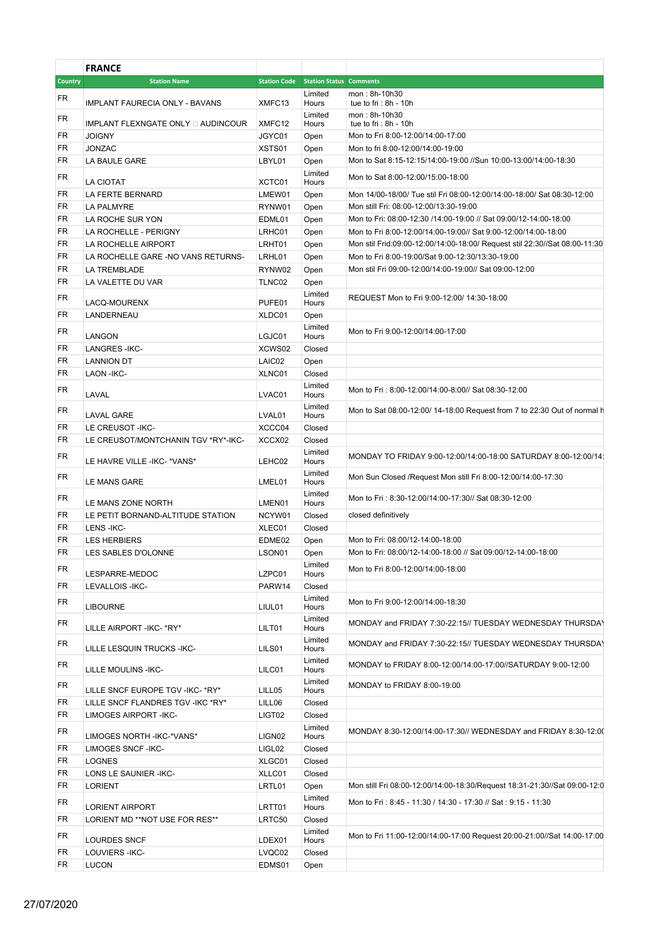|                | <b>FRANCE</b>                          |                                             |                  |                                                                            |
|----------------|----------------------------------------|---------------------------------------------|------------------|----------------------------------------------------------------------------|
| <b>Country</b> | <b>Station Name</b>                    | <b>Station Code</b> Station Status Comments |                  |                                                                            |
| FR             | IMPLANT FAURECIA ONLY - BAVANS         | XMFC13                                      | Limited<br>Hours | mon: 8h-10h30<br>tue to fri: $8h - 10h$                                    |
| FR             |                                        |                                             | Limited          | mon: 8h-10h30                                                              |
|                | IMPLANT FLEXNGATE ONLY Q AUDINCOUR     | XMFC12                                      | Hours            | tue to fri : $8h - 10h$                                                    |
| FR             | <b>JOIGNY</b>                          | JGYC01                                      | Open             | Mon to Fri 8:00-12:00/14:00-17:00                                          |
| <b>FR</b>      | <b>JONZAC</b>                          | XSTS01                                      | Open             | Mon to fri 8:00-12:00/14:00-19:00                                          |
| FR             | LA BAULE GARE                          | LBYL01                                      | Open             | Mon to Sat 8:15-12:15/14:00-19:00 //Sun 10:00-13:00/14:00-18:30            |
| FR             | LA CIOTAT                              | XCTC01                                      | Limited<br>Hours | Mon to Sat 8:00-12:00/15:00-18:00                                          |
| FR             | LA FERTE BERNARD                       | LMEW01                                      | Open             | Mon 14/00-18/00/ Tue stil Fri 08:00-12:00/14:00-18:00/ Sat 08:30-12:00     |
| <b>FR</b>      | LA PALMYRE                             | RYNW01                                      | Open             | Mon still Fri: 08:00-12:00/13:30-19:00                                     |
| FR             | LA ROCHE SUR YON                       | EDML01                                      | Open             | Mon to Fri: 08:00-12:30 /14:00-19:00 // Sat 09:00/12-14:00-18:00           |
| FR             | LA ROCHELLE - PERIGNY                  | LRHC01                                      | Open             | Mon to Fri 8:00-12:00/14:00-19:00// Sat 9:00-12:00/14:00-18:00             |
| FR             | LA ROCHELLE AIRPORT                    | LRHT01                                      | Open             | Mon stil Frid:09:00-12:00/14:00-18:00/ Request stil 22:30//Sat 08:00-11:30 |
| <b>FR</b>      | LA ROCHELLE GARE -NO VANS RETURNS-     | LRHL01                                      | Open             | Mon to Fri 8:00-19:00/Sat 9:00-12:30/13:30-19:00                           |
| <b>FR</b>      | LA TREMBLADE                           | RYNW02                                      | Open             | Mon stil Fri 09:00-12:00/14:00-19:00// Sat 09:00-12:00                     |
| FR             | LA VALETTE DU VAR                      | TLNC02                                      | Open             |                                                                            |
| <b>FR</b>      |                                        |                                             | Limited          | REQUEST Mon to Fri 9:00-12:00/ 14:30-18:00                                 |
|                | LACQ-MOURENX                           | PUFE01                                      | Hours            |                                                                            |
| FR             | LANDERNEAU                             | XLDC01                                      | Open             |                                                                            |
| <b>FR</b>      | LANGON                                 | LGJC01                                      | Limited<br>Hours | Mon to Fri 9:00-12:00/14:00-17:00                                          |
| FR             | <b>LANGRES-IKC-</b>                    | XCWS02                                      | Closed           |                                                                            |
| FR             | <b>LANNION DT</b>                      | LAIC02                                      | Open             |                                                                            |
| FR             | LAON - IKC-                            | XLNC01                                      | Closed           |                                                                            |
| <b>FR</b>      |                                        |                                             | Limited          | Mon to Fri: 8:00-12:00/14:00-8:00// Sat 08:30-12:00                        |
| <b>FR</b>      | LAVAL                                  | LVAC01                                      | Hours<br>Limited | Mon to Sat 08:00-12:00/ 14-18:00 Request from 7 to 22:30 Out of normal h   |
| <b>FR</b>      | <b>LAVAL GARE</b><br>LE CREUSOT - IKC- | LVAL01<br>XCCC04                            | Hours<br>Closed  |                                                                            |
| FR             | LE CREUSOT/MONTCHANIN TGV *RY*-IKC-    | XCCX02                                      | Closed           |                                                                            |
|                |                                        |                                             | Limited          |                                                                            |
| <b>FR</b>      | LE HAVRE VILLE - IKC- * VANS*          | LEHC02                                      | Hours            | MONDAY TO FRIDAY 9:00-12:00/14:00-18:00 SATURDAY 8:00-12:00/14:            |
| FR             | LE MANS GARE                           | LMEL01                                      | Limited<br>Hours | Mon Sun Closed /Request Mon still Fri 8:00-12:00/14:00-17:30               |
| FR             |                                        |                                             | Limited          | Mon to Fri: 8:30-12:00/14:00-17:30// Sat 08:30-12:00                       |
|                | LE MANS ZONE NORTH                     | LMEN01                                      | Hours            |                                                                            |
| FR             | LE PETIT BORNAND-ALTITUDE STATION      | NCYW01                                      | Closed           | closed definitively                                                        |
| <b>FR</b>      | LENS-IKC-                              | XLEC01                                      | Closed           |                                                                            |
| FR             | <b>LES HERBIERS</b>                    | EDME02                                      | Open             | Mon to Fri: 08:00/12-14:00-18:00                                           |
| <b>FR</b>      | LES SABLES D'OLONNE                    | LSON01                                      | Open             | Mon to Fri: 08:00/12-14:00-18:00 // Sat 09:00/12-14:00-18:00               |
| <b>FR</b>      | LESPARRE-MEDOC                         | LZPC01                                      | Limited<br>Hours | Mon to Fri 8:00-12:00/14:00-18:00                                          |
| <b>FR</b>      | LEVALLOIS - IKC-                       | PARW14                                      | Closed           |                                                                            |
|                |                                        |                                             | Limited          |                                                                            |
| <b>FR</b>      | <b>LIBOURNE</b>                        | LIUL01                                      | Hours            | Mon to Fri 9:00-12:00/14:00-18:30                                          |
| <b>FR</b>      |                                        |                                             | Limited          | MONDAY and FRIDAY 7:30-22:15// TUESDAY WEDNESDAY THURSDAY                  |
|                | LILLE AIRPORT - IKC- * RY*             | LILT01                                      | Hours            |                                                                            |
| <b>FR</b>      | LILLE LESQUIN TRUCKS -IKC-             | LILS01                                      | Limited<br>Hours | MONDAY and FRIDAY 7:30-22:15// TUESDAY WEDNESDAY THURSDAY                  |
| <b>FR</b>      | LILLE MOULINS - IKC-                   | LILC01                                      | Limited<br>Hours | MONDAY to FRIDAY 8:00-12:00/14:00-17:00//SATURDAY 9:00-12:00               |
| <b>FR</b>      | LILLE SNCF EUROPE TGV -IKC- *RY*       | LILL05                                      | Limited<br>Hours | MONDAY to FRIDAY 8:00-19:00                                                |
| FR             | LILLE SNCF FLANDRES TGV -IKC *RY*      | LILL06                                      | Closed           |                                                                            |
| <b>FR</b>      | LIMOGES AIRPORT-IKC-                   | LIGT02                                      | Closed           |                                                                            |
|                |                                        |                                             | Limited          |                                                                            |
| <b>FR</b>      | LIMOGES NORTH - IKC-* VANS*            | LIGN02                                      | Hours            | MONDAY 8:30-12:00/14:00-17:30// WEDNESDAY and FRIDAY 8:30-12:00            |
| <b>FR</b>      | <b>LIMOGES SNCF-IKC-</b>               | LIGL02                                      | Closed           |                                                                            |
| FR             | <b>LOGNES</b>                          | XLGC01                                      | Closed           |                                                                            |
| FR             | LONS LE SAUNIER - IKC-                 | XLLC01                                      | Closed           |                                                                            |
| <b>FR</b>      | <b>LORIENT</b>                         | LRTL01                                      | Open             | Mon still Fri 08:00-12:00/14:00-18:30/Request 18:31-21:30//Sat 09:00-12:0  |
| FR             |                                        |                                             | Limited          | Mon to Fri: 8:45 - 11:30 / 14:30 - 17:30 // Sat: 9:15 - 11:30              |
|                | <b>LORIENT AIRPORT</b>                 | LRTT01                                      | Hours            |                                                                            |
| FR             | LORIENT MD **NOT USE FOR RES**         | LRTC50                                      | Closed           |                                                                            |
| <b>FR</b>      | LOURDES SNCF                           | LDEX01                                      | Limited<br>Hours | Mon to Fri 11:00-12:00/14:00-17:00 Request 20:00-21:00//Sat 14:00-17:00    |
| FR             | LOUVIERS-IKC-                          | LVQC02                                      | Closed           |                                                                            |
| <b>FR</b>      | <b>LUCON</b>                           | EDMS01                                      | Open             |                                                                            |
|                |                                        |                                             |                  |                                                                            |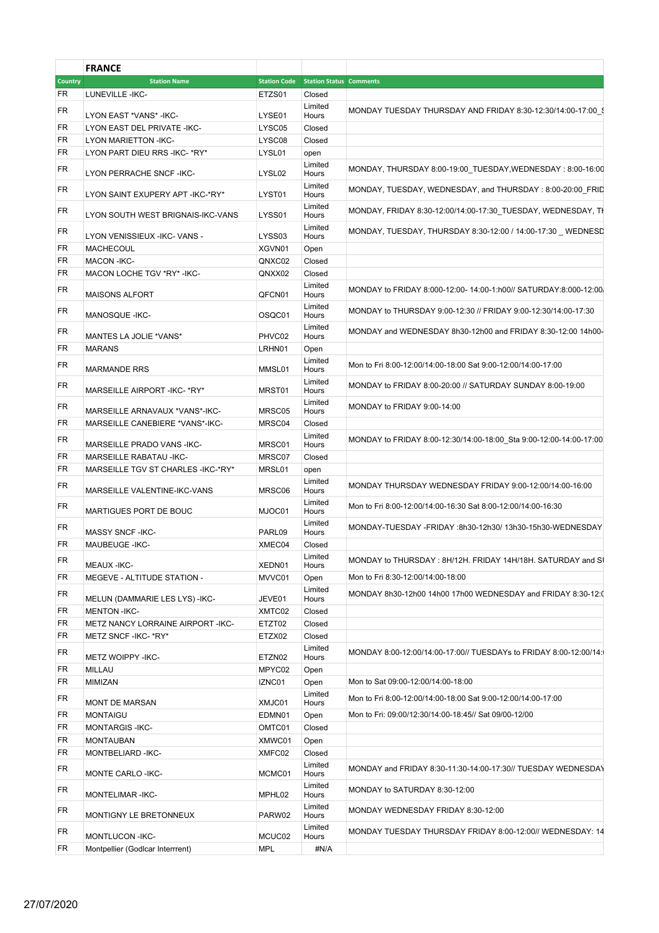|                | <b>FRANCE</b>                       |                      |                                             |                                                                    |
|----------------|-------------------------------------|----------------------|---------------------------------------------|--------------------------------------------------------------------|
| <b>Country</b> | <b>Station Name</b>                 |                      | <b>Station Code</b> Station Status Comments |                                                                    |
| FR             | LUNEVILLE-IKC-                      | ETZS01               | Closed                                      |                                                                    |
| FR             |                                     |                      | Limited                                     | MONDAY TUESDAY THURSDAY AND FRIDAY 8:30-12:30/14:00-17:00 \$       |
|                | LYON EAST *VANS* - IKC-             | LYSE01               | Hours                                       |                                                                    |
| FR             | LYON EAST DEL PRIVATE - IKC-        | LYSC05               | Closed                                      |                                                                    |
| FR             | <b>LYON MARIETTON -IKC-</b>         | LYSC08               | Closed                                      |                                                                    |
| FR             | LYON PART DIEU RRS - IKC- * RY*     | LYSL01               | open                                        |                                                                    |
| <b>FR</b>      | LYON PERRACHE SNCF-IKC-             | LYSL02               | Limited<br>Hours                            | MONDAY, THURSDAY 8:00-19:00_TUESDAY, WEDNESDAY: 8:00-16:00         |
| <b>FR</b>      | LYON SAINT EXUPERY APT-IKC-*RY*     | LYST01               | Limited<br>Hours                            | MONDAY, TUESDAY, WEDNESDAY, and THURSDAY: 8:00-20:00_FRID          |
| <b>FR</b>      | LYON SOUTH WEST BRIGNAIS-IKC-VANS   | LYSS01               | Limited<br>Hours                            | MONDAY, FRIDAY 8:30-12:00/14:00-17:30_TUESDAY, WEDNESDAY, TH       |
| FR             | LYON VENISSIEUX - IKC- VANS -       | LYSS03               | Limited<br>Hours                            | MONDAY, TUESDAY, THURSDAY 8:30-12:00 / 14:00-17:30 WEDNESD         |
| FR             | <b>MACHECOUL</b>                    | XGVN01               | Open                                        |                                                                    |
| FR             | MACON - IKC-                        | QNXC02               | Closed                                      |                                                                    |
| FR             | MACON LOCHE TGV *RY* - IKC-         | QNXX02               | Closed                                      |                                                                    |
| FR             | <b>MAISONS ALFORT</b>               | QFCN01               | Limited<br>Hours                            | MONDAY to FRIDAY 8:000-12:00-14:00-1:h00// SATURDAY:8:000-12:00    |
| <b>FR</b>      | MANOSQUE - IKC-                     | OSQC01               | Limited<br>Hours                            | MONDAY to THURSDAY 9:00-12:30 // FRIDAY 9:00-12:30/14:00-17:30     |
| <b>FR</b>      |                                     |                      | Limited                                     | MONDAY and WEDNESDAY 8h30-12h00 and FRIDAY 8:30-12:00 14h00-       |
|                | MANTES LA JOLIE *VANS*              | PHVC02               | Hours                                       |                                                                    |
| FR             | MARANS                              | LRHN01               | Open                                        |                                                                    |
| FR             | <b>MARMANDE RRS</b>                 | MMSL01               | Limited<br>Hours                            | Mon to Fri 8:00-12:00/14:00-18:00 Sat 9:00-12:00/14:00-17:00       |
| <b>FR</b>      | MARSEILLE AIRPORT-IKC-*RY*          | MRST01               | Limited<br>Hours                            | MONDAY to FRIDAY 8:00-20:00 // SATURDAY SUNDAY 8:00-19:00          |
| FR             | MARSEILLE ARNAVAUX *VANS*-IKC-      | MRSC05               | Limited<br>Hours                            | MONDAY to FRIDAY 9:00-14:00                                        |
| FR             | MARSEILLE CANEBIERE *VANS*-IKC-     | MRSC04               | Closed                                      |                                                                    |
| <b>FR</b>      |                                     |                      | Limited                                     |                                                                    |
|                | MARSEILLE PRADO VANS - IKC-         | MRSC01               | Hours                                       | MONDAY to FRIDAY 8:00-12:30/14:00-18:00_Sta 9:00-12:00-14:00-17:00 |
| FR             | MARSEILLE RABATAU - IKC-            | MRSC07               | Closed                                      |                                                                    |
| FR             | MARSEILLE TGV ST CHARLES - IKC-*RY* | MRSL01               | open                                        |                                                                    |
| FR             | MARSEILLE VALENTINE-IKC-VANS        | MRSC06               | Limited<br>Hours                            | MONDAY THURSDAY WEDNESDAY FRIDAY 9:00-12:00/14:00-16:00            |
| <b>FR</b>      | MARTIGUES PORT DE BOUC              | MJOC01               | Limited<br>Hours                            | Mon to Fri 8:00-12:00/14:00-16:30 Sat 8:00-12:00/14:00-16:30       |
| FR             | MASSY SNCF-IKC-                     | PARL09               | Limited<br>Hours                            | MONDAY-TUESDAY-FRIDAY:8h30-12h30/13h30-15h30-WEDNESDAY             |
| FR             | MAUBEUGE - IKC-                     | XMEC04               | Closed                                      |                                                                    |
|                |                                     |                      | Limited                                     |                                                                    |
| FR             | MEAUX - IKC-                        | XEDN01               | Hours                                       | MONDAY to THURSDAY: 8H/12H. FRIDAY 14H/18H. SATURDAY and SI        |
| FR.            | MEGEVE - ALTITUDE STATION -         | MVVC01               | Open                                        | Mon to Fri 8:30-12:00/14:00-18:00                                  |
| FR             |                                     |                      | Limited                                     | MONDAY 8h30-12h00 14h00 17h00 WEDNESDAY and FRIDAY 8:30-12:0       |
|                | MELUN (DAMMARIE LES LYS) - IKC-     | JEVE01               | Hours                                       |                                                                    |
| FR             | <b>MENTON-IKC-</b>                  | XMTC02               | Closed                                      |                                                                    |
| <b>FR</b>      | METZ NANCY LORRAINE AIRPORT - IKC-  | ETZT02               | Closed                                      |                                                                    |
| FR             | METZ SNCF - IKC- * RY*              | ETZX02               | Closed                                      |                                                                    |
| FR             | METZ WOIPPY - IKC-                  | ETZN02               | Limited<br>Hours                            | MONDAY 8:00-12:00/14:00-17:00// TUESDAYs to FRIDAY 8:00-12:00/14:  |
| FR             | MILLAU                              | MPYC02               | Open                                        |                                                                    |
| FR             | MIMIZAN                             | IZNC01               | Open                                        | Mon to Sat 09:00-12:00/14:00-18:00                                 |
| FR             | MONT DE MARSAN                      | XMJC01               | Limited<br>Hours                            | Mon to Fri 8:00-12:00/14:00-18:00 Sat 9:00-12:00/14:00-17:00       |
| FR             | MONTAIGU                            | EDMN01               | Open                                        | Mon to Fri: 09:00/12:30/14:00-18:45// Sat 09/00-12/00              |
| FR             | <b>MONTARGIS-IKC-</b>               | OMTC01               | Closed                                      |                                                                    |
| FR             | MONTAUBAN                           | XMWC01               | Open                                        |                                                                    |
| FR             | MONTBELIARD-IKC-                    | XMFC02               | Closed                                      |                                                                    |
| <b>FR</b>      | MONTE CARLO-IKC-                    | MCMC01               | Limited<br>Hours                            | MONDAY and FRIDAY 8:30-11:30-14:00-17:30// TUESDAY WEDNESDAY       |
|                |                                     |                      | Limited                                     |                                                                    |
| FR             | MONTELIMAR-IKC-                     | MPHL02               | Hours<br>Limited                            | MONDAY to SATURDAY 8:30-12:00                                      |
| <b>FR</b>      | MONTIGNY LE BRETONNEUX              | PARW02               | Hours<br>Limited                            | MONDAY WEDNESDAY FRIDAY 8:30-12:00                                 |
| FR<br>FR       | MONTLUCON - IKC-                    | MCUC02<br><b>MPL</b> | Hours<br>#N/A                               | MONDAY TUESDAY THURSDAY FRIDAY 8:00-12:00// WEDNESDAY: 14          |
|                | Montpellier (Godlcar Interrrent)    |                      |                                             |                                                                    |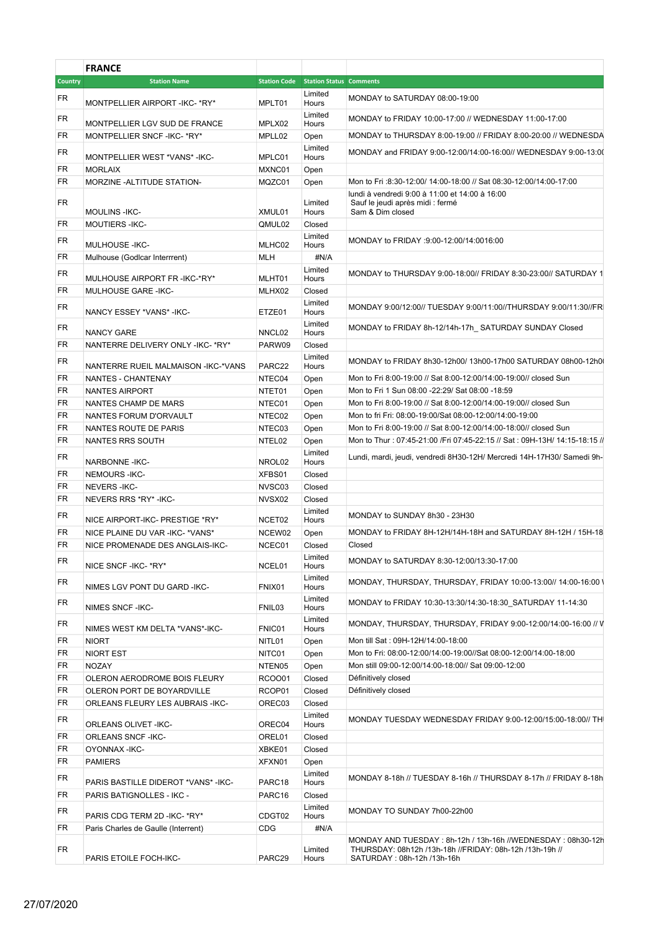|           | <b>FRANCE</b>                         |               |                                             |                                                                                                                                                      |
|-----------|---------------------------------------|---------------|---------------------------------------------|------------------------------------------------------------------------------------------------------------------------------------------------------|
| Country   | <b>Station Name</b>                   |               | <b>Station Code Station Status Comments</b> |                                                                                                                                                      |
| FR        |                                       |               | Limited                                     | MONDAY to SATURDAY 08:00-19:00                                                                                                                       |
| FR        | MONTPELLIER AIRPORT - IKC- * RY*      | MPLT01        | Hours<br>Limited                            | MONDAY to FRIDAY 10:00-17:00 // WEDNESDAY 11:00-17:00                                                                                                |
|           | MONTPELLIER LGV SUD DE FRANCE         | MPLX02        | Hours                                       |                                                                                                                                                      |
| FR        | MONTPELLIER SNCF-IKC-*RY*             | MPLL02        | Open                                        | MONDAY to THURSDAY 8:00-19:00 // FRIDAY 8:00-20:00 // WEDNESDA                                                                                       |
| FR        | MONTPELLIER WEST *VANS*-IKC-          | MPLC01        | Limited<br>Hours                            | MONDAY and FRIDAY 9:00-12:00/14:00-16:00// WEDNESDAY 9:00-13:00                                                                                      |
| FR        | <b>MORLAIX</b>                        | MXNC01        | Open                                        |                                                                                                                                                      |
| FR        | MORZINE - ALTITUDE STATION-           | MQZC01        | Open                                        | Mon to Fri : 8:30-12:00/ 14:00-18:00 // Sat 08:30-12:00/14:00-17:00                                                                                  |
| FR        | <b>MOULINS - IKC-</b>                 | XMUL01        | Limited<br>Hours                            | lundi à vendredi 9:00 à 11:00 et 14:00 à 16:00<br>Sauf le jeudi après midi : fermé<br>Sam & Dim closed                                               |
| FR        | <b>MOUTIERS-IKC-</b>                  | QMUL02        | Closed                                      |                                                                                                                                                      |
| FR        | MULHOUSE-IKC-                         | MLHC02        | Limited<br>Hours                            | MONDAY to FRIDAY :9:00-12:00/14:0016:00                                                                                                              |
| FR        | Mulhouse (Godicar Interrrent)         | MLH           | #N/A                                        |                                                                                                                                                      |
| <b>FR</b> | MULHOUSE AIRPORT FR - IKC-*RY*        | MLHT01        | Limited<br>Hours                            | MONDAY to THURSDAY 9:00-18:00// FRIDAY 8:30-23:00// SATURDAY 1                                                                                       |
| FR        | MULHOUSE GARE - IKC-                  | MLHX02        | Closed                                      |                                                                                                                                                      |
| FR        | NANCY ESSEY *VANS* - IKC-             | ETZE01        | Limited                                     | MONDAY 9:00/12:00// TUESDAY 9:00/11:00//THURSDAY 9:00/11:30//FR                                                                                      |
| FR        |                                       |               | Hours<br>Limited                            | MONDAY to FRIDAY 8h-12/14h-17h SATURDAY SUNDAY Closed                                                                                                |
| FR        | <b>NANCY GARE</b>                     | NNCL02        | Hours                                       |                                                                                                                                                      |
|           | NANTERRE DELIVERY ONLY -IKC- *RY*     | PARW09        | Closed<br>Limited                           |                                                                                                                                                      |
| FR        | NANTERRE RUEIL MALMAISON - IKC-* VANS | PARC22        | Hours                                       | MONDAY to FRIDAY 8h30-12h00/13h00-17h00 SATURDAY 08h00-12h0                                                                                          |
| FR        | NANTES - CHANTENAY                    | NTEC04        | Open                                        | Mon to Fri 8:00-19:00 // Sat 8:00-12:00/14:00-19:00// closed Sun                                                                                     |
| FR        | NANTES AIRPORT                        | NTET01        | Open                                        | Mon to Fri 1 Sun 08:00 -22:29/ Sat 08:00 -18:59                                                                                                      |
| FR        | NANTES CHAMP DE MARS                  | NTEC01        | Open                                        | Mon to Fri 8:00-19:00 // Sat 8:00-12:00/14:00-19:00// closed Sun                                                                                     |
| FR        | NANTES FORUM D'ORVAULT                | NTEC02        | Open                                        | Mon to fri Fri: 08:00-19:00/Sat 08:00-12:00/14:00-19:00                                                                                              |
| FR        | NANTES ROUTE DE PARIS                 | NTEC03        | Open                                        | Mon to Fri 8:00-19:00 // Sat 8:00-12:00/14:00-18:00// closed Sun                                                                                     |
| FR        | NANTES RRS SOUTH                      | NTEL02        | Open                                        | Mon to Thur: 07:45-21:00 /Fri 07:45-22:15 // Sat: 09H-13H/ 14:15-18:15 //                                                                            |
| FR        | <b>NARBONNE -IKC-</b>                 | NROL02        | Limited<br>Hours                            | Lundi, mardi, jeudi, vendredi 8H30-12H/ Mercredi 14H-17H30/ Samedi 9h-                                                                               |
| FR        | NEMOURS-IKC-                          | XFBS01        | Closed                                      |                                                                                                                                                      |
| FR        | NEVERS-IKC-                           | NVSC03        | Closed                                      |                                                                                                                                                      |
| FR        | NEVERS RRS *RY* - IKC-                | NVSX02        | Closed                                      |                                                                                                                                                      |
| FR        | NICE AIRPORT-IKC- PRESTIGE *RY*       | NCET02        | Limited<br>Hours                            | MONDAY to SUNDAY 8h30 - 23H30                                                                                                                        |
| FR        | NICE PLAINE DU VAR - IKC- * VANS*     | NCEW02        | Open                                        | MONDAY to FRIDAY 8H-12H/14H-18H and SATURDAY 8H-12H / 15H-18                                                                                         |
| FR        | NICE PROMENADE DES ANGLAIS-IKC-       | NCEC01        | Closed                                      | Closed                                                                                                                                               |
| FR        | NICE SNCF - IKC- * RY*                | NCEL01        | Limited<br>Hours                            | MONDAY to SATURDAY 8:30-12:00/13:30-17:00                                                                                                            |
| FR        | NIMES LGV PONT DU GARD -IKC-          | FNIX01        | Limited<br>Hours                            | MONDAY, THURSDAY, THURSDAY, FRIDAY 10:00-13:00// 14:00-16:00 \                                                                                       |
| FR        | NIMES SNCF-IKC-                       | FNIL03        | Limited<br>Hours                            | MONDAY to FRIDAY 10:30-13:30/14:30-18:30 SATURDAY 11-14:30                                                                                           |
| FR        | NIMES WEST KM DELTA *VANS*-IKC-       | FNIC01        | Limited<br>Hours                            | MONDAY, THURSDAY, THURSDAY, FRIDAY 9:00-12:00/14:00-16:00 // V                                                                                       |
| FR        | <b>NIORT</b>                          | NITL01        | Open                                        | Mon till Sat: 09H-12H/14:00-18:00                                                                                                                    |
| FR        | NIORT EST                             | NITC01        | Open                                        | Mon to Fri: 08:00-12:00/14:00-19:00//Sat 08:00-12:00/14:00-18:00                                                                                     |
| FR        | <b>NOZAY</b>                          | NTEN05        | Open                                        | Mon still 09:00-12:00/14:00-18:00// Sat 09:00-12:00                                                                                                  |
| FR        | OLERON AERODROME BOIS FLEURY          | <b>RCOO01</b> | Closed                                      | Définitively closed                                                                                                                                  |
| FR        | OLERON PORT DE BOYARDVILLE            | RCOP01        | Closed                                      | Définitively closed                                                                                                                                  |
| FR        | ORLEANS FLEURY LES AUBRAIS - IKC-     | OREC03        | Closed                                      |                                                                                                                                                      |
| <b>FR</b> | <b>ORLEANS OLIVET -IKC-</b>           | OREC04        | Limited<br>Hours                            | MONDAY TUESDAY WEDNESDAY FRIDAY 9:00-12:00/15:00-18:00// TH                                                                                          |
| FR        | <b>ORLEANS SNCF-IKC-</b>              | OREL01        | Closed                                      |                                                                                                                                                      |
| FR        | OYONNAX-IKC-                          | XBKE01        | Closed                                      |                                                                                                                                                      |
| FR        | <b>PAMIERS</b>                        | XFXN01        | Open                                        |                                                                                                                                                      |
|           |                                       |               | Limited                                     |                                                                                                                                                      |
| FR        | PARIS BASTILLE DIDEROT *VANS* - IKC-  | PARC18        | Hours                                       | MONDAY 8-18h // TUESDAY 8-16h // THURSDAY 8-17h // FRIDAY 8-18h                                                                                      |
| FR        | PARIS BATIGNOLLES - IKC -             | PARC16        | Closed                                      |                                                                                                                                                      |
| FR        | PARIS CDG TERM 2D -IKC- *RY*          | CDGT02        | Limited<br>Hours                            | MONDAY TO SUNDAY 7h00-22h00                                                                                                                          |
| FR        | Paris Charles de Gaulle (Interrent)   | <b>CDG</b>    | #N/A                                        |                                                                                                                                                      |
| FR        | PARIS ETOILE FOCH-IKC-                | PARC29        | Limited<br>Hours                            | MONDAY AND TUESDAY: 8h-12h / 13h-16h //WEDNESDAY: 08h30-12h<br>THURSDAY: 08h12h /13h-18h //FRIDAY: 08h-12h /13h-19h //<br>SATURDAY: 08h-12h /13h-16h |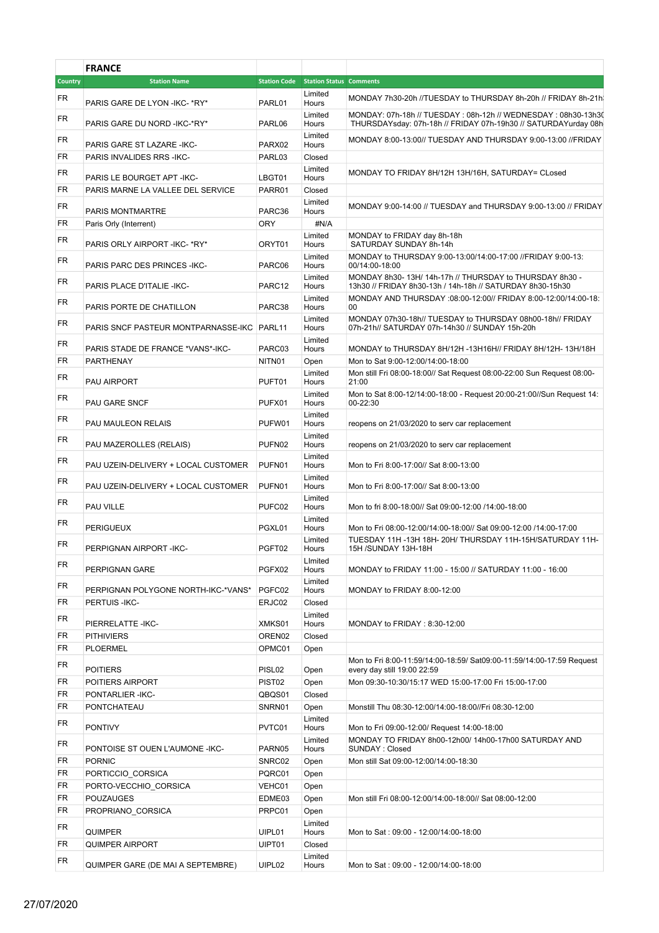|                | <b>FRANCE</b>                                       |                              |                                             |                                                                                                                                 |  |
|----------------|-----------------------------------------------------|------------------------------|---------------------------------------------|---------------------------------------------------------------------------------------------------------------------------------|--|
| <b>Country</b> | <b>Station Name</b>                                 |                              | <b>Station Code</b> Station Status Comments |                                                                                                                                 |  |
| FR             | PARIS GARE DE LYON - IKC- * RY*                     | PARL01                       | Limited<br>Hours                            | MONDAY 7h30-20h //TUESDAY to THURSDAY 8h-20h // FRIDAY 8h-21h                                                                   |  |
| FR             | PARIS GARE DU NORD - IKC-*RY*                       | PARL06                       | Limited<br>Hours                            | MONDAY: 07h-18h // TUESDAY: 08h-12h // WEDNESDAY: 08h30-13h30<br>THURSDAYsday: 07h-18h // FRIDAY 07h-19h30 // SATURDAYurday 08h |  |
| FR             | PARIS GARE ST LAZARE -IKC-                          | PARX02                       | Limited<br>Hours                            | MONDAY 8:00-13:00// TUESDAY AND THURSDAY 9:00-13:00 //FRIDAY                                                                    |  |
| FR             | PARIS INVALIDES RRS - IKC-                          | PARL03                       | Closed                                      |                                                                                                                                 |  |
| FR             | PARIS LE BOURGET APT - IKC-                         | LBGT01                       | Limited<br>Hours                            | MONDAY TO FRIDAY 8H/12H 13H/16H, SATURDAY= CLosed                                                                               |  |
| <b>FR</b>      | PARIS MARNE LA VALLEE DEL SERVICE                   | PARR01                       | Closed                                      |                                                                                                                                 |  |
| FR             | PARIS MONTMARTRE                                    | PARC36                       | Limited<br>Hours                            | MONDAY 9:00-14:00 // TUESDAY and THURSDAY 9:00-13:00 // FRIDAY                                                                  |  |
| FR             | Paris Orly (Interrent)                              | <b>ORY</b>                   | #N/A                                        |                                                                                                                                 |  |
| <b>FR</b>      | PARIS ORLY AIRPORT - IKC- * RY*                     | ORYT01                       | Limited<br>Hours                            | MONDAY to FRIDAY day 8h-18h<br>SATURDAY SUNDAY 8h-14h                                                                           |  |
| FR.            | PARIS PARC DES PRINCES - IKC-                       | PARC06                       | Limited<br>Hours                            | MONDAY to THURSDAY 9:00-13:00/14:00-17:00 //FRIDAY 9:00-13:<br>00/14:00-18:00                                                   |  |
| FR             | PARIS PLACE D'ITALIE - IKC-                         | PARC <sub>12</sub>           | Limited<br>Hours                            | MONDAY 8h30-13H/14h-17h // THURSDAY to THURSDAY 8h30 -<br>13h30 // FRIDAY 8h30-13h / 14h-18h // SATURDAY 8h30-15h30             |  |
| FR.            | PARIS PORTE DE CHATILLON                            | PARC38                       | Limited<br>Hours                            | MONDAY AND THURSDAY :08:00-12:00// FRIDAY 8:00-12:00/14:00-18:<br>00                                                            |  |
| FR             | PARIS SNCF PASTEUR MONTPARNASSE-IKC PARL11          |                              | Limited<br>Hours                            | MONDAY 07h30-18h// TUESDAY to THURSDAY 08h00-18h// FRIDAY<br>07h-21h// SATURDAY 07h-14h30 // SUNDAY 15h-20h                     |  |
| FR.            | PARIS STADE DE FRANCE *VANS*-IKC-                   | PARC03                       | Limited<br>Hours                            | MONDAY to THURSDAY 8H/12H -13H16H// FRIDAY 8H/12H-13H/18H                                                                       |  |
| FR.            | PARTHENAY                                           | NITN01                       | Open                                        | Mon to Sat 9:00-12:00/14:00-18:00                                                                                               |  |
| FR             | PAU AIRPORT                                         | PUFT01                       | Limited<br>Hours                            | Mon still Fri 08:00-18:00// Sat Request 08:00-22:00 Sun Request 08:00-<br>21:00                                                 |  |
| FR.            | PAU GARE SNCF                                       | PUFX01                       | Limited<br>Hours                            | Mon to Sat 8:00-12/14:00-18:00 - Request 20:00-21:00//Sun Request 14:<br>00-22:30                                               |  |
| FR             | PAU MAULEON RELAIS                                  | PUFW01                       | Limited<br>Hours                            | reopens on 21/03/2020 to serv car replacement                                                                                   |  |
| FR.            | PAU MAZEROLLES (RELAIS)                             | PUFN02                       | Limited<br>Hours                            | reopens on 21/03/2020 to serv car replacement                                                                                   |  |
| FR.            | PAU UZEIN-DELIVERY + LOCAL CUSTOMER                 | PUFN01                       | Limited<br>Hours                            | Mon to Fri 8:00-17:00// Sat 8:00-13:00                                                                                          |  |
| FR             | PAU UZEIN-DELIVERY + LOCAL CUSTOMER                 | PUFN01                       | Limited<br>Hours                            | Mon to Fri 8:00-17:00// Sat 8:00-13:00                                                                                          |  |
| FR             | PAU VILLE                                           | PUFC02                       | Limited<br>Hours                            | Mon to fri 8:00-18:00// Sat 09:00-12:00 /14:00-18:00                                                                            |  |
| <b>FR</b>      | PERIGUEUX                                           | PGXL01                       | Limited<br>Hours                            | Mon to Fri 08:00-12:00/14:00-18:00// Sat 09:00-12:00 /14:00-17:00                                                               |  |
| <b>FR</b>      | PERPIGNAN AIRPORT-IKC-                              | PGFT02                       | Limited<br>Hours                            | TUESDAY 11H -13H 18H- 20H/ THURSDAY 11H-15H/SATURDAY 11H-<br>15H /SUNDAY 13H-18H                                                |  |
| <b>FR</b>      | PERPIGNAN GARE                                      | PGFX02                       | LImited<br>Hours                            | MONDAY to FRIDAY 11:00 - 15:00 // SATURDAY 11:00 - 16:00                                                                        |  |
| FR             |                                                     |                              | Limited                                     |                                                                                                                                 |  |
| FR.            | PERPIGNAN POLYGONE NORTH-IKC-*VANS*<br>PERTUIS-IKC- | PGFC02<br>ERJC02             | Hours<br>Closed                             | MONDAY to FRIDAY 8:00-12:00                                                                                                     |  |
|                |                                                     |                              | Limited                                     |                                                                                                                                 |  |
| FR.            | PIERRELATTE - IKC-                                  | XMKS01                       | Hours                                       | MONDAY to FRIDAY: 8:30-12:00                                                                                                    |  |
| FR             | <b>PITHIVIERS</b>                                   | OREN02                       | Closed                                      |                                                                                                                                 |  |
| FR<br>FR       | <b>PLOERMEL</b>                                     | OPMC01                       | Open                                        | Mon to Fri 8:00-11:59/14:00-18:59/ Sat09:00-11:59/14:00-17:59 Request                                                           |  |
| FR.            | <b>POITIERS</b><br>POITIERS AIRPORT                 | PISL02<br>PIST <sub>02</sub> | Open<br>Open                                | every day still 19:00 22:59<br>Mon 09:30-10:30/15:17 WED 15:00-17:00 Fri 15:00-17:00                                            |  |
| FR.            | PONTARLIER-IKC-                                     | QBQS01                       | Closed                                      |                                                                                                                                 |  |
| FR.            | PONTCHATEAU                                         | SNRN01                       | Open                                        | Monstill Thu 08:30-12:00/14:00-18:00//Fri 08:30-12:00                                                                           |  |
| <b>FR</b>      |                                                     |                              | Limited                                     |                                                                                                                                 |  |
|                | <b>PONTIVY</b>                                      | PVTC01                       | Hours<br>Limited                            | Mon to Fri 09:00-12:00/ Request 14:00-18:00<br>MONDAY TO FRIDAY 8h00-12h00/14h00-17h00 SATURDAY AND                             |  |
| FR             | PONTOISE ST OUEN L'AUMONE -IKC-                     | PARN05                       | Hours                                       | SUNDAY: Closed                                                                                                                  |  |
| FR<br>FR.      | <b>PORNIC</b><br>PORTICCIO_CORSICA                  | SNRC02<br>PQRC01             | Open                                        | Mon still Sat 09:00-12:00/14:00-18:30                                                                                           |  |
| FR             | PORTO-VECCHIO CORSICA                               | VEHC01                       | Open<br>Open                                |                                                                                                                                 |  |
| FR             | POUZAUGES                                           | EDME03                       | Open                                        | Mon still Fri 08:00-12:00/14:00-18:00// Sat 08:00-12:00                                                                         |  |
| FR             | PROPRIANO CORSICA                                   | PRPC01                       | Open                                        |                                                                                                                                 |  |
| FR             | QUIMPER                                             | UIPL01                       | Limited<br>Hours                            | Mon to Sat: 09:00 - 12:00/14:00-18:00                                                                                           |  |
| FR             | <b>QUIMPER AIRPORT</b>                              | UIPT01                       | Closed                                      |                                                                                                                                 |  |
| FR.            | QUIMPER GARE (DE MAI A SEPTEMBRE)                   | UIPL02                       | Limited<br>Hours                            | Mon to Sat: 09:00 - 12:00/14:00-18:00                                                                                           |  |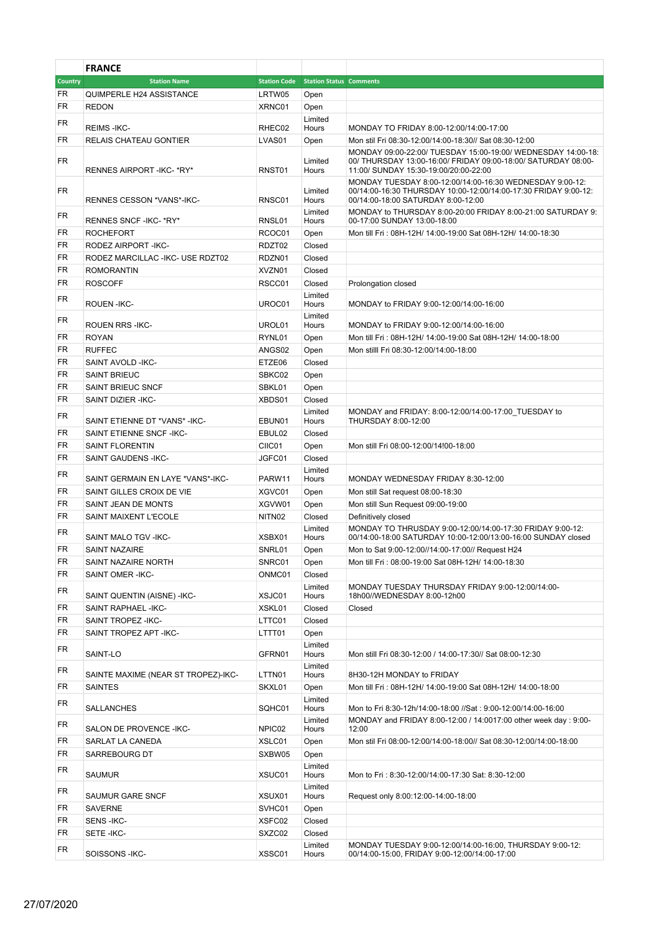|          | <b>FRANCE</b>                       |                     |                                |                                                                                                                                                                        |
|----------|-------------------------------------|---------------------|--------------------------------|------------------------------------------------------------------------------------------------------------------------------------------------------------------------|
| Country  | <b>Station Name</b>                 | <b>Station Code</b> | <b>Station Status Comments</b> |                                                                                                                                                                        |
| FR       | QUIMPERLE H24 ASSISTANCE            | LRTW05              | Open                           |                                                                                                                                                                        |
| FR       | <b>REDON</b>                        | XRNC01              | Open                           |                                                                                                                                                                        |
| FR       |                                     |                     | Limited                        |                                                                                                                                                                        |
|          | <b>REIMS-IKC-</b>                   | RHEC02              | Hours                          | MONDAY TO FRIDAY 8:00-12:00/14:00-17:00                                                                                                                                |
| FR       | RELAIS CHATEAU GONTIER              | LVAS01              | Open                           | Mon stil Fri 08:30-12:00/14:00-18:30// Sat 08:30-12:00                                                                                                                 |
| FR       | RENNES AIRPORT-IKC-*RY*             | RNST01              | Limited<br>Hours               | MONDAY 09:00-22:00/ TUESDAY 15:00-19:00/ WEDNESDAY 14:00-18:<br>00/ THURSDAY 13:00-16:00/ FRIDAY 09:00-18:00/ SATURDAY 08:00-<br>11:00/ SUNDAY 15:30-19:00/20:00-22:00 |
| FR       | RENNES CESSON *VANS*-IKC-           | RNSC01              | Limited<br>Hours               | MONDAY TUESDAY 8:00-12:00/14:00-16:30 WEDNESDAY 9:00-12:<br>00/14:00-16:30 THURSDAY 10:00-12:00/14:00-17:30 FRIDAY 9:00-12:<br>00/14:00-18:00 SATURDAY 8:00-12:00      |
| FR       | RENNES SNCF-IKC-*RY*                | RNSL01              | Limited<br>Hours               | MONDAY to THURSDAY 8:00-20:00 FRIDAY 8:00-21:00 SATURDAY 9:<br>00-17:00 SUNDAY 13:00-18:00                                                                             |
| FR       | <b>ROCHEFORT</b>                    | RCOC01              | Open                           | Mon till Fri: 08H-12H/ 14:00-19:00 Sat 08H-12H/ 14:00-18:30                                                                                                            |
| FR       | RODEZ AIRPORT-IKC-                  | RDZT02              | Closed                         |                                                                                                                                                                        |
| FR       | RODEZ MARCILLAC - IKC- USE RDZT02   | RDZN01              | Closed                         |                                                                                                                                                                        |
| FR       | <b>ROMORANTIN</b>                   | XVZN01              | Closed                         |                                                                                                                                                                        |
| FR       | <b>ROSCOFF</b>                      | RSCC01              | Closed                         | Prolongation closed                                                                                                                                                    |
|          |                                     |                     | Limited                        |                                                                                                                                                                        |
| FR       | ROUEN-IKC-                          | UROC01              | Hours<br>Limited               | MONDAY to FRIDAY 9:00-12:00/14:00-16:00                                                                                                                                |
| FR       | <b>ROUEN RRS-IKC-</b>               | UROL01              | Hours                          | MONDAY to FRIDAY 9:00-12:00/14:00-16:00                                                                                                                                |
| FR       | <b>ROYAN</b>                        | RYNL01              | Open                           | Mon till Fri: 08H-12H/ 14:00-19:00 Sat 08H-12H/ 14:00-18:00                                                                                                            |
| FR       | <b>RUFFEC</b>                       | ANGS02              | Open                           | Mon stilll Fri 08:30-12:00/14:00-18:00                                                                                                                                 |
| FR       | SAINT AVOLD - IKC-                  | ETZE06              | Closed                         |                                                                                                                                                                        |
| FR       | <b>SAINT BRIEUC</b>                 | SBKC02              | Open                           |                                                                                                                                                                        |
| FR       | SAINT BRIEUC SNCF                   | SBKL01              | Open                           |                                                                                                                                                                        |
| FR       | SAINT DIZIER - IKC-                 | XBDS01              | Closed                         |                                                                                                                                                                        |
| FR       | SAINT ETIENNE DT *VANS* - IKC-      | EBUN01              | Limited<br>Hours               | MONDAY and FRIDAY: 8:00-12:00/14:00-17:00 TUESDAY to<br>THURSDAY 8:00-12:00                                                                                            |
| FR       | SAINT ETIENNE SNCF-IKC-             | EBUL02              | Closed                         |                                                                                                                                                                        |
| FR       | <b>SAINT FLORENTIN</b>              | CIIC01              | Open                           | Mon still Fri 08:00-12:00/14!00-18:00                                                                                                                                  |
| FR       | SAINT GAUDENS-IKC-                  | JGFC01              | Closed                         |                                                                                                                                                                        |
| FR       |                                     |                     | Limited                        |                                                                                                                                                                        |
|          | SAINT GERMAIN EN LAYE *VANS*-IKC-   | PARW11              | Hours                          | MONDAY WEDNESDAY FRIDAY 8:30-12:00                                                                                                                                     |
| FR       | SAINT GILLES CROIX DE VIE           | XGVC01              | Open                           | Mon still Sat request 08:00-18:30                                                                                                                                      |
| FR       | SAINT JEAN DE MONTS                 | XGVW01              | Open                           | Mon still Sun Request 09:00-19:00                                                                                                                                      |
| FR       | <b>SAINT MAIXENT L'ECOLE</b>        | NITN02              | Closed                         | Definitively closed                                                                                                                                                    |
| FR       | SAINT MALO TGV - IKC-               | XSBX01              | Limited<br>Hours               | MONDAY TO THRUSDAY 9:00-12:00/14:00-17:30 FRIDAY 9:00-12:<br>00/14:00-18:00 SATURDAY 10:00-12:00/13:00-16:00 SUNDAY closed                                             |
| FR       | <b>SAINT NAZAIRE</b>                | SNRL01              | Open                           | Mon to Sat 9:00-12:00//14:00-17:00// Request H24                                                                                                                       |
| FR       | SAINT NAZAIRE NORTH                 | SNRC01              | Open                           | Mon till Fri: 08:00-19:00 Sat 08H-12H/ 14:00-18:30                                                                                                                     |
| FR<br>FR | SAINT OMER-IKC-                     | ONMC01              | Closed<br>Limited              | MONDAY TUESDAY THURSDAY FRIDAY 9:00-12:00/14:00-                                                                                                                       |
|          | SAINT QUENTIN (AISNE) - IKC-        | XSJC01              | Hours                          | 18h00//WEDNESDAY 8:00-12h00                                                                                                                                            |
| FR       | SAINT RAPHAEL - IKC-                | XSKL01              | Closed                         | Closed                                                                                                                                                                 |
| FR       | SAINT TROPEZ-IKC-                   | LTTC01              | Closed                         |                                                                                                                                                                        |
| FR       | SAINT TROPEZ APT - IKC-             | LTTT01              | Open                           |                                                                                                                                                                        |
| FR       | SAINT-LO                            | GFRN01              | Limited<br>Hours               | Mon still Fri 08:30-12:00 / 14:00-17:30// Sat 08:00-12:30                                                                                                              |
| FR       | SAINTE MAXIME (NEAR ST TROPEZ)-IKC- | LTTN01              | Limited<br>Hours               | 8H30-12H MONDAY to FRIDAY                                                                                                                                              |
| FR       | <b>SAINTES</b>                      | SKXL01              | Open                           | Mon till Fri: 08H-12H/ 14:00-19:00 Sat 08H-12H/ 14:00-18:00                                                                                                            |
| FR       | SALLANCHES                          | SQHC01              | Limited<br>Hours               | Mon to Fri 8:30-12h/14:00-18:00 //Sat: 9:00-12:00/14:00-16:00                                                                                                          |
| FR       | SALON DE PROVENCE - IKC-            | NPIC02              | Limited<br>Hours               | MONDAY and FRIDAY 8:00-12:00 / 14:0017:00 other week day : 9:00-<br>12:00                                                                                              |
| FR       | SARLAT LA CANEDA                    | XSLC01              | Open                           | Mon stil Fri 08:00-12:00/14:00-18:00// Sat 08:30-12:00/14:00-18:00                                                                                                     |
| FR       | SARREBOURG DT                       | SXBW05              | Open                           |                                                                                                                                                                        |
| FR       | SAUMUR                              | XSUC01              | Limited<br>Hours               | Mon to Fri: 8:30-12:00/14:00-17:30 Sat: 8:30-12:00                                                                                                                     |
| FR       | SAUMUR GARE SNCF                    | XSUX01              | Limited<br>Hours               | Request only 8:00:12:00-14:00-18:00                                                                                                                                    |
| FR       | <b>SAVERNE</b>                      | SVHC01              | Open                           |                                                                                                                                                                        |
| FR       | SENS-IKC-                           | XSFC02              | Closed                         |                                                                                                                                                                        |
| FR       | SETE-IKC-                           | SXZC02              | Closed                         |                                                                                                                                                                        |
| FR       | SOISSONS - IKC-                     | XSSC01              | Limited<br>Hours               | MONDAY TUESDAY 9:00-12:00/14:00-16:00, THURSDAY 9:00-12:<br>00/14:00-15:00, FRIDAY 9:00-12:00/14:00-17:00                                                              |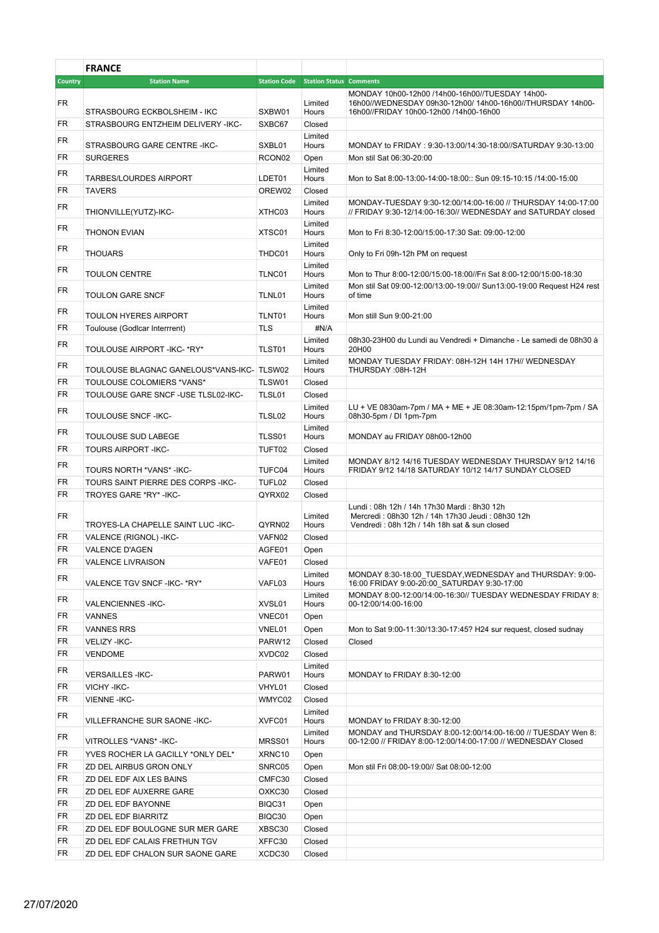|          | <b>FRANCE</b>                                           |                     |                                |                                                                                                                                                         |
|----------|---------------------------------------------------------|---------------------|--------------------------------|---------------------------------------------------------------------------------------------------------------------------------------------------------|
| Country  | <b>Station Name</b>                                     | <b>Station Code</b> | <b>Station Status Comments</b> |                                                                                                                                                         |
| FR       | STRASBOURG ECKBOLSHEIM - IKC                            | SXBW01              | Limited<br>Hours               | MONDAY 10h00-12h00 /14h00-16h00//TUESDAY 14h00-<br>16h00//WEDNESDAY 09h30-12h00/ 14h00-16h00//THURSDAY 14h00-<br>16h00//FRIDAY 10h00-12h00 /14h00-16h00 |
| FR       | STRASBOURG ENTZHEIM DELIVERY -IKC-                      | SXBC67              | Closed                         |                                                                                                                                                         |
| FR       | STRASBOURG GARE CENTRE - IKC-                           | SXBL01              | Limited<br>Hours               | MONDAY to FRIDAY : 9:30-13:00/14:30-18:00//SATURDAY 9:30-13:00                                                                                          |
| FR       | <b>SURGERES</b>                                         | RCON <sub>02</sub>  | Open                           | Mon stil Sat 06:30-20:00                                                                                                                                |
| FR       | <b>TARBES/LOURDES AIRPORT</b>                           | LDET01              | Limited<br>Hours               | Mon to Sat 8:00-13:00-14:00-18:00:: Sun 09:15-10:15 /14:00-15:00                                                                                        |
| FR       | <b>TAVERS</b>                                           | OREW02              | Closed                         |                                                                                                                                                         |
| FR       | THIONVILLE(YUTZ)-IKC-                                   | XTHC03              | Limited<br>Hours               | MONDAY-TUESDAY 9:30-12:00/14:00-16:00 // THURSDAY 14:00-17:00<br>// FRIDAY 9:30-12/14:00-16:30// WEDNESDAY and SATURDAY closed                          |
| FR       | <b>THONON EVIAN</b>                                     | XTSC01              | Limited<br>Hours               | Mon to Fri 8:30-12:00/15:00-17:30 Sat: 09:00-12:00                                                                                                      |
| FR       | <b>THOUARS</b>                                          | THDC01              | Limited<br>Hours               | Only to Fri 09h-12h PM on request                                                                                                                       |
| FR       | <b>TOULON CENTRE</b>                                    | TLNC01              | Limited<br>Hours               | Mon to Thur 8:00-12:00/15:00-18:00//Fri Sat 8:00-12:00/15:00-18:30                                                                                      |
| FR       | <b>TOULON GARE SNCF</b>                                 | TLNL01              | Limited<br>Hours               | Mon stil Sat 09:00-12:00/13:00-19:00// Sun13:00-19:00 Request H24 rest<br>of time                                                                       |
| FR       | <b>TOULON HYERES AIRPORT</b>                            | TLNT01              | Limited<br>Hours               | Mon still Sun 9:00-21:00                                                                                                                                |
| FR       | Toulouse (Godlcar Interrrent)                           | TLS                 | #N/A                           |                                                                                                                                                         |
| FR.      | TOULOUSE AIRPORT - IKC- * RY*                           | TLST01              | Limited<br>Hours               | 08h30-23H00 du Lundi au Vendredi + Dimanche - Le samedi de 08h30 à<br>20H00                                                                             |
| FR       | TOULOUSE BLAGNAC GANELOUS*VANS-IKC- TLSW02              |                     | Limited<br>Hours               | MONDAY TUESDAY FRIDAY: 08H-12H 14H 17H// WEDNESDAY<br>THURSDAY: 08H-12H                                                                                 |
| FR       | TOULOUSE COLOMIERS *VANS*                               | TLSW01              | Closed                         |                                                                                                                                                         |
| FR       | TOULOUSE GARE SNCF - USE TLSL02-IKC-                    | TLSL01              | Closed                         |                                                                                                                                                         |
| FR       | <b>TOULOUSE SNCF - IKC-</b>                             | TLSL02              | Limited<br>Hours               | LU + VE 0830am-7pm / MA + ME + JE 08:30am-12:15pm/1pm-7pm / SA<br>08h30-5pm / DI 1pm-7pm                                                                |
| FR       | TOULOUSE SUD LABEGE                                     | TLSS01              | Limited<br>Hours               | MONDAY au FRIDAY 08h00-12h00                                                                                                                            |
| FR       | <b>TOURS AIRPORT-IKC-</b>                               | TUFT02              | Closed                         |                                                                                                                                                         |
| FR       | TOURS NORTH *VANS* - IKC-                               | TUFC04              | Limited<br>Hours               | MONDAY 8/12 14/16 TUESDAY WEDNESDAY THURSDAY 9/12 14/16<br>FRIDAY 9/12 14/18 SATURDAY 10/12 14/17 SUNDAY CLOSED                                         |
| FR       | TOURS SAINT PIERRE DES CORPS - IKC-                     | TUFL02              | Closed                         |                                                                                                                                                         |
| FR       | TROYES GARE *RY* - IKC-                                 | QYRX02              | Closed                         |                                                                                                                                                         |
| FR       | TROYES-LA CHAPELLE SAINT LUC - IKC-                     | QYRN02              | Limited<br>Hours               | Lundi: 08h 12h / 14h 17h30 Mardi: 8h30 12h<br>Mercredi: 08h30 12h / 14h 17h30 Jeudi: 08h30 12h<br>Vendredi: 08h 12h / 14h 18h sat & sun closed          |
| FR       | VALENCE (RIGNOL) - IKC-                                 | VAFN02              | Closed                         |                                                                                                                                                         |
| FR       | <b>VALENCE D'AGEN</b>                                   | AGFE01              | Open                           |                                                                                                                                                         |
| FR       | <b>VALENCE LIVRAISON</b>                                | VAFE01              | Closed                         |                                                                                                                                                         |
| FR       | VALENCE TGV SNCF - IKC- * RY*                           | VAFL03              | Limited<br>Hours               | MONDAY 8:30-18:00 TUESDAY, WEDNESDAY and THURSDAY: 9:00-<br>16:00 FRIDAY 9:00-20:00 SATURDAY 9:30-17:00                                                 |
| FR       | VALENCIENNES-IKC-                                       | XVSL01              | Limited<br>Hours               | MONDAY 8:00-12:00/14:00-16:30// TUESDAY WEDNESDAY FRIDAY 8:<br>00-12:00/14:00-16:00                                                                     |
| FR<br>FR | <b>VANNES</b>                                           | VNEC01              | Open                           |                                                                                                                                                         |
| FR       | <b>VANNES RRS</b><br>VELIZY - IKC-                      | VNEL01<br>PARW12    | Open<br>Closed                 | Mon to Sat 9:00-11:30/13:30-17:45? H24 sur request, closed sudnay<br>Closed                                                                             |
| FR       | <b>VENDOME</b>                                          | XVDC02              | Closed                         |                                                                                                                                                         |
| FR       | <b>VERSAILLES-IKC-</b>                                  | PARW01              | Limited<br>Hours               | MONDAY to FRIDAY 8:30-12:00                                                                                                                             |
| FR       | VICHY-IKC-                                              | VHYL01              | Closed                         |                                                                                                                                                         |
| FR       | <b>VIENNE-IKC-</b>                                      | WMYC02              | Closed                         |                                                                                                                                                         |
| FR       | VILLEFRANCHE SUR SAONE - IKC-                           | XVFC01              | Limited<br>Hours               | MONDAY to FRIDAY 8:30-12:00                                                                                                                             |
| FR       | VITROLLES *VANS* - IKC-                                 | MRSS01              | Limited<br>Hours               | MONDAY and THURSDAY 8:00-12:00/14:00-16:00 // TUESDAY Wen 8:<br>00-12:00 // FRIDAY 8:00-12:00/14:00-17:00 // WEDNESDAY Closed                           |
| FR       | YVES ROCHER LA GACILLY *ONLY DEL*                       | XRNC10              | Open                           |                                                                                                                                                         |
| FR       | ZD DEL AIRBUS GRON ONLY                                 | SNRC05              | Open                           | Mon stil Fri 08:00-19:00// Sat 08:00-12:00                                                                                                              |
| FR       | ZD DEL EDF AIX LES BAINS                                | CMFC30              | Closed                         |                                                                                                                                                         |
| FR       | ZD DEL EDF AUXERRE GARE                                 | OXKC30              | Closed                         |                                                                                                                                                         |
| FR       | ZD DEL EDF BAYONNE                                      | BIQC31              | Open                           |                                                                                                                                                         |
| FR<br>FR | ZD DEL EDF BIARRITZ<br>ZD DEL EDF BOULOGNE SUR MER GARE | BIQC30<br>XBSC30    | Open                           |                                                                                                                                                         |
| FR       | ZD DEL EDF CALAIS FRETHUN TGV                           | XFFC30              | Closed<br>Closed               |                                                                                                                                                         |
| FR       | ZD DEL EDF CHALON SUR SAONE GARE                        | XCDC30              | Closed                         |                                                                                                                                                         |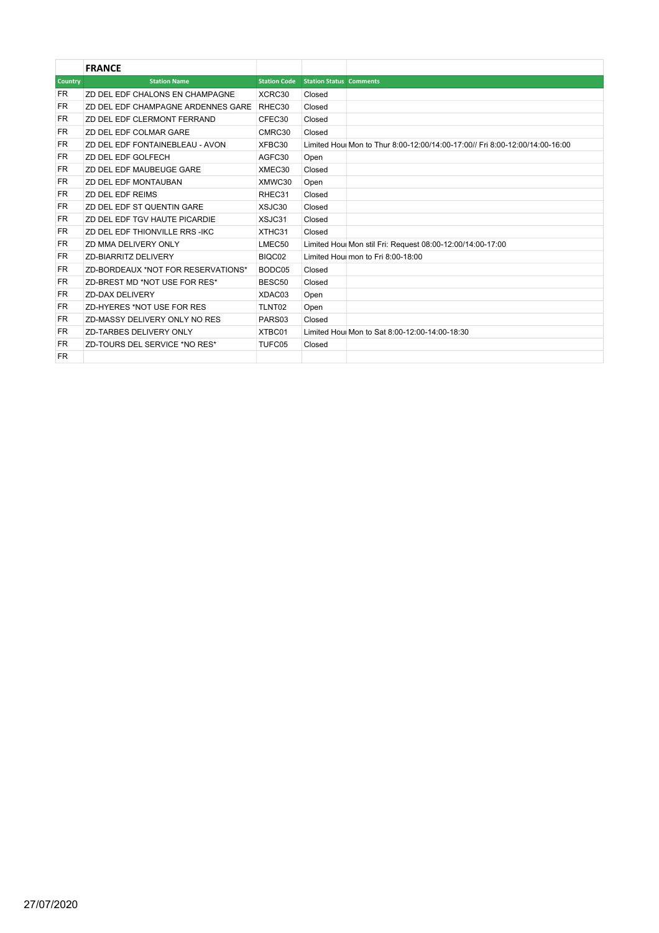|           | <b>FRANCE</b>                      |                     |                                |                                                                              |
|-----------|------------------------------------|---------------------|--------------------------------|------------------------------------------------------------------------------|
| Country   | <b>Station Name</b>                | <b>Station Code</b> | <b>Station Status Comments</b> |                                                                              |
| FR        | ZD DEL EDF CHALONS EN CHAMPAGNE    | XCRC30              | Closed                         |                                                                              |
| <b>FR</b> | ZD DEL EDF CHAMPAGNE ARDENNES GARE | RHEC30              | Closed                         |                                                                              |
| FR.       | ZD DEL EDF CLERMONT FERRAND        | CFEC30              | Closed                         |                                                                              |
| <b>FR</b> | ZD DEL EDF COLMAR GARE             | CMRC30              | Closed                         |                                                                              |
| FR.       | ZD DEL EDF FONTAINEBLEAU - AVON    | XFBC30              |                                | Limited Houl Mon to Thur 8:00-12:00/14:00-17:00// Fri 8:00-12:00/14:00-16:00 |
| FR.       | ZD DEL EDF GOLFECH                 | AGFC30              | Open                           |                                                                              |
| <b>FR</b> | ZD DEL EDF MAUBEUGE GARE           | XMEC30              | Closed                         |                                                                              |
| FR.       | ZD DEL EDF MONTAUBAN               | XMWC30              | Open                           |                                                                              |
| FR.       | ZD DEL EDF REIMS                   | RHEC31              | Closed                         |                                                                              |
| FR.       | ZD DEL EDF ST QUENTIN GARE         | XSJC30              | Closed                         |                                                                              |
| FR.       | ZD DEL EDF TGV HAUTE PICARDIE      | XSJC31              | Closed                         |                                                                              |
| FR.       | ZD DEL EDF THIONVILLE RRS-IKC      | XTHC31              | Closed                         |                                                                              |
| <b>FR</b> | ZD MMA DELIVERY ONLY               | LMEC50              |                                | Limited Houl Mon stil Fri: Request 08:00-12:00/14:00-17:00                   |
| FR.       | ZD-BIARRITZ DELIVERY               | BIQC02              |                                | Limited Houl mon to Fri 8:00-18:00                                           |
| <b>FR</b> | ZD-BORDEAUX *NOT FOR RESERVATIONS* | BODC05              | Closed                         |                                                                              |
| <b>FR</b> | ZD-BREST MD *NOT USE FOR RES*      | BESC50              | Closed                         |                                                                              |
| FR.       | ZD-DAX DELIVERY                    | XDAC03              | Open                           |                                                                              |
| FR.       | ZD-HYERES *NOT USE FOR RES         | TLNT02              | Open                           |                                                                              |
| FR.       | ZD-MASSY DELIVERY ONLY NO RES      | PARS03              | Closed                         |                                                                              |
| FR.       | ZD-TARBES DELIVERY ONLY            | XTBC01              |                                | Limited Houl Mon to Sat 8:00-12:00-14:00-18:30                               |
| <b>FR</b> | ZD-TOURS DEL SERVICE *NO RES*      | TUFC05              | Closed                         |                                                                              |
| <b>FR</b> |                                    |                     |                                |                                                                              |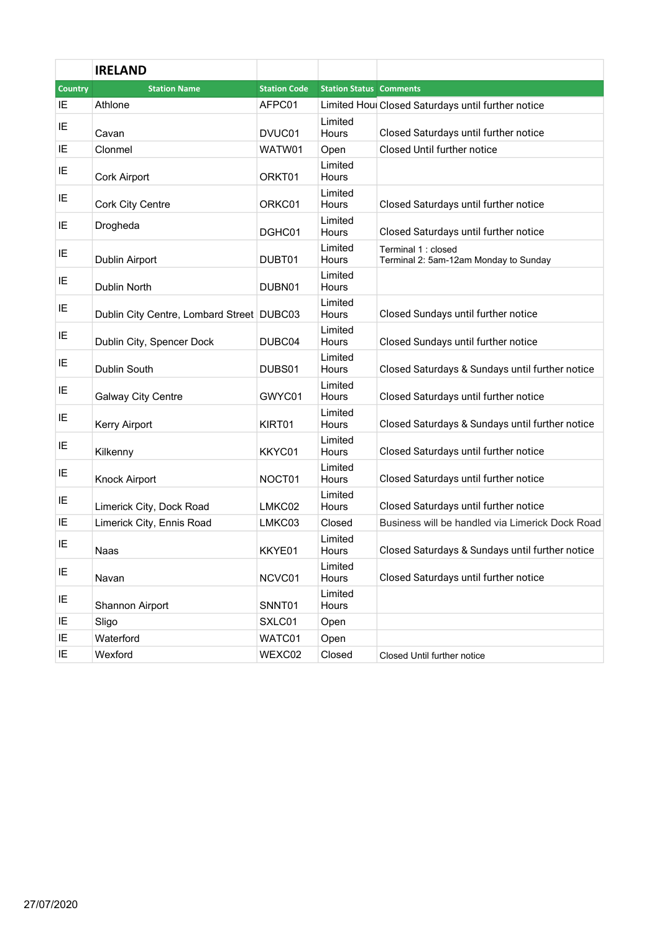|                | <b>IRELAND</b>                            |                     |                                |                                                              |
|----------------|-------------------------------------------|---------------------|--------------------------------|--------------------------------------------------------------|
| <b>Country</b> | <b>Station Name</b>                       | <b>Station Code</b> | <b>Station Status Comments</b> |                                                              |
| IE             | Athlone                                   | AFPC01              |                                | Limited Houl Closed Saturdays until further notice           |
| IE             | Cavan                                     | DVUC01              | Limited<br><b>Hours</b>        | Closed Saturdays until further notice                        |
| IE             | Clonmel                                   | WATW01              | Open                           | Closed Until further notice                                  |
| IE             | Cork Airport                              | ORKT01              | Limited<br>Hours               |                                                              |
| IE             | <b>Cork City Centre</b>                   | ORKC01              | Limited<br>Hours               | Closed Saturdays until further notice                        |
| IE             | Drogheda                                  | DGHC01              | Limited<br>Hours               | Closed Saturdays until further notice                        |
| IE             | Dublin Airport                            | DUBT01              | Limited<br>Hours               | Terminal 1 : closed<br>Terminal 2: 5am-12am Monday to Sunday |
| IE             | Dublin North                              | DUBN01              | Limited<br>Hours               |                                                              |
| IE             | Dublin City Centre, Lombard Street DUBC03 |                     | Limited<br>Hours               | Closed Sundays until further notice                          |
| IE             | Dublin City, Spencer Dock                 | DUBC04              | Limited<br>Hours               | Closed Sundays until further notice                          |
| IE             | Dublin South                              | DUBS01              | Limited<br>Hours               | Closed Saturdays & Sundays until further notice              |
| IE             | <b>Galway City Centre</b>                 | GWYC01              | Limited<br>Hours               | Closed Saturdays until further notice                        |
| IE             | Kerry Airport                             | KIRT01              | Limited<br>Hours               | Closed Saturdays & Sundays until further notice              |
| IE             | Kilkenny                                  | KKYC01              | Limited<br>Hours               | Closed Saturdays until further notice                        |
| IE             | Knock Airport                             | NOCT01              | Limited<br>Hours               | Closed Saturdays until further notice                        |
| IE             | Limerick City, Dock Road                  | LMKC02              | Limited<br>Hours               | Closed Saturdays until further notice                        |
| IE             | Limerick City, Ennis Road                 | LMKC03              | Closed                         | Business will be handled via Limerick Dock Road              |
| IE             | Naas                                      | KKYE01              | Limited<br>Hours               | Closed Saturdays & Sundays until further notice              |
| IE             | Navan                                     | NCVC01              | Limited<br>Hours               | Closed Saturdays until further notice                        |
| IE             | Shannon Airport                           | SNNT01              | Limited<br>Hours               |                                                              |
| IE             | Sligo                                     | SXLC01              | Open                           |                                                              |
| IE             | Waterford                                 | WATC01              | Open                           |                                                              |
| IE             | Wexford                                   | WEXC02              | Closed                         | Closed Until further notice                                  |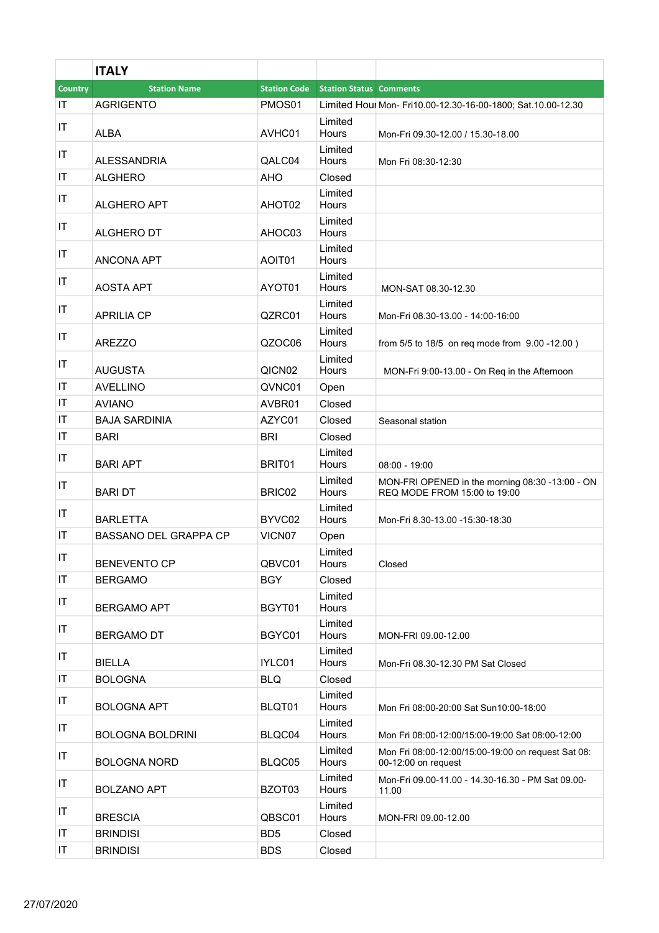|                        | <b>ITALY</b>                 |                     |                                |                                                                                 |
|------------------------|------------------------------|---------------------|--------------------------------|---------------------------------------------------------------------------------|
| Country                | <b>Station Name</b>          | <b>Station Code</b> | <b>Station Status Comments</b> |                                                                                 |
| IT                     | <b>AGRIGENTO</b>             | PMOS01              |                                | Limited Houl Mon- Fri10.00-12.30-16-00-1800; Sat.10.00-12.30                    |
| IT                     |                              |                     | Limited                        |                                                                                 |
|                        | <b>ALBA</b>                  | AVHC01              | Hours                          | Mon-Fri 09.30-12.00 / 15.30-18.00                                               |
| IT                     | <b>ALESSANDRIA</b>           | QALC04              | Limited<br>Hours               | Mon Fri 08:30-12:30                                                             |
| IT                     | <b>ALGHERO</b>               | AHO                 | Closed                         |                                                                                 |
| IT                     | <b>ALGHERO APT</b>           | AHOT <sub>02</sub>  | Limited<br>Hours               |                                                                                 |
| IT                     | ALGHERO DT                   | AHOC03              | Limited<br>Hours               |                                                                                 |
| $\sf IT$               | <b>ANCONA APT</b>            | AOIT01              | Limited<br>Hours               |                                                                                 |
| IT                     | <b>AOSTA APT</b>             | AYOT01              | Limited<br>Hours               | MON-SAT 08.30-12.30                                                             |
| $\sf IT$               | <b>APRILIA CP</b>            | QZRC01              | Limited<br>Hours               | Mon-Fri 08.30-13.00 - 14:00-16:00                                               |
| IT                     | <b>AREZZO</b>                | QZOC06              | Limited<br><b>Hours</b>        | from 5/5 to 18/5 on req mode from 9.00 -12.00)                                  |
| IT                     | <b>AUGUSTA</b>               | QICN <sub>02</sub>  | Limited<br>Hours               | MON-Fri 9:00-13.00 - On Req in the Afternoon                                    |
| $\mathsf{I}\mathsf{T}$ | <b>AVELLINO</b>              | QVNC01              | Open                           |                                                                                 |
| IT                     | <b>AVIANO</b>                | AVBR01              | Closed                         |                                                                                 |
| IT                     | <b>BAJA SARDINIA</b>         | AZYC01              | Closed                         | Seasonal station                                                                |
| IT                     | <b>BARI</b>                  | <b>BRI</b>          | Closed                         |                                                                                 |
| IT                     | <b>BARI APT</b>              | BRIT01              | Limited<br>Hours               | 08:00 - 19:00                                                                   |
| IT                     | <b>BARI DT</b>               | BRIC02              | Limited<br>Hours               | MON-FRI OPENED in the morning 08:30 -13:00 - ON<br>REQ MODE FROM 15:00 to 19:00 |
| IT                     | <b>BARLETTA</b>              | BYVC02              | Limited<br>Hours               | Mon-Fri 8.30-13.00 -15:30-18:30                                                 |
| IT                     | <b>BASSANO DEL GRAPPA CP</b> | VICN <sub>07</sub>  | Open                           |                                                                                 |
| IT                     | <b>BENEVENTO CP</b>          | QBVC01              | Limited<br>Hours               | Closed                                                                          |
| IT                     | <b>BERGAMO</b>               | <b>BGY</b>          | Closed                         |                                                                                 |
| IT                     | <b>BERGAMO APT</b>           | BGYT01              | Limited<br>Hours               |                                                                                 |
| IT                     | <b>BERGAMO DT</b>            | BGYC01              | Limited<br>Hours               | MON-FRI 09.00-12.00                                                             |
| IT                     | <b>BIELLA</b>                | IYLC01              | Limited<br>Hours               | Mon-Fri 08.30-12.30 PM Sat Closed                                               |
| $\mathsf{I}\mathsf{T}$ | <b>BOLOGNA</b>               | <b>BLQ</b>          | Closed                         |                                                                                 |
| IT                     | <b>BOLOGNA APT</b>           | BLQT01              | Limited<br>Hours               | Mon Fri 08:00-20:00 Sat Sun10:00-18:00                                          |
| IT                     | <b>BOLOGNA BOLDRINI</b>      | BLQC04              | Limited<br>Hours               | Mon Fri 08:00-12:00/15:00-19:00 Sat 08:00-12:00                                 |
| IT                     | <b>BOLOGNA NORD</b>          | BLQC05              | Limited<br>Hours               | Mon Fri 08:00-12:00/15:00-19:00 on request Sat 08:<br>00-12:00 on request       |
| IT                     | <b>BOLZANO APT</b>           | BZOT03              | Limited<br>Hours               | Mon-Fri 09.00-11.00 - 14.30-16.30 - PM Sat 09.00-<br>11.00                      |
| IT                     | <b>BRESCIA</b>               | QBSC01              | Limited<br>Hours               | MON-FRI 09.00-12.00                                                             |
| IT                     | <b>BRINDISI</b>              | BD <sub>5</sub>     | Closed                         |                                                                                 |
| IT                     | <b>BRINDISI</b>              | <b>BDS</b>          | Closed                         |                                                                                 |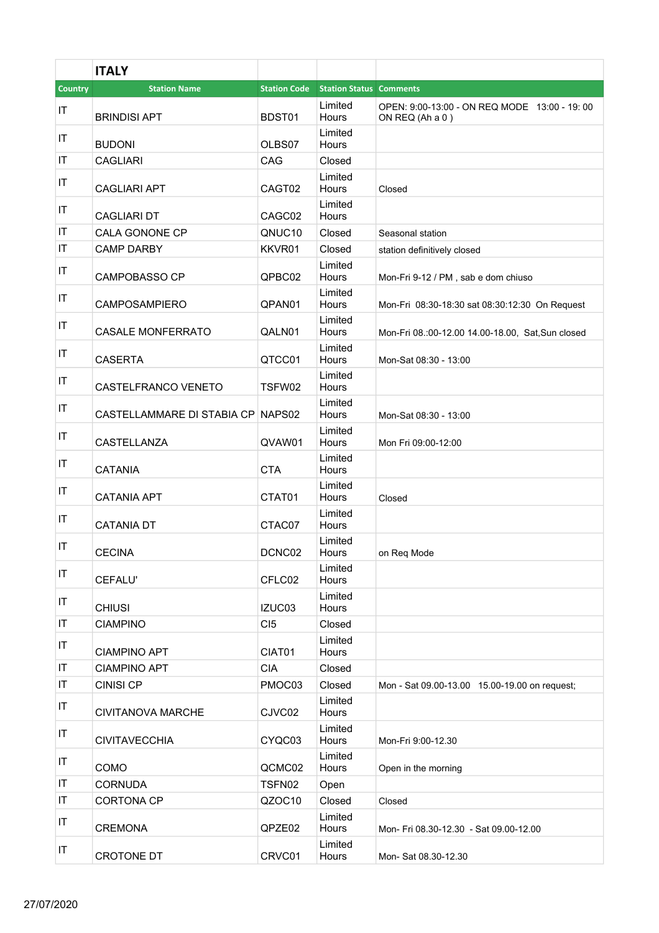|          | <b>ITALY</b>                      |                     |                                |                                                                 |
|----------|-----------------------------------|---------------------|--------------------------------|-----------------------------------------------------------------|
| Country  | <b>Station Name</b>               | <b>Station Code</b> | <b>Station Status Comments</b> |                                                                 |
| IT       | <b>BRINDISI APT</b>               | BDST01              | Limited<br>Hours               | OPEN: 9:00-13:00 - ON REQ MODE 13:00 - 19:00<br>ON REQ (Ah a 0) |
| IT       | <b>BUDONI</b>                     | OLBS07              | Limited<br>Hours               |                                                                 |
| IT       | <b>CAGLIARI</b>                   | CAG                 | Closed                         |                                                                 |
| $\sf IT$ | <b>CAGLIARI APT</b>               | CAGT02              | Limited<br>Hours               | Closed                                                          |
| IT       | <b>CAGLIARI DT</b>                | CAGC02              | Limited<br>Hours               |                                                                 |
| IT       | CALA GONONE CP                    | QNUC10              | Closed                         | Seasonal station                                                |
| IT       | <b>CAMP DARBY</b>                 | KKVR01              | Closed                         | station definitively closed                                     |
| IT       | <b>CAMPOBASSO CP</b>              | QPBC02              | Limited<br>Hours               | Mon-Fri 9-12 / PM, sab e dom chiuso                             |
| IT       | <b>CAMPOSAMPIERO</b>              | QPAN01              | Limited<br>Hours               | Mon-Fri 08:30-18:30 sat 08:30:12:30 On Request                  |
| IT       | <b>CASALE MONFERRATO</b>          | QALN01              | Limited<br><b>Hours</b>        | Mon-Fri 08.:00-12.00 14.00-18.00, Sat, Sun closed               |
| IT       | <b>CASERTA</b>                    | QTCC01              | Limited<br>Hours               | Mon-Sat 08:30 - 13:00                                           |
| IT       | CASTELFRANCO VENETO               | TSFW02              | Limited<br>Hours               |                                                                 |
| IT       | CASTELLAMMARE DI STABIA CP NAPS02 |                     | Limited<br>Hours               | Mon-Sat 08:30 - 13:00                                           |
| IT       | CASTELLANZA                       | QVAW01              | Limited<br>Hours               | Mon Fri 09:00-12:00                                             |
| IT       | <b>CATANIA</b>                    | <b>CTA</b>          | Limited<br>Hours               |                                                                 |
| IT       | <b>CATANIA APT</b>                | CTAT01              | Limited<br>Hours               | Closed                                                          |
| IT       | <b>CATANIA DT</b>                 | CTAC07              | Limited<br>Hours               |                                                                 |
| IT       | <b>CECINA</b>                     | DCNC02              | Limited<br>Hours               | on Reg Mode                                                     |
| IT       | CEFALU'                           | CFLC02              | Limited<br>Hours               |                                                                 |
| IT       | <b>CHIUSI</b>                     | IZUC03              | Limited<br><b>Hours</b>        |                                                                 |
| IT       | <b>CIAMPINO</b>                   | CI5                 | Closed                         |                                                                 |
| IT       | <b>CIAMPINO APT</b>               | CIAT01              | Limited<br>Hours               |                                                                 |
| IT       | <b>CIAMPINO APT</b>               | <b>CIA</b>          | Closed                         |                                                                 |
| IT       | <b>CINISI CP</b>                  | PMOC03              | Closed                         | Mon - Sat 09.00-13.00 15.00-19.00 on request;                   |
| IT       | <b>CIVITANOVA MARCHE</b>          | CJVC02              | Limited<br>Hours               |                                                                 |
| IT       | <b>CIVITAVECCHIA</b>              | CYQC03              | Limited<br>Hours               | Mon-Fri 9:00-12.30                                              |
| IT       | <b>COMO</b>                       | QCMC02              | Limited<br>Hours               | Open in the morning                                             |
| IT       | <b>CORNUDA</b>                    | TSFN02              | Open                           |                                                                 |
| IT       | <b>CORTONA CP</b>                 | QZOC10              | Closed                         | Closed                                                          |
| IT       | <b>CREMONA</b>                    | QPZE02              | Limited<br>Hours               | Mon- Fri 08.30-12.30 - Sat 09.00-12.00                          |
| IT       | <b>CROTONE DT</b>                 | CRVC01              | Limited<br>Hours               | Mon-Sat 08.30-12.30                                             |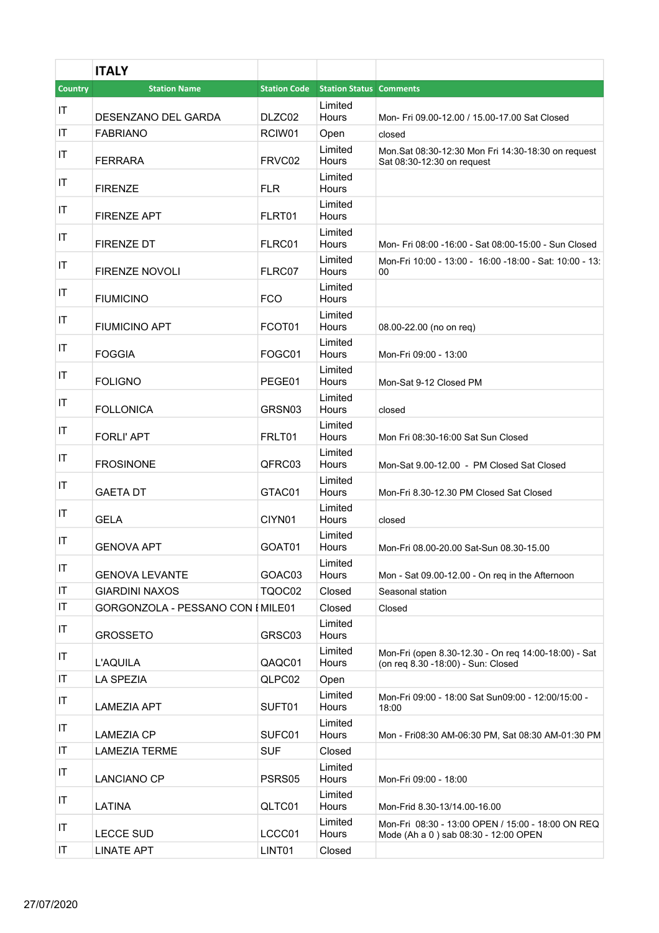|                | <b>ITALY</b>                      |                     |                                |                                                                                            |
|----------------|-----------------------------------|---------------------|--------------------------------|--------------------------------------------------------------------------------------------|
| <b>Country</b> | <b>Station Name</b>               | <b>Station Code</b> | <b>Station Status Comments</b> |                                                                                            |
| IT             | DESENZANO DEL GARDA               | DLZC02              | Limited<br>Hours               | Mon- Fri 09.00-12.00 / 15.00-17.00 Sat Closed                                              |
| IT             | <b>FABRIANO</b>                   | RCIW01              | Open                           | closed                                                                                     |
| IT             | <b>FERRARA</b>                    | FRVC02              | Limited<br>Hours               | Mon.Sat 08:30-12:30 Mon Fri 14:30-18:30 on request<br>Sat 08:30-12:30 on request           |
| IT             | <b>FIRENZE</b>                    | FLR.                | Limited<br>Hours               |                                                                                            |
| IT             | <b>FIRENZE APT</b>                | FLRT01              | Limited<br>Hours               |                                                                                            |
| IT             | FIRENZE DT                        | FLRC01              | Limited<br>Hours               | Mon- Fri 08:00 -16:00 - Sat 08:00-15:00 - Sun Closed                                       |
| IT             | <b>FIRENZE NOVOLI</b>             | FLRC07              | Limited<br>Hours               | Mon-Fri 10:00 - 13:00 - 16:00 -18:00 - Sat: 10:00 - 13:<br>00                              |
| IT             | <b>FIUMICINO</b>                  | <b>FCO</b>          | Limited<br>Hours               |                                                                                            |
| IT             | <b>FIUMICINO APT</b>              | FCOT <sub>01</sub>  | Limited<br>Hours               | 08.00-22.00 (no on reg)                                                                    |
| IT             | <b>FOGGIA</b>                     | FOGC01              | Limited<br>Hours               | Mon-Fri 09:00 - 13:00                                                                      |
| IT             | <b>FOLIGNO</b>                    | PEGE01              | Limited<br>Hours               | Mon-Sat 9-12 Closed PM                                                                     |
| IT             | <b>FOLLONICA</b>                  | GRSN03              | Limited<br>Hours               | closed                                                                                     |
| IT             | <b>FORLI' APT</b>                 | FRLT01              | Limited<br>Hours               | Mon Fri 08:30-16:00 Sat Sun Closed                                                         |
| IT             | <b>FROSINONE</b>                  | QFRC03              | Limited<br>Hours               | Mon-Sat 9.00-12.00 - PM Closed Sat Closed                                                  |
| IT             | <b>GAETA DT</b>                   | GTAC01              | Limited<br>Hours               | Mon-Fri 8.30-12.30 PM Closed Sat Closed                                                    |
| IT             | <b>GELA</b>                       | CIYN01              | Limited<br>Hours               | closed                                                                                     |
| IT             | <b>GENOVA APT</b>                 | GOAT01              | Limited<br>Hours               | Mon-Fri 08.00-20.00 Sat-Sun 08.30-15.00                                                    |
| IT             | <b>GENOVA LEVANTE</b>             | GOAC03              | Limited<br>Hours               | Mon - Sat 09.00-12.00 - On reg in the Afternoon                                            |
| IT             | <b>GIARDINI NAXOS</b>             | TQOC02              | Closed                         | Seasonal station                                                                           |
| IT             | GORGONZOLA - PESSANO CON I MILE01 |                     | Closed                         | Closed                                                                                     |
| IT             | <b>GROSSETO</b>                   | GRSC03              | Limited<br>Hours               |                                                                                            |
| IT             | <b>L'AQUILA</b>                   | QAQC01              | Limited<br>Hours               | Mon-Fri (open 8.30-12.30 - On req 14:00-18:00) - Sat<br>(on reg 8.30 -18:00) - Sun: Closed |
| IT<br>IT       | <b>LA SPEZIA</b>                  | QLPC02              | Open<br>Limited                | Mon-Fri 09:00 - 18:00 Sat Sun09:00 - 12:00/15:00 -                                         |
| IT             | <b>LAMEZIA APT</b>                | SUFT01              | Hours<br>Limited               | 18:00                                                                                      |
|                | <b>LAMEZIA CP</b>                 | SUFC01              | Hours                          | Mon - Fri08:30 AM-06:30 PM, Sat 08:30 AM-01:30 PM                                          |
| IT<br>IT       | <b>LAMEZIA TERME</b>              | <b>SUF</b>          | Closed<br>Limited              |                                                                                            |
| IT             | <b>LANCIANO CP</b><br>LATINA      | PSRS05<br>QLTC01    | Hours<br>Limited<br>Hours      | Mon-Fri 09:00 - 18:00<br>Mon-Frid 8.30-13/14.00-16.00                                      |
| IT             | <b>LECCE SUD</b>                  | LCCC01              | Limited<br>Hours               | Mon-Fri 08:30 - 13:00 OPEN / 15:00 - 18:00 ON REQ<br>Mode (Ah a 0) sab 08:30 - 12:00 OPEN  |
| IT             | <b>LINATE APT</b>                 | LINT01              | Closed                         |                                                                                            |
|                |                                   |                     |                                |                                                                                            |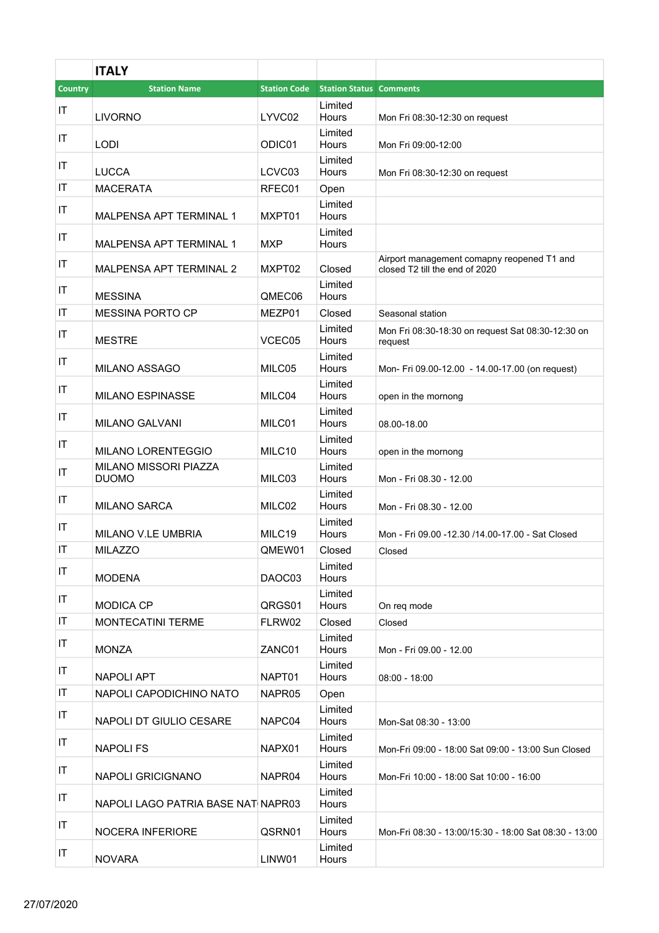|                        | <b>ITALY</b>                          |                     |                                |                                                                              |
|------------------------|---------------------------------------|---------------------|--------------------------------|------------------------------------------------------------------------------|
| <b>Country</b>         | <b>Station Name</b>                   | <b>Station Code</b> | <b>Station Status Comments</b> |                                                                              |
| IT                     | <b>LIVORNO</b>                        | LYVC02              | Limited<br>Hours               | Mon Fri 08:30-12:30 on request                                               |
| IT                     | <b>LODI</b>                           | ODIC01              | Limited<br>Hours               | Mon Fri 09:00-12:00                                                          |
| ΙT                     | <b>LUCCA</b>                          | LCVC03              | Limited<br>Hours               | Mon Fri 08:30-12:30 on request                                               |
| ΙT                     | <b>MACERATA</b>                       | RFEC01              | Open                           |                                                                              |
| ΙT                     | <b>MALPENSA APT TERMINAL 1</b>        | MXPT01              | Limited<br>Hours               |                                                                              |
| IT                     | MALPENSA APT TERMINAL 1               | <b>MXP</b>          | Limited<br>Hours               |                                                                              |
| IT                     | MALPENSA APT TERMINAL 2               | MXPT02              | Closed                         | Airport management comapny reopened T1 and<br>closed T2 till the end of 2020 |
| ΙT                     | <b>MESSINA</b>                        | QMEC06              | Limited<br>Hours               |                                                                              |
| IT                     | <b>MESSINA PORTO CP</b>               | MEZP01              | Closed                         | Seasonal station                                                             |
| IT                     | <b>MESTRE</b>                         | VCEC05              | Limited<br>Hours               | Mon Fri 08:30-18:30 on request Sat 08:30-12:30 on<br>request                 |
| ΙT                     | <b>MILANO ASSAGO</b>                  | MILC05              | Limited<br>Hours               | Mon- Fri 09.00-12.00 - 14.00-17.00 (on request)                              |
| IT                     | <b>MILANO ESPINASSE</b>               | MILC04              | Limited<br>Hours               | open in the mornong                                                          |
| ΙT                     | <b>MILANO GALVANI</b>                 | MILC01              | Limited<br>Hours               | 08.00-18.00                                                                  |
| IT                     | <b>MILANO LORENTEGGIO</b>             | MILC10              | Limited<br>Hours               | open in the mornong                                                          |
| IT                     | MILANO MISSORI PIAZZA<br><b>DUOMO</b> | MILC03              | Limited<br>Hours               | Mon - Fri 08.30 - 12.00                                                      |
| IT                     | <b>MILANO SARCA</b>                   | MILC02              | Limited<br>Hours               | Mon - Fri 08.30 - 12.00                                                      |
| ΙT                     | MILANO V.LE UMBRIA                    | MILC19              | Limited<br>Hours               | Mon - Fri 09.00 -12.30 /14.00-17.00 - Sat Closed                             |
| IT                     | <b>MILAZZO</b>                        | QMEW01              | Closed                         | Closed                                                                       |
| IT                     | <b>MODENA</b>                         | DAOC03              | Limited<br>Hours               |                                                                              |
| IT                     | <b>MODICA CP</b>                      | QRGS01              | Limited<br>Hours               | On reg mode                                                                  |
| $\mathsf{I}\mathsf{T}$ | <b>MONTECATINI TERME</b>              | FLRW02              | Closed                         | Closed                                                                       |
| IT                     | <b>MONZA</b>                          | ZANC01              | Limited<br>Hours               | Mon - Fri 09.00 - 12.00                                                      |
| IT                     | <b>NAPOLI APT</b>                     | NAPT01              | Limited<br>Hours               | $08:00 - 18:00$                                                              |
| IT                     | NAPOLI CAPODICHINO NATO               | NAPR05              | Open                           |                                                                              |
| IT                     | NAPOLI DT GIULIO CESARE               | NAPC04              | Limited<br>Hours               | Mon-Sat 08:30 - 13:00                                                        |
| IT                     | <b>NAPOLIFS</b>                       | NAPX01              | Limited<br>Hours               | Mon-Fri 09:00 - 18:00 Sat 09:00 - 13:00 Sun Closed                           |
| IT                     | <b>NAPOLI GRICIGNANO</b>              | NAPR04              | Limited<br>Hours               | Mon-Fri 10:00 - 18:00 Sat 10:00 - 16:00                                      |
| IT                     | NAPOLI LAGO PATRIA BASE NATI NAPR03   |                     | Limited<br>Hours               |                                                                              |
| IT                     | <b>NOCERA INFERIORE</b>               | QSRN01              | Limited<br>Hours               | Mon-Fri 08:30 - 13:00/15:30 - 18:00 Sat 08:30 - 13:00                        |
| IT                     | <b>NOVARA</b>                         | LINW01              | Limited<br>Hours               |                                                                              |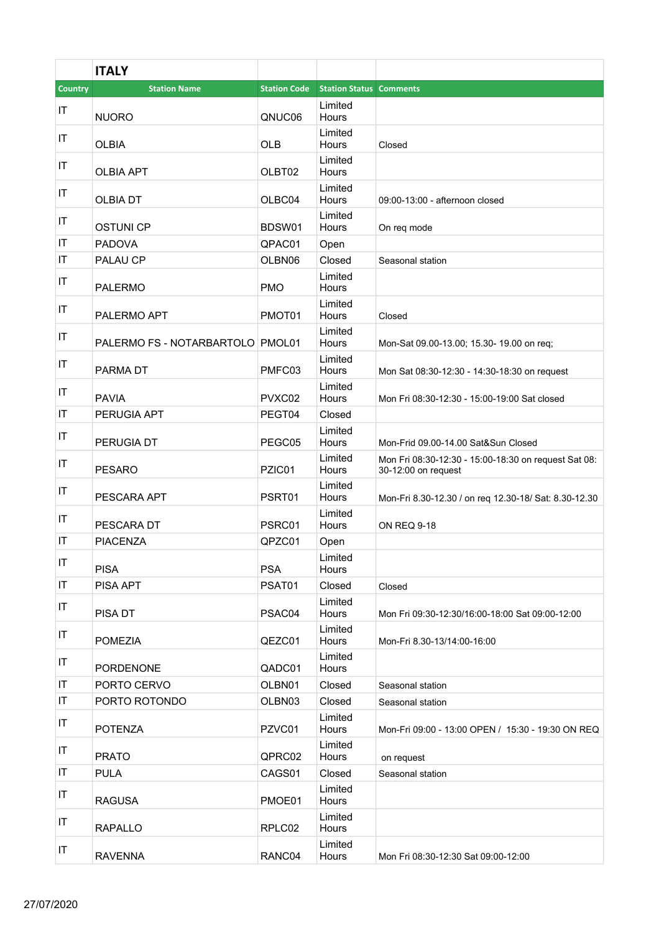|                        | <b>ITALY</b>                     |                     |                                |                                                                             |
|------------------------|----------------------------------|---------------------|--------------------------------|-----------------------------------------------------------------------------|
| <b>Country</b>         | <b>Station Name</b>              | <b>Station Code</b> | <b>Station Status Comments</b> |                                                                             |
| IT                     | <b>NUORO</b>                     | QNUC06              | Limited<br>Hours               |                                                                             |
| IT                     | <b>OLBIA</b>                     | <b>OLB</b>          | Limited<br>Hours               | Closed                                                                      |
| IT                     | <b>OLBIA APT</b>                 | OLBT02              | Limited<br>Hours               |                                                                             |
| IT                     | <b>OLBIA DT</b>                  | OLBC04              | Limited<br>Hours               | 09:00-13:00 - afternoon closed                                              |
| IT                     | <b>OSTUNI CP</b>                 | BDSW01              | Limited<br>Hours               | On req mode                                                                 |
| IT                     | <b>PADOVA</b>                    | QPAC01              | Open                           |                                                                             |
| IT                     | PALAU CP                         | OLBN06              | Closed                         | Seasonal station                                                            |
| IT                     | <b>PALERMO</b>                   | <b>PMO</b>          | Limited<br>Hours               |                                                                             |
| IT                     | PALERMO APT                      | PMOT01              | Limited<br>Hours               | Closed                                                                      |
| IT                     | PALERMO FS - NOTARBARTOLO PMOL01 |                     | Limited<br>Hours               | Mon-Sat 09.00-13.00; 15.30- 19.00 on req;                                   |
| IT                     | <b>PARMA DT</b>                  | PMFC03              | Limited<br>Hours               | Mon Sat 08:30-12:30 - 14:30-18:30 on request                                |
| IT                     | <b>PAVIA</b>                     | PVXC02              | Limited<br>Hours               | Mon Fri 08:30-12:30 - 15:00-19:00 Sat closed                                |
| IT                     | PERUGIA APT                      | PEGT04              | Closed                         |                                                                             |
| IT                     | PERUGIA DT                       | PEGC05              | Limited<br>Hours               | Mon-Frid 09.00-14.00 Sat&Sun Closed                                         |
| IT                     | <b>PESARO</b>                    | PZIC01              | Limited<br>Hours               | Mon Fri 08:30-12:30 - 15:00-18:30 on request Sat 08:<br>30-12:00 on request |
| IT                     | PESCARA APT                      | PSRT01              | Limited<br>Hours               | Mon-Fri 8.30-12.30 / on req 12.30-18/ Sat: 8.30-12.30                       |
| IT                     | PESCARA DT                       | PSRC01              | Limited<br>Hours               | <b>ON REQ 9-18</b>                                                          |
| IT                     | <b>PIACENZA</b>                  | QPZC01              | Open                           |                                                                             |
| IT                     | <b>PISA</b>                      | <b>PSA</b>          | Limited<br>Hours               |                                                                             |
| $\mathsf{I}\mathsf{T}$ | PISA APT                         | PSAT01              | Closed                         | Closed                                                                      |
| IT                     | PISA DT                          | PSAC04              | Limited<br>Hours               | Mon Fri 09:30-12:30/16:00-18:00 Sat 09:00-12:00                             |
| IT                     | <b>POMEZIA</b>                   | QEZC01              | Limited<br>Hours               | Mon-Fri 8.30-13/14:00-16:00                                                 |
| IT                     | <b>PORDENONE</b>                 | QADC01              | Limited<br>Hours               |                                                                             |
| IT                     | PORTO CERVO                      | OLBN01              | Closed                         | Seasonal station                                                            |
| IT                     | PORTO ROTONDO                    | OLBN03              | Closed                         | Seasonal station                                                            |
| IT                     | <b>POTENZA</b>                   | PZVC01              | Limited<br>Hours               | Mon-Fri 09:00 - 13:00 OPEN / 15:30 - 19:30 ON REQ                           |
| IT                     | <b>PRATO</b>                     | QPRC02              | Limited<br>Hours               | on request                                                                  |
| IT                     | <b>PULA</b>                      | CAGS01              | Closed                         | Seasonal station                                                            |
| IT                     | <b>RAGUSA</b>                    | PMOE01              | Limited<br>Hours               |                                                                             |
| IT                     | <b>RAPALLO</b>                   | RPLC02              | Limited<br>Hours               |                                                                             |
| IT                     | <b>RAVENNA</b>                   | RANC04              | Limited<br>Hours               | Mon Fri 08:30-12:30 Sat 09:00-12:00                                         |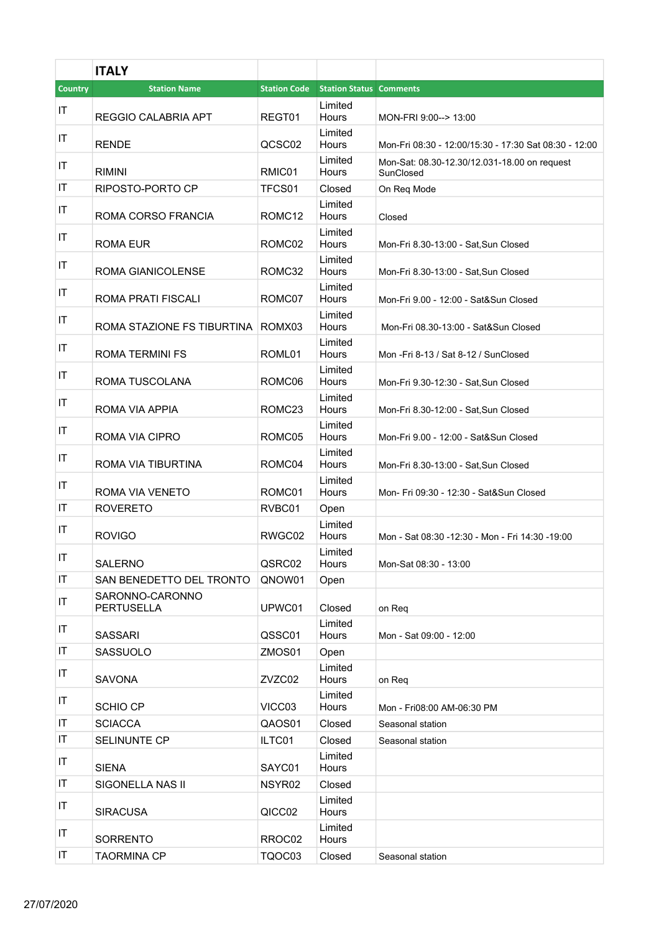|         | <b>ITALY</b>                         |                     |                                |                                                           |
|---------|--------------------------------------|---------------------|--------------------------------|-----------------------------------------------------------|
| Country | <b>Station Name</b>                  | <b>Station Code</b> | <b>Station Status Comments</b> |                                                           |
| IT      | <b>REGGIO CALABRIA APT</b>           | REGT01              | Limited<br>Hours               | MON-FRI 9:00--> 13:00                                     |
| IT      | <b>RENDE</b>                         | QCSC02              | Limited<br>Hours               | Mon-Fri 08:30 - 12:00/15:30 - 17:30 Sat 08:30 - 12:00     |
| IT      | <b>RIMINI</b>                        | RMIC01              | Limited<br>Hours               | Mon-Sat: 08.30-12.30/12.031-18.00 on request<br>SunClosed |
| IT      | RIPOSTO-PORTO CP                     | TFCS01              | Closed                         | On Reg Mode                                               |
| IT      | ROMA CORSO FRANCIA                   | ROMC <sub>12</sub>  | Limited<br>Hours               | Closed                                                    |
| IT      | ROMA EUR                             | ROMC02              | Limited<br>Hours               | Mon-Fri 8.30-13:00 - Sat, Sun Closed                      |
| IT      | ROMA GIANICOLENSE                    | ROMC32              | Limited<br>Hours               | Mon-Fri 8.30-13:00 - Sat, Sun Closed                      |
| IT      | <b>ROMA PRATI FISCALI</b>            | ROMC07              | Limited<br>Hours               | Mon-Fri 9.00 - 12:00 - Sat&Sun Closed                     |
| IT      | ROMA STAZIONE FS TIBURTINA           | ROMX03              | Limited<br>Hours               | Mon-Fri 08.30-13:00 - Sat&Sun Closed                      |
| IT      | <b>ROMA TERMINI FS</b>               | ROML01              | Limited<br>Hours               | Mon -Fri 8-13 / Sat 8-12 / SunClosed                      |
| IT      | ROMA TUSCOLANA                       | ROMC06              | Limited<br>Hours               | Mon-Fri 9.30-12:30 - Sat, Sun Closed                      |
| IT      | ROMA VIA APPIA                       | ROMC <sub>23</sub>  | Limited<br>Hours               | Mon-Fri 8.30-12:00 - Sat, Sun Closed                      |
| IT      | ROMA VIA CIPRO                       | ROMC05              | Limited<br>Hours               | Mon-Fri 9.00 - 12:00 - Sat&Sun Closed                     |
| IT      | ROMA VIA TIBURTINA                   | ROMC04              | Limited<br>Hours               | Mon-Fri 8.30-13:00 - Sat, Sun Closed                      |
| IT      | ROMA VIA VENETO                      | ROMC01              | Limited<br>Hours               | Mon- Fri 09:30 - 12:30 - Sat&Sun Closed                   |
| IT      | <b>ROVERETO</b>                      | RVBC01              | Open                           |                                                           |
| IT      | <b>ROVIGO</b>                        | RWGC02              | Limited<br>Hours               | Mon - Sat 08:30 -12:30 - Mon - Fri 14:30 -19:00           |
| IT      | <b>SALERNO</b>                       | QSRC02              | Limited<br>Hours               | Mon-Sat 08:30 - 13:00                                     |
| IT      | SAN BENEDETTO DEL TRONTO             | QNOW01              | Open                           |                                                           |
| IT      | SARONNO-CARONNO<br><b>PERTUSELLA</b> | UPWC01              | Closed                         | on Req                                                    |
| IT      | <b>SASSARI</b>                       | QSSC01              | Limited<br>Hours               | Mon - Sat 09:00 - 12:00                                   |
| IT      | SASSUOLO                             | ZMOS01              | Open                           |                                                           |
| IT      | <b>SAVONA</b>                        | ZVZC02              | Limited<br>Hours               | on Req                                                    |
| IT      | SCHIO CP                             | VICC03              | Limited<br>Hours               | Mon - Fri08:00 AM-06:30 PM                                |
| IT      | <b>SCIACCA</b>                       | QAOS01              | Closed                         | Seasonal station                                          |
| IT      | <b>SELINUNTE CP</b>                  | ILTC01              | Closed                         | Seasonal station                                          |
| IT      | <b>SIENA</b>                         | SAYC01              | Limited<br>Hours               |                                                           |
| IT      | SIGONELLA NAS II                     | NSYR <sub>02</sub>  | Closed                         |                                                           |
| IT      | <b>SIRACUSA</b>                      | QICC02              | Limited<br>Hours               |                                                           |
| ΙT      | <b>SORRENTO</b>                      | RROC02              | Limited<br>Hours               |                                                           |
| ΙT      | <b>TAORMINA CP</b>                   | TQOC03              | Closed                         | Seasonal station                                          |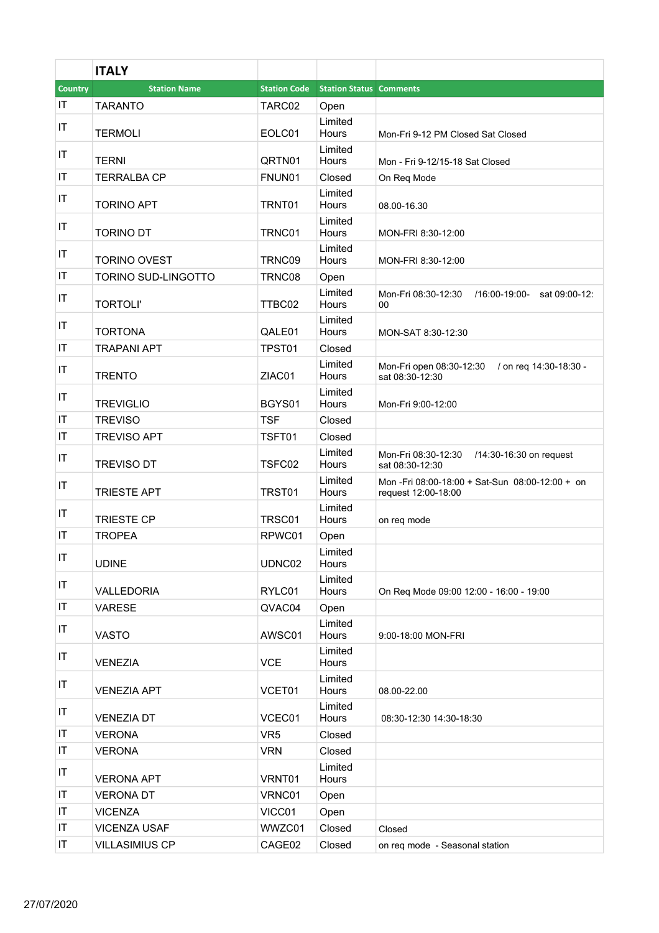|                        | <b>ITALY</b>          |                     |                                |                                                                       |
|------------------------|-----------------------|---------------------|--------------------------------|-----------------------------------------------------------------------|
| <b>Country</b>         | <b>Station Name</b>   | <b>Station Code</b> | <b>Station Status Comments</b> |                                                                       |
| IT                     | <b>TARANTO</b>        | TARC02              | Open                           |                                                                       |
| $\mathsf{I}\mathsf{T}$ |                       |                     | Limited                        |                                                                       |
|                        | <b>TERMOLI</b>        | EOLC01              | Hours<br>Limited               | Mon-Fri 9-12 PM Closed Sat Closed                                     |
| IT                     | <b>TERNI</b>          | QRTN01              | Hours                          | Mon - Fri 9-12/15-18 Sat Closed                                       |
| IT                     | <b>TERRALBA CP</b>    | FNUN01              | Closed                         | On Req Mode                                                           |
| IT                     | <b>TORINO APT</b>     | TRNT01              | Limited<br>Hours               | 08.00-16.30                                                           |
| IT                     | <b>TORINO DT</b>      | TRNC01              | Limited<br>Hours               |                                                                       |
|                        |                       |                     | Limited                        | MON-FRI 8:30-12:00                                                    |
| IT                     | <b>TORINO OVEST</b>   | TRNC09              | Hours                          | MON-FRI 8:30-12:00                                                    |
| IT                     | TORINO SUD-LINGOTTO   | TRNC08              | Open                           |                                                                       |
| IT                     | <b>TORTOLI'</b>       | TTBC02              | Limited<br><b>Hours</b>        | Mon-Fri 08:30-12:30 /16:00-19:00-<br>sat 09:00-12:<br>00              |
| IT                     | <b>TORTONA</b>        | QALE01              | Limited<br><b>Hours</b>        | MON-SAT 8:30-12:30                                                    |
| IT                     | <b>TRAPANI APT</b>    | TPST01              | Closed                         |                                                                       |
|                        |                       |                     | Limited                        | Mon-Fri open 08:30-12:30 / on req 14:30-18:30 -                       |
| IT                     | <b>TRENTO</b>         | ZIAC01              | Hours                          | sat 08:30-12:30                                                       |
| IT                     | <b>TREVIGLIO</b>      | BGYS01              | Limited<br>Hours               | Mon-Fri 9:00-12:00                                                    |
| IT                     | <b>TREVISO</b>        | <b>TSF</b>          | Closed                         |                                                                       |
| IT                     | <b>TREVISO APT</b>    | TSFT01              | Closed                         |                                                                       |
| IT                     | <b>TREVISO DT</b>     | TSFC02              | Limited<br>Hours               | Mon-Fri 08:30-12:30<br>/14:30-16:30 on request<br>sat 08:30-12:30     |
| IT                     | <b>TRIESTE APT</b>    | TRST01              | Limited<br>Hours               | Mon-Fri 08:00-18:00 + Sat-Sun 08:00-12:00 + on<br>request 12:00-18:00 |
| IT                     | <b>TRIESTE CP</b>     | TRSC01              | Limited<br>Hours               | on reg mode                                                           |
| IT                     | <b>TROPEA</b>         | RPWC01              | Open                           |                                                                       |
| $ \mathsf{T} $         | <b>UDINE</b>          | UDNC02              | Limited<br>Hours               |                                                                       |
| IT                     | VALLEDORIA            | RYLC01              | Limited<br>Hours               | On Req Mode 09:00 12:00 - 16:00 - 19:00                               |
| IT                     | <b>VARESE</b>         | QVAC04              | Open                           |                                                                       |
| IT                     | <b>VASTO</b>          | AWSC01              | Limited<br>Hours               | 9:00-18:00 MON-FRI                                                    |
| IT                     | <b>VENEZIA</b>        | <b>VCE</b>          | Limited<br>Hours               |                                                                       |
| IT                     | <b>VENEZIA APT</b>    | VCET01              | Limited<br>Hours               | 08.00-22.00                                                           |
| IT                     | <b>VENEZIA DT</b>     | VCEC01              | Limited<br>Hours               | 08:30-12:30 14:30-18:30                                               |
| $\mathsf{I}\mathsf{T}$ | <b>VERONA</b>         | VR <sub>5</sub>     | Closed                         |                                                                       |
| IT                     | <b>VERONA</b>         | <b>VRN</b>          | Closed                         |                                                                       |
| IT                     | <b>VERONA APT</b>     | VRNT01              | Limited<br>Hours               |                                                                       |
| IT                     | <b>VERONA DT</b>      | VRNC01              | Open                           |                                                                       |
| IT                     | <b>VICENZA</b>        | VICC01              | Open                           |                                                                       |
| IT                     | <b>VICENZA USAF</b>   | WWZC01              | Closed                         | Closed                                                                |
| IT                     | <b>VILLASIMIUS CP</b> | CAGE02              | Closed                         | on req mode - Seasonal station                                        |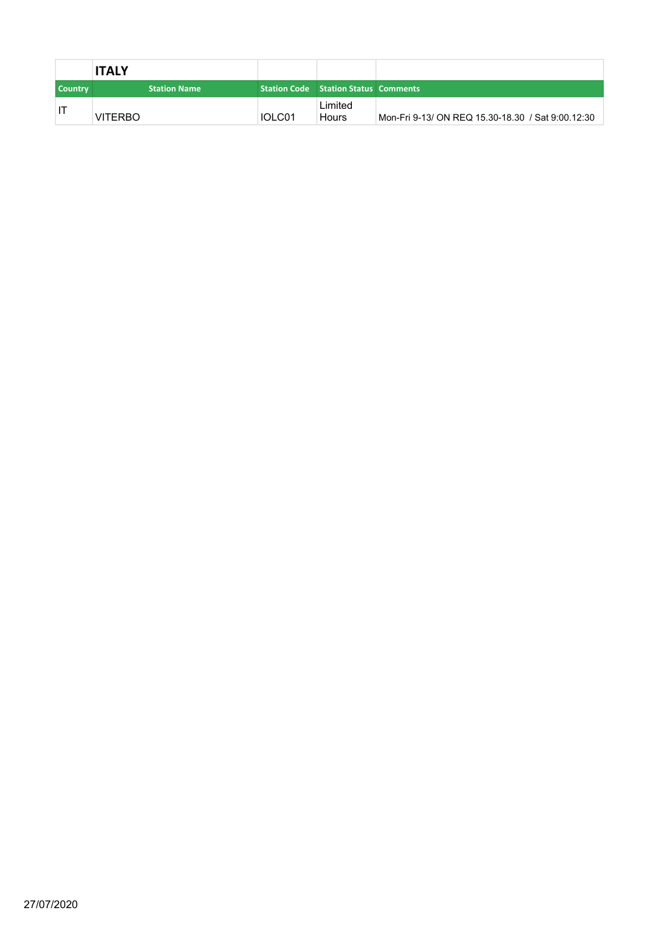|                | <b>ITALY</b>        |        |                                             |                                                   |
|----------------|---------------------|--------|---------------------------------------------|---------------------------------------------------|
| <b>Country</b> | <b>Station Name</b> |        | <b>Station Code</b> Station Status Comments |                                                   |
|                | <b>VITERBO</b>      | IOLC01 | Limited<br><b>Hours</b>                     | Mon-Fri 9-13/ ON REQ 15.30-18.30 / Sat 9:00.12:30 |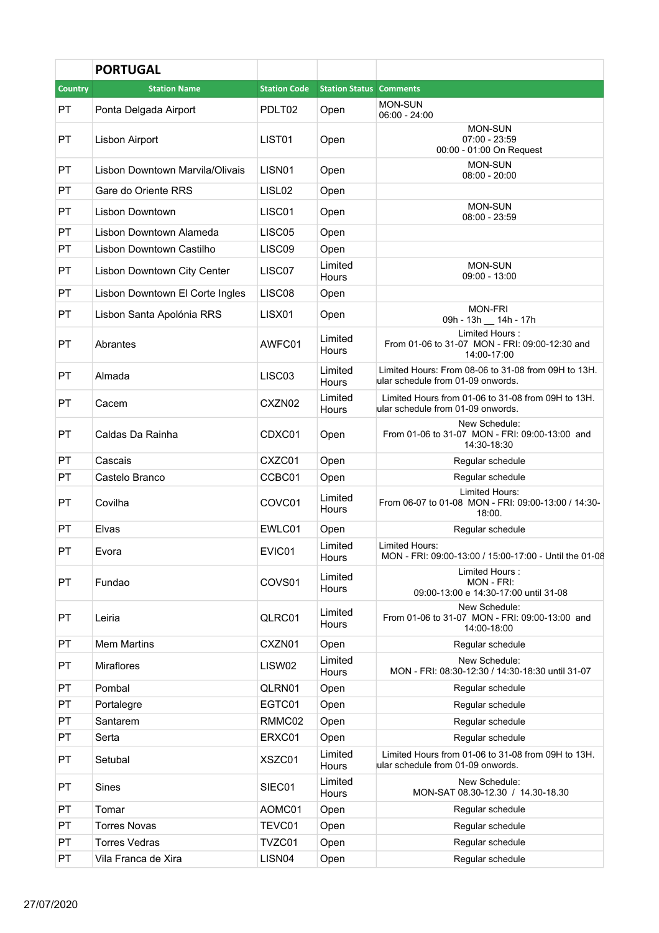|                | <b>PORTUGAL</b>                 |                     |                                |                                                                                          |
|----------------|---------------------------------|---------------------|--------------------------------|------------------------------------------------------------------------------------------|
| <b>Country</b> | <b>Station Name</b>             | <b>Station Code</b> | <b>Station Status Comments</b> |                                                                                          |
| PT             | Ponta Delgada Airport           | PDLT02              | Open                           | <b>MON-SUN</b><br>$06:00 - 24:00$                                                        |
| PT             | Lisbon Airport                  | LIST01              | Open                           | <b>MON-SUN</b><br>$07:00 - 23:59$<br>00:00 - 01:00 On Request                            |
| <b>PT</b>      | Lisbon Downtown Marvila/Olivais | LISN <sub>01</sub>  | Open                           | <b>MON-SUN</b><br>$08:00 - 20:00$                                                        |
| PT             | Gare do Oriente RRS             | LISL <sub>02</sub>  | Open                           |                                                                                          |
| PT             | Lisbon Downtown                 | LISC01              | Open                           | <b>MON-SUN</b><br>$08:00 - 23:59$                                                        |
| PT             | Lisbon Downtown Alameda         | LISC05              | Open                           |                                                                                          |
| PT             | Lisbon Downtown Castilho        | LISC09              | Open                           |                                                                                          |
| PT             | Lisbon Downtown City Center     | LISC07              | Limited<br>Hours               | <b>MON-SUN</b><br>$09:00 - 13:00$                                                        |
| PT             | Lisbon Downtown El Corte Ingles | LISC08              | Open                           |                                                                                          |
| <b>PT</b>      | Lisbon Santa Apolónia RRS       | LISX01              | Open                           | <b>MON-FRI</b><br>09h - 13h __ 14h - 17h                                                 |
| PT             | Abrantes                        | AWFC01              | Limited<br>Hours               | Limited Hours:<br>From 01-06 to 31-07 MON - FRI: 09:00-12:30 and<br>14:00-17:00          |
| PT             | Almada                          | LISC03              | Limited<br>Hours               | Limited Hours: From 08-06 to 31-08 from 09H to 13H.<br>ular schedule from 01-09 onwords. |
| PT             | Cacem                           | CXZN02              | Limited<br>Hours               | Limited Hours from 01-06 to 31-08 from 09H to 13H.<br>ular schedule from 01-09 onwords.  |
| PT             | Caldas Da Rainha                | CDXC01              | Open                           | New Schedule:<br>From 01-06 to 31-07 MON - FRI: 09:00-13:00 and<br>14:30-18:30           |
| PT             | Cascais                         | CXZC01              | Open                           | Regular schedule                                                                         |
| PT             | Castelo Branco                  | CCBC01              | Open                           | Regular schedule                                                                         |
| PT             | Covilha                         | COVC01              | Limited<br>Hours               | Limited Hours:<br>From 06-07 to 01-08 MON - FRI: 09:00-13:00 / 14:30-<br>18:00.          |
| <b>PT</b>      | Elvas                           | EWLC01              | Open                           | Regular schedule                                                                         |
| PT             | Evora                           | EVIC01              | Limited<br>Hours               | Limited Hours:<br>MON - FRI: 09:00-13:00 / 15:00-17:00 - Until the 01-08                 |
| PT             | Fundao                          | COVS01              | Limited<br>Hours               | Limited Hours:<br>MON - FRI:<br>09:00-13:00 e 14:30-17:00 until 31-08                    |
| PT             | Leiria                          | QLRC01              | Limited<br>Hours               | New Schedule:<br>From 01-06 to 31-07 MON - FRI: 09:00-13:00 and<br>14:00-18:00           |
| PT             | <b>Mem Martins</b>              | CXZN01              | Open                           | Regular schedule                                                                         |
| PT             | <b>Miraflores</b>               | LISW02              | Limited<br>Hours               | New Schedule:<br>MON - FRI: 08:30-12:30 / 14:30-18:30 until 31-07                        |
| PT             | Pombal                          | QLRN01              | Open                           | Regular schedule                                                                         |
| PT             | Portalegre                      | EGTC01              | Open                           | Regular schedule                                                                         |
| PT             | Santarem                        | RMMC02              | Open                           | Regular schedule                                                                         |
| PT             | Serta                           | ERXC01              | Open                           | Regular schedule                                                                         |
| PT             | Setubal                         | XSZC01              | Limited<br>Hours               | Limited Hours from 01-06 to 31-08 from 09H to 13H.<br>ular schedule from 01-09 onwords.  |
| PT             | Sines                           | SIEC01              | Limited<br>Hours               | New Schedule:<br>MON-SAT 08.30-12.30 / 14.30-18.30                                       |
| PT             | Tomar                           | AOMC01              | Open                           | Regular schedule                                                                         |
| PT             | <b>Torres Novas</b>             | TEVC01              | Open                           | Regular schedule                                                                         |
| PT             | <b>Torres Vedras</b>            | TVZC01              | Open                           | Regular schedule                                                                         |
| PT             | Vila Franca de Xira             | LISN04              | Open                           | Regular schedule                                                                         |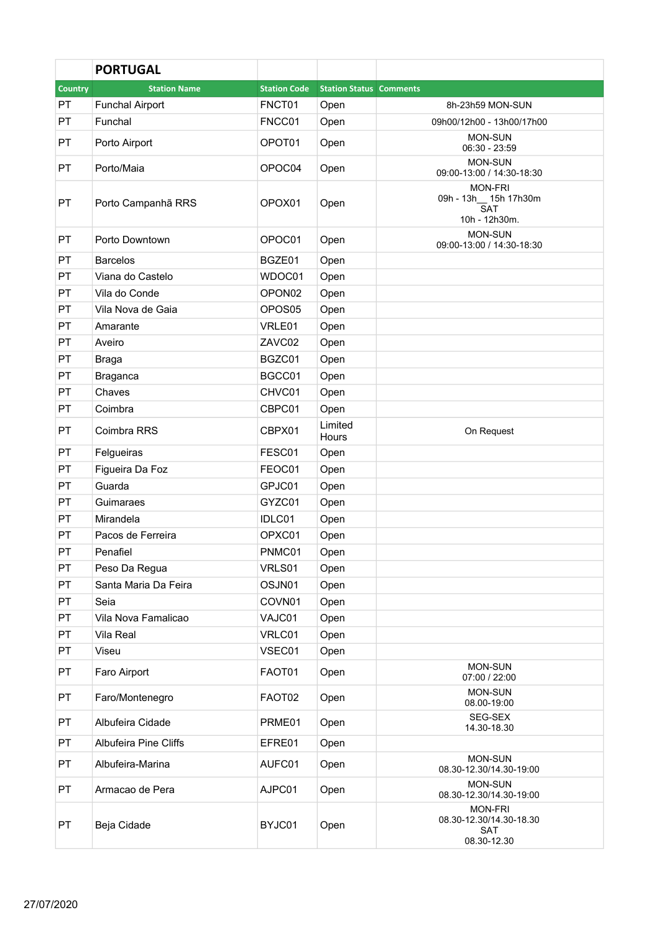|                | <b>PORTUGAL</b>              |                     |                                |                                                                         |
|----------------|------------------------------|---------------------|--------------------------------|-------------------------------------------------------------------------|
| <b>Country</b> | <b>Station Name</b>          | <b>Station Code</b> | <b>Station Status Comments</b> |                                                                         |
| PT             | <b>Funchal Airport</b>       | FNCT01              | Open                           | 8h-23h59 MON-SUN                                                        |
| PT             | Funchal                      | FNCC01              | Open                           | 09h00/12h00 - 13h00/17h00                                               |
| PT             | Porto Airport                | OPOT01              | Open                           | <b>MON-SUN</b><br>$06:30 - 23:59$                                       |
| <b>PT</b>      | Porto/Maia                   | OPOC04              | Open                           | <b>MON-SUN</b><br>09:00-13:00 / 14:30-18:30                             |
| PT             | Porto Campanhã RRS           | OPOX01              | Open                           | <b>MON-FRI</b><br>09h - 13h__ 15h 17h30m<br><b>SAT</b><br>10h - 12h30m. |
| <b>PT</b>      | Porto Downtown               | OPOC01              | Open                           | <b>MON-SUN</b><br>09:00-13:00 / 14:30-18:30                             |
| <b>PT</b>      | <b>Barcelos</b>              | BGZE01              | Open                           |                                                                         |
| PT             | Viana do Castelo             | WDOC01              | Open                           |                                                                         |
| PT             | Vila do Conde                | OPON <sub>02</sub>  | Open                           |                                                                         |
| PT             | Vila Nova de Gaia            | OPOS05              | Open                           |                                                                         |
| PT             | Amarante                     | VRLE01              | Open                           |                                                                         |
| PT             | Aveiro                       | ZAVC02              | Open                           |                                                                         |
| PT             | Braga                        | BGZC01              | Open                           |                                                                         |
| PT             | <b>Braganca</b>              | BGCC01              | Open                           |                                                                         |
| PT             | Chaves                       | CHVC01              | Open                           |                                                                         |
| PT             | Coimbra                      | CBPC01              | Open                           |                                                                         |
| <b>PT</b>      | Coimbra RRS                  | CBPX01              | Limited<br>Hours               | On Request                                                              |
| PT             | Felgueiras                   | FESC01              | Open                           |                                                                         |
| PT             | Figueira Da Foz              | FEOC01              | Open                           |                                                                         |
| PT             | Guarda                       | GPJC01              | Open                           |                                                                         |
| PT             | Guimaraes                    | GYZC01              | Open                           |                                                                         |
| PT             | Mirandela                    | IDLC01              | Open                           |                                                                         |
| PT             | Pacos de Ferreira            | OPXC01              | Open                           |                                                                         |
| PT             | Penafiel                     | PNMC01              | Open                           |                                                                         |
| PT             | Peso Da Regua                | VRLS01              | Open                           |                                                                         |
| PT             | Santa Maria Da Feira         | OSJN01              | Open                           |                                                                         |
| PT             | Seia                         | COVN01              | Open                           |                                                                         |
| PT             | Vila Nova Famalicao          | VAJC01              | Open                           |                                                                         |
| PT             | Vila Real                    | VRLC01              | Open                           |                                                                         |
| PT             | Viseu                        | VSEC01              | Open                           |                                                                         |
| <b>PT</b>      | Faro Airport                 | FAOT01              | Open                           | <b>MON-SUN</b><br>07:00 / 22:00                                         |
| PT             | Faro/Montenegro              | FAOT02              | Open                           | <b>MON-SUN</b><br>08.00-19:00                                           |
| PT             | Albufeira Cidade             | PRME01              | Open                           | SEG-SEX<br>14.30-18.30                                                  |
| PT             | <b>Albufeira Pine Cliffs</b> | EFRE01              | Open                           |                                                                         |
| PT             | Albufeira-Marina             | AUFC01              | Open                           | <b>MON-SUN</b><br>08.30-12.30/14.30-19:00                               |
| PT             | Armacao de Pera              | AJPC01              | Open                           | <b>MON-SUN</b><br>08.30-12.30/14.30-19:00                               |
| PT             | Beja Cidade                  | BYJC01              | Open                           | <b>MON-FRI</b><br>08.30-12.30/14.30-18.30<br><b>SAT</b><br>08.30-12.30  |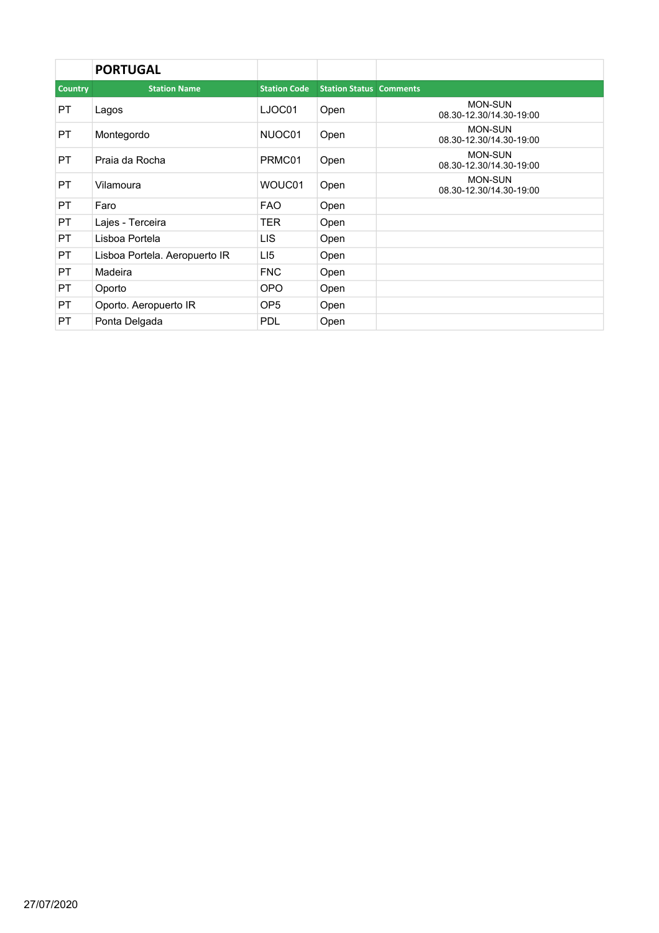|                | <b>PORTUGAL</b>               |                     |                                |                                           |
|----------------|-------------------------------|---------------------|--------------------------------|-------------------------------------------|
| <b>Country</b> | <b>Station Name</b>           | <b>Station Code</b> | <b>Station Status Comments</b> |                                           |
| <b>PT</b>      | Lagos                         | LJOC01              | Open                           | <b>MON-SUN</b><br>08.30-12.30/14.30-19:00 |
| PT.            | Montegordo                    | NUOC01              | Open                           | <b>MON-SUN</b><br>08.30-12.30/14.30-19:00 |
| <b>PT</b>      | Praia da Rocha                | PRMC01              | Open                           | <b>MON-SUN</b><br>08.30-12.30/14.30-19:00 |
| PT.            | Vilamoura                     | WOUC01              | Open                           | <b>MON-SUN</b><br>08.30-12.30/14.30-19:00 |
| <b>PT</b>      | Faro                          | <b>FAO</b>          | Open                           |                                           |
| <b>PT</b>      | Lajes - Terceira              | TER                 | Open                           |                                           |
| <b>PT</b>      | Lisboa Portela                | LIS.                | Open                           |                                           |
| <b>PT</b>      | Lisboa Portela. Aeropuerto IR | LI <sub>5</sub>     | Open                           |                                           |
| PT.            | Madeira                       | <b>FNC</b>          | Open                           |                                           |
| <b>PT</b>      | Oporto                        | <b>OPO</b>          | Open                           |                                           |
| <b>PT</b>      | Oporto. Aeropuerto IR         | OP <sub>5</sub>     | Open                           |                                           |
| PT.            | Ponta Delgada                 | <b>PDL</b>          | Open                           |                                           |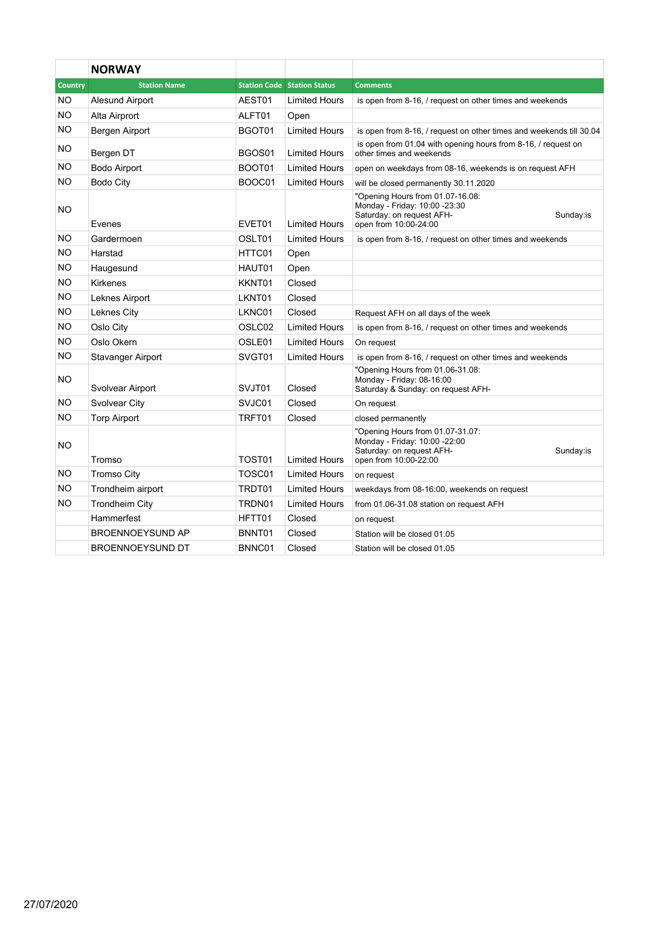|                | <b>NORWAY</b>           |        |                                    |                                                                                                                                      |
|----------------|-------------------------|--------|------------------------------------|--------------------------------------------------------------------------------------------------------------------------------------|
| <b>Country</b> | <b>Station Name</b>     |        | <b>Station Code Station Status</b> | <b>Comments</b>                                                                                                                      |
| NO.            | Alesund Airport         | AEST01 | <b>Limited Hours</b>               | is open from 8-16, / request on other times and weekends                                                                             |
| NO.            | Alta Airprort           | ALFT01 | Open                               |                                                                                                                                      |
| NO.            | Bergen Airport          | BGOT01 | <b>Limited Hours</b>               | is open from 8-16, / request on other times and weekends till 30.04                                                                  |
| NO.            | Bergen DT               | BGOS01 | <b>Limited Hours</b>               | is open from 01.04 with opening hours from 8-16, / request on<br>other times and weekends                                            |
| NO.            | <b>Bodo Airport</b>     | BOOT01 | <b>Limited Hours</b>               | open on weekdays from 08-16, weekends is on request AFH                                                                              |
| NO.            | <b>Bodo City</b>        | BOOC01 | <b>Limited Hours</b>               | will be closed permanently 30.11.2020                                                                                                |
| <b>NO</b>      | Evenes                  | EVET01 | <b>Limited Hours</b>               | "Opening Hours from 01.07-16.08:<br>Monday - Friday: 10:00 -23:30<br>Saturday: on request AFH-<br>Sunday:is<br>open from 10:00-24:00 |
| <b>NO</b>      | Gardermoen              | OSLT01 | <b>Limited Hours</b>               | is open from 8-16, / request on other times and weekends                                                                             |
| <b>NO</b>      | Harstad                 | HTTC01 | Open                               |                                                                                                                                      |
| <b>NO</b>      | Haugesund               | HAUT01 | Open                               |                                                                                                                                      |
| <b>NO</b>      | <b>Kirkenes</b>         | KKNT01 | Closed                             |                                                                                                                                      |
| <b>NO</b>      | Leknes Airport          | LKNT01 | Closed                             |                                                                                                                                      |
| NO.            | Leknes City             | LKNC01 | Closed                             | Request AFH on all days of the week                                                                                                  |
| <b>NO</b>      | Oslo City               | OSLC02 | <b>Limited Hours</b>               | is open from 8-16, / request on other times and weekends                                                                             |
| NO.            | Oslo Okern              | OSLE01 | <b>Limited Hours</b>               | On request                                                                                                                           |
| NO.            | Stavanger Airport       | SVGT01 | <b>Limited Hours</b>               | is open from 8-16, / request on other times and weekends                                                                             |
| NO.            | Svolvear Airport        | SVJT01 | Closed                             | "Opening Hours from 01.06-31.08:<br>Monday - Friday: 08-16:00<br>Saturday & Sunday: on request AFH-                                  |
| NO.            | Svolvear City           | SVJC01 | Closed                             | On request                                                                                                                           |
| NO.            | <b>Torp Airport</b>     | TRFT01 | Closed                             | closed permanently                                                                                                                   |
| NO             | Tromso                  | TOST01 | Limited Hours                      | "Opening Hours from 01.07-31.07:<br>Monday - Friday: 10:00 -22:00<br>Saturday: on request AFH-<br>Sunday:is<br>open from 10:00-22:00 |
| NO.            | <b>Tromso City</b>      | TOSC01 | <b>Limited Hours</b>               | on request                                                                                                                           |
| <b>NO</b>      | Trondheim airport       | TRDT01 | <b>Limited Hours</b>               | weekdays from 08-16:00, weekends on request                                                                                          |
| <b>NO</b>      | <b>Trondheim City</b>   | TRDN01 | <b>Limited Hours</b>               | from 01.06-31.08 station on request AFH                                                                                              |
|                | Hammerfest              | HFTT01 | Closed                             | on request                                                                                                                           |
|                | <b>BROENNOEYSUND AP</b> | BNNT01 | Closed                             | Station will be closed 01.05                                                                                                         |
|                | <b>BROENNOEYSUND DT</b> | BNNC01 | Closed                             | Station will be closed 01.05                                                                                                         |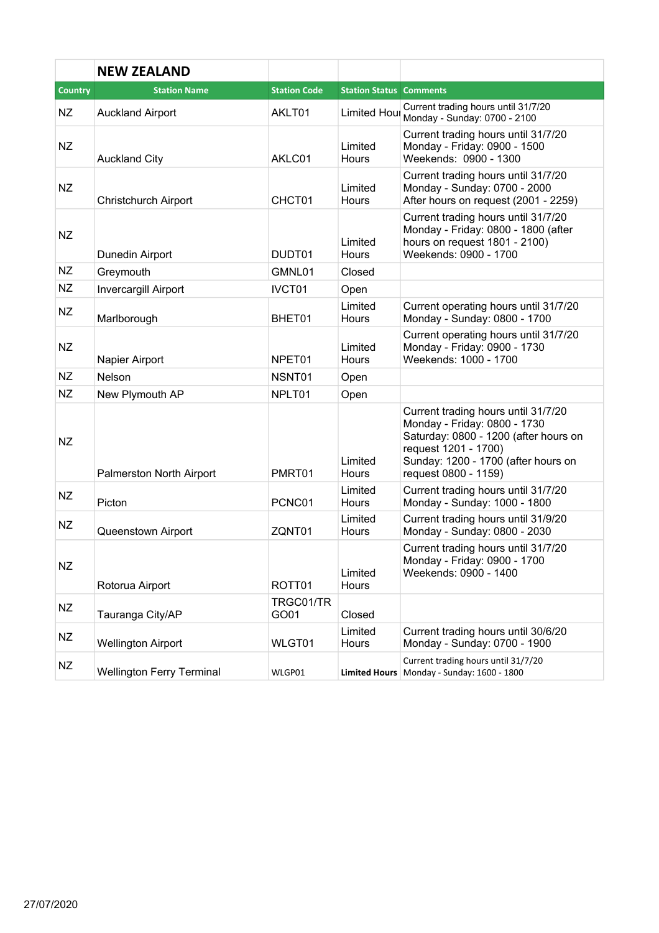|                | <b>NEW ZEALAND</b>               |                     |                                |                                                                                                                                                                                                     |
|----------------|----------------------------------|---------------------|--------------------------------|-----------------------------------------------------------------------------------------------------------------------------------------------------------------------------------------------------|
| <b>Country</b> | <b>Station Name</b>              | <b>Station Code</b> | <b>Station Status Comments</b> |                                                                                                                                                                                                     |
| NZ             | <b>Auckland Airport</b>          | AKLT01              | Limited Hour                   | Current trading hours until 31/7/20<br>Monday - Sunday: 0700 - 2100                                                                                                                                 |
| <b>NZ</b>      | <b>Auckland City</b>             | AKLC01              | Limited<br><b>Hours</b>        | Current trading hours until 31/7/20<br>Monday - Friday: 0900 - 1500<br>Weekends: 0900 - 1300                                                                                                        |
| <b>NZ</b>      | Christchurch Airport             | CHCT01              | Limited<br><b>Hours</b>        | Current trading hours until 31/7/20<br>Monday - Sunday: 0700 - 2000<br>After hours on request (2001 - 2259)                                                                                         |
| NZ             | Dunedin Airport                  | DUDT01              | Limited<br><b>Hours</b>        | Current trading hours until 31/7/20<br>Monday - Friday: 0800 - 1800 (after<br>hours on request 1801 - 2100)<br>Weekends: 0900 - 1700                                                                |
| <b>NZ</b>      | Greymouth                        | GMNL01              | Closed                         |                                                                                                                                                                                                     |
| <b>NZ</b>      | Invercargill Airport             | IVCT01              | Open                           |                                                                                                                                                                                                     |
| <b>NZ</b>      | Marlborough                      | BHET01              | Limited<br><b>Hours</b>        | Current operating hours until 31/7/20<br>Monday - Sunday: 0800 - 1700                                                                                                                               |
| <b>NZ</b>      | Napier Airport                   | NPET01              | Limited<br><b>Hours</b>        | Current operating hours until 31/7/20<br>Monday - Friday: 0900 - 1730<br>Weekends: 1000 - 1700                                                                                                      |
| <b>NZ</b>      | Nelson                           | NSNT01              | Open                           |                                                                                                                                                                                                     |
| NZ             | New Plymouth AP                  | NPLT01              | Open                           |                                                                                                                                                                                                     |
| <b>NZ</b>      | Palmerston North Airport         | PMRT01              | Limited<br><b>Hours</b>        | Current trading hours until 31/7/20<br>Monday - Friday: 0800 - 1730<br>Saturday: 0800 - 1200 (after hours on<br>request 1201 - 1700)<br>Sunday: 1200 - 1700 (after hours on<br>request 0800 - 1159) |
| <b>NZ</b>      | Picton                           | PCNC01              | Limited<br><b>Hours</b>        | Current trading hours until 31/7/20<br>Monday - Sunday: 1000 - 1800                                                                                                                                 |
| NZ             | Queenstown Airport               | ZQNT01              | Limited<br>Hours               | Current trading hours until 31/9/20<br>Monday - Sunday: 0800 - 2030                                                                                                                                 |
| NZ             | Rotorua Airport                  | ROTT01              | Limited<br><b>Hours</b>        | Current trading hours until 31/7/20<br>Monday - Friday: 0900 - 1700<br>Weekends: 0900 - 1400                                                                                                        |
| NZ             | Tauranga City/AP                 | TRGC01/TR<br>GO01   | Closed                         |                                                                                                                                                                                                     |
| NZ             | <b>Wellington Airport</b>        | WLGT01              | Limited<br>Hours               | Current trading hours until 30/6/20<br>Monday - Sunday: 0700 - 1900                                                                                                                                 |
| NZ             | <b>Wellington Ferry Terminal</b> | WLGP01              |                                | Current trading hours until 31/7/20<br>Limited Hours Monday - Sunday: 1600 - 1800                                                                                                                   |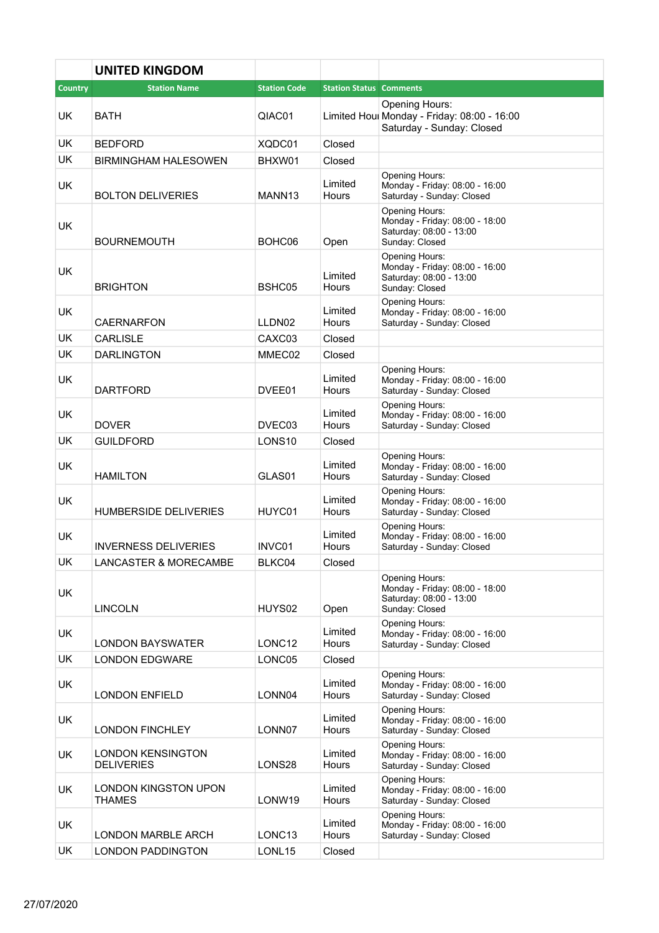|                | <b>UNITED KINGDOM</b>                         |                     |                                |                                                                                               |
|----------------|-----------------------------------------------|---------------------|--------------------------------|-----------------------------------------------------------------------------------------------|
| <b>Country</b> | <b>Station Name</b>                           | <b>Station Code</b> | <b>Station Status Comments</b> |                                                                                               |
| <b>UK</b>      | <b>BATH</b>                                   | QIAC01              |                                | Opening Hours:<br>Limited Houl Monday - Friday: 08:00 - 16:00<br>Saturday - Sunday: Closed    |
| <b>UK</b>      | <b>BEDFORD</b>                                | XQDC01              | Closed                         |                                                                                               |
| <b>UK</b>      | <b>BIRMINGHAM HALESOWEN</b>                   | BHXW01              | Closed                         |                                                                                               |
| UK.            | <b>BOLTON DELIVERIES</b>                      | MANN <sub>13</sub>  | Limited<br>Hours               | Opening Hours:<br>Monday - Friday: 08:00 - 16:00<br>Saturday - Sunday: Closed                 |
| <b>UK</b>      | <b>BOURNEMOUTH</b>                            | BOHC06              | Open                           | Opening Hours:<br>Monday - Friday: 08:00 - 18:00<br>Saturday: 08:00 - 13:00<br>Sunday: Closed |
| <b>UK</b>      | <b>BRIGHTON</b>                               | BSHC05              | Limited<br>Hours               | Opening Hours:<br>Monday - Friday: 08:00 - 16:00<br>Saturday: 08:00 - 13:00<br>Sunday: Closed |
| <b>UK</b>      | <b>CAERNARFON</b>                             | LLDN02              | Limited<br><b>Hours</b>        | Opening Hours:<br>Monday - Friday: 08:00 - 16:00<br>Saturday - Sunday: Closed                 |
| <b>UK</b>      | <b>CARLISLE</b>                               | CAXC03              | Closed                         |                                                                                               |
| <b>UK</b>      | <b>DARLINGTON</b>                             | MMEC02              | Closed                         |                                                                                               |
| UK.            | <b>DARTFORD</b>                               | DVEE01              | Limited<br>Hours               | Opening Hours:<br>Monday - Friday: 08:00 - 16:00<br>Saturday - Sunday: Closed                 |
| <b>UK</b>      | <b>DOVER</b>                                  | DVEC03              | Limited<br>Hours               | Opening Hours:<br>Monday - Friday: 08:00 - 16:00<br>Saturday - Sunday: Closed                 |
| UK.            | <b>GUILDFORD</b>                              | LONS <sub>10</sub>  | Closed                         |                                                                                               |
| <b>UK</b>      | <b>HAMILTON</b>                               | GLAS01              | Limited<br>Hours               | Opening Hours:<br>Monday - Friday: 08:00 - 16:00<br>Saturday - Sunday: Closed                 |
| UK             | <b>HUMBERSIDE DELIVERIES</b>                  | HUYC01              | Limited<br>Hours               | Opening Hours:<br>Monday - Friday: 08:00 - 16:00<br>Saturday - Sunday: Closed                 |
| UK             | <b>INVERNESS DELIVERIES</b>                   | INVC01              | Limited<br>Hours               | Opening Hours:<br>Monday - Friday: 08:00 - 16:00<br>Saturday - Sunday: Closed                 |
| UK             | <b>LANCASTER &amp; MORECAMBE</b>              | BLKC04              | Closed                         |                                                                                               |
| UK             | <b>LINCOLN</b>                                | HUYS02              | Open                           | Opening Hours:<br>Monday - Friday: 08:00 - 18:00<br>Saturday: 08:00 - 13:00<br>Sunday: Closed |
| UK             | <b>LONDON BAYSWATER</b>                       | LONC <sub>12</sub>  | Limited<br>Hours               | Opening Hours:<br>Monday - Friday: 08:00 - 16:00<br>Saturday - Sunday: Closed                 |
| <b>UK</b>      | <b>LONDON EDGWARE</b>                         | LONC05              | Closed                         |                                                                                               |
| UK.            | <b>LONDON ENFIELD</b>                         | LONN04              | Limited<br>Hours               | Opening Hours:<br>Monday - Friday: 08:00 - 16:00<br>Saturday - Sunday: Closed                 |
| UK             | <b>LONDON FINCHLEY</b>                        | LONN07              | Limited<br>Hours               | Opening Hours:<br>Monday - Friday: 08:00 - 16:00<br>Saturday - Sunday: Closed                 |
| UK.            | <b>LONDON KENSINGTON</b><br><b>DELIVERIES</b> | LONS28              | Limited<br>Hours               | Opening Hours:<br>Monday - Friday: 08:00 - 16:00<br>Saturday - Sunday: Closed                 |
| <b>UK</b>      | LONDON KINGSTON UPON<br><b>THAMES</b>         | LONW19              | Limited<br>Hours               | Opening Hours:<br>Monday - Friday: 08:00 - 16:00<br>Saturday - Sunday: Closed                 |
| UK.            | LONDON MARBLE ARCH                            | LONC <sub>13</sub>  | Limited<br>Hours               | Opening Hours:<br>Monday - Friday: 08:00 - 16:00<br>Saturday - Sunday: Closed                 |
| <b>UK</b>      | <b>LONDON PADDINGTON</b>                      | LONL15              | Closed                         |                                                                                               |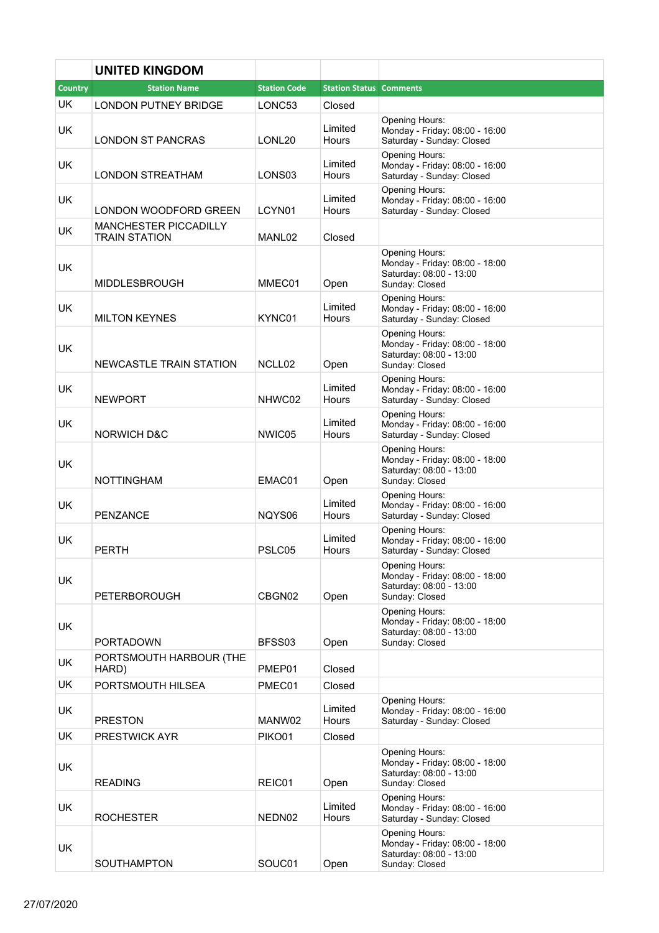|                | <b>UNITED KINGDOM</b>                         |                     |                                |                                                                                               |
|----------------|-----------------------------------------------|---------------------|--------------------------------|-----------------------------------------------------------------------------------------------|
| <b>Country</b> | <b>Station Name</b>                           | <b>Station Code</b> | <b>Station Status Comments</b> |                                                                                               |
| UK             | <b>LONDON PUTNEY BRIDGE</b>                   | LONC53              | Closed                         |                                                                                               |
| UK.            | <b>LONDON ST PANCRAS</b>                      | LONL20              | Limited<br>Hours               | Opening Hours:<br>Monday - Friday: 08:00 - 16:00<br>Saturday - Sunday: Closed                 |
| UK.            | LONDON STREATHAM                              | LONS <sub>03</sub>  | Limited<br>Hours               | Opening Hours:<br>Monday - Friday: 08:00 - 16:00<br>Saturday - Sunday: Closed                 |
| UK.            | LONDON WOODFORD GREEN                         | LCYN01              | Limited<br>Hours               | Opening Hours:<br>Monday - Friday: 08:00 - 16:00<br>Saturday - Sunday: Closed                 |
| UK             | MANCHESTER PICCADILLY<br><b>TRAIN STATION</b> | MANL02              | Closed                         |                                                                                               |
| UK             | <b>MIDDLESBROUGH</b>                          | MMEC01              | Open                           | Opening Hours:<br>Monday - Friday: 08:00 - 18:00<br>Saturday: 08:00 - 13:00<br>Sunday: Closed |
| UK             | <b>MILTON KEYNES</b>                          | KYNC01              | Limited<br>Hours               | Opening Hours:<br>Monday - Friday: 08:00 - 16:00<br>Saturday - Sunday: Closed                 |
| UK             | NEWCASTLE TRAIN STATION                       | NCLL <sub>02</sub>  | Open                           | Opening Hours:<br>Monday - Friday: 08:00 - 18:00<br>Saturday: 08:00 - 13:00<br>Sunday: Closed |
| <b>UK</b>      | <b>NEWPORT</b>                                | NHWC02              | Limited<br>Hours               | Opening Hours:<br>Monday - Friday: 08:00 - 16:00<br>Saturday - Sunday: Closed                 |
| UK.            | <b>NORWICH D&amp;C</b>                        | NWIC05              | Limited<br>Hours               | Opening Hours:<br>Monday - Friday: 08:00 - 16:00<br>Saturday - Sunday: Closed                 |
| <b>UK</b>      | <b>NOTTINGHAM</b>                             | EMAC01              | Open                           | Opening Hours:<br>Monday - Friday: 08:00 - 18:00<br>Saturday: 08:00 - 13:00<br>Sunday: Closed |
| <b>UK</b>      | <b>PENZANCE</b>                               | NQYS06              | Limited<br>Hours               | Opening Hours:<br>Monday - Friday: 08:00 - 16:00<br>Saturday - Sunday: Closed                 |
| <b>UK</b>      | <b>PERTH</b>                                  | PSLC05              | Limited<br>Hours               | Opening Hours:<br>Monday - Friday: 08:00 - 16:00<br>Saturday - Sunday: Closed                 |
| UK             | <b>PETERBOROUGH</b>                           | CBGN02              | Open                           | Opening Hours:<br>Monday - Friday: 08:00 - 18:00<br>Saturday: 08:00 - 13:00<br>Sunday: Closed |
| UK             | <b>PORTADOWN</b>                              | BFSS03              | Open                           | Opening Hours:<br>Monday - Friday: 08:00 - 18:00<br>Saturday: 08:00 - 13:00<br>Sunday: Closed |
| UK             | PORTSMOUTH HARBOUR (THE<br>HARD)              | PMEP01              | Closed                         |                                                                                               |
| <b>UK</b>      | PORTSMOUTH HILSEA                             | PMEC01              | Closed                         |                                                                                               |
| UK.            | <b>PRESTON</b>                                | MANW02              | Limited<br>Hours               | Opening Hours:<br>Monday - Friday: 08:00 - 16:00<br>Saturday - Sunday: Closed                 |
| UK.            | PRESTWICK AYR                                 | PIKO01              | Closed                         |                                                                                               |
| UK             | <b>READING</b>                                | REIC01              | Open                           | Opening Hours:<br>Monday - Friday: 08:00 - 18:00<br>Saturday: 08:00 - 13:00<br>Sunday: Closed |
| UK.            | <b>ROCHESTER</b>                              | NEDN02              | Limited<br>Hours               | Opening Hours:<br>Monday - Friday: 08:00 - 16:00<br>Saturday - Sunday: Closed                 |
| UK             | <b>SOUTHAMPTON</b>                            | SOUC01              | Open                           | Opening Hours:<br>Monday - Friday: 08:00 - 18:00<br>Saturday: 08:00 - 13:00<br>Sunday: Closed |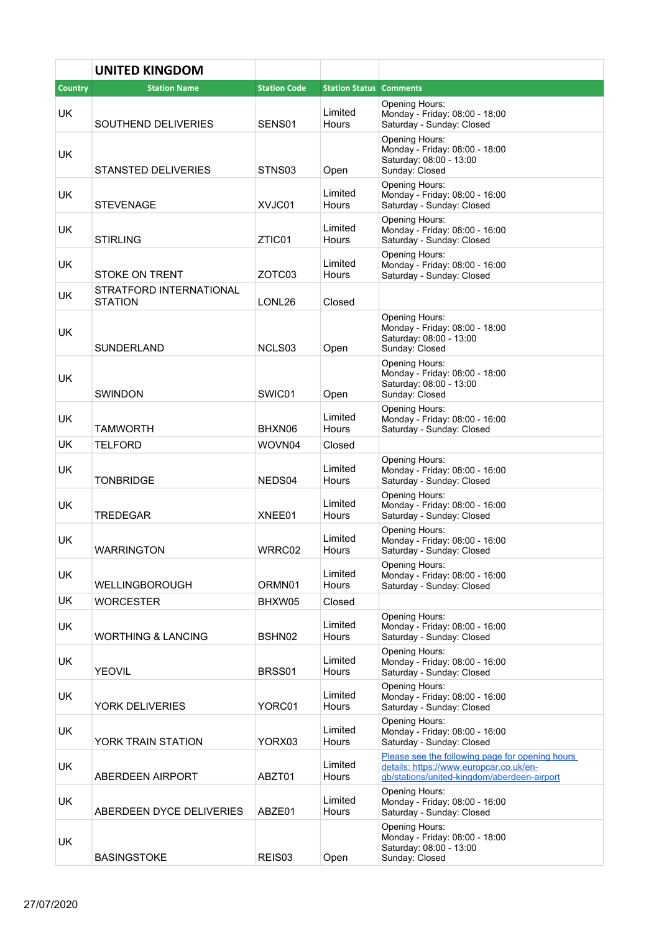|           | <b>UNITED KINGDOM</b>                     |                     |                                |                                                                                                                                           |
|-----------|-------------------------------------------|---------------------|--------------------------------|-------------------------------------------------------------------------------------------------------------------------------------------|
| Country   | <b>Station Name</b>                       | <b>Station Code</b> | <b>Station Status Comments</b> |                                                                                                                                           |
| <b>UK</b> | SOUTHEND DELIVERIES                       | SENS01              | Limited<br><b>Hours</b>        | Opening Hours:<br>Monday - Friday: 08:00 - 18:00<br>Saturday - Sunday: Closed                                                             |
| <b>UK</b> | STANSTED DELIVERIES                       | STNS03              | Open                           | Opening Hours:<br>Monday - Friday: 08:00 - 18:00<br>Saturday: 08:00 - 13:00<br>Sunday: Closed                                             |
| <b>UK</b> | STEVENAGE                                 | XVJC01              | Limited<br>Hours               | Opening Hours:<br>Monday - Friday: 08:00 - 16:00<br>Saturday - Sunday: Closed                                                             |
| <b>UK</b> | STIRLING                                  | ZTIC01              | Limited<br>Hours               | Opening Hours:<br>Monday - Friday: 08:00 - 16:00<br>Saturday - Sunday: Closed                                                             |
| <b>UK</b> | <b>STOKE ON TRENT</b>                     | ZOTC03              | Limited<br>Hours               | Opening Hours:<br>Monday - Friday: 08:00 - 16:00<br>Saturday - Sunday: Closed                                                             |
| UK.       | STRATFORD INTERNATIONAL<br><b>STATION</b> | LONL26              | Closed                         |                                                                                                                                           |
| <b>UK</b> | SUNDERLAND                                | NCLS03              | Open                           | Opening Hours:<br>Monday - Friday: 08:00 - 18:00<br>Saturday: 08:00 - 13:00<br>Sunday: Closed                                             |
| <b>UK</b> | <b>SWINDON</b>                            | SWIC01              | Open                           | Opening Hours:<br>Monday - Friday: 08:00 - 18:00<br>Saturday: 08:00 - 13:00<br>Sunday: Closed                                             |
| UK        | TAMWORTH                                  | BHXN06              | Limited<br>Hours               | Opening Hours:<br>Monday - Friday: 08:00 - 16:00<br>Saturday - Sunday: Closed                                                             |
| <b>UK</b> | <b>TELFORD</b>                            | WOVN04              | Closed                         |                                                                                                                                           |
| UK.       | <b>TONBRIDGE</b>                          | NEDS04              | Limited<br>Hours               | Opening Hours:<br>Monday - Friday: 08:00 - 16:00<br>Saturday - Sunday: Closed                                                             |
| <b>UK</b> | TREDEGAR                                  | XNEE01              | Limited<br>Hours               | Opening Hours:<br>Monday - Friday: 08:00 - 16:00<br>Saturday - Sunday: Closed                                                             |
| <b>UK</b> | <b>WARRINGTON</b>                         | WRRC02              | Limited<br>Hours               | Opening Hours:<br>Monday - Friday: 08:00 - 16:00<br>Saturday - Sunday: Closed                                                             |
| <b>UK</b> | <b>WELLINGBOROUGH</b>                     | ORMN01              | Limited<br>Hours               | Opening Hours:<br>Monday - Friday: 08:00 - 16:00<br>Saturday - Sunday: Closed                                                             |
| UK        | WORCESTER                                 | BHXW05              | Closed                         |                                                                                                                                           |
| UK.       | <b>WORTHING &amp; LANCING</b>             | BSHN02              | Limited<br>Hours               | Opening Hours:<br>Monday - Friday: 08:00 - 16:00<br>Saturday - Sunday: Closed                                                             |
| UK.       | <b>YEOVIL</b>                             | BRSS01              | Limited<br>Hours               | Opening Hours:<br>Monday - Friday: 08:00 - 16:00<br>Saturday - Sunday: Closed                                                             |
| UK        | YORK DELIVERIES                           | YORC01              | Limited<br>Hours               | Opening Hours:<br>Monday - Friday: 08:00 - 16:00<br>Saturday - Sunday: Closed                                                             |
| <b>UK</b> | YORK TRAIN STATION                        | YORX03              | Limited<br>Hours               | Opening Hours:<br>Monday - Friday: 08:00 - 16:00<br>Saturday - Sunday: Closed                                                             |
| <b>UK</b> | <b>ABERDEEN AIRPORT</b>                   | ABZT01              | Limited<br>Hours               | Please see the following page for opening hours<br>details: https://www.europcar.co.uk/en-<br>gb/stations/united-kingdom/aberdeen-airport |
| UK.       | ABERDEEN DYCE DELIVERIES                  | ABZE01              | Limited<br>Hours               | Opening Hours:<br>Monday - Friday: 08:00 - 16:00<br>Saturday - Sunday: Closed                                                             |
| UK        | <b>BASINGSTOKE</b>                        | REIS03              | Open                           | Opening Hours:<br>Monday - Friday: 08:00 - 18:00<br>Saturday: 08:00 - 13:00<br>Sunday: Closed                                             |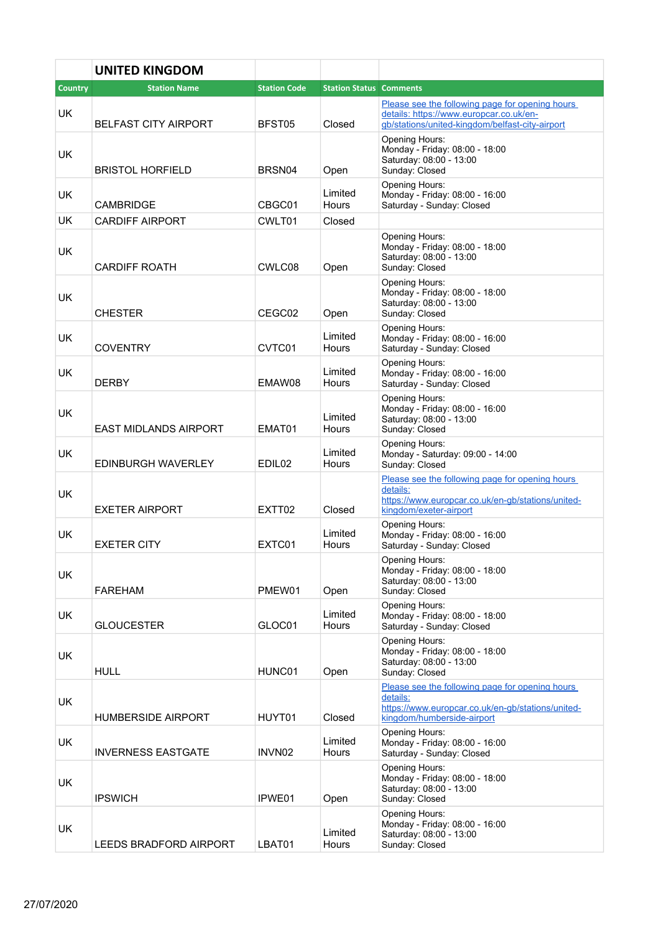|                | <b>UNITED KINGDOM</b>        |                     |                                |                                                                                                                                                |
|----------------|------------------------------|---------------------|--------------------------------|------------------------------------------------------------------------------------------------------------------------------------------------|
| <b>Country</b> | <b>Station Name</b>          | <b>Station Code</b> | <b>Station Status Comments</b> |                                                                                                                                                |
| <b>UK</b>      | <b>BELFAST CITY AIRPORT</b>  | BFST05              | Closed                         | Please see the following page for opening hours<br>details: https://www.europcar.co.uk/en-<br>gb/stations/united-kingdom/belfast-city-airport  |
| <b>UK</b>      | <b>BRISTOL HORFIELD</b>      | BRSN04              | Open                           | Opening Hours:<br>Monday - Friday: 08:00 - 18:00<br>Saturday: 08:00 - 13:00<br>Sunday: Closed                                                  |
| <b>UK</b>      | <b>CAMBRIDGE</b>             | CBGC01              | Limited<br>Hours               | Opening Hours:<br>Monday - Friday: 08:00 - 16:00<br>Saturday - Sunday: Closed                                                                  |
| <b>UK</b>      | <b>CARDIFF AIRPORT</b>       | CWLT01              | Closed                         |                                                                                                                                                |
| <b>UK</b>      | <b>CARDIFF ROATH</b>         | CWLC08              | Open                           | Opening Hours:<br>Monday - Friday: 08:00 - 18:00<br>Saturday: 08:00 - 13:00<br>Sunday: Closed                                                  |
| UK             | <b>CHESTER</b>               | CEGC02              | Open                           | Opening Hours:<br>Monday - Friday: 08:00 - 18:00<br>Saturday: 08:00 - 13:00<br>Sunday: Closed                                                  |
| <b>UK</b>      | <b>COVENTRY</b>              | CVTC01              | Limited<br>Hours               | <b>Opening Hours:</b><br>Monday - Friday: 08:00 - 16:00<br>Saturday - Sunday: Closed                                                           |
| UK             | <b>DERBY</b>                 | EMAW08              | Limited<br>Hours               | Opening Hours:<br>Monday - Friday: 08:00 - 16:00<br>Saturday - Sunday: Closed                                                                  |
| UK             | <b>EAST MIDLANDS AIRPORT</b> | EMAT01              | Limited<br>Hours               | Opening Hours:<br>Monday - Friday: 08:00 - 16:00<br>Saturday: 08:00 - 13:00<br>Sunday: Closed                                                  |
| <b>UK</b>      | <b>EDINBURGH WAVERLEY</b>    | EDIL <sub>02</sub>  | Limited<br>Hours               | Opening Hours:<br>Monday - Saturday: 09:00 - 14:00<br>Sunday: Closed                                                                           |
| <b>UK</b>      | <b>EXETER AIRPORT</b>        | EXTT02              | Closed                         | Please see the following page for opening hours<br>details:<br>https://www.europcar.co.uk/en-gb/stations/united-<br>kingdom/exeter-airport     |
| <b>UK</b>      | <b>EXETER CITY</b>           | EXTC01              | Limited<br>Hours               | <b>Opening Hours:</b><br>Monday - Friday: 08:00 - 16:00<br>Saturday - Sunday: Closed                                                           |
| <b>UK</b>      | <b>FAREHAM</b>               | PMEW01              | Open                           | Opening Hours:<br>Monday - Friday: 08:00 - 18:00<br>Saturday: 08:00 - 13:00<br>Sunday: Closed                                                  |
| <b>UK</b>      | <b>GLOUCESTER</b>            | GLOC01              | Limited<br>Hours               | Opening Hours:<br>Monday - Friday: 08:00 - 18:00<br>Saturday - Sunday: Closed                                                                  |
| UK             | <b>HULL</b>                  | HUNC01              | Open                           | Opening Hours:<br>Monday - Friday: 08:00 - 18:00<br>Saturday: 08:00 - 13:00<br>Sunday: Closed                                                  |
| UK.            | <b>HUMBERSIDE AIRPORT</b>    | HUYT01              | Closed                         | Please see the following page for opening hours<br>details:<br>https://www.europcar.co.uk/en-gb/stations/united-<br>kingdom/humberside-airport |
| UK.            | <b>INVERNESS EASTGATE</b>    | INVN02              | Limited<br>Hours               | Opening Hours:<br>Monday - Friday: 08:00 - 16:00<br>Saturday - Sunday: Closed                                                                  |
| <b>UK</b>      | <b>IPSWICH</b>               | IPWE01              | Open                           | Opening Hours:<br>Monday - Friday: 08:00 - 18:00<br>Saturday: 08:00 - 13:00<br>Sunday: Closed                                                  |
| <b>UK</b>      | LEEDS BRADFORD AIRPORT       | LBAT01              | Limited<br>Hours               | Opening Hours:<br>Monday - Friday: 08:00 - 16:00<br>Saturday: 08:00 - 13:00<br>Sunday: Closed                                                  |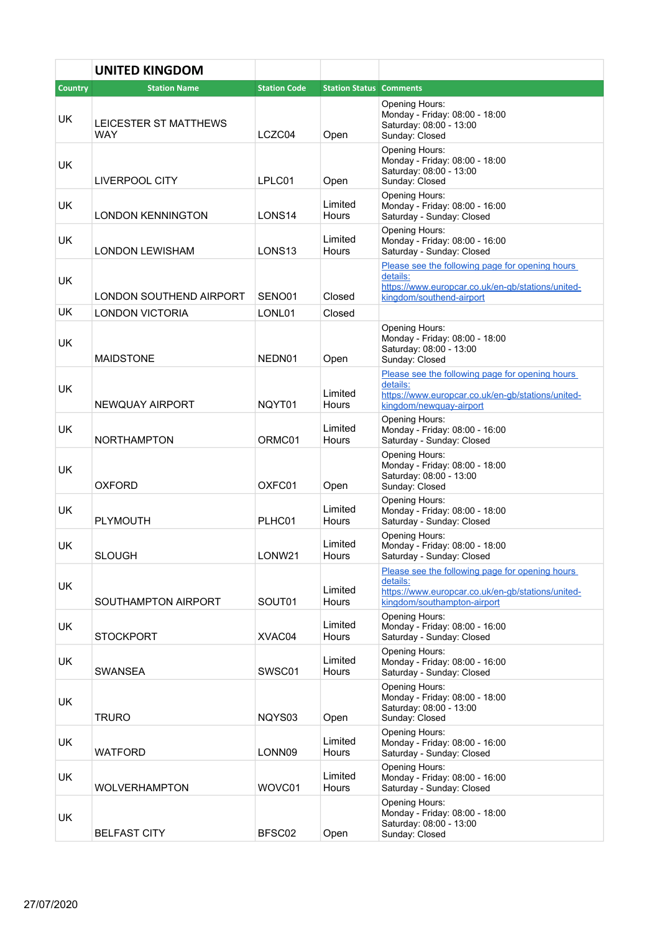|                | <b>UNITED KINGDOM</b>        |                     |                                |                                                                                                                                                 |
|----------------|------------------------------|---------------------|--------------------------------|-------------------------------------------------------------------------------------------------------------------------------------------------|
| <b>Country</b> | <b>Station Name</b>          | <b>Station Code</b> | <b>Station Status Comments</b> |                                                                                                                                                 |
| <b>UK</b>      | LEICESTER ST MATTHEWS<br>WAY | LCZC04              | Open                           | <b>Opening Hours:</b><br>Monday - Friday: 08:00 - 18:00<br>Saturday: 08:00 - 13:00<br>Sunday: Closed                                            |
| <b>UK</b>      | <b>LIVERPOOL CITY</b>        | LPLC01              | Open                           | Opening Hours:<br>Monday - Friday: 08:00 - 18:00<br>Saturday: 08:00 - 13:00<br>Sunday: Closed                                                   |
| UK.            | <b>LONDON KENNINGTON</b>     | LONS <sub>14</sub>  | Limited<br>Hours               | Opening Hours:<br>Monday - Friday: 08:00 - 16:00<br>Saturday - Sunday: Closed                                                                   |
| <b>UK</b>      | <b>LONDON LEWISHAM</b>       | LONS <sub>13</sub>  | Limited<br>Hours               | Opening Hours:<br>Monday - Friday: 08:00 - 16:00<br>Saturday - Sunday: Closed                                                                   |
| <b>UK</b>      | LONDON SOUTHEND AIRPORT      | SENO01              | Closed                         | Please see the following page for opening hours<br>details:<br>https://www.europcar.co.uk/en-gb/stations/united-<br>kingdom/southend-airport    |
| <b>UK</b>      | <b>LONDON VICTORIA</b>       |                     | Closed                         |                                                                                                                                                 |
| <b>UK</b>      | <b>MAIDSTONE</b>             | LONL01<br>NEDN01    | Open                           | Opening Hours:<br>Monday - Friday: 08:00 - 18:00<br>Saturday: 08:00 - 13:00<br>Sunday: Closed                                                   |
| <b>UK</b>      | NEWQUAY AIRPORT              | NQYT01              | Limited<br>Hours               | Please see the following page for opening hours<br>details:<br>https://www.europcar.co.uk/en-gb/stations/united-<br>kingdom/newquay-airport     |
| UK.            | <b>NORTHAMPTON</b>           | ORMC01              | Limited<br>Hours               | <b>Opening Hours:</b><br>Monday - Friday: 08:00 - 16:00<br>Saturday - Sunday: Closed                                                            |
| UK             | <b>OXFORD</b>                | OXFC01              | Open                           | Opening Hours:<br>Monday - Friday: 08:00 - 18:00<br>Saturday: 08:00 - 13:00<br>Sunday: Closed                                                   |
| <b>UK</b>      | <b>PLYMOUTH</b>              | PLHC01              | Limited<br>Hours               | Opening Hours:<br>Monday - Friday: 08:00 - 18:00<br>Saturday - Sunday: Closed                                                                   |
| <b>UK</b>      | SLOUGH                       | LONW21              | Limited<br>Hours               | Opening Hours:<br>Monday - Friday: 08:00 - 18:00<br>Saturday - Sunday: Closed                                                                   |
| UK             | SOUTHAMPTON AIRPORT          | SOUT01              | Limited<br><b>Hours</b>        | Please see the following page for opening hours<br>details:<br>https://www.europcar.co.uk/en-gb/stations/united-<br>kingdom/southampton-airport |
| UK             | <b>STOCKPORT</b>             | XVAC04              | Limited<br><b>Hours</b>        | Opening Hours:<br>Monday - Friday: 08:00 - 16:00<br>Saturday - Sunday: Closed                                                                   |
| UK.            | SWANSEA                      | SWSC01              | Limited<br>Hours               | Opening Hours:<br>Monday - Friday: 08:00 - 16:00<br>Saturday - Sunday: Closed                                                                   |
| UK             | <b>TRURO</b>                 | NQYS03              | Open                           | Opening Hours:<br>Monday - Friday: 08:00 - 18:00<br>Saturday: 08:00 - 13:00<br>Sunday: Closed                                                   |
| UK             | <b>WATFORD</b>               | LONN09              | Limited<br>Hours               | Opening Hours:<br>Monday - Friday: 08:00 - 16:00<br>Saturday - Sunday: Closed                                                                   |
| <b>UK</b>      | <b>WOLVERHAMPTON</b>         | WOVC01              | Limited<br>Hours               | Opening Hours:<br>Monday - Friday: 08:00 - 16:00<br>Saturday - Sunday: Closed                                                                   |
| UK             | <b>BELFAST CITY</b>          | BFSC02              | Open                           | Opening Hours:<br>Monday - Friday: 08:00 - 18:00<br>Saturday: 08:00 - 13:00<br>Sunday: Closed                                                   |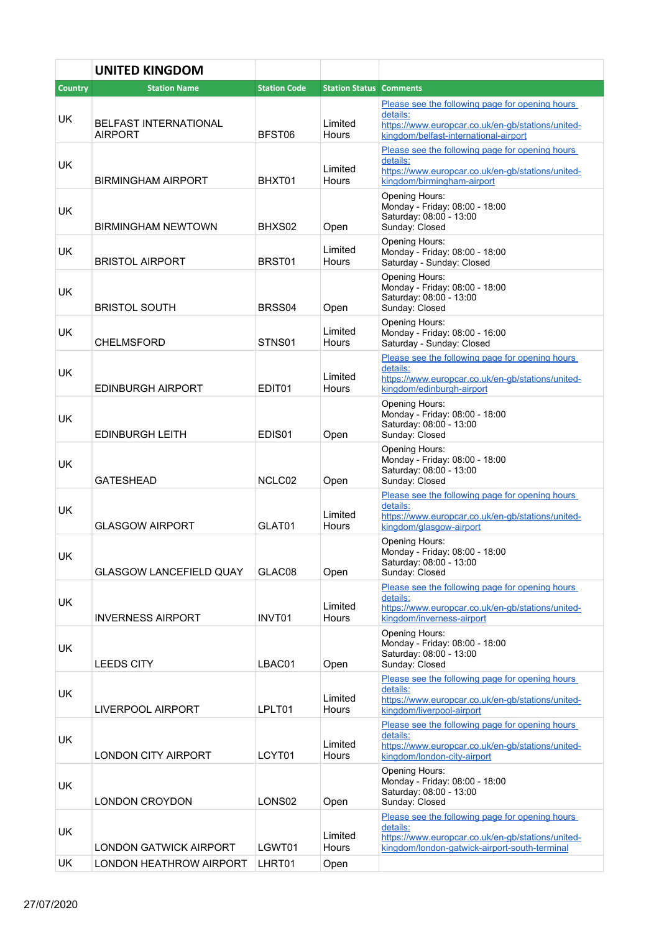|                | <b>UNITED KINGDOM</b>                   |                     |                                |                                                                                                                                                                   |  |
|----------------|-----------------------------------------|---------------------|--------------------------------|-------------------------------------------------------------------------------------------------------------------------------------------------------------------|--|
| <b>Country</b> | <b>Station Name</b>                     | <b>Station Code</b> | <b>Station Status Comments</b> |                                                                                                                                                                   |  |
| UK             | <b>BELFAST INTERNATIONAL</b><br>AIRPORT | BFST06              | Limited<br>Hours               | Please see the following page for opening hours<br>details:<br>https://www.europcar.co.uk/en-gb/stations/united-<br>kingdom/belfast-international-airport         |  |
| <b>UK</b>      | <b>BIRMINGHAM AIRPORT</b>               | BHXT01              | Limited<br>Hours               | Please see the following page for opening hours<br>details:<br>https://www.europcar.co.uk/en-gb/stations/united-<br>kingdom/birmingham-airport                    |  |
| UK             | BIRMINGHAM NEWTOWN                      | BHXS02              | Open                           | <b>Opening Hours:</b><br>Monday - Friday: 08:00 - 18:00<br>Saturday: 08:00 - 13:00<br>Sunday: Closed                                                              |  |
| <b>UK</b>      | <b>BRISTOL AIRPORT</b>                  | BRST01              | Limited<br>Hours               | Opening Hours:<br>Monday - Friday: 08:00 - 18:00<br>Saturday - Sunday: Closed                                                                                     |  |
| UK             | <b>BRISTOL SOUTH</b>                    | BRSS04              | Open                           | Opening Hours:<br>Monday - Friday: 08:00 - 18:00<br>Saturday: 08:00 - 13:00<br>Sunday: Closed                                                                     |  |
| <b>UK</b>      | <b>CHELMSFORD</b>                       | STNS01              | Limited<br>Hours               | Opening Hours:<br>Monday - Friday: 08:00 - 16:00<br>Saturday - Sunday: Closed                                                                                     |  |
| <b>UK</b>      | EDINBURGH AIRPORT                       | EDIT01              | Limited<br>Hours               | Please see the following page for opening hours<br>details:<br>https://www.europcar.co.uk/en-gb/stations/united-<br>kingdom/edinburgh-airport                     |  |
| <b>UK</b>      | <b>EDINBURGH LEITH</b>                  | EDIS01              | Open                           | Opening Hours:<br>Monday - Friday: 08:00 - 18:00<br>Saturday: 08:00 - 13:00<br>Sunday: Closed                                                                     |  |
| <b>UK</b>      | <b>GATESHEAD</b>                        | NCLC02              | Open                           | Opening Hours:<br>Monday - Friday: 08:00 - 18:00<br>Saturday: 08:00 - 13:00<br>Sunday: Closed                                                                     |  |
| <b>UK</b>      | <b>GLASGOW AIRPORT</b>                  | GLAT01              | Limited<br>Hours               | Please see the following page for opening hours<br>details:<br>https://www.europcar.co.uk/en-gb/stations/united-<br>kingdom/glasgow-airport                       |  |
| UK             | <b>GLASGOW LANCEFIELD QUAY</b>          | GLAC08              | Open                           | Opening Hours:<br>Monday - Friday: 08:00 - 18:00<br>Saturday: 08:00 - 13:00<br>Sunday: Closed                                                                     |  |
| <b>UK</b>      | <b>INVERNESS AIRPORT</b>                | INVT01              | Limited<br>Hours               | Please see the following page for opening hours<br>details:<br>https://www.europcar.co.uk/en-gb/stations/united-<br>kingdom/inverness-airport                     |  |
| UK             | <b>LEEDS CITY</b>                       | LBAC01              | Open                           | Opening Hours:<br>Monday - Friday: 08:00 - 18:00<br>Saturday: 08:00 - 13:00<br>Sunday: Closed                                                                     |  |
| <b>UK</b>      | <b>LIVERPOOL AIRPORT</b>                | LPLT01              | Limited<br>Hours               | Please see the following page for opening hours<br>details:<br>https://www.europcar.co.uk/en-gb/stations/united-<br>kingdom/liverpool-airport                     |  |
| <b>UK</b>      | <b>LONDON CITY AIRPORT</b>              | LCYT01              | Limited<br>Hours               | Please see the following page for opening hours<br>details:<br>https://www.europcar.co.uk/en-gb/stations/united-<br>kingdom/london-city-airport                   |  |
| <b>UK</b>      | <b>LONDON CROYDON</b>                   | LONS <sub>02</sub>  | Open                           | Opening Hours:<br>Monday - Friday: 08:00 - 18:00<br>Saturday: 08:00 - 13:00<br>Sunday: Closed                                                                     |  |
| UK             | <b>LONDON GATWICK AIRPORT</b>           | LGWT01              | Limited<br>Hours               | Please see the following page for opening hours<br>details:<br>https://www.europcar.co.uk/en-gb/stations/united-<br>kingdom/london-gatwick-airport-south-terminal |  |
| UK             | <b>LONDON HEATHROW AIRPORT</b>          | LHRT01              | Open                           |                                                                                                                                                                   |  |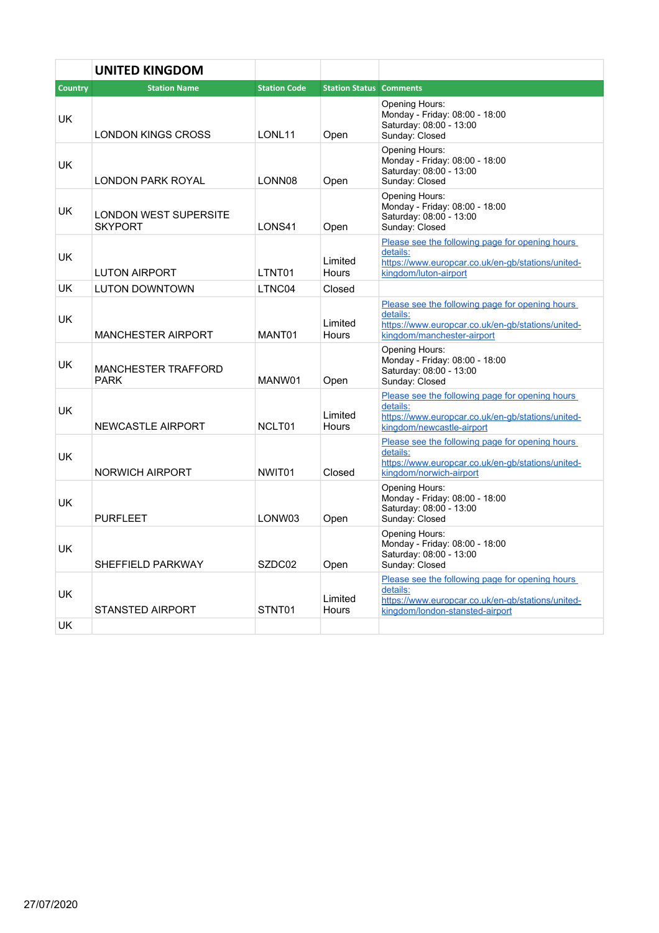|           | <b>UNITED KINGDOM</b>                          |                     |                                |                                                                                                                                                     |
|-----------|------------------------------------------------|---------------------|--------------------------------|-----------------------------------------------------------------------------------------------------------------------------------------------------|
| Country   | <b>Station Name</b>                            | <b>Station Code</b> | <b>Station Status Comments</b> |                                                                                                                                                     |
| <b>UK</b> | <b>LONDON KINGS CROSS</b>                      | LONL <sub>11</sub>  | Open                           | Opening Hours:<br>Monday - Friday: 08:00 - 18:00<br>Saturday: 08:00 - 13:00<br>Sunday: Closed                                                       |
| <b>UK</b> | LONDON PARK ROYAL                              | LONN08              | Open                           | Opening Hours:<br>Monday - Friday: 08:00 - 18:00<br>Saturday: 08:00 - 13:00<br>Sunday: Closed                                                       |
| <b>UK</b> | <b>LONDON WEST SUPERSITE</b><br><b>SKYPORT</b> | LONS41              | Open                           | Opening Hours:<br>Monday - Friday: 08:00 - 18:00<br>Saturday: 08:00 - 13:00<br>Sunday: Closed                                                       |
| <b>UK</b> | <b>LUTON AIRPORT</b>                           | LTNT01              | Limited<br>Hours               | Please see the following page for opening hours<br>details:<br>https://www.europcar.co.uk/en-qb/stations/united-<br>kingdom/luton-airport           |
| <b>UK</b> | <b>LUTON DOWNTOWN</b>                          | LTNC04              | Closed                         |                                                                                                                                                     |
| UK        | <b>MANCHESTER AIRPORT</b>                      | MANT01              | Limited<br><b>Hours</b>        | Please see the following page for opening hours<br>details:<br>https://www.europcar.co.uk/en-gb/stations/united-<br>kingdom/manchester-airport      |
| UK        | <b>MANCHESTER TRAFFORD</b><br><b>PARK</b>      | MANW01              | Open                           | <b>Opening Hours:</b><br>Monday - Friday: 08:00 - 18:00<br>Saturday: 08:00 - 13:00<br>Sunday: Closed                                                |
| <b>UK</b> | <b>NEWCASTLE AIRPORT</b>                       | NCLT01              | Limited<br><b>Hours</b>        | Please see the following page for opening hours<br>details:<br>https://www.europcar.co.uk/en-gb/stations/united-<br>kingdom/newcastle-airport       |
| <b>UK</b> | <b>NORWICH AIRPORT</b>                         | NWIT01              | Closed                         | Please see the following page for opening hours<br>details:<br>https://www.europcar.co.uk/en-gb/stations/united-<br>kingdom/norwich-airport         |
| <b>UK</b> | <b>PURFLEET</b>                                | LONW03              | Open                           | <b>Opening Hours:</b><br>Monday - Friday: 08:00 - 18:00<br>Saturday: 08:00 - 13:00<br>Sunday: Closed                                                |
| <b>UK</b> | SHEFFIFI D PARKWAY                             | SZDC02              | Open                           | <b>Opening Hours:</b><br>Monday - Friday: 08:00 - 18:00<br>Saturday: 08:00 - 13:00<br>Sunday: Closed                                                |
| UK        | <b>STANSTED AIRPORT</b>                        | STNT01              | Limited<br>Hours               | Please see the following page for opening hours<br>details:<br>https://www.europcar.co.uk/en-qb/stations/united-<br>kingdom/london-stansted-airport |
| UK        |                                                |                     |                                |                                                                                                                                                     |